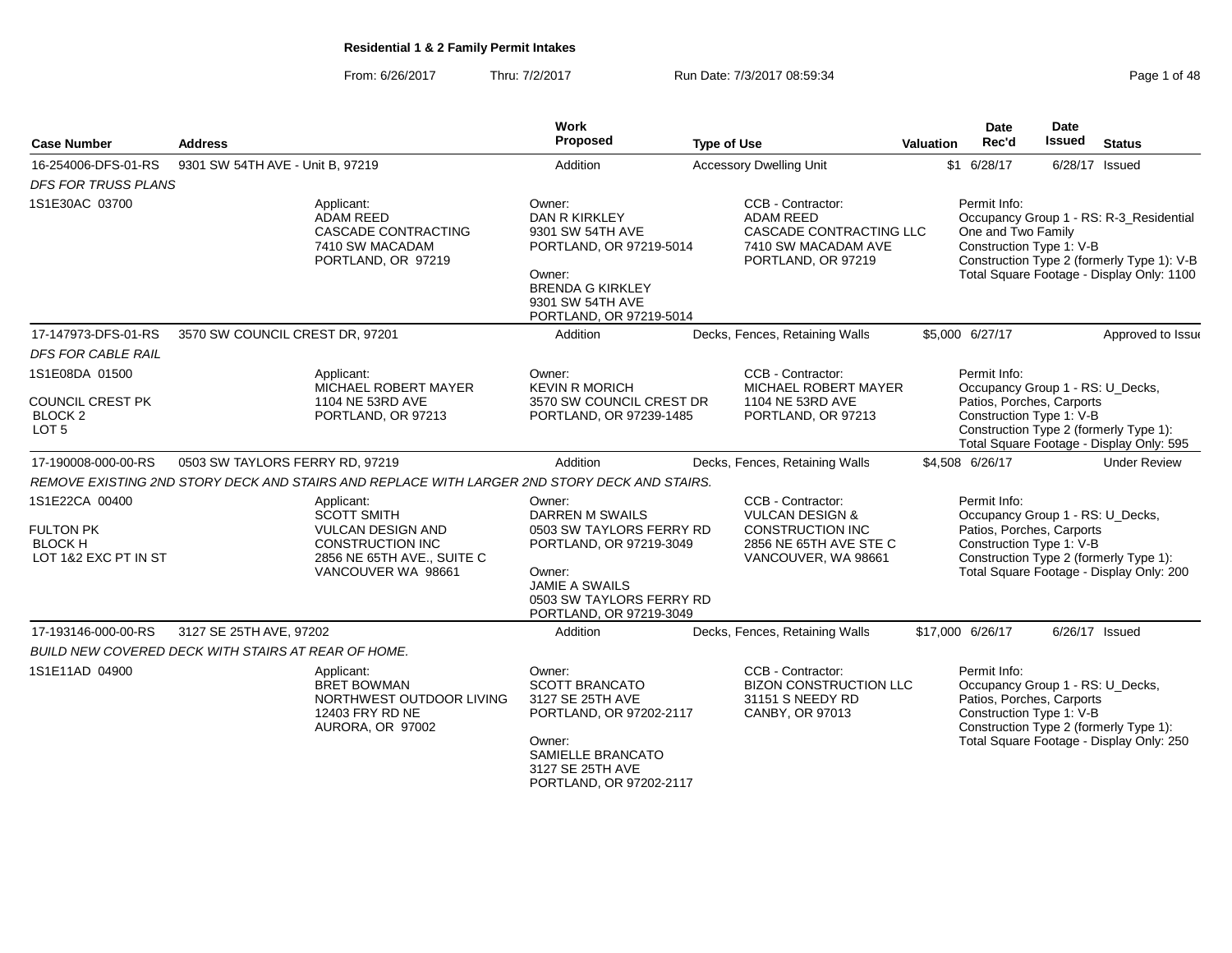From: 6/26/2017Thru: 7/2/2017 **Run Date: 7/3/2017 08:59:34** Page 1 of 48

| <b>Case Number</b>                                                           | <b>Address</b>                                                                                                                              | Work<br>Proposed                                                                                                                                                           | <b>Type of Use</b>                                                                                                          | Valuation | <b>Date</b><br>Rec'd               | Date<br><b>Issued</b><br><b>Status</b>                                                                                                                                          |
|------------------------------------------------------------------------------|---------------------------------------------------------------------------------------------------------------------------------------------|----------------------------------------------------------------------------------------------------------------------------------------------------------------------------|-----------------------------------------------------------------------------------------------------------------------------|-----------|------------------------------------|---------------------------------------------------------------------------------------------------------------------------------------------------------------------------------|
| 16-254006-DFS-01-RS                                                          | 9301 SW 54TH AVE - Unit B, 97219                                                                                                            | Addition                                                                                                                                                                   | <b>Accessory Dwelling Unit</b>                                                                                              |           | \$1 6/28/17                        | 6/28/17 Issued                                                                                                                                                                  |
| <b>DFS FOR TRUSS PLANS</b>                                                   |                                                                                                                                             |                                                                                                                                                                            |                                                                                                                             |           |                                    |                                                                                                                                                                                 |
| 1S1E30AC 03700                                                               | Applicant:<br><b>ADAM REED</b><br><b>CASCADE CONTRACTING</b><br>7410 SW MACADAM<br>PORTLAND, OR 97219                                       | Owner:<br><b>DAN R KIRKLEY</b><br>9301 SW 54TH AVE<br>PORTLAND, OR 97219-5014<br>Owner:<br><b>BRENDA G KIRKLEY</b><br>9301 SW 54TH AVE<br>PORTLAND, OR 97219-5014          | CCB - Contractor:<br><b>ADAM REED</b><br>CASCADE CONTRACTING LLC<br>7410 SW MACADAM AVE<br>PORTLAND, OR 97219               |           | Permit Info:<br>One and Two Family | Occupancy Group 1 - RS: R-3_Residential<br>Construction Type 1: V-B<br>Construction Type 2 (formerly Type 1): V-B<br>Total Square Footage - Display Only: 1100                  |
| 17-147973-DFS-01-RS                                                          | 3570 SW COUNCIL CREST DR, 97201                                                                                                             | Addition                                                                                                                                                                   | Decks, Fences, Retaining Walls                                                                                              |           | \$5,000 6/27/17                    | Approved to Issue                                                                                                                                                               |
| <b>DFS FOR CABLE RAIL</b>                                                    |                                                                                                                                             |                                                                                                                                                                            |                                                                                                                             |           |                                    |                                                                                                                                                                                 |
| 1S1E08DA 01500                                                               | Applicant:<br>MICHAEL ROBERT MAYER                                                                                                          | Owner:<br><b>KEVIN R MORICH</b>                                                                                                                                            | CCB - Contractor:<br>MICHAEL ROBERT MAYER                                                                                   |           | Permit Info:                       | Occupancy Group 1 - RS: U_Decks,                                                                                                                                                |
| <b>COUNCIL CREST PK</b><br>BLOCK <sub>2</sub><br>LOT <sub>5</sub>            | 1104 NE 53RD AVE<br>PORTLAND, OR 97213                                                                                                      | 3570 SW COUNCIL CREST DR<br>PORTLAND, OR 97239-1485                                                                                                                        | 1104 NE 53RD AVE<br>PORTLAND, OR 97213                                                                                      |           |                                    | Patios, Porches, Carports<br>Construction Type 1: V-B<br>Construction Type 2 (formerly Type 1):<br>Total Square Footage - Display Only: 595                                     |
| 17-190008-000-00-RS                                                          | 0503 SW TAYLORS FERRY RD, 97219                                                                                                             | Addition                                                                                                                                                                   | Decks, Fences, Retaining Walls                                                                                              |           | \$4,508 6/26/17                    | <b>Under Review</b>                                                                                                                                                             |
|                                                                              | REMOVE EXISTING 2ND STORY DECK AND STAIRS AND REPLACE WITH LARGER 2ND STORY DECK AND STAIRS.                                                |                                                                                                                                                                            |                                                                                                                             |           |                                    |                                                                                                                                                                                 |
| 1S1E22CA 00400<br><b>FULTON PK</b><br><b>BLOCK H</b><br>LOT 1&2 EXC PT IN ST | Applicant:<br><b>SCOTT SMITH</b><br><b>VULCAN DESIGN AND</b><br><b>CONSTRUCTION INC</b><br>2856 NE 65TH AVE., SUITE C<br>VANCOUVER WA 98661 | Owner:<br>DARREN M SWAILS<br>0503 SW TAYLORS FERRY RD<br>PORTLAND, OR 97219-3049<br>Owner:<br><b>JAMIE A SWAILS</b><br>0503 SW TAYLORS FERRY RD<br>PORTLAND, OR 97219-3049 | CCB - Contractor:<br><b>VULCAN DESIGN &amp;</b><br><b>CONSTRUCTION INC</b><br>2856 NE 65TH AVE STE C<br>VANCOUVER, WA 98661 |           | Permit Info:                       | Occupancy Group 1 - RS: U_Decks,<br>Patios, Porches, Carports<br>Construction Type 1: V-B<br>Construction Type 2 (formerly Type 1):<br>Total Square Footage - Display Only: 200 |
| 17-193146-000-00-RS                                                          | 3127 SE 25TH AVE, 97202                                                                                                                     | Addition                                                                                                                                                                   | Decks, Fences, Retaining Walls                                                                                              |           | \$17,000 6/26/17                   | $6/26/17$ Issued                                                                                                                                                                |
|                                                                              | BUILD NEW COVERED DECK WITH STAIRS AT REAR OF HOME.                                                                                         |                                                                                                                                                                            |                                                                                                                             |           |                                    |                                                                                                                                                                                 |
| 1S1E11AD 04900                                                               | Applicant:<br><b>BRET BOWMAN</b><br>NORTHWEST OUTDOOR LIVING<br>12403 FRY RD NE<br>AURORA, OR 97002                                         | Owner:<br><b>SCOTT BRANCATO</b><br>3127 SE 25TH AVE<br>PORTLAND, OR 97202-2117<br>Owner:<br>SAMIELLE BRANCATO<br>3127 SE 25TH AVE<br>PORTLAND, OR 97202-2117               | CCB - Contractor:<br><b>BIZON CONSTRUCTION LLC</b><br>31151 S NEEDY RD<br>CANBY, OR 97013                                   |           | Permit Info:                       | Occupancy Group 1 - RS: U_Decks,<br>Patios, Porches, Carports<br>Construction Type 1: V-B<br>Construction Type 2 (formerly Type 1):<br>Total Square Footage - Display Only: 250 |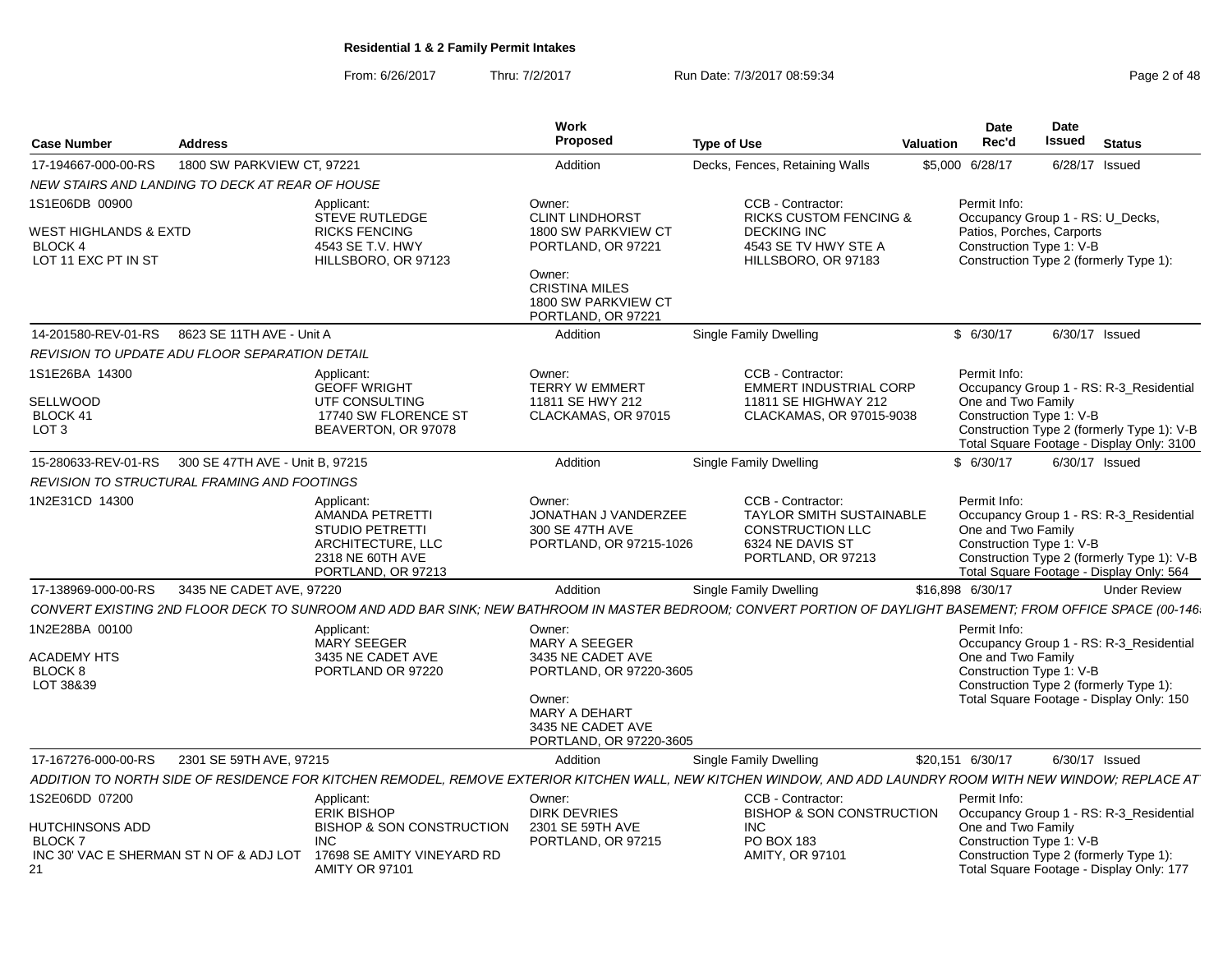From: 6/26/2017

Thru: 7/2/2017 **Run Date: 7/3/2017 08:59:34** Page 2 of 48

| <b>Case Number</b>                                                                                  | <b>Address</b>                                  |                                                                                                                                         | Work<br>Proposed                                                                                                                                              | <b>Type of Use</b>                                                                                                                                           | <b>Valuation</b> | Date<br>Rec'd                                                         | Date<br>Issued | Status                                                                                                                             |
|-----------------------------------------------------------------------------------------------------|-------------------------------------------------|-----------------------------------------------------------------------------------------------------------------------------------------|---------------------------------------------------------------------------------------------------------------------------------------------------------------|--------------------------------------------------------------------------------------------------------------------------------------------------------------|------------------|-----------------------------------------------------------------------|----------------|------------------------------------------------------------------------------------------------------------------------------------|
| 17-194667-000-00-RS                                                                                 | 1800 SW PARKVIEW CT, 97221                      |                                                                                                                                         | Addition                                                                                                                                                      | Decks, Fences, Retaining Walls                                                                                                                               |                  | \$5,000 6/28/17                                                       |                | 6/28/17 Issued                                                                                                                     |
|                                                                                                     | NEW STAIRS AND LANDING TO DECK AT REAR OF HOUSE |                                                                                                                                         |                                                                                                                                                               |                                                                                                                                                              |                  |                                                                       |                |                                                                                                                                    |
| 1S1E06DB 00900<br>WEST HIGHLANDS & EXTD<br>BLOCK 4<br>LOT 11 EXC PT IN ST                           |                                                 | Applicant:<br><b>STEVE RUTLEDGE</b><br><b>RICKS FENCING</b><br>4543 SE T.V. HWY<br>HILLSBORO, OR 97123                                  | Owner:<br><b>CLINT LINDHORST</b><br>1800 SW PARKVIEW CT<br>PORTLAND, OR 97221<br>Owner:<br><b>CRISTINA MILES</b><br>1800 SW PARKVIEW CT<br>PORTLAND, OR 97221 | CCB - Contractor:<br><b>RICKS CUSTOM FENCING &amp;</b><br><b>DECKING INC</b><br>4543 SE TV HWY STE A<br>HILLSBORO, OR 97183                                  |                  | Permit Info:<br>Patios, Porches, Carports<br>Construction Type 1: V-B |                | Occupancy Group 1 - RS: U_Decks,<br>Construction Type 2 (formerly Type 1):                                                         |
|                                                                                                     | 14-201580-REV-01-RS 8623 SE 11TH AVE - Unit A   |                                                                                                                                         | Addition                                                                                                                                                      | <b>Single Family Dwelling</b>                                                                                                                                |                  | \$6/30/17                                                             |                | 6/30/17 Issued                                                                                                                     |
|                                                                                                     | REVISION TO UPDATE ADU FLOOR SEPARATION DETAIL  |                                                                                                                                         |                                                                                                                                                               |                                                                                                                                                              |                  |                                                                       |                |                                                                                                                                    |
| 1S1E26BA 14300<br><b>SELLWOOD</b><br>BLOCK 41<br>LOT <sub>3</sub>                                   |                                                 | Applicant:<br><b>GEOFF WRIGHT</b><br>UTF CONSULTING<br>17740 SW FLORENCE ST<br>BEAVERTON, OR 97078                                      | Owner:<br><b>TERRY W EMMERT</b><br>11811 SE HWY 212<br>CLACKAMAS, OR 97015                                                                                    | CCB - Contractor:<br><b>EMMERT INDUSTRIAL CORP</b><br>11811 SE HIGHWAY 212<br>CLACKAMAS, OR 97015-9038                                                       |                  | Permit Info:<br>One and Two Family<br>Construction Type 1: V-B        |                | Occupancy Group 1 - RS: R-3_Residential<br>Construction Type 2 (formerly Type 1): V-B<br>Total Square Footage - Display Only: 3100 |
| 15-280633-REV-01-RS                                                                                 | 300 SE 47TH AVE - Unit B, 97215                 |                                                                                                                                         | Addition                                                                                                                                                      | Single Family Dwelling                                                                                                                                       |                  | \$6/30/17                                                             |                | 6/30/17 Issued                                                                                                                     |
|                                                                                                     | REVISION TO STRUCTURAL FRAMING AND FOOTINGS     |                                                                                                                                         |                                                                                                                                                               |                                                                                                                                                              |                  |                                                                       |                |                                                                                                                                    |
| 1N2E31CD 14300                                                                                      |                                                 | Applicant:<br>AMANDA PETRETTI<br><b>STUDIO PETRETTI</b><br>ARCHITECTURE, LLC<br>2318 NE 60TH AVE<br>PORTLAND, OR 97213                  | Owner:<br>JONATHAN J VANDERZEE<br>300 SE 47TH AVE<br>PORTLAND, OR 97215-1026                                                                                  | CCB - Contractor:<br>TAYLOR SMITH SUSTAINABLE<br><b>CONSTRUCTION LLC</b><br>6324 NE DAVIS ST<br>PORTLAND, OR 97213                                           |                  | Permit Info:<br>One and Two Family<br>Construction Type 1: V-B        |                | Occupancy Group 1 - RS: R-3_Residential<br>Construction Type 2 (formerly Type 1): V-B<br>Total Square Footage - Display Only: 564  |
| 17-138969-000-00-RS                                                                                 | 3435 NE CADET AVE, 97220                        |                                                                                                                                         | Addition                                                                                                                                                      | Single Family Dwelling                                                                                                                                       |                  | \$16,898 6/30/17                                                      |                | <b>Under Review</b>                                                                                                                |
|                                                                                                     |                                                 |                                                                                                                                         |                                                                                                                                                               | CONVERT EXISTING 2ND FLOOR DECK TO SUNROOM AND ADD BAR SINK; NEW BATHROOM IN MASTER BEDROOM; CONVERT PORTION OF DAYLIGHT BASEMENT; FROM OFFICE SPACE (00-146 |                  |                                                                       |                |                                                                                                                                    |
| 1N2E28BA 00100<br><b>ACADEMY HTS</b><br><b>BLOCK 8</b><br>LOT 38&39                                 |                                                 | Applicant:<br><b>MARY SEEGER</b><br>3435 NE CADET AVE<br>PORTLAND OR 97220                                                              | Owner:<br>MARY A SEEGER<br>3435 NE CADET AVE<br>PORTLAND, OR 97220-3605<br>Owner:<br>MARY A DEHART<br>3435 NE CADET AVE<br>PORTLAND, OR 97220-3605            |                                                                                                                                                              |                  | Permit Info:<br>One and Two Family<br>Construction Type 1: V-B        |                | Occupancy Group 1 - RS: R-3_Residential<br>Construction Type 2 (formerly Type 1):<br>Total Square Footage - Display Only: 150      |
| 17-167276-000-00-RS 2301 SE 59TH AVE, 97215                                                         |                                                 |                                                                                                                                         | Addition                                                                                                                                                      | Single Family Dwelling                                                                                                                                       |                  | \$20,151 6/30/17                                                      |                | 6/30/17 Issued                                                                                                                     |
|                                                                                                     |                                                 |                                                                                                                                         |                                                                                                                                                               | ADDITION TO NORTH SIDE OF RESIDENCE FOR KITCHEN REMODEL, REMOVE EXTERIOR KITCHEN WALL, NEW KITCHEN WINDOW, AND ADD LAUNDRY ROOM WITH NEW WINDOW; REPLACE AT  |                  |                                                                       |                |                                                                                                                                    |
| 1S2E06DD 07200<br>HUTCHINSONS ADD<br><b>BLOCK7</b><br>INC 30' VAC E SHERMAN ST N OF & ADJ LOT<br>21 |                                                 | Applicant:<br><b>ERIK BISHOP</b><br><b>BISHOP &amp; SON CONSTRUCTION</b><br>INC.<br>17698 SE AMITY VINEYARD RD<br><b>AMITY OR 97101</b> | Owner:<br><b>DIRK DEVRIES</b><br>2301 SE 59TH AVE<br>PORTLAND, OR 97215                                                                                       | CCB - Contractor:<br>BISHOP & SON CONSTRUCTION<br>INC<br>PO BOX 183<br><b>AMITY, OR 97101</b>                                                                |                  | Permit Info:<br>One and Two Family<br>Construction Type 1: V-B        |                | Occupancy Group 1 - RS: R-3_Residential<br>Construction Type 2 (formerly Type 1):<br>Total Square Footage - Display Only: 177      |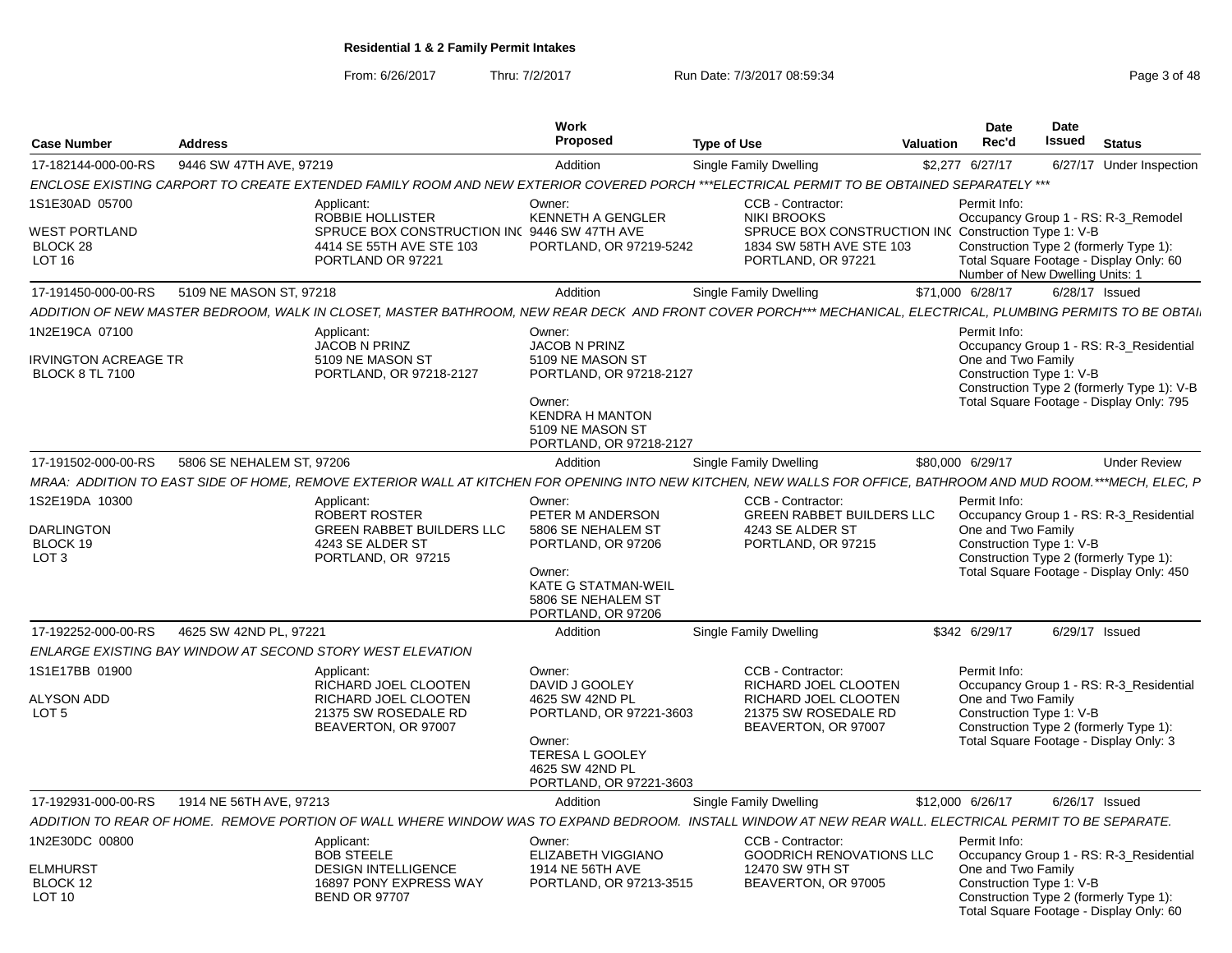From: 6/26/2017

Thru: 7/2/2017 **Run Date: 7/3/2017 08:59:34** Page 3 of 48

| <b>Case Number</b>                                                  | <b>Address</b>            |                                                                                                                                                                 | Work<br>Proposed                                                                                                                                           | <b>Type of Use</b>                                                                                               | Valuation | <b>Date</b><br>Rec'd               | Date<br>Issued                  | <b>Status</b>                                                                                                                 |
|---------------------------------------------------------------------|---------------------------|-----------------------------------------------------------------------------------------------------------------------------------------------------------------|------------------------------------------------------------------------------------------------------------------------------------------------------------|------------------------------------------------------------------------------------------------------------------|-----------|------------------------------------|---------------------------------|-------------------------------------------------------------------------------------------------------------------------------|
| 17-182144-000-00-RS                                                 | 9446 SW 47TH AVE, 97219   |                                                                                                                                                                 | Addition                                                                                                                                                   | Single Family Dwelling                                                                                           |           | \$2,277 6/27/17                    |                                 | 6/27/17 Under Inspection                                                                                                      |
|                                                                     |                           | ENCLOSE EXISTING CARPORT TO CREATE EXTENDED FAMILY ROOM AND NEW EXTERIOR COVERED PORCH ***ELECTRICAL PERMIT TO BE OBTAINED SEPARATELY ***                       |                                                                                                                                                            |                                                                                                                  |           |                                    |                                 |                                                                                                                               |
| 1S1E30AD 05700                                                      |                           | Applicant:<br>ROBBIE HOLLISTER                                                                                                                                  | Owner:<br><b>KENNETH A GENGLER</b>                                                                                                                         | CCB - Contractor:<br><b>NIKI BROOKS</b>                                                                          |           | Permit Info:                       |                                 | Occupancy Group 1 - RS: R-3 Remodel                                                                                           |
| <b>WEST PORTLAND</b><br>BLOCK 28<br>LOT <sub>16</sub>               |                           | SPRUCE BOX CONSTRUCTION INC 9446 SW 47TH AVE<br>4414 SE 55TH AVE STE 103<br>PORTLAND OR 97221                                                                   | PORTLAND, OR 97219-5242                                                                                                                                    | SPRUCE BOX CONSTRUCTION INC Construction Type 1: V-B<br>1834 SW 58TH AVE STE 103<br>PORTLAND, OR 97221           |           |                                    | Number of New Dwelling Units: 1 | Construction Type 2 (formerly Type 1):<br>Total Square Footage - Display Only: 60                                             |
| 17-191450-000-00-RS                                                 | 5109 NE MASON ST, 97218   |                                                                                                                                                                 | Addition                                                                                                                                                   | <b>Single Family Dwelling</b>                                                                                    |           | \$71,000 6/28/17                   |                                 | 6/28/17 Issued                                                                                                                |
|                                                                     |                           | ADDITION OF NEW MASTER BEDROOM, WALK IN CLOSET, MASTER BATHROOM, NEW REAR DECK AND FRONT COVER PORCH*** MECHANICAL, ELECTRICAL, PLUMBING PERMITS TO BE OBTAI    |                                                                                                                                                            |                                                                                                                  |           |                                    |                                 |                                                                                                                               |
| 1N2E19CA 07100                                                      |                           | Applicant:<br>JACOB N PRINZ                                                                                                                                     | Owner:<br><b>JACOB N PRINZ</b>                                                                                                                             |                                                                                                                  |           | Permit Info:                       |                                 | Occupancy Group 1 - RS: R-3_Residential                                                                                       |
| IRVINGTON ACREAGE TR<br><b>BLOCK 8 TL 7100</b>                      |                           | 5109 NE MASON ST<br>PORTLAND, OR 97218-2127                                                                                                                     | 5109 NE MASON ST<br>PORTLAND, OR 97218-2127<br>Owner:<br><b>KENDRA H MANTON</b><br>5109 NE MASON ST<br>PORTLAND, OR 97218-2127                             |                                                                                                                  |           | One and Two Family                 | Construction Type 1: V-B        | Construction Type 2 (formerly Type 1): V-B<br>Total Square Footage - Display Only: 795                                        |
| 17-191502-000-00-RS                                                 | 5806 SE NEHALEM ST, 97206 |                                                                                                                                                                 | Addition                                                                                                                                                   | Single Family Dwelling                                                                                           |           | \$80,000 6/29/17                   |                                 | <b>Under Review</b>                                                                                                           |
|                                                                     |                           | MRAA: ADDITION TO EAST SIDE OF HOME, REMOVE EXTERIOR WALL AT KITCHEN FOR OPENING INTO NEW KITCHEN, NEW WALLS FOR OFFICE, BATHROOM AND MUD ROOM.***MECH, ELEC, P |                                                                                                                                                            |                                                                                                                  |           |                                    |                                 |                                                                                                                               |
| 1S2E19DA 10300<br><b>DARLINGTON</b><br>BLOCK 19<br>LOT <sub>3</sub> |                           | Applicant:<br><b>ROBERT ROSTER</b><br><b>GREEN RABBET BUILDERS LLC</b><br>4243 SE ALDER ST<br>PORTLAND, OR 97215                                                | Owner:<br>PETER M ANDERSON<br>5806 SE NEHALEM ST<br>PORTLAND, OR 97206<br>Owner:<br><b>KATE G STATMAN-WEIL</b><br>5806 SE NEHALEM ST<br>PORTLAND, OR 97206 | CCB - Contractor:<br>GREEN RABBET BUILDERS LLC<br>4243 SE ALDER ST<br>PORTLAND, OR 97215                         |           | Permit Info:<br>One and Two Family | Construction Type 1: V-B        | Occupancy Group 1 - RS: R-3_Residential<br>Construction Type 2 (formerly Type 1):<br>Total Square Footage - Display Only: 450 |
| 17-192252-000-00-RS                                                 | 4625 SW 42ND PL, 97221    |                                                                                                                                                                 | Addition                                                                                                                                                   | Single Family Dwelling                                                                                           |           | \$342 6/29/17                      |                                 | 6/29/17 Issued                                                                                                                |
|                                                                     |                           | ENLARGE EXISTING BAY WINDOW AT SECOND STORY WEST ELEVATION                                                                                                      |                                                                                                                                                            |                                                                                                                  |           |                                    |                                 |                                                                                                                               |
| 1S1E17BB 01900<br><b>ALYSON ADD</b><br>LOT <sub>5</sub>             |                           | Applicant:<br>RICHARD JOEL CLOOTEN<br>RICHARD JOEL CLOOTEN<br>21375 SW ROSEDALE RD<br>BEAVERTON, OR 97007                                                       | Owner:<br>DAVID J GOOLEY<br>4625 SW 42ND PL<br>PORTLAND, OR 97221-3603<br>Owner:<br><b>TERESA L GOOLEY</b><br>4625 SW 42ND PL<br>PORTLAND, OR 97221-3603   | CCB - Contractor:<br>RICHARD JOEL CLOOTEN<br>RICHARD JOEL CLOOTEN<br>21375 SW ROSEDALE RD<br>BEAVERTON, OR 97007 |           | Permit Info:<br>One and Two Family | Construction Type 1: V-B        | Occupancy Group 1 - RS: R-3 Residential<br>Construction Type 2 (formerly Type 1):<br>Total Square Footage - Display Only: 3   |
| 17-192931-000-00-RS                                                 | 1914 NE 56TH AVE, 97213   |                                                                                                                                                                 | Addition                                                                                                                                                   | <b>Single Family Dwelling</b>                                                                                    |           | \$12,000 6/26/17                   |                                 | 6/26/17 Issued                                                                                                                |
|                                                                     |                           | ADDITION TO REAR OF HOME. REMOVE PORTION OF WALL WHERE WINDOW WAS TO EXPAND BEDROOM. INSTALL WINDOW AT NEW REAR WALL. ELECTRICAL PERMIT TO BE SEPARATE.         |                                                                                                                                                            |                                                                                                                  |           |                                    |                                 |                                                                                                                               |
| 1N2E30DC 00800                                                      |                           | Applicant:                                                                                                                                                      | Owner:                                                                                                                                                     | CCB - Contractor:                                                                                                |           | Permit Info:                       |                                 |                                                                                                                               |
| <b>ELMHURST</b><br>BLOCK 12<br><b>LOT 10</b>                        |                           | <b>BOB STEELE</b><br><b>DESIGN INTELLIGENCE</b><br>16897 PONY EXPRESS WAY<br><b>BEND OR 97707</b>                                                               | ELIZABETH VIGGIANO<br>1914 NE 56TH AVE<br>PORTLAND, OR 97213-3515                                                                                          | <b>GOODRICH RENOVATIONS LLC</b><br>12470 SW 9TH ST<br>BEAVERTON, OR 97005                                        |           | One and Two Family                 | Construction Type 1: V-B        | Occupancy Group 1 - RS: R-3_Residential<br>Construction Type 2 (formerly Type 1):<br>Total Square Footage - Display Only: 60  |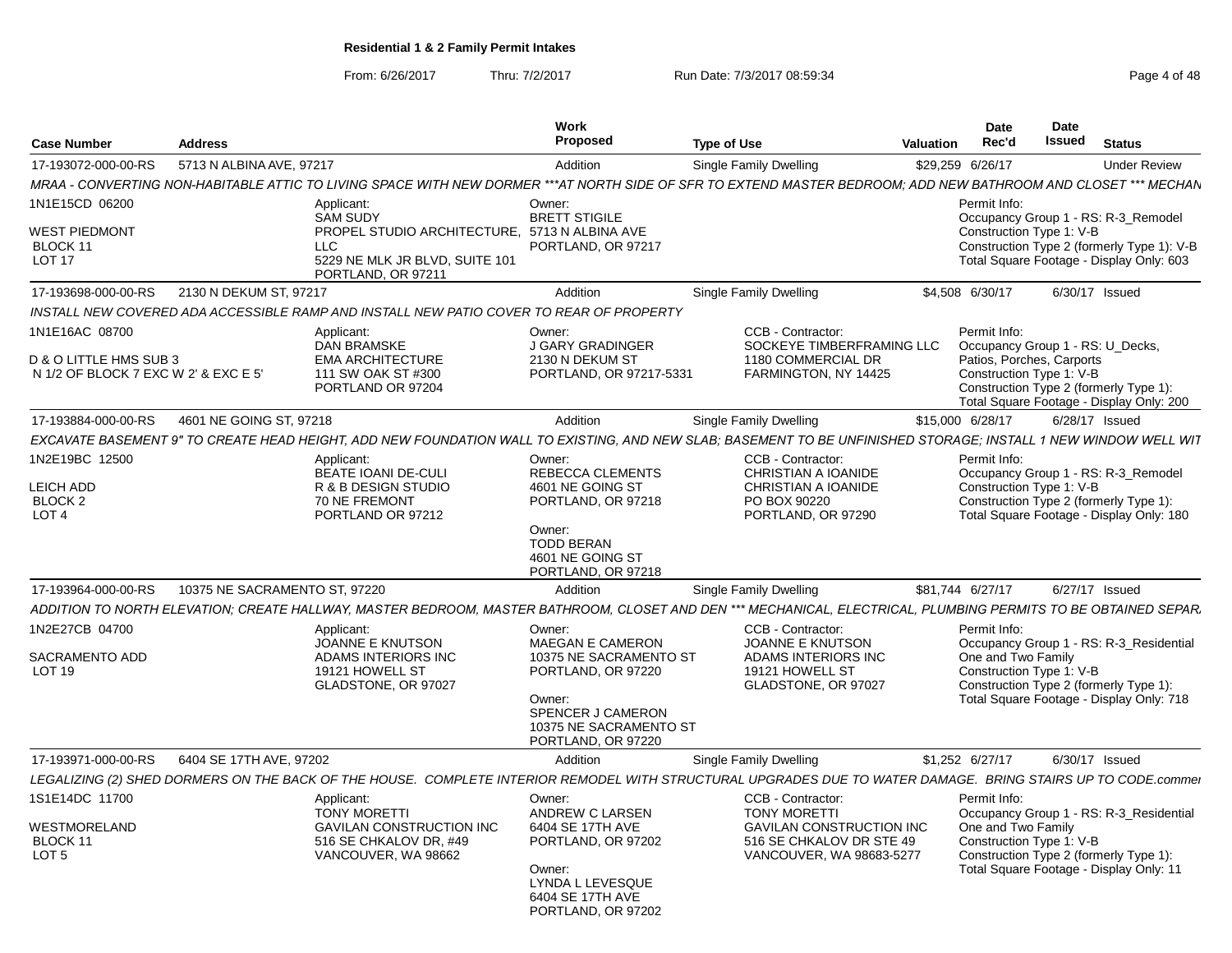From: 6/26/2017

Thru: 7/2/2017 **Run Date: 7/3/2017 08:59:34** Page 4 of 48

| <b>Case Number</b>                                                               | <b>Address</b>                |                                                                                                                                                                 | Work<br>Proposed                                                                                                                                                 | <b>Type of Use</b> |                                                                                                                                     | <b>Valuation</b> | <b>Date</b><br>Rec'd               | Date<br><b>Issued</b>                                                                     | <b>Status</b>                                                                                                                 |
|----------------------------------------------------------------------------------|-------------------------------|-----------------------------------------------------------------------------------------------------------------------------------------------------------------|------------------------------------------------------------------------------------------------------------------------------------------------------------------|--------------------|-------------------------------------------------------------------------------------------------------------------------------------|------------------|------------------------------------|-------------------------------------------------------------------------------------------|-------------------------------------------------------------------------------------------------------------------------------|
| 17-193072-000-00-RS                                                              | 5713 N ALBINA AVE, 97217      |                                                                                                                                                                 | Addition                                                                                                                                                         |                    | Single Family Dwelling                                                                                                              |                  | \$29,259 6/26/17                   |                                                                                           | <b>Under Review</b>                                                                                                           |
|                                                                                  |                               | MRAA - CONVERTING NON-HABITABLE ATTIC TO LIVING SPACE WITH NEW DORMER ***AT NORTH SIDE OF SFR TO EXTEND MASTER BEDROOM: ADD NEW BATHROOM AND CLOSET *** MECHAN  |                                                                                                                                                                  |                    |                                                                                                                                     |                  |                                    |                                                                                           |                                                                                                                               |
| 1N1E15CD 06200<br>WEST PIEDMONT<br>BLOCK 11<br><b>LOT 17</b>                     |                               | Applicant:<br><b>SAM SUDY</b><br>PROPEL STUDIO ARCHITECTURE. 5713 N ALBINA AVE<br>LLC.<br>5229 NE MLK JR BLVD, SUITE 101<br>PORTLAND, OR 97211                  | Owner:<br><b>BRETT STIGILE</b><br>PORTLAND, OR 97217                                                                                                             |                    |                                                                                                                                     |                  | Permit Info:                       | Construction Type 1: V-B                                                                  | Occupancy Group 1 - RS: R-3 Remodel<br>Construction Type 2 (formerly Type 1): V-B<br>Total Square Footage - Display Only: 603 |
| 17-193698-000-00-RS                                                              | 2130 N DEKUM ST, 97217        |                                                                                                                                                                 | Addition                                                                                                                                                         |                    | Single Family Dwelling                                                                                                              |                  | \$4.508 6/30/17                    |                                                                                           | 6/30/17 Issued                                                                                                                |
|                                                                                  |                               | INSTALL NEW COVERED ADA ACCESSIBLE RAMP AND INSTALL NEW PATIO COVER TO REAR OF PROPERTY                                                                         |                                                                                                                                                                  |                    |                                                                                                                                     |                  |                                    |                                                                                           |                                                                                                                               |
| 1N1E16AC 08700<br>D & O LITTLE HMS SUB 3<br>N 1/2 OF BLOCK 7 EXC W 2' & EXC E 5' |                               | Applicant:<br><b>DAN BRAMSKE</b><br><b>EMA ARCHITECTURE</b><br>111 SW OAK ST #300<br>PORTLAND OR 97204                                                          | Owner:<br><b>J GARY GRADINGER</b><br>2130 N DEKUM ST<br>PORTLAND, OR 97217-5331                                                                                  |                    | CCB - Contractor:<br>SOCKEYE TIMBERFRAMING LLC<br>1180 COMMERCIAL DR<br>FARMINGTON, NY 14425                                        |                  | Permit Info:                       | Occupancy Group 1 - RS: U Decks,<br>Patios, Porches, Carports<br>Construction Type 1: V-B | Construction Type 2 (formerly Type 1):<br>Total Square Footage - Display Only: 200                                            |
| 17-193884-000-00-RS                                                              | 4601 NE GOING ST, 97218       |                                                                                                                                                                 | Addition                                                                                                                                                         |                    | Single Family Dwelling                                                                                                              |                  | \$15,000 6/28/17                   |                                                                                           | 6/28/17 Issued                                                                                                                |
|                                                                                  |                               | EXCAVATE BASEMENT 9" TO CREATE HEAD HEIGHT, ADD NEW FOUNDATION WALL TO EXISTING, AND NEW SLAB; BASEMENT TO BE UNFINISHED STORAGE; INSTALL 1 NEW WINDOW WELL WIT |                                                                                                                                                                  |                    |                                                                                                                                     |                  |                                    |                                                                                           |                                                                                                                               |
| 1N2E19BC 12500<br><b>LEICH ADD</b><br><b>BLOCK 2</b><br>LOT <sub>4</sub>         |                               | Applicant:<br><b>BEATE IOANI DE-CULI</b><br>R & B DESIGN STUDIO<br>70 NE FREMONT<br>PORTLAND OR 97212                                                           | Owner:<br>REBECCA CLEMENTS<br>4601 NE GOING ST<br>PORTLAND, OR 97218<br>Owner:<br><b>TODD BERAN</b><br>4601 NE GOING ST<br>PORTLAND, OR 97218                    |                    | CCB - Contractor:<br>CHRISTIAN A IOANIDE<br><b>CHRISTIAN A IOANIDE</b><br>PO BOX 90220<br>PORTLAND, OR 97290                        |                  | Permit Info:                       | Construction Type 1: V-B                                                                  | Occupancy Group 1 - RS: R-3 Remodel<br>Construction Type 2 (formerly Type 1):<br>Total Square Footage - Display Only: 180     |
| 17-193964-000-00-RS                                                              | 10375 NE SACRAMENTO ST, 97220 |                                                                                                                                                                 | Addition                                                                                                                                                         |                    | <b>Single Family Dwelling</b>                                                                                                       |                  | \$81,744 6/27/17                   |                                                                                           | 6/27/17 Issued                                                                                                                |
|                                                                                  |                               | ADDITION TO NORTH ELEVATION: CREATE HALLWAY, MASTER BEDROOM, MASTER BATHROOM, CLOSET AND DEN *** MECHANICAL, ELECTRICAL, PLUMBING PERMITS TO BE OBTAINED SEPAR. |                                                                                                                                                                  |                    |                                                                                                                                     |                  |                                    |                                                                                           |                                                                                                                               |
| 1N2E27CB 04700<br>SACRAMENTO ADD<br><b>LOT 19</b>                                |                               | Applicant:<br>JOANNE E KNUTSON<br>ADAMS INTERIORS INC<br>19121 HOWELL ST<br>GLADSTONE, OR 97027                                                                 | Owner:<br><b>MAEGAN E CAMERON</b><br>10375 NE SACRAMENTO ST<br>PORTLAND, OR 97220<br>Owner:<br>SPENCER J CAMERON<br>10375 NE SACRAMENTO ST<br>PORTLAND, OR 97220 |                    | CCB - Contractor:<br><b>JOANNE E KNUTSON</b><br>ADAMS INTERIORS INC<br>19121 HOWELL ST<br>GLADSTONE, OR 97027                       |                  | Permit Info:<br>One and Two Family | Construction Type 1: V-B                                                                  | Occupancy Group 1 - RS: R-3_Residential<br>Construction Type 2 (formerly Type 1):<br>Total Square Footage - Display Only: 718 |
| 17-193971-000-00-RS                                                              | 6404 SE 17TH AVE, 97202       |                                                                                                                                                                 | Addition                                                                                                                                                         |                    | Single Family Dwelling                                                                                                              |                  | \$1,252 6/27/17                    |                                                                                           | 6/30/17 Issued                                                                                                                |
|                                                                                  |                               | LEGALIZING (2) SHED DORMERS ON THE BACK OF THE HOUSE. COMPLETE INTERIOR REMODEL WITH STRUCTURAL UPGRADES DUE TO WATER DAMAGE. BRING STAIRS UP TO CODE.commei    |                                                                                                                                                                  |                    |                                                                                                                                     |                  |                                    |                                                                                           |                                                                                                                               |
| 1S1E14DC 11700<br>WESTMORELAND<br>BLOCK 11<br>LOT <sub>5</sub>                   |                               | Applicant:<br><b>TONY MORETTI</b><br><b>GAVILAN CONSTRUCTION INC</b><br>516 SE CHKALOV DR. #49<br>VANCOUVER, WA 98662                                           | Owner:<br>ANDREW C LARSEN<br>6404 SE 17TH AVE<br>PORTLAND, OR 97202<br>Owner:<br>LYNDA L LEVESQUE<br>6404 SE 17TH AVE<br>PORTLAND, OR 97202                      |                    | CCB - Contractor:<br><b>TONY MORETTI</b><br><b>GAVILAN CONSTRUCTION INC</b><br>516 SE CHKALOV DR STE 49<br>VANCOUVER, WA 98683-5277 |                  | Permit Info:                       | One and Two Family<br>Construction Type 1: V-B                                            | Occupancy Group 1 - RS: R-3 Residential<br>Construction Type 2 (formerly Type 1):<br>Total Square Footage - Display Only: 11  |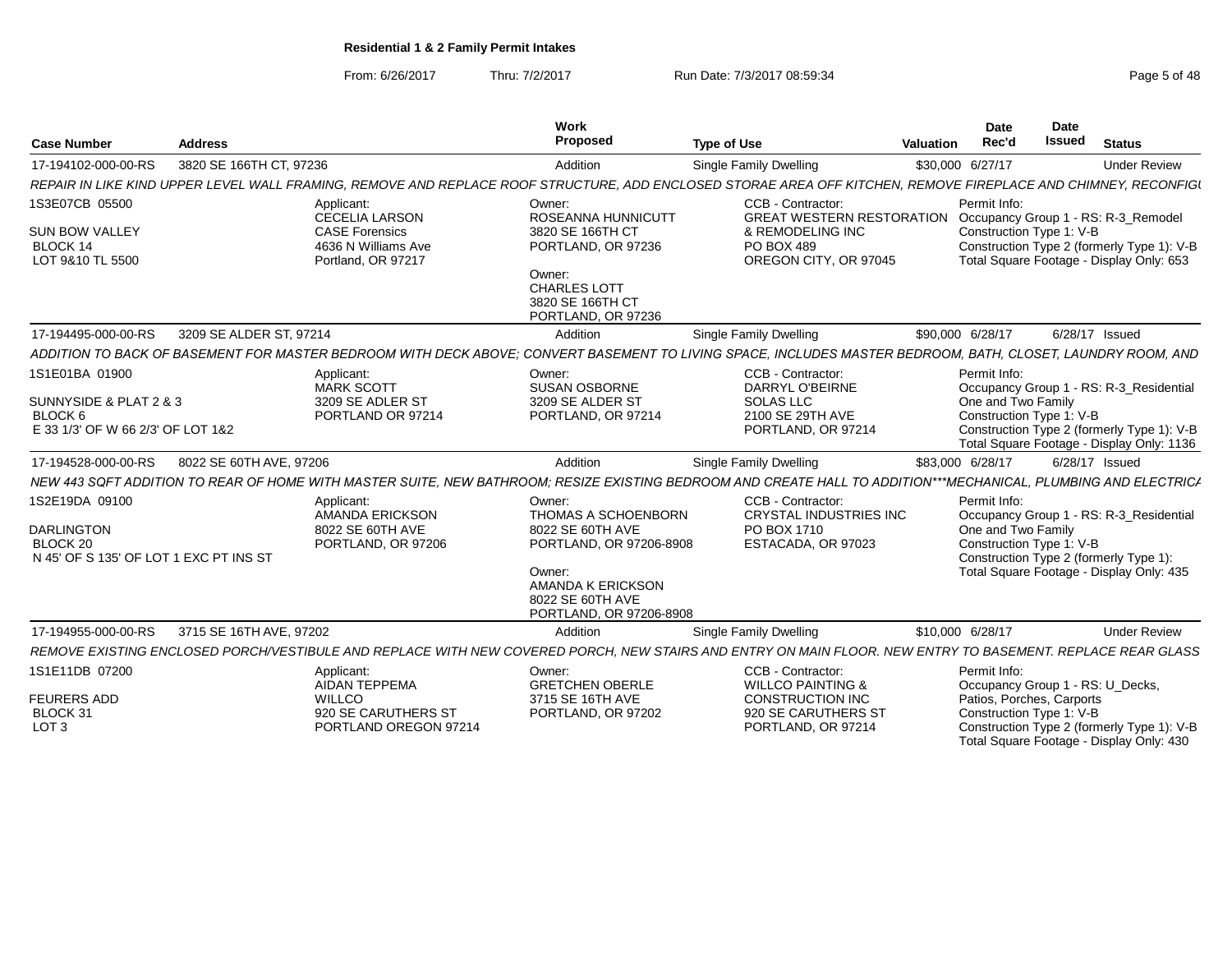From: 6/26/2017Thru: 7/2/2017 **Run Date: 7/3/2017 08:59:34** Page 5 of 48

Total Square Footage - Display Only: 430

| <b>Case Number</b>                                                                        | <b>Address</b>          |                                                                                                    | <b>Work</b><br>Proposed                                                                                                                                                  | <b>Type of Use</b>                                                                                                                                              | Date<br>Rec'd<br>Valuation                                                                                | Date<br>Issued | <b>Status</b>                                                                                                                      |
|-------------------------------------------------------------------------------------------|-------------------------|----------------------------------------------------------------------------------------------------|--------------------------------------------------------------------------------------------------------------------------------------------------------------------------|-----------------------------------------------------------------------------------------------------------------------------------------------------------------|-----------------------------------------------------------------------------------------------------------|----------------|------------------------------------------------------------------------------------------------------------------------------------|
| 17-194102-000-00-RS                                                                       | 3820 SE 166TH CT, 97236 |                                                                                                    | Addition                                                                                                                                                                 | Single Family Dwelling                                                                                                                                          | \$30,000 6/27/17                                                                                          |                | <b>Under Review</b>                                                                                                                |
|                                                                                           |                         |                                                                                                    |                                                                                                                                                                          | REPAIR IN LIKE KIND UPPER LEVEL WALL FRAMING, REMOVE AND REPLACE ROOF STRUCTURE, ADD ENCLOSED STORAE AREA OFF KITCHEN, REMOVE FIREPLACE AND CHIMNEY, RECONFIGI  |                                                                                                           |                |                                                                                                                                    |
| 1S3E07CB 05500<br><b>SUN BOW VALLEY</b><br>BLOCK 14<br>LOT 9&10 TL 5500                   |                         | Applicant:<br>CECELIA LARSON<br><b>CASE Forensics</b><br>4636 N Williams Ave<br>Portland, OR 97217 | Owner:<br>ROSEANNA HUNNICUTT<br>3820 SE 166TH CT<br>PORTLAND, OR 97236<br>Owner:<br><b>CHARLES LOTT</b><br>3820 SE 166TH CT<br>PORTLAND, OR 97236                        | CCB - Contractor:<br><b>GREAT WESTERN RESTORATION</b><br>& REMODELING INC<br>PO BOX 489<br>OREGON CITY, OR 97045                                                | Permit Info:<br>Construction Type 1: V-B                                                                  |                | Occupancy Group 1 - RS: R-3_Remodel<br>Construction Type 2 (formerly Type 1): V-B<br>Total Square Footage - Display Only: 653      |
| 17-194495-000-00-RS                                                                       | 3209 SE ALDER ST, 97214 |                                                                                                    | Addition                                                                                                                                                                 | Single Family Dwelling                                                                                                                                          | \$90,000 6/28/17                                                                                          |                | 6/28/17 Issued                                                                                                                     |
|                                                                                           |                         |                                                                                                    |                                                                                                                                                                          | ADDITION TO BACK OF BASEMENT FOR MASTER BEDROOM WITH DECK ABOVE: CONVERT BASEMENT TO LIVING SPACE. INCLUDES MASTER BEDROOM. BATH. CLOSET. LAUNDRY ROOM. AND     |                                                                                                           |                |                                                                                                                                    |
| 1S1E01BA 01900<br>SUNNYSIDE & PLAT 2 & 3<br>BLOCK 6<br>E 33 1/3' OF W 66 2/3' OF LOT 1&2  |                         | Applicant:<br>MARK SCOTT<br>3209 SE ADLER ST<br>PORTLAND OR 97214                                  | Owner:<br><b>SUSAN OSBORNE</b><br>3209 SE ALDER ST<br>PORTLAND, OR 97214                                                                                                 | CCB - Contractor:<br>DARRYL O'BEIRNE<br><b>SOLAS LLC</b><br>2100 SE 29TH AVE<br>PORTLAND, OR 97214                                                              | Permit Info:<br>One and Two Family<br>Construction Type 1: V-B                                            |                | Occupancy Group 1 - RS: R-3_Residential<br>Construction Type 2 (formerly Type 1): V-B<br>Total Square Footage - Display Only: 1136 |
| 17-194528-000-00-RS                                                                       | 8022 SE 60TH AVE, 97206 |                                                                                                    | Addition                                                                                                                                                                 | Single Family Dwelling                                                                                                                                          | \$83,000 6/28/17                                                                                          |                | 6/28/17 Issued                                                                                                                     |
|                                                                                           |                         |                                                                                                    |                                                                                                                                                                          | NEW 443 SQFT ADDITION TO REAR OF HOME WITH MASTER SUITE, NEW BATHROOM; RESIZE EXISTING BEDROOM AND CREATE HALL TO ADDITION***MECHANICAL, PLUMBING AND ELECTRICA |                                                                                                           |                |                                                                                                                                    |
| 1S2E19DA 09100<br><b>DARLINGTON</b><br>BLOCK 20<br>N 45' OF S 135' OF LOT 1 EXC PT INS ST |                         | Applicant:<br>AMANDA ERICKSON<br>8022 SE 60TH AVE<br>PORTLAND, OR 97206                            | Owner:<br><b>THOMAS A SCHOENBORN</b><br>8022 SE 60TH AVE<br>PORTLAND, OR 97206-8908<br>Owner:<br><b>AMANDA K ERICKSON</b><br>8022 SE 60TH AVE<br>PORTLAND, OR 97206-8908 | CCB - Contractor:<br><b>CRYSTAL INDUSTRIES INC</b><br>PO BOX 1710<br>ESTACADA, OR 97023                                                                         | Permit Info:<br>One and Two Family<br>Construction Type 1: V-B                                            |                | Occupancy Group 1 - RS: R-3_Residential<br>Construction Type 2 (formerly Type 1):<br>Total Square Footage - Display Only: 435      |
| 17-194955-000-00-RS                                                                       | 3715 SE 16TH AVE, 97202 |                                                                                                    | Addition                                                                                                                                                                 | Single Family Dwelling                                                                                                                                          | \$10,000 6/28/17                                                                                          |                | <b>Under Review</b>                                                                                                                |
|                                                                                           |                         |                                                                                                    |                                                                                                                                                                          | REMOVE EXISTING ENCLOSED PORCH/VESTIBULE AND REPLACE WITH NEW COVERED PORCH, NEW STAIRS AND ENTRY ON MAIN FLOOR. NEW ENTRY TO BASEMENT. REPLACE REAR GLASS      |                                                                                                           |                |                                                                                                                                    |
| 1S1E11DB 07200<br><b>FEURERS ADD</b><br>BLOCK 31<br>LOT <sub>3</sub>                      |                         | Applicant:<br>AIDAN TEPPEMA<br><b>WILLCO</b><br>920 SE CARUTHERS ST<br>PORTLAND OREGON 97214       | Owner:<br><b>GRETCHEN OBERLE</b><br>3715 SE 16TH AVE<br>PORTLAND, OR 97202                                                                                               | CCB - Contractor:<br><b>WILLCO PAINTING &amp;</b><br><b>CONSTRUCTION INC</b><br>920 SE CARUTHERS ST<br>PORTLAND, OR 97214                                       | Permit Info:<br>Occupancy Group 1 - RS: U_Decks,<br>Patios, Porches, Carports<br>Construction Type 1: V-B |                | Construction Type 2 (formerly Type 1): V-B                                                                                         |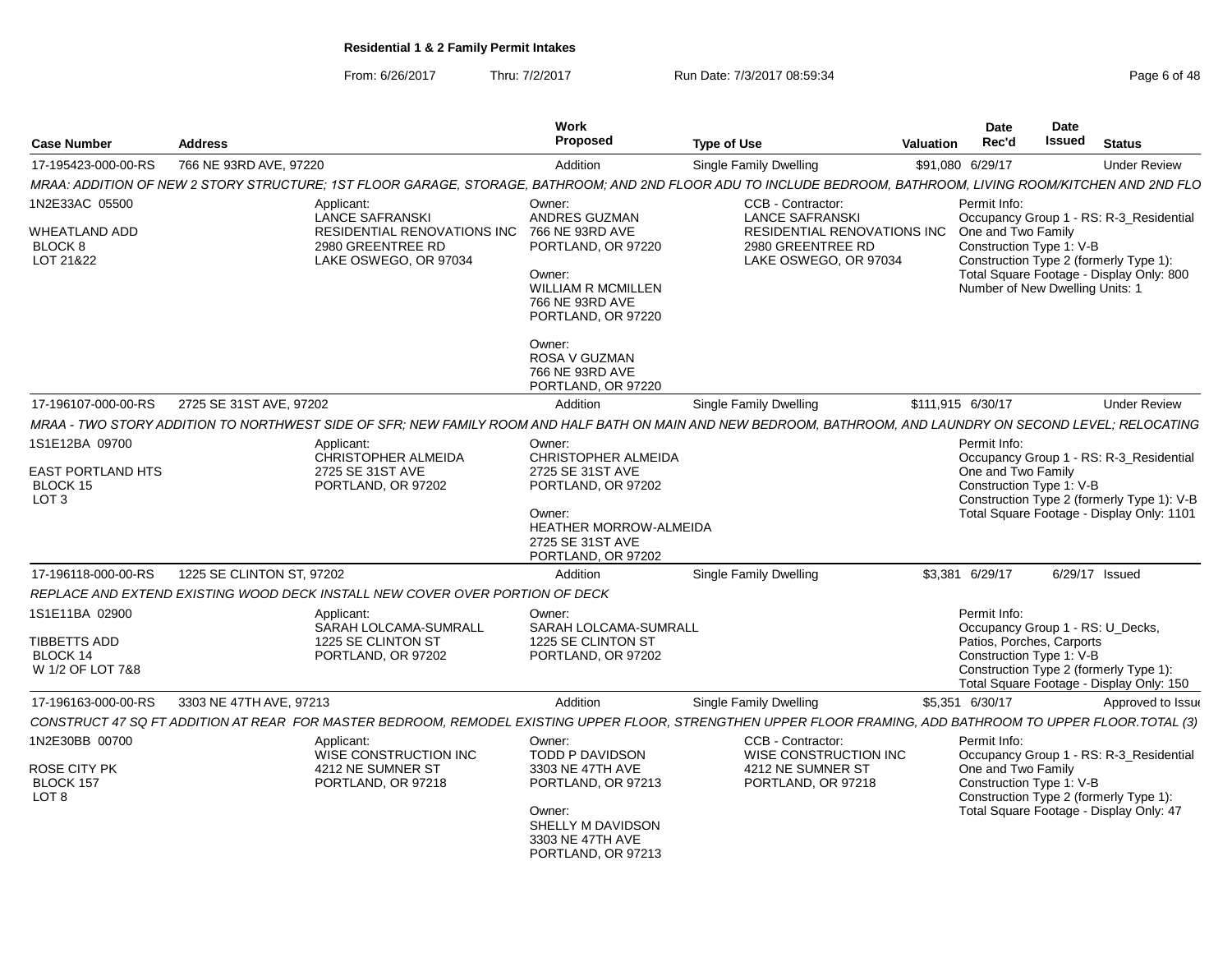From: 6/26/2017Thru: 7/2/2017 **Run Date: 7/3/2017 08:59:34** Page 6 of 48

|                                                          |                           |                                                                                                                                                               | <b>Work</b>                                                                                                         |                                                                                                            |                  | <b>Date</b>                                                                       | Date   |                                                                                                                               |
|----------------------------------------------------------|---------------------------|---------------------------------------------------------------------------------------------------------------------------------------------------------------|---------------------------------------------------------------------------------------------------------------------|------------------------------------------------------------------------------------------------------------|------------------|-----------------------------------------------------------------------------------|--------|-------------------------------------------------------------------------------------------------------------------------------|
| <b>Case Number</b>                                       | <b>Address</b>            |                                                                                                                                                               | Proposed                                                                                                            | <b>Type of Use</b>                                                                                         | <b>Valuation</b> | Rec'd                                                                             | Issued | <b>Status</b>                                                                                                                 |
| 17-195423-000-00-RS                                      | 766 NE 93RD AVE, 97220    |                                                                                                                                                               | Addition                                                                                                            | Single Family Dwelling                                                                                     |                  | \$91,080 6/29/17                                                                  |        | <b>Under Review</b>                                                                                                           |
|                                                          |                           | MRAA: ADDITION OF NEW 2 STORY STRUCTURE: 1ST FLOOR GARAGE. STORAGE. BATHROOM: AND 2ND FLOOR ADU TO INCLUDE BEDROOM. BATHROOM. LIVING ROOM/KITCHEN AND 2ND FLO |                                                                                                                     |                                                                                                            |                  |                                                                                   |        |                                                                                                                               |
| 1N2E33AC 05500                                           |                           | Applicant:                                                                                                                                                    | Owner:                                                                                                              | CCB - Contractor:                                                                                          |                  | Permit Info:                                                                      |        |                                                                                                                               |
| <b>WHEATLAND ADD</b><br><b>BLOCK 8</b><br>LOT 21&22      |                           | <b>LANCE SAFRANSKI</b><br>RESIDENTIAL RENOVATIONS INC 766 NE 93RD AVE<br>2980 GREENTREE RD<br>LAKE OSWEGO, OR 97034                                           | ANDRES GUZMAN<br>PORTLAND, OR 97220<br>Owner:<br><b>WILLIAM R MCMILLEN</b><br>766 NE 93RD AVE<br>PORTLAND, OR 97220 | <b>LANCE SAFRANSKI</b><br><b>RESIDENTIAL RENOVATIONS INC</b><br>2980 GREENTREE RD<br>LAKE OSWEGO, OR 97034 |                  | One and Two Family<br>Construction Type 1: V-B<br>Number of New Dwelling Units: 1 |        | Occupancy Group 1 - RS: R-3_Residential<br>Construction Type 2 (formerly Type 1):<br>Total Square Footage - Display Only: 800 |
|                                                          |                           |                                                                                                                                                               | Owner:<br>ROSA V GUZMAN<br>766 NE 93RD AVE<br>PORTLAND, OR 97220                                                    |                                                                                                            |                  |                                                                                   |        |                                                                                                                               |
| 17-196107-000-00-RS                                      | 2725 SE 31ST AVE, 97202   |                                                                                                                                                               | Addition                                                                                                            | <b>Single Family Dwelling</b>                                                                              |                  | \$111,915 6/30/17                                                                 |        | <b>Under Review</b>                                                                                                           |
|                                                          |                           | MRAA - TWO STORY ADDITION TO NORTHWEST SIDE OF SFR; NEW FAMILY ROOM AND HALF BATH ON MAIN AND NEW BEDROOM, BATHROOM, AND LAUNDRY ON SECOND LEVEL; RELOCATING  |                                                                                                                     |                                                                                                            |                  |                                                                                   |        |                                                                                                                               |
| 1S1E12BA 09700                                           |                           | Applicant:<br>CHRISTOPHER ALMEIDA                                                                                                                             | Owner:<br>CHRISTOPHER ALMEIDA                                                                                       |                                                                                                            |                  | Permit Info:                                                                      |        | Occupancy Group 1 - RS: R-3_Residential                                                                                       |
| <b>EAST PORTLAND HTS</b><br>BLOCK 15<br>LOT <sub>3</sub> |                           | 2725 SE 31ST AVE<br>PORTLAND, OR 97202                                                                                                                        | 2725 SE 31ST AVE<br>PORTLAND, OR 97202                                                                              |                                                                                                            |                  | One and Two Family<br>Construction Type 1: V-B                                    |        | Construction Type 2 (formerly Type 1): V-B                                                                                    |
|                                                          |                           |                                                                                                                                                               | Owner:<br><b>HEATHER MORROW-ALMEIDA</b><br>2725 SE 31ST AVE<br>PORTLAND, OR 97202                                   |                                                                                                            |                  |                                                                                   |        | Total Square Footage - Display Only: 1101                                                                                     |
| 17-196118-000-00-RS                                      | 1225 SE CLINTON ST, 97202 |                                                                                                                                                               | Addition                                                                                                            | <b>Single Family Dwelling</b>                                                                              |                  | \$3,381 6/29/17                                                                   |        | 6/29/17 Issued                                                                                                                |
|                                                          |                           | REPLACE AND EXTEND EXISTING WOOD DECK INSTALL NEW COVER OVER PORTION OF DECK                                                                                  |                                                                                                                     |                                                                                                            |                  |                                                                                   |        |                                                                                                                               |
| 1S1E11BA 02900                                           |                           | Applicant:<br>SARAH LOLCAMA-SUMRALL                                                                                                                           | Owner:<br>SARAH LOLCAMA-SUMRALL                                                                                     |                                                                                                            |                  | Permit Info:                                                                      |        | Occupancy Group 1 - RS: U_Decks,                                                                                              |
| TIBBETTS ADD<br>BLOCK 14<br>W 1/2 OF LOT 7&8             |                           | 1225 SE CLINTON ST<br>PORTLAND, OR 97202                                                                                                                      | 1225 SE CLINTON ST<br>PORTLAND, OR 97202                                                                            |                                                                                                            |                  | Patios, Porches, Carports<br>Construction Type 1: V-B                             |        | Construction Type 2 (formerly Type 1):<br>Total Square Footage - Display Only: 150                                            |
| 17-196163-000-00-RS                                      | 3303 NE 47TH AVE, 97213   |                                                                                                                                                               | Addition                                                                                                            | <b>Single Family Dwelling</b>                                                                              |                  | \$5,351 6/30/17                                                                   |        | Approved to Issue                                                                                                             |
|                                                          |                           | CONSTRUCT 47 SQ FT ADDITION AT REAR FOR MASTER BEDROOM, REMODEL EXISTING UPPER FLOOR, STRENGTHEN UPPER FLOOR FRAMING, ADD BATHROOM TO UPPER FLOOR.TOTAL (3)   |                                                                                                                     |                                                                                                            |                  |                                                                                   |        |                                                                                                                               |
| 1N2E30BB 00700                                           |                           | Applicant:<br>WISE CONSTRUCTION INC                                                                                                                           | Owner:<br>TODD P DAVIDSON                                                                                           | CCB - Contractor:<br>WISE CONSTRUCTION INC                                                                 |                  | Permit Info:                                                                      |        | Occupancy Group 1 - RS: R-3_Residential                                                                                       |
| <b>ROSE CITY PK</b><br>BLOCK 157<br>LOT <sub>8</sub>     |                           | 4212 NE SUMNER ST<br>PORTLAND, OR 97218                                                                                                                       | 3303 NE 47TH AVE<br>PORTLAND, OR 97213                                                                              | 4212 NE SUMNER ST<br>PORTLAND, OR 97218                                                                    |                  | One and Two Family<br>Construction Type 1: V-B                                    |        | Construction Type 2 (formerly Type 1):                                                                                        |
|                                                          |                           |                                                                                                                                                               | Owner:<br>SHELLY M DAVIDSON<br>3303 NE 47TH AVE<br>PORTLAND, OR 97213                                               |                                                                                                            |                  |                                                                                   |        | Total Square Footage - Display Only: 47                                                                                       |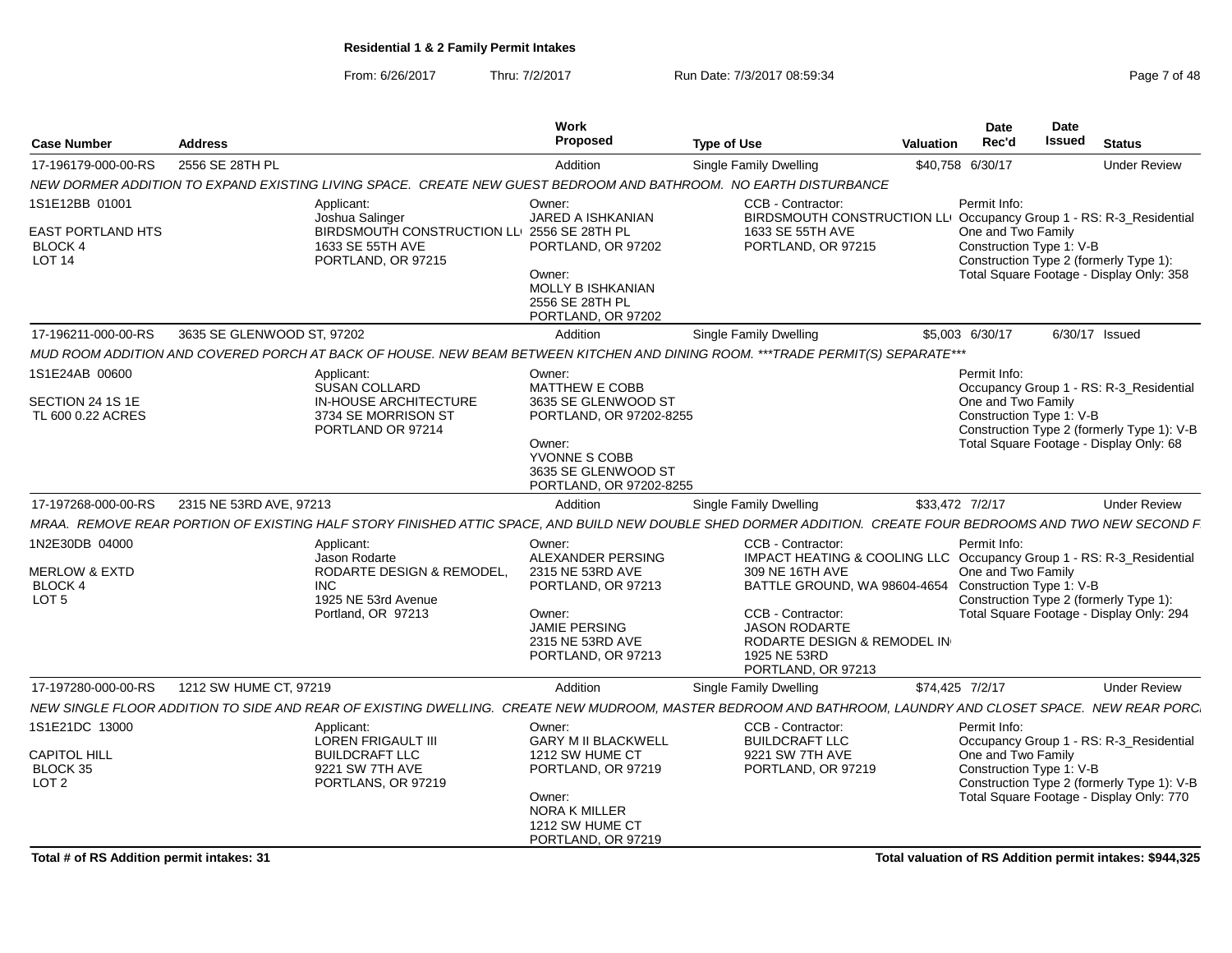From: 6/26/2017Thru: 7/2/2017 **Run Date: 7/3/2017 08:59:34** Pag

| Page 7 of 48 |  |  |
|--------------|--|--|
|              |  |  |

| <b>Case Number</b>                                                                | <b>Address</b>             |                                                                                                                        | Work<br>Proposed                                                                                                                                               | <b>Type of Use</b>                                                                                                                                                                                                                                                                      | <b>Valuation</b> | Date<br>Rec'd                                                  | Date<br><b>Issued</b> | <b>Status</b>                                                                                                                     |
|-----------------------------------------------------------------------------------|----------------------------|------------------------------------------------------------------------------------------------------------------------|----------------------------------------------------------------------------------------------------------------------------------------------------------------|-----------------------------------------------------------------------------------------------------------------------------------------------------------------------------------------------------------------------------------------------------------------------------------------|------------------|----------------------------------------------------------------|-----------------------|-----------------------------------------------------------------------------------------------------------------------------------|
| 17-196179-000-00-RS                                                               | 2556 SE 28TH PL            |                                                                                                                        | Addition                                                                                                                                                       | Single Family Dwelling                                                                                                                                                                                                                                                                  |                  | \$40,758 6/30/17                                               |                       | <b>Under Review</b>                                                                                                               |
|                                                                                   |                            |                                                                                                                        |                                                                                                                                                                | NEW DORMER ADDITION TO EXPAND EXISTING LIVING SPACE. CREATE NEW GUEST BEDROOM AND BATHROOM. NO EARTH DISTURBANCE                                                                                                                                                                        |                  |                                                                |                       |                                                                                                                                   |
| 1S1E12BB 01001<br><b>EAST PORTLAND HTS</b><br><b>BLOCK 4</b><br>LOT <sub>14</sub> |                            | Applicant:<br>Joshua Salinger<br>BIRDSMOUTH CONSTRUCTION LLI 2556 SE 28TH PL<br>1633 SE 55TH AVE<br>PORTLAND, OR 97215 | Owner:<br><b>JARED A ISHKANIAN</b><br>PORTLAND, OR 97202<br>Owner:<br>MOLLY B ISHKANIAN<br>2556 SE 28TH PL<br>PORTLAND, OR 97202                               | CCB - Contractor:<br>BIRDSMOUTH CONSTRUCTION LLI Occupancy Group 1 - RS: R-3_Residential<br>1633 SE 55TH AVE<br>PORTLAND, OR 97215                                                                                                                                                      |                  | Permit Info:<br>One and Two Family<br>Construction Type 1: V-B |                       | Construction Type 2 (formerly Type 1):<br>Total Square Footage - Display Only: 358                                                |
| 17-196211-000-00-RS                                                               | 3635 SE GLENWOOD ST, 97202 |                                                                                                                        | Addition                                                                                                                                                       | Single Family Dwelling                                                                                                                                                                                                                                                                  |                  | \$5,003 6/30/17                                                |                       | 6/30/17 Issued                                                                                                                    |
|                                                                                   |                            |                                                                                                                        |                                                                                                                                                                | MUD ROOM ADDITION AND COVERED PORCH AT BACK OF HOUSE. NEW BEAM BETWEEN KITCHEN AND DINING ROOM. ***TRADE PERMIT(S) SEPARATE***                                                                                                                                                          |                  |                                                                |                       |                                                                                                                                   |
| 1S1E24AB 00600<br>SECTION 24 1S 1E<br>TL 600 0.22 ACRES                           |                            | Applicant:<br><b>SUSAN COLLARD</b><br><b>IN-HOUSE ARCHITECTURE</b><br>3734 SE MORRISON ST<br>PORTLAND OR 97214         | Owner:<br><b>MATTHEW E COBB</b><br>3635 SE GLENWOOD ST<br>PORTLAND, OR 97202-8255<br>Owner:<br>YVONNE S COBB<br>3635 SE GLENWOOD ST<br>PORTLAND, OR 97202-8255 |                                                                                                                                                                                                                                                                                         |                  | Permit Info:<br>One and Two Family<br>Construction Type 1: V-B |                       | Occupancy Group 1 - RS: R-3_Residential<br>Construction Type 2 (formerly Type 1): V-B<br>Total Square Footage - Display Only: 68  |
| 17-197268-000-00-RS                                                               | 2315 NE 53RD AVE, 97213    |                                                                                                                        | Addition                                                                                                                                                       | Single Family Dwelling                                                                                                                                                                                                                                                                  |                  | \$33,472 7/2/17                                                |                       | <b>Under Review</b>                                                                                                               |
|                                                                                   |                            |                                                                                                                        |                                                                                                                                                                | MRAA. REMOVE REAR PORTION OF EXISTING HALF STORY FINISHED ATTIC SPACE, AND BUILD NEW DOUBLE SHED DORMER ADDITION. CREATE FOUR BEDROOMS AND TWO NEW SECOND F                                                                                                                             |                  |                                                                |                       |                                                                                                                                   |
| 1N2E30DB 04000<br><b>MERLOW &amp; EXTD</b><br><b>BLOCK4</b><br>LOT <sub>5</sub>   | <b>INC</b>                 | Applicant:<br>Jason Rodarte<br>RODARTE DESIGN & REMODEL.<br>1925 NE 53rd Avenue<br>Portland, OR 97213                  | Owner:<br>ALEXANDER PERSING<br>2315 NE 53RD AVE<br>PORTLAND, OR 97213<br>Owner:<br><b>JAMIE PERSING</b><br>2315 NE 53RD AVE<br>PORTLAND, OR 97213              | CCB - Contractor:<br>IMPACT HEATING & COOLING LLC Occupancy Group 1 - RS: R-3_Residential<br>309 NE 16TH AVE<br>BATTLE GROUND, WA 98604-4654 Construction Type 1: V-B<br>CCB - Contractor:<br><b>JASON RODARTE</b><br>RODARTE DESIGN & REMODEL IN<br>1925 NE 53RD<br>PORTLAND, OR 97213 |                  | Permit Info:<br>One and Two Family                             |                       | Construction Type 2 (formerly Type 1):<br>Total Square Footage - Display Only: 294                                                |
| 17-197280-000-00-RS                                                               | 1212 SW HUME CT, 97219     |                                                                                                                        | Addition                                                                                                                                                       | Single Family Dwelling                                                                                                                                                                                                                                                                  | \$74,425 7/2/17  |                                                                |                       | <b>Under Review</b>                                                                                                               |
|                                                                                   |                            |                                                                                                                        |                                                                                                                                                                | NEW SINGLE FLOOR ADDITION TO SIDE AND REAR OF EXISTING DWELLING. CREATE NEW MUDROOM, MASTER BEDROOM AND BATHROOM, LAUNDRY AND CLOSET SPACE. NEW REAR PORC                                                                                                                               |                  |                                                                |                       |                                                                                                                                   |
| 1S1E21DC 13000<br><b>CAPITOL HILL</b><br>BLOCK 35<br>LOT <sub>2</sub>             |                            | Applicant:<br><b>LOREN FRIGAULT III</b><br><b>BUILDCRAFT LLC</b><br>9221 SW 7TH AVE<br>PORTLANS, OR 97219              | Owner:<br><b>GARY M II BLACKWELL</b><br>1212 SW HUME CT<br>PORTLAND, OR 97219<br>Owner:<br><b>NORA K MILLER</b><br>1212 SW HUME CT<br>PORTLAND, OR 97219       | CCB - Contractor:<br><b>BUILDCRAFT LLC</b><br>9221 SW 7TH AVE<br>PORTLAND, OR 97219                                                                                                                                                                                                     |                  | Permit Info:<br>One and Two Family<br>Construction Type 1: V-B |                       | Occupancy Group 1 - RS: R-3_Residential<br>Construction Type 2 (formerly Type 1): V-B<br>Total Square Footage - Display Only: 770 |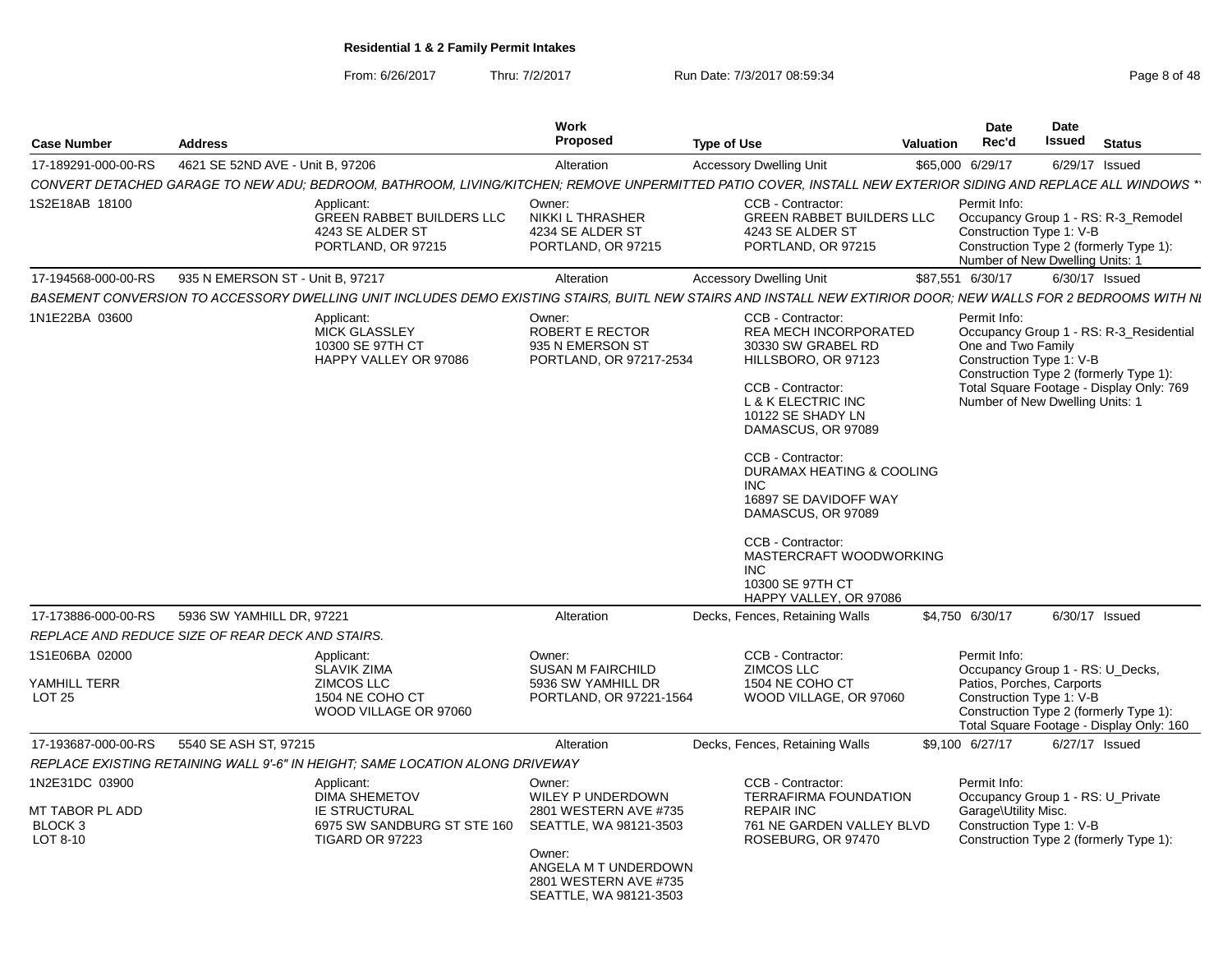From: 6/26/2017

Thru: 7/2/2017 **Run Date: 7/3/2017 08:59:34** Page 8 of 48

| <b>Case Number</b>                                                  | <b>Address</b>                                   |                                                                                                                                                                | Work<br>Proposed                                                                                                                                                    | <b>Type of Use</b>                                                                                                                                                                                                                                                                                                                                                      | Valuation | Date<br>Rec'd                                                                                     | Date<br>Issued | <b>Status</b>                                                                                                                 |
|---------------------------------------------------------------------|--------------------------------------------------|----------------------------------------------------------------------------------------------------------------------------------------------------------------|---------------------------------------------------------------------------------------------------------------------------------------------------------------------|-------------------------------------------------------------------------------------------------------------------------------------------------------------------------------------------------------------------------------------------------------------------------------------------------------------------------------------------------------------------------|-----------|---------------------------------------------------------------------------------------------------|----------------|-------------------------------------------------------------------------------------------------------------------------------|
| 17-189291-000-00-RS                                                 | 4621 SE 52ND AVE - Unit B. 97206                 |                                                                                                                                                                | Alteration                                                                                                                                                          | <b>Accessory Dwelling Unit</b>                                                                                                                                                                                                                                                                                                                                          |           | \$65,000 6/29/17                                                                                  |                | 6/29/17 Issued                                                                                                                |
|                                                                     |                                                  | CONVERT DETACHED GARAGE TO NEW ADU; BEDROOM, BATHROOM, LIVING/KITCHEN; REMOVE UNPERMITTED PATIO COVER, INSTALL NEW EXTERIOR SIDING AND REPLACE ALL WINDOWS **  |                                                                                                                                                                     |                                                                                                                                                                                                                                                                                                                                                                         |           |                                                                                                   |                |                                                                                                                               |
| 1S2E18AB 18100                                                      |                                                  | Applicant:<br><b>GREEN RABBET BUILDERS LLC</b><br>4243 SE ALDER ST<br>PORTLAND, OR 97215                                                                       | Owner:<br><b>NIKKI L THRASHER</b><br>4234 SE ALDER ST<br>PORTLAND, OR 97215                                                                                         | CCB - Contractor:<br><b>GREEN RABBET BUILDERS LLC</b><br>4243 SE ALDER ST<br>PORTLAND, OR 97215                                                                                                                                                                                                                                                                         |           | Permit Info:<br>Construction Type 1: V-B<br>Number of New Dwelling Units: 1                       |                | Occupancy Group 1 - RS: R-3_Remodel<br>Construction Type 2 (formerly Type 1):                                                 |
| 17-194568-000-00-RS                                                 | 935 N EMERSON ST - Unit B, 97217                 |                                                                                                                                                                | Alteration                                                                                                                                                          | <b>Accessory Dwelling Unit</b>                                                                                                                                                                                                                                                                                                                                          |           | \$87,551 6/30/17                                                                                  |                | 6/30/17 Issued                                                                                                                |
|                                                                     |                                                  | BASEMENT CONVERSION TO ACCESSORY DWELLING UNIT INCLUDES DEMO EXISTING STAIRS, BUITL NEW STAIRS AND INSTALL NEW EXTIRIOR DOOR; NEW WALLS FOR 2 BEDROOMS WITH NI |                                                                                                                                                                     |                                                                                                                                                                                                                                                                                                                                                                         |           |                                                                                                   |                |                                                                                                                               |
| 1N1E22BA 03600                                                      |                                                  | Applicant:<br><b>MICK GLASSLEY</b><br>10300 SE 97TH CT<br>HAPPY VALLEY OR 97086                                                                                | Owner:<br>ROBERT E RECTOR<br>935 N EMERSON ST<br>PORTLAND, OR 97217-2534                                                                                            | CCB - Contractor:<br><b>REA MECH INCORPORATED</b><br>30330 SW GRABEL RD<br>HILLSBORO, OR 97123<br>CCB - Contractor:<br>L & K ELECTRIC INC<br>10122 SE SHADY LN<br>DAMASCUS, OR 97089<br>CCB - Contractor:<br>DURAMAX HEATING & COOLING<br>INC<br>16897 SE DAVIDOFF WAY<br>DAMASCUS, OR 97089<br>CCB - Contractor:<br>MASTERCRAFT WOODWORKING<br>INC<br>10300 SE 97TH CT |           | Permit Info:<br>One and Two Family<br>Construction Type 1: V-B<br>Number of New Dwelling Units: 1 |                | Occupancy Group 1 - RS: R-3_Residential<br>Construction Type 2 (formerly Type 1):<br>Total Square Footage - Display Only: 769 |
|                                                                     |                                                  |                                                                                                                                                                |                                                                                                                                                                     | HAPPY VALLEY, OR 97086                                                                                                                                                                                                                                                                                                                                                  |           |                                                                                                   |                |                                                                                                                               |
| 17-173886-000-00-RS                                                 | 5936 SW YAMHILL DR, 97221                        |                                                                                                                                                                | Alteration                                                                                                                                                          | Decks, Fences, Retaining Walls                                                                                                                                                                                                                                                                                                                                          |           | \$4,750 6/30/17                                                                                   |                | 6/30/17 Issued                                                                                                                |
|                                                                     | REPLACE AND REDUCE SIZE OF REAR DECK AND STAIRS. |                                                                                                                                                                |                                                                                                                                                                     |                                                                                                                                                                                                                                                                                                                                                                         |           |                                                                                                   |                |                                                                                                                               |
| 1S1E06BA 02000<br>YAMHILL TERR<br><b>LOT 25</b>                     |                                                  | Applicant:<br><b>SLAVIK ZIMA</b><br>ZIMCOS LLC<br>1504 NE COHO CT<br>WOOD VILLAGE OR 97060                                                                     | Owner:<br><b>SUSAN M FAIRCHILD</b><br>5936 SW YAMHILL DR<br>PORTLAND, OR 97221-1564                                                                                 | CCB - Contractor:<br><b>ZIMCOS LLC</b><br>1504 NE COHO CT<br>WOOD VILLAGE, OR 97060                                                                                                                                                                                                                                                                                     |           | Permit Info:<br>Patios, Porches, Carports<br>Construction Type 1: V-B                             |                | Occupancy Group 1 - RS: U_Decks,<br>Construction Type 2 (formerly Type 1):<br>Total Square Footage - Display Only: 160        |
| 17-193687-000-00-RS                                                 | 5540 SE ASH ST, 97215                            |                                                                                                                                                                | Alteration                                                                                                                                                          | Decks, Fences, Retaining Walls                                                                                                                                                                                                                                                                                                                                          |           | \$9,100 6/27/17                                                                                   |                | 6/27/17 Issued                                                                                                                |
|                                                                     |                                                  | REPLACE EXISTING RETAINING WALL 9'-6" IN HEIGHT: SAME LOCATION ALONG DRIVEWAY                                                                                  |                                                                                                                                                                     |                                                                                                                                                                                                                                                                                                                                                                         |           |                                                                                                   |                |                                                                                                                               |
| 1N2E31DC 03900<br>MT TABOR PL ADD<br>BLOCK <sub>3</sub><br>LOT 8-10 |                                                  | Applicant:<br><b>DIMA SHEMETOV</b><br><b>IE STRUCTURAL</b><br>6975 SW SANDBURG ST STE 160<br><b>TIGARD OR 97223</b>                                            | Owner:<br>WILEY P UNDERDOWN<br>2801 WESTERN AVE #735<br>SEATTLE, WA 98121-3503<br>Owner:<br>ANGELA M T UNDERDOWN<br>2801 WESTERN AVE #735<br>SEATTLE, WA 98121-3503 | CCB - Contractor:<br><b>TERRAFIRMA FOUNDATION</b><br><b>REPAIR INC</b><br>761 NE GARDEN VALLEY BLVD<br>ROSEBURG, OR 97470                                                                                                                                                                                                                                               |           | Permit Info:<br>Garage\Utility Misc.<br>Construction Type 1: V-B                                  |                | Occupancy Group 1 - RS: U Private<br>Construction Type 2 (formerly Type 1):                                                   |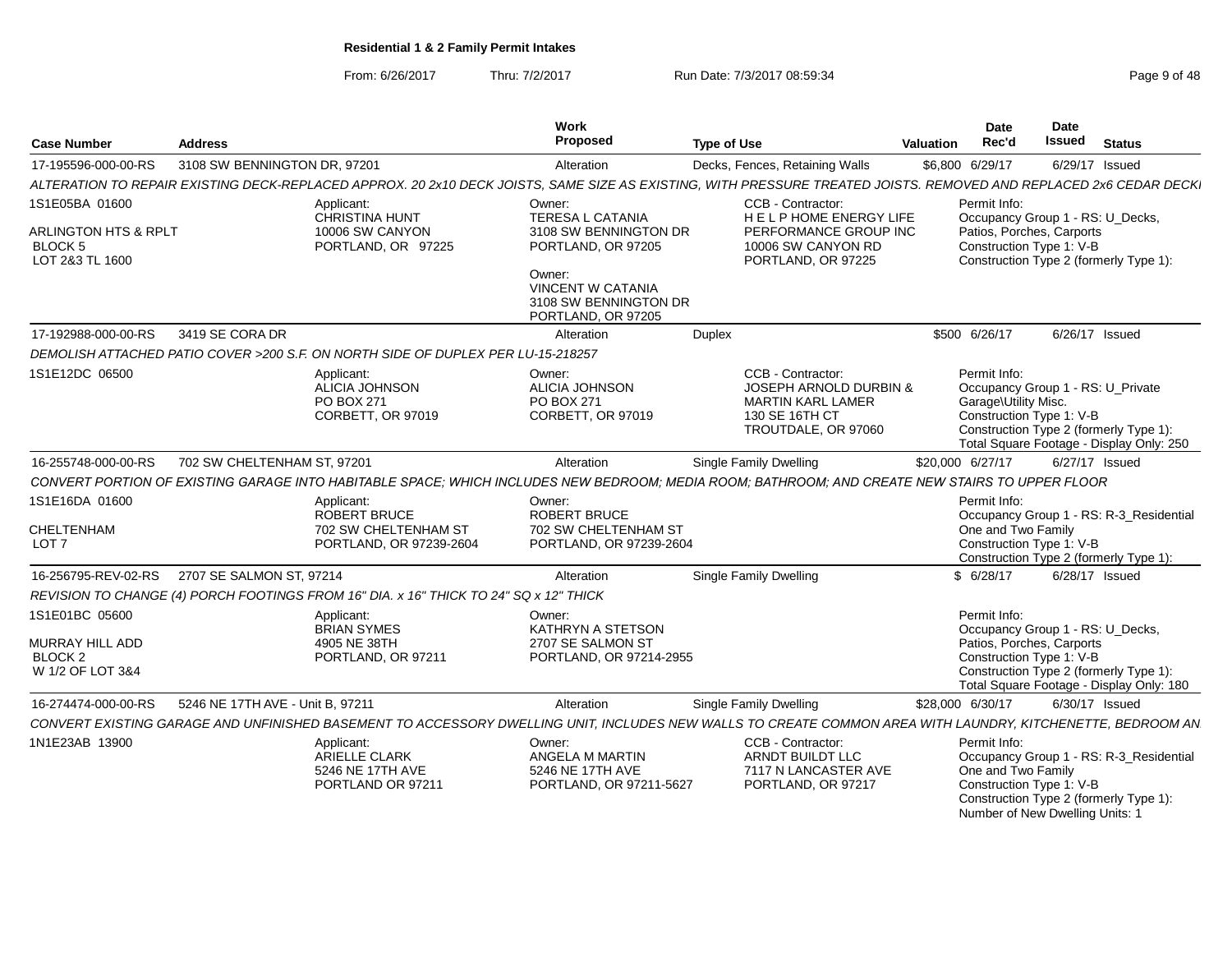From: 6/26/2017Thru: 7/2/2017 **Run Date: 7/3/2017 08:59:34** Page 9 of 48

| <b>Case Number</b>                                                                     | <b>Address</b>                   |                                                                                       | Work<br><b>Proposed</b>                                                           | <b>Type of Use</b>                                                                                                                                                | Valuation | Date<br>Rec'd                                                                                             | <b>Date</b><br>Issued | <b>Status</b>                                                                      |
|----------------------------------------------------------------------------------------|----------------------------------|---------------------------------------------------------------------------------------|-----------------------------------------------------------------------------------|-------------------------------------------------------------------------------------------------------------------------------------------------------------------|-----------|-----------------------------------------------------------------------------------------------------------|-----------------------|------------------------------------------------------------------------------------|
| 17-195596-000-00-RS                                                                    | 3108 SW BENNINGTON DR, 97201     |                                                                                       | Alteration                                                                        | Decks, Fences, Retaining Walls                                                                                                                                    |           | \$6,800 6/29/17                                                                                           | 6/29/17 Issued        |                                                                                    |
|                                                                                        |                                  |                                                                                       |                                                                                   | ALTERATION TO REPAIR EXISTING DECK-REPLACED APPROX. 20 2x10 DECK JOISTS, SAME SIZE AS EXISTING, WITH PRESSURE TREATED JOISTS. REMOVED AND REPLACED 2x6 CEDAR DECK |           |                                                                                                           |                       |                                                                                    |
| 1S1E05BA 01600<br><b>ARLINGTON HTS &amp; RPLT</b><br><b>BLOCK 5</b><br>LOT 2&3 TL 1600 |                                  | Applicant:<br><b>CHRISTINA HUNT</b><br>10006 SW CANYON<br>PORTLAND, OR 97225          | Owner:<br><b>TERESA L CATANIA</b><br>3108 SW BENNINGTON DR<br>PORTLAND, OR 97205  | CCB - Contractor:<br>HELPHOME ENERGY LIFE<br>PERFORMANCE GROUP INC<br>10006 SW CANYON RD<br>PORTLAND, OR 97225                                                    |           | Permit Info:<br>Occupancy Group 1 - RS: U Decks,<br>Patios, Porches, Carports<br>Construction Type 1: V-B |                       | Construction Type 2 (formerly Type 1):                                             |
|                                                                                        |                                  |                                                                                       | Owner:<br><b>VINCENT W CATANIA</b><br>3108 SW BENNINGTON DR<br>PORTLAND, OR 97205 |                                                                                                                                                                   |           |                                                                                                           |                       |                                                                                    |
| 17-192988-000-00-RS                                                                    | 3419 SE CORA DR                  |                                                                                       | Alteration                                                                        | <b>Duplex</b>                                                                                                                                                     |           | \$500 6/26/17                                                                                             | 6/26/17 Issued        |                                                                                    |
|                                                                                        |                                  | DEMOLISH ATTACHED PATIO COVER >200 S.F. ON NORTH SIDE OF DUPLEX PER LU-15-218257      |                                                                                   |                                                                                                                                                                   |           |                                                                                                           |                       |                                                                                    |
| 1S1E12DC 06500                                                                         |                                  | Applicant:<br><b>ALICIA JOHNSON</b><br>PO BOX 271<br>CORBETT, OR 97019                | Owner:<br><b>ALICIA JOHNSON</b><br>PO BOX 271<br>CORBETT, OR 97019                | CCB - Contractor:<br><b>JOSEPH ARNOLD DURBIN &amp;</b><br><b>MARTIN KARL LAMER</b><br>130 SE 16TH CT<br>TROUTDALE, OR 97060                                       |           | Permit Info:<br>Occupancy Group 1 - RS: U Private<br>Garage\Utility Misc.<br>Construction Type 1: V-B     |                       | Construction Type 2 (formerly Type 1):<br>Total Square Footage - Display Only: 250 |
| 16-255748-000-00-RS                                                                    | 702 SW CHELTENHAM ST, 97201      |                                                                                       | Alteration                                                                        | <b>Single Family Dwelling</b>                                                                                                                                     |           | \$20,000 6/27/17                                                                                          | 6/27/17 Issued        |                                                                                    |
|                                                                                        |                                  |                                                                                       |                                                                                   | CONVERT PORTION OF EXISTING GARAGE INTO HABITABLE SPACE: WHICH INCLUDES NEW BEDROOM: MEDIA ROOM: BATHROOM: AND CREATE NEW STAIRS TO UPPER FLOOR                   |           |                                                                                                           |                       |                                                                                    |
| 1S1E16DA 01600<br>CHELTENHAM<br>LOT <sub>7</sub>                                       |                                  | Applicant:<br>ROBERT BRUCE<br>702 SW CHELTENHAM ST<br>PORTLAND, OR 97239-2604         | Owner:<br><b>ROBERT BRUCE</b><br>702 SW CHELTENHAM ST<br>PORTLAND, OR 97239-2604  |                                                                                                                                                                   |           | Permit Info:<br>One and Two Family<br>Construction Type 1: V-B                                            |                       | Occupancy Group 1 - RS: R-3_Residential<br>Construction Type 2 (formerly Type 1):  |
| 16-256795-REV-02-RS                                                                    | 2707 SE SALMON ST, 97214         |                                                                                       | Alteration                                                                        | <b>Single Family Dwelling</b>                                                                                                                                     |           | \$6/28/17                                                                                                 | 6/28/17 Issued        |                                                                                    |
|                                                                                        |                                  | REVISION TO CHANGE (4) PORCH FOOTINGS FROM 16" DIA. x 16" THICK TO 24" SQ x 12" THICK |                                                                                   |                                                                                                                                                                   |           |                                                                                                           |                       |                                                                                    |
| 1S1E01BC 05600<br>MURRAY HILL ADD<br>BLOCK <sub>2</sub><br>W 1/2 OF LOT 3&4            |                                  | Applicant:<br><b>BRIAN SYMES</b><br>4905 NE 38TH<br>PORTLAND, OR 97211                | Owner:<br>KATHRYN A STETSON<br>2707 SE SALMON ST<br>PORTLAND, OR 97214-2955       |                                                                                                                                                                   |           | Permit Info:<br>Occupancy Group 1 - RS: U Decks,<br>Patios, Porches, Carports<br>Construction Type 1: V-B |                       | Construction Type 2 (formerly Type 1):<br>Total Square Footage - Display Only: 180 |
| 16-274474-000-00-RS                                                                    | 5246 NE 17TH AVE - Unit B. 97211 |                                                                                       | Alteration                                                                        | <b>Single Family Dwelling</b>                                                                                                                                     |           | \$28,000 6/30/17                                                                                          | 6/30/17 Issued        |                                                                                    |
|                                                                                        |                                  |                                                                                       |                                                                                   | CONVERT EXISTING GARAGE AND UNFINISHED BASEMENT TO ACCESSORY DWELLING UNIT, INCLUDES NEW WALLS TO CREATE COMMON AREA WITH LAUNDRY, KITCHENETTE, BEDROOM AN        |           |                                                                                                           |                       |                                                                                    |
| 1N1E23AB 13900                                                                         |                                  | Applicant:<br><b>ARIELLE CLARK</b><br>5246 NE 17TH AVE<br>PORTLAND OR 97211           | Owner:<br>ANGELA M MARTIN<br>5246 NE 17TH AVE<br>PORTLAND, OR 97211-5627          | CCB - Contractor:<br>ARNDT BUILDT LLC<br>7117 N LANCASTER AVE<br>PORTLAND, OR 97217                                                                               |           | Permit Info:<br>One and Two Family<br>Construction Type 1: V-B                                            |                       | Occupancy Group 1 - RS: R-3 Residential<br>Construction Type 2 (formerly Type 1):  |

Construction Type 2 (formerly Type 1):Number of New Dwelling Units: 1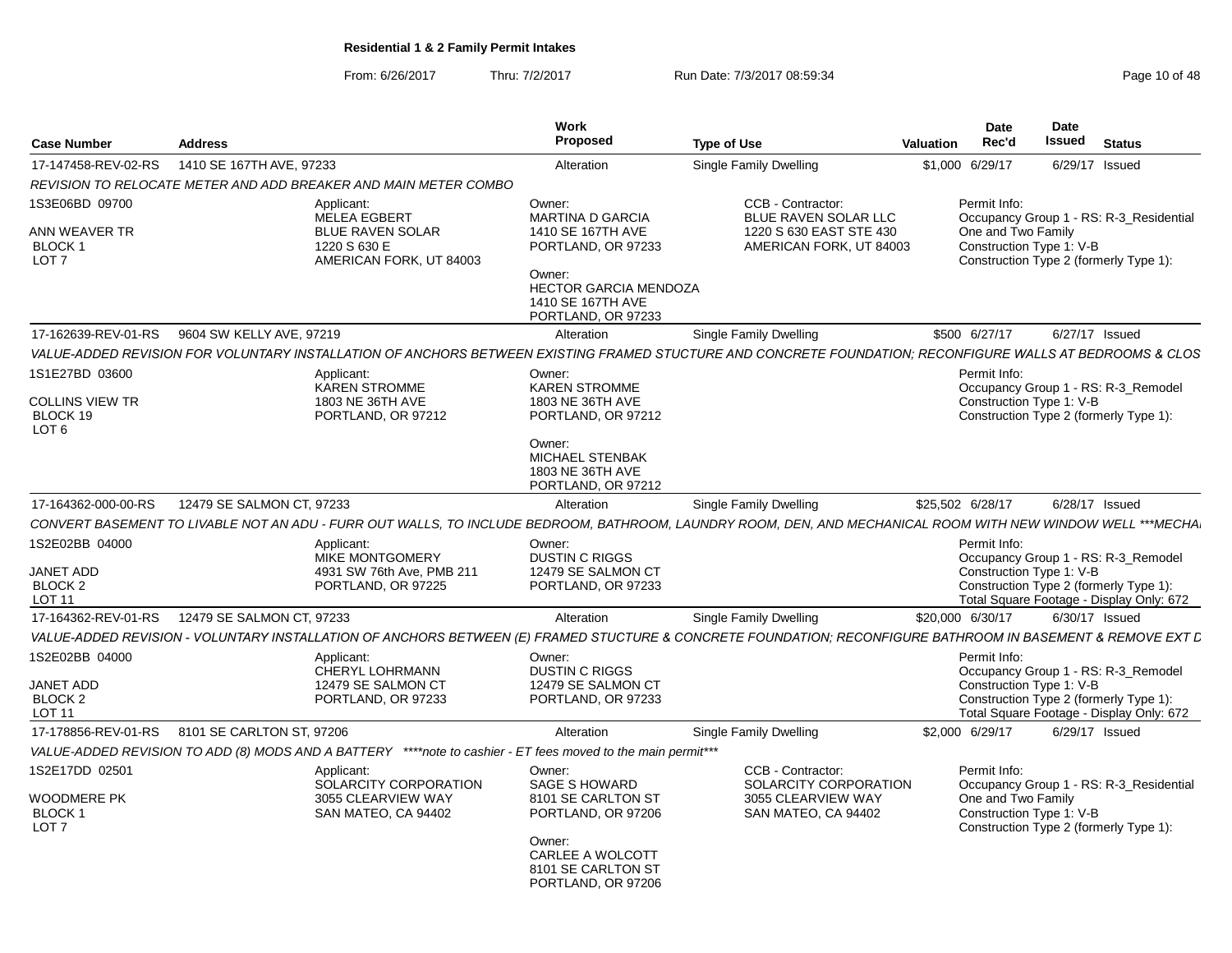From: 6/26/2017Thru: 7/2/2017 **Run Date: 7/3/2017 08:59:34** Page 10 of 48

| <b>Case Number</b>                                                        | <b>Address</b>                                                                                                                                               | <b>Work</b><br>Proposed                                                                                                                     | <b>Type of Use</b>                                                                              | Valuation | Date<br>Rec'd                                                  | Date<br><b>Issued</b> | <b>Status</b>                                                                                                             |  |
|---------------------------------------------------------------------------|--------------------------------------------------------------------------------------------------------------------------------------------------------------|---------------------------------------------------------------------------------------------------------------------------------------------|-------------------------------------------------------------------------------------------------|-----------|----------------------------------------------------------------|-----------------------|---------------------------------------------------------------------------------------------------------------------------|--|
| 17-147458-REV-02-RS                                                       | 1410 SE 167TH AVE, 97233                                                                                                                                     | Alteration                                                                                                                                  | Single Family Dwelling                                                                          |           | \$1,000 6/29/17                                                |                       | 6/29/17 Issued                                                                                                            |  |
|                                                                           | REVISION TO RELOCATE METER AND ADD BREAKER AND MAIN METER COMBO                                                                                              |                                                                                                                                             |                                                                                                 |           |                                                                |                       |                                                                                                                           |  |
| IS3E06BD 09700<br>ANN WEAVER TR<br><b>BLOCK1</b><br>LOT <sub>7</sub>      | Applicant:<br><b>MELEA EGBERT</b><br><b>BLUE RAVEN SOLAR</b><br>1220 S 630 E<br>AMERICAN FORK, UT 84003                                                      | Owner:<br><b>MARTINA D GARCIA</b><br>1410 SE 167TH AVE<br>PORTLAND, OR 97233<br>Owner:<br><b>HECTOR GARCIA MENDOZA</b><br>1410 SE 167TH AVE | CCB - Contractor:<br>BLUE RAVEN SOLAR LLC<br>1220 S 630 EAST STE 430<br>AMERICAN FORK, UT 84003 |           | Permit Info:<br>One and Two Family<br>Construction Type 1: V-B |                       | Occupancy Group 1 - RS: R-3 Residential<br>Construction Type 2 (formerly Type 1):                                         |  |
|                                                                           |                                                                                                                                                              | PORTLAND, OR 97233                                                                                                                          |                                                                                                 |           |                                                                |                       |                                                                                                                           |  |
|                                                                           | 17-162639-REV-01-RS   9604 SW KELLY AVE, 97219                                                                                                               | Alteration                                                                                                                                  | <b>Single Family Dwelling</b>                                                                   |           | \$500 6/27/17                                                  |                       | 6/27/17 Issued                                                                                                            |  |
|                                                                           | VALUE-ADDED REVISION FOR VOLUNTARY INSTALLATION OF ANCHORS BETWEEN EXISTING FRAMED STUCTURE AND CONCRETE FOUNDATION: RECONFIGURE WALLS AT BEDROOMS & CLOS    |                                                                                                                                             |                                                                                                 |           |                                                                |                       |                                                                                                                           |  |
| 1S1E27BD 03600<br>COLLINS VIEW TR<br>BLOCK 19<br>LOT <sub>6</sub>         | Applicant:<br><b>KAREN STROMME</b><br>1803 NE 36TH AVE<br>PORTLAND, OR 97212                                                                                 | Owner:<br><b>KAREN STROMME</b><br>1803 NE 36TH AVE<br>PORTLAND, OR 97212<br>Owner:<br>MICHAEL STENBAK<br>1803 NE 36TH AVE                   |                                                                                                 |           | Permit Info:<br>Construction Type 1: V-B                       |                       | Occupancy Group 1 - RS: R-3_Remodel<br>Construction Type 2 (formerly Type 1):                                             |  |
|                                                                           |                                                                                                                                                              | PORTLAND, OR 97212                                                                                                                          |                                                                                                 |           |                                                                |                       |                                                                                                                           |  |
| 17-164362-000-00-RS                                                       | 12479 SE SALMON CT, 97233                                                                                                                                    | Alteration                                                                                                                                  | Single Family Dwelling                                                                          |           | \$25,502 6/28/17                                               |                       | 6/28/17 Issued                                                                                                            |  |
|                                                                           | CONVERT BASEMENT TO LIVABLE NOT AN ADU - FURR OUT WALLS, TO INCLUDE BEDROOM, BATHROOM, LAUNDRY ROOM, DEN, AND MECHANICAL ROOM WITH NEW WINDOW WELL ***MECHA. |                                                                                                                                             |                                                                                                 |           |                                                                |                       |                                                                                                                           |  |
| IS2E02BB 04000<br><b>JANET ADD</b><br>BLOCK <sub>2</sub><br><b>LOT 11</b> | Applicant:<br><b>MIKE MONTGOMERY</b><br>4931 SW 76th Ave, PMB 211<br>PORTLAND, OR 97225                                                                      | Owner:<br><b>DUSTIN C RIGGS</b><br>12479 SE SALMON CT<br>PORTLAND, OR 97233                                                                 |                                                                                                 |           | Permit Info:<br>Construction Type 1: V-B                       |                       | Occupancy Group 1 - RS: R-3_Remodel<br>Construction Type 2 (formerly Type 1):<br>Total Square Footage - Display Only: 672 |  |
| 17-164362-REV-01-RS                                                       | 12479 SE SALMON CT, 97233                                                                                                                                    | Alteration                                                                                                                                  | <b>Single Family Dwelling</b>                                                                   |           | \$20,000 6/30/17                                               |                       | 6/30/17 Issued                                                                                                            |  |
|                                                                           | VALUE-ADDED REVISION - VOLUNTARY INSTALLATION OF ANCHORS BETWEEN (E) FRAMED STUCTURE & CONCRETE FOUNDATION: RECONFIGURE BATHROOM IN BASEMENT & REMOVE EXT L  |                                                                                                                                             |                                                                                                 |           |                                                                |                       |                                                                                                                           |  |
| IS2E02BB 04000<br><b>JANET ADD</b><br>BLOCK 2<br><b>LOT 11</b>            | Applicant:<br><b>CHERYL LOHRMANN</b><br>12479 SE SALMON CT<br>PORTLAND, OR 97233                                                                             | Owner:<br><b>DUSTIN C RIGGS</b><br>12479 SE SALMON CT<br>PORTLAND, OR 97233                                                                 |                                                                                                 |           | Permit Info:<br>Construction Type 1: V-B                       |                       | Occupancy Group 1 - RS: R-3_Remodel<br>Construction Type 2 (formerly Type 1):<br>Total Square Footage - Display Only: 672 |  |
|                                                                           | 17-178856-REV-01-RS 8101 SE CARLTON ST, 97206                                                                                                                | Alteration                                                                                                                                  | Single Family Dwelling                                                                          |           | \$2,000 6/29/17                                                |                       | 6/29/17 Issued                                                                                                            |  |
|                                                                           | VALUE-ADDED REVISION TO ADD (8) MODS AND A BATTERY ****note to cashier - ET fees moved to the main permit***                                                 |                                                                                                                                             |                                                                                                 |           |                                                                |                       |                                                                                                                           |  |
| IS2E17DD 02501<br><b>WOODMERE PK</b><br><b>BLOCK1</b><br>LOT <sub>7</sub> | Applicant:<br>SOLARCITY CORPORATION<br>3055 CLEARVIEW WAY<br>SAN MATEO, CA 94402                                                                             | Owner:<br><b>SAGE S HOWARD</b><br>8101 SE CARLTON ST<br>PORTLAND, OR 97206<br>Owner:                                                        | CCB - Contractor:<br>SOLARCITY CORPORATION<br>3055 CLEARVIEW WAY<br>SAN MATEO, CA 94402         |           | Permit Info:<br>One and Two Family<br>Construction Type 1: V-B |                       | Occupancy Group 1 - RS: R-3 Residential<br>Construction Type 2 (formerly Type 1):                                         |  |
|                                                                           |                                                                                                                                                              | CARLEE A WOLCOTT<br>8101 SE CARLTON ST<br>PORTLAND, OR 97206                                                                                |                                                                                                 |           |                                                                |                       |                                                                                                                           |  |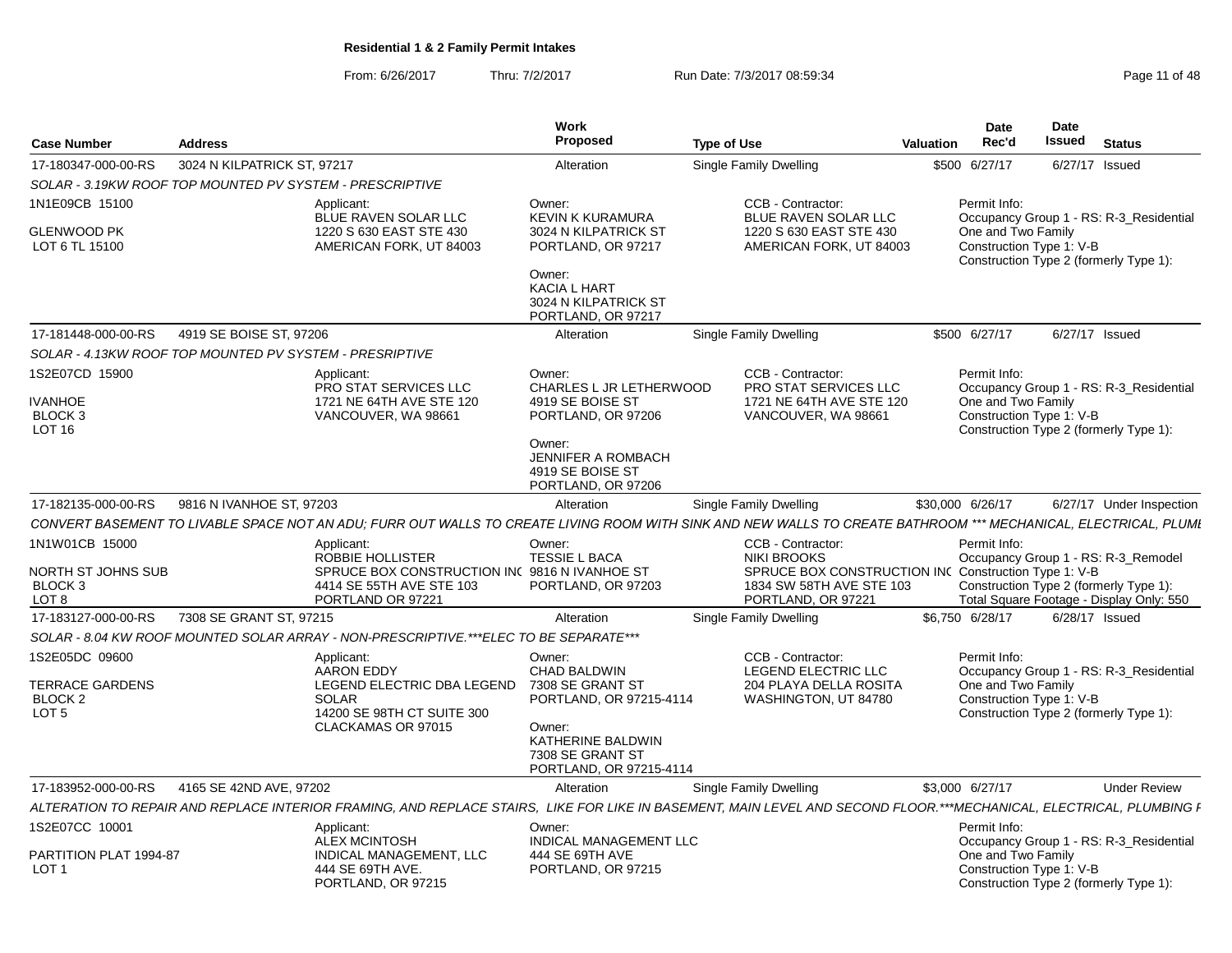From: 6/26/2017Thru: 7/2/2017 **Run Date: 7/3/2017 08:59:34** Page 11 of 48

| <b>Case Number</b>                                        | <b>Address</b>              |                                                                                                | <b>Work</b><br>Proposed                                                                                                   | <b>Type of Use</b>                                                                                                                                                   | <b>Valuation</b>                                                              | <b>Date</b><br>Rec'd                           | Date<br>Issued | <b>Status</b>                                                                      |  |  |
|-----------------------------------------------------------|-----------------------------|------------------------------------------------------------------------------------------------|---------------------------------------------------------------------------------------------------------------------------|----------------------------------------------------------------------------------------------------------------------------------------------------------------------|-------------------------------------------------------------------------------|------------------------------------------------|----------------|------------------------------------------------------------------------------------|--|--|
| 17-180347-000-00-RS                                       | 3024 N KILPATRICK ST, 97217 |                                                                                                | Alteration                                                                                                                | Single Family Dwelling                                                                                                                                               |                                                                               | \$500 6/27/17                                  |                | 6/27/17 Issued                                                                     |  |  |
| SOLAR - 3.19KW ROOF TOP MOUNTED PV SYSTEM - PRESCRIPTIVE  |                             |                                                                                                |                                                                                                                           |                                                                                                                                                                      |                                                                               |                                                |                |                                                                                    |  |  |
| 1N1E09CB 15100<br><b>GLENWOOD PK</b>                      |                             | Applicant:<br>BLUE RAVEN SOLAR LLC<br>1220 S 630 EAST STE 430                                  | Owner:<br><b>KEVIN K KURAMURA</b><br>3024 N KILPATRICK ST                                                                 | CCB - Contractor:<br><b>BLUE RAVEN SOLAR LLC</b><br>1220 S 630 EAST STE 430                                                                                          | Permit Info:<br>Occupancy Group 1 - RS: R-3 Residential<br>One and Two Family |                                                |                |                                                                                    |  |  |
| LOT 6 TL 15100                                            |                             | AMERICAN FORK, UT 84003                                                                        | PORTLAND, OR 97217<br>Owner:<br><b>KACIA L HART</b>                                                                       | AMERICAN FORK, UT 84003                                                                                                                                              |                                                                               | Construction Type 1: V-B                       |                | Construction Type 2 (formerly Type 1):                                             |  |  |
|                                                           |                             |                                                                                                | 3024 N KILPATRICK ST<br>PORTLAND, OR 97217                                                                                |                                                                                                                                                                      |                                                                               |                                                |                |                                                                                    |  |  |
| 17-181448-000-00-RS                                       | 4919 SE BOISE ST, 97206     |                                                                                                | Alteration                                                                                                                | Single Family Dwelling                                                                                                                                               |                                                                               | \$500 6/27/17                                  |                | 6/27/17 Issued                                                                     |  |  |
| SOLAR - 4.13KW ROOF TOP MOUNTED PV SYSTEM - PRESRIPTIVE   |                             |                                                                                                |                                                                                                                           |                                                                                                                                                                      |                                                                               |                                                |                |                                                                                    |  |  |
| 1S2E07CD 15900<br><b>IVANHOE</b>                          |                             | Applicant:<br>PRO STAT SERVICES LLC<br>1721 NE 64TH AVE STE 120                                | Owner:<br>CHARLES L JR LETHERWOOD<br>4919 SE BOISE ST                                                                     | CCB - Contractor:<br>PRO STAT SERVICES LLC<br>1721 NE 64TH AVE STE 120                                                                                               |                                                                               | Permit Info:<br>One and Two Family             |                | Occupancy Group 1 - RS: R-3_Residential                                            |  |  |
| BLOCK <sub>3</sub><br><b>LOT 16</b>                       |                             | VANCOUVER, WA 98661                                                                            | PORTLAND, OR 97206<br>Owner:                                                                                              | VANCOUVER, WA 98661                                                                                                                                                  |                                                                               | Construction Type 1: V-B                       |                | Construction Type 2 (formerly Type 1):                                             |  |  |
|                                                           |                             |                                                                                                | JENNIFER A ROMBACH<br>4919 SE BOISE ST<br>PORTLAND, OR 97206                                                              |                                                                                                                                                                      |                                                                               |                                                |                |                                                                                    |  |  |
| 17-182135-000-00-RS                                       | 9816 N IVANHOE ST, 97203    |                                                                                                | Alteration                                                                                                                | Single Family Dwelling                                                                                                                                               |                                                                               | \$30,000 6/26/17                               |                | 6/27/17 Under Inspection                                                           |  |  |
|                                                           |                             |                                                                                                |                                                                                                                           | CONVERT BASEMENT TO LIVABLE SPACE NOT AN ADU: FURR OUT WALLS TO CREATE LIVING ROOM WITH SINK AND NEW WALLS TO CREATE BATHROOM *** MECHANICAL, ELECTRICAL, PLUMI      |                                                                               |                                                |                |                                                                                    |  |  |
| 1N1W01CB 15000                                            |                             | Applicant:<br>ROBBIE HOLLISTER                                                                 | Owner:<br><b>TESSIE L BACA</b>                                                                                            | CCB - Contractor:<br><b>NIKI BROOKS</b>                                                                                                                              |                                                                               | Permit Info:                                   |                | Occupancy Group 1 - RS: R-3_Remodel                                                |  |  |
| NORTH ST JOHNS SUB<br>BLOCK <sub>3</sub><br>LOT 8         |                             | SPRUCE BOX CONSTRUCTION INC 9816 N IVANHOE ST<br>4414 SE 55TH AVE STE 103<br>PORTLAND OR 97221 | PORTLAND, OR 97203                                                                                                        | SPRUCE BOX CONSTRUCTION INC Construction Type 1: V-B<br>1834 SW 58TH AVE STE 103<br>PORTLAND, OR 97221                                                               |                                                                               |                                                |                | Construction Type 2 (formerly Type 1):<br>Total Square Footage - Display Only: 550 |  |  |
| 17-183127-000-00-RS                                       | 7308 SE GRANT ST, 97215     |                                                                                                | Alteration                                                                                                                | Single Family Dwelling                                                                                                                                               |                                                                               | \$6.750 6/28/17                                |                | $6/28/17$ Issued                                                                   |  |  |
|                                                           |                             | SOLAR - 8.04 KW ROOF MOUNTED SOLAR ARRAY - NON-PRESCRIPTIVE.***ELEC TO BE SEPARATE***          |                                                                                                                           |                                                                                                                                                                      |                                                                               |                                                |                |                                                                                    |  |  |
| 1S2E05DC 09600                                            |                             | Applicant:<br><b>AARON EDDY</b>                                                                | Owner:<br><b>CHAD BALDWIN</b>                                                                                             | CCB - Contractor:<br>LEGEND ELECTRIC LLC                                                                                                                             |                                                                               | Permit Info:                                   |                | Occupancy Group 1 - RS: R-3_Residential                                            |  |  |
| TERRACE GARDENS<br>BLOCK <sub>2</sub><br>LOT <sub>5</sub> |                             | LEGEND ELECTRIC DBA LEGEND<br><b>SOLAR</b><br>14200 SE 98TH CT SUITE 300<br>CLACKAMAS OR 97015 | 7308 SE GRANT ST<br>PORTLAND, OR 97215-4114<br>Owner:<br>KATHERINE BALDWIN<br>7308 SE GRANT ST<br>PORTLAND, OR 97215-4114 | 204 PLAYA DELLA ROSITA<br>WASHINGTON, UT 84780                                                                                                                       |                                                                               | One and Two Family<br>Construction Type 1: V-B |                | Construction Type 2 (formerly Type 1):                                             |  |  |
| 17-183952-000-00-RS                                       | 4165 SE 42ND AVE, 97202     |                                                                                                | Alteration                                                                                                                | <b>Single Family Dwelling</b>                                                                                                                                        |                                                                               | \$3,000 6/27/17                                |                | <b>Under Review</b>                                                                |  |  |
|                                                           |                             |                                                                                                |                                                                                                                           | ALTERATION TO REPAIR AND REPLACE INTERIOR FRAMING. AND REPLACE STAIRS.  LIKE FOR LIKE IN BASEMENT. MAIN LEVEL AND SECOND FLOOR.***MECHANICAL. ELECTRICAL. PLUMBING I |                                                                               |                                                |                |                                                                                    |  |  |
| 1S2E07CC 10001                                            |                             | Applicant:<br><b>ALEX MCINTOSH</b>                                                             | Owner:<br>INDICAL MANAGEMENT LLC                                                                                          |                                                                                                                                                                      |                                                                               | Permit Info:                                   |                | Occupancy Group 1 - RS: R-3 Residential                                            |  |  |
| PARTITION PLAT 1994-87<br>LOT <sub>1</sub>                |                             | INDICAL MANAGEMENT, LLC<br>444 SE 69TH AVE.<br>PORTLAND, OR 97215                              | 444 SE 69TH AVE<br>PORTLAND, OR 97215                                                                                     |                                                                                                                                                                      |                                                                               | One and Two Family<br>Construction Type 1: V-B |                | Construction Type 2 (formerly Type 1):                                             |  |  |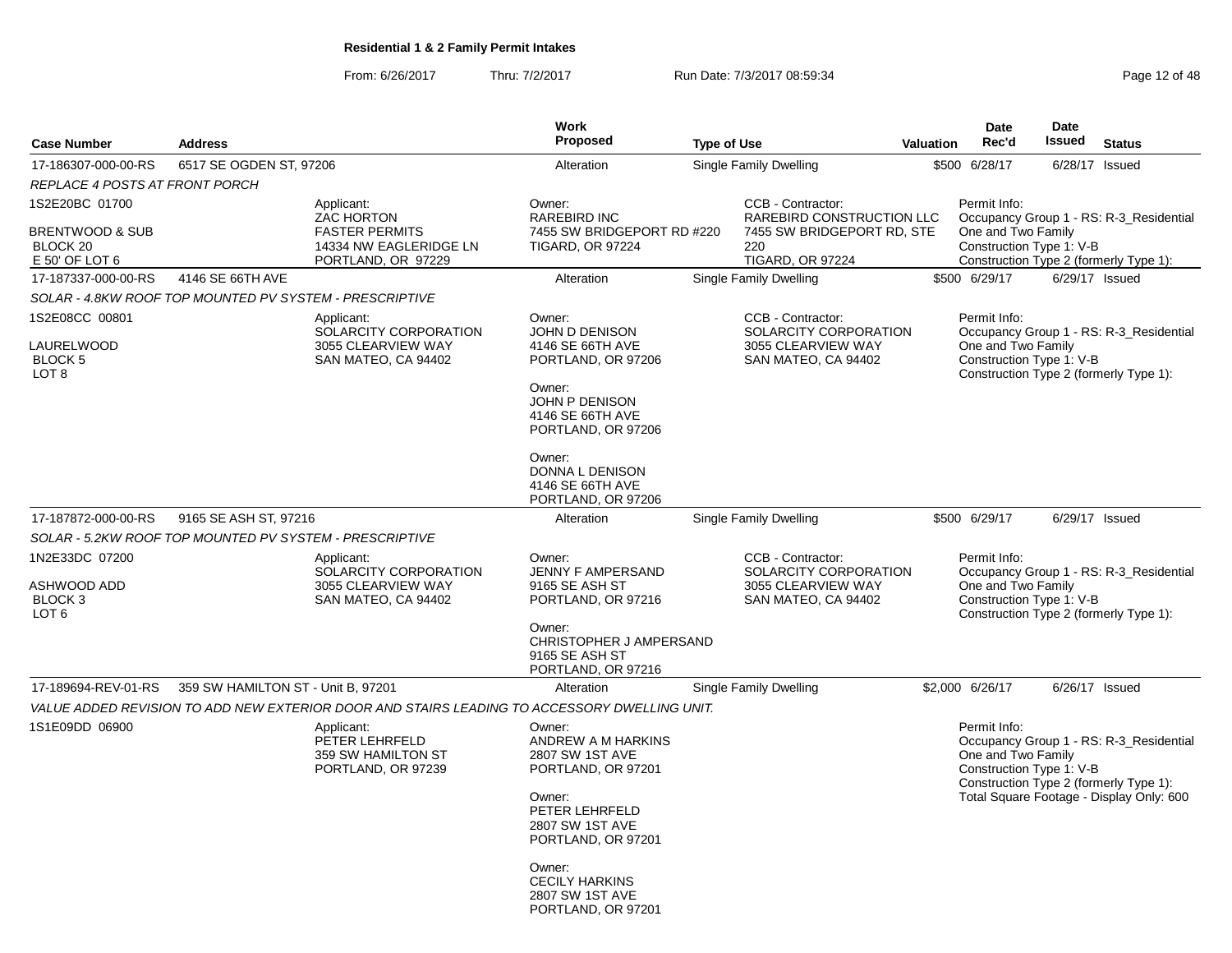From: 6/26/2017Thru: 7/2/2017 **Run Date: 7/3/2017 08:59:34** Page 12 of 48

| <b>Case Number</b>                                                         | <b>Address</b>                     |                                                                                                          | <b>Work</b><br><b>Proposed</b>                                                  | <b>Type of Use</b> |                                                                                           | <b>Valuation</b> |                 | Date<br>Rec'd      | Date<br><b>Issued</b>    | <b>Status</b>                                                                     |
|----------------------------------------------------------------------------|------------------------------------|----------------------------------------------------------------------------------------------------------|---------------------------------------------------------------------------------|--------------------|-------------------------------------------------------------------------------------------|------------------|-----------------|--------------------|--------------------------|-----------------------------------------------------------------------------------|
|                                                                            |                                    |                                                                                                          |                                                                                 |                    |                                                                                           |                  |                 |                    |                          |                                                                                   |
| 17-186307-000-00-RS                                                        | 6517 SE OGDEN ST, 97206            |                                                                                                          | Alteration                                                                      |                    | Single Family Dwelling                                                                    |                  | \$500 6/28/17   |                    | 6/28/17                  | Issued                                                                            |
| REPLACE 4 POSTS AT FRONT PORCH                                             |                                    |                                                                                                          | Owner:                                                                          |                    | CCB - Contractor:                                                                         |                  | Permit Info:    |                    |                          |                                                                                   |
| 1S2E20BC 01700<br>BRENTWOOD & SUB<br>BLOCK <sub>20</sub><br>E 50' OF LOT 6 |                                    | Applicant:<br><b>ZAC HORTON</b><br><b>FASTER PERMITS</b><br>14334 NW EAGLERIDGE LN<br>PORTLAND, OR 97229 | RAREBIRD INC<br>7455 SW BRIDGEPORT RD #220<br><b>TIGARD, OR 97224</b>           |                    | RAREBIRD CONSTRUCTION LLC<br>7455 SW BRIDGEPORT RD, STE<br>220<br><b>TIGARD, OR 97224</b> |                  |                 | One and Two Family | Construction Type 1: V-B | Occupancy Group 1 - RS: R-3_Residential<br>Construction Type 2 (formerly Type 1): |
| 17-187337-000-00-RS                                                        | 4146 SE 66TH AVE                   |                                                                                                          | Alteration                                                                      |                    | Single Family Dwelling                                                                    |                  | \$500 6/29/17   |                    | 6/29/17 Issued           |                                                                                   |
| SOLAR - 4.8KW ROOF TOP MOUNTED PV SYSTEM - PRESCRIPTIVE                    |                                    |                                                                                                          |                                                                                 |                    |                                                                                           |                  |                 |                    |                          |                                                                                   |
| 1S2E08CC 00801                                                             |                                    | Applicant:<br>SOLARCITY CORPORATION                                                                      | Owner:<br><b>JOHN D DENISON</b>                                                 |                    | CCB - Contractor:<br>SOLARCITY CORPORATION                                                |                  | Permit Info:    |                    |                          | Occupancy Group 1 - RS: R-3_Residential                                           |
| LAURELWOOD<br><b>BLOCK 5</b><br>LOT <sub>8</sub>                           |                                    | 3055 CLEARVIEW WAY<br>SAN MATEO, CA 94402                                                                | 4146 SE 66TH AVE<br>PORTLAND, OR 97206<br>Owner:                                |                    | 3055 CLEARVIEW WAY<br>SAN MATEO, CA 94402                                                 |                  |                 | One and Two Family | Construction Type 1: V-B | Construction Type 2 (formerly Type 1):                                            |
|                                                                            |                                    |                                                                                                          | <b>JOHN P DENISON</b><br>4146 SE 66TH AVE<br>PORTLAND, OR 97206                 |                    |                                                                                           |                  |                 |                    |                          |                                                                                   |
|                                                                            |                                    |                                                                                                          | Owner:<br>DONNA L DENISON<br>4146 SE 66TH AVE<br>PORTLAND, OR 97206             |                    |                                                                                           |                  |                 |                    |                          |                                                                                   |
| 17-187872-000-00-RS                                                        | 9165 SE ASH ST, 97216              |                                                                                                          | Alteration                                                                      |                    | Single Family Dwelling                                                                    |                  | \$500 6/29/17   |                    | 6/29/17 Issued           |                                                                                   |
| SOLAR - 5.2KW ROOF TOP MOUNTED PV SYSTEM - PRESCRIPTIVE                    |                                    |                                                                                                          |                                                                                 |                    |                                                                                           |                  |                 |                    |                          |                                                                                   |
| 1N2E33DC 07200                                                             |                                    | Applicant:<br>SOLARCITY CORPORATION                                                                      | Owner:<br>JENNY F AMPERSAND                                                     |                    | CCB - Contractor:<br>SOLARCITY CORPORATION                                                |                  | Permit Info:    |                    |                          | Occupancy Group 1 - RS: R-3_Residential                                           |
| ASHWOOD ADD<br>BLOCK <sub>3</sub><br>LOT 6                                 |                                    | 3055 CLEARVIEW WAY<br>SAN MATEO, CA 94402                                                                | 9165 SE ASH ST<br>PORTLAND, OR 97216                                            |                    | 3055 CLEARVIEW WAY<br>SAN MATEO, CA 94402                                                 |                  |                 | One and Two Family | Construction Type 1: V-B | Construction Type 2 (formerly Type 1):                                            |
|                                                                            |                                    |                                                                                                          | Owner:<br>CHRISTOPHER J AMPERSAND<br>9165 SE ASH ST<br>PORTLAND, OR 97216       |                    |                                                                                           |                  |                 |                    |                          |                                                                                   |
| 17-189694-REV-01-RS                                                        | 359 SW HAMILTON ST - Unit B, 97201 |                                                                                                          | Alteration                                                                      |                    | Single Family Dwelling                                                                    |                  | \$2,000 6/26/17 |                    | 6/26/17 Issued           |                                                                                   |
|                                                                            |                                    | VALUE ADDED REVISION TO ADD NEW EXTERIOR DOOR AND STAIRS LEADING TO ACCESSORY DWELLING UNIT.             |                                                                                 |                    |                                                                                           |                  |                 |                    |                          |                                                                                   |
| 1S1E09DD 06900                                                             |                                    | Applicant:<br>PETER LEHRFELD<br>359 SW HAMILTON ST<br>PORTLAND, OR 97239                                 | Owner:<br>ANDREW A M HARKINS<br>2807 SW 1ST AVE<br>PORTLAND, OR 97201           |                    |                                                                                           |                  | Permit Info:    | One and Two Family | Construction Type 1: V-B | Occupancy Group 1 - RS: R-3_Residential<br>Construction Type 2 (formerly Type 1): |
|                                                                            |                                    |                                                                                                          | Owner:<br>PETER LEHRFELD<br>2807 SW 1ST AVE<br>PORTLAND, OR 97201               |                    |                                                                                           |                  |                 |                    |                          | Total Square Footage - Display Only: 600                                          |
|                                                                            |                                    |                                                                                                          | Owner:<br><b>CECILY HARKINS</b><br><b>2807 SW 1ST AVE</b><br>PORTLAND, OR 97201 |                    |                                                                                           |                  |                 |                    |                          |                                                                                   |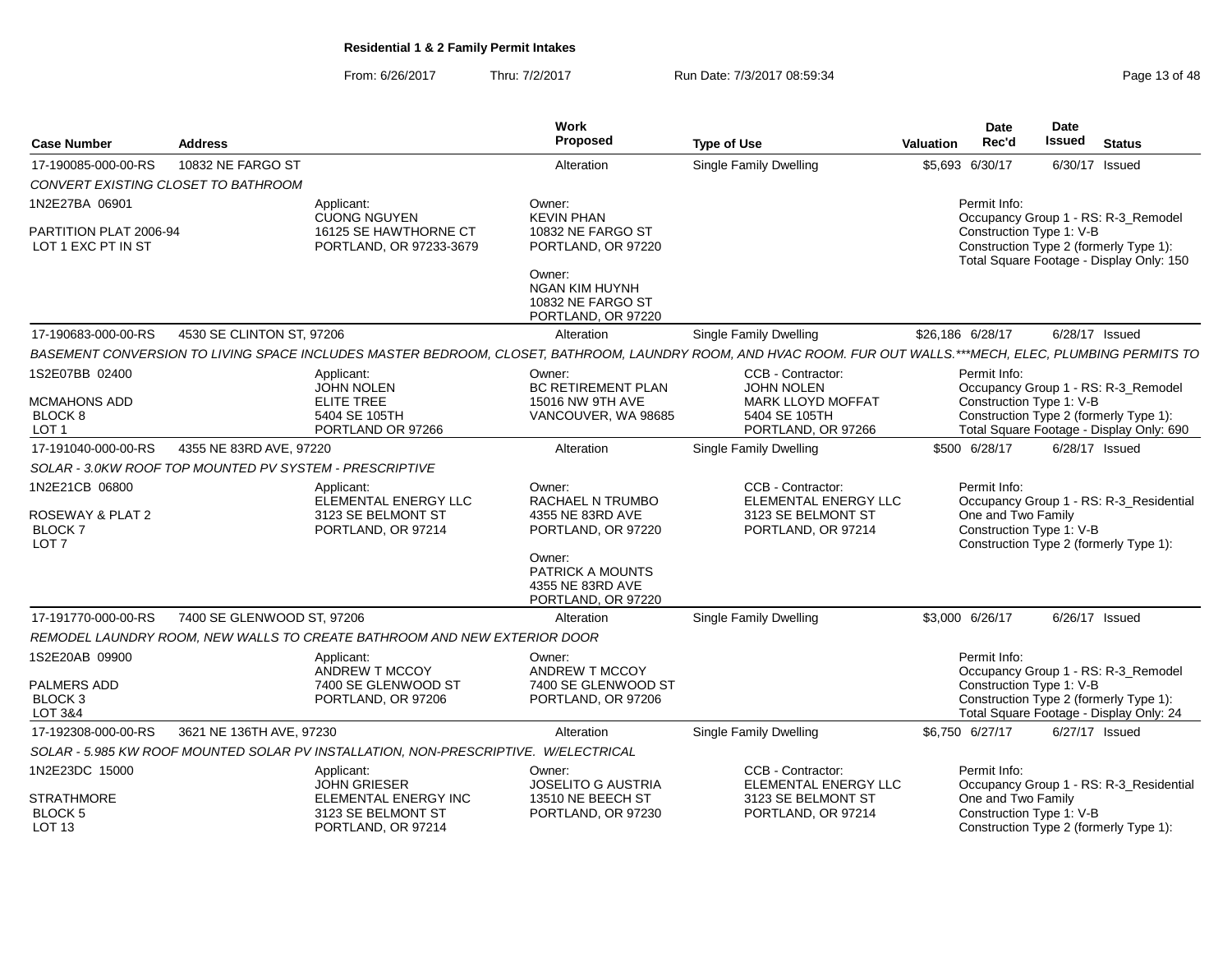From: 6/26/2017Thru: 7/2/2017 **Run Date: 7/3/2017 08:59:34** Page 13 of 48

| <b>Case Number</b>                                                      | <b>Address</b>             |                                                                                     | Work<br><b>Proposed</b>                                                                                                                      | <b>Type of Use</b>                                                                                                                                           | <b>Valuation</b> | <b>Date</b><br>Rec'd                                           | Date<br><b>Issued</b> | <b>Status</b>                                                                                                             |
|-------------------------------------------------------------------------|----------------------------|-------------------------------------------------------------------------------------|----------------------------------------------------------------------------------------------------------------------------------------------|--------------------------------------------------------------------------------------------------------------------------------------------------------------|------------------|----------------------------------------------------------------|-----------------------|---------------------------------------------------------------------------------------------------------------------------|
| 17-190085-000-00-RS                                                     | 10832 NE FARGO ST          |                                                                                     | Alteration                                                                                                                                   | <b>Single Family Dwelling</b>                                                                                                                                | \$5,693          | 6/30/17                                                        |                       | 6/30/17 Issued                                                                                                            |
| CONVERT EXISTING CLOSET TO BATHROOM                                     |                            |                                                                                     |                                                                                                                                              |                                                                                                                                                              |                  |                                                                |                       |                                                                                                                           |
| 1N2E27BA 06901                                                          |                            | Applicant:<br><b>CUONG NGUYEN</b>                                                   | Owner:<br><b>KEVIN PHAN</b>                                                                                                                  |                                                                                                                                                              |                  | Permit Info:                                                   |                       | Occupancy Group 1 - RS: R-3_Remodel                                                                                       |
| PARTITION PLAT 2006-94<br>LOT 1 EXC PT IN ST                            |                            | 16125 SE HAWTHORNE CT<br>PORTLAND, OR 97233-3679                                    | 10832 NE FARGO ST<br>PORTLAND, OR 97220                                                                                                      |                                                                                                                                                              |                  | Construction Type 1: V-B                                       |                       | Construction Type 2 (formerly Type 1):<br>Total Square Footage - Display Only: 150                                        |
|                                                                         |                            |                                                                                     | Owner:<br><b>NGAN KIM HUYNH</b><br>10832 NE FARGO ST<br>PORTLAND, OR 97220                                                                   |                                                                                                                                                              |                  |                                                                |                       |                                                                                                                           |
| 17-190683-000-00-RS                                                     | 4530 SE CLINTON ST, 97206  |                                                                                     | Alteration                                                                                                                                   | <b>Single Family Dwelling</b>                                                                                                                                |                  | \$26,186 6/28/17                                               |                       | 6/28/17 Issued                                                                                                            |
|                                                                         |                            |                                                                                     |                                                                                                                                              | BASEMENT CONVERSION TO LIVING SPACE INCLUDES MASTER BEDROOM, CLOSET, BATHROOM, LAUNDRY ROOM, AND HVAC ROOM. FUR OUT WALLS.***MECH, ELEC, PLUMBING PERMITS TO |                  |                                                                |                       |                                                                                                                           |
| 1S2E07BB 02400<br>MCMAHONS ADD<br>BLOCK 8<br>LOT <sub>1</sub>           |                            | Applicant:<br><b>JOHN NOLEN</b><br>ELITE TREE<br>5404 SE 105TH<br>PORTLAND OR 97266 | Owner:<br><b>BC RETIREMENT PLAN</b><br>15016 NW 9TH AVE<br>VANCOUVER, WA 98685                                                               | CCB - Contractor:<br><b>JOHN NOLEN</b><br><b>MARK LLOYD MOFFAT</b><br>5404 SE 105TH<br>PORTLAND, OR 97266                                                    |                  | Permit Info:<br>Construction Type 1: V-B                       |                       | Occupancy Group 1 - RS: R-3_Remodel<br>Construction Type 2 (formerly Type 1):<br>Total Square Footage - Display Only: 690 |
| 17-191040-000-00-RS                                                     | 4355 NE 83RD AVE, 97220    |                                                                                     | Alteration                                                                                                                                   | <b>Single Family Dwelling</b>                                                                                                                                |                  | \$500 6/28/17                                                  |                       | $6/28/17$ Issued                                                                                                          |
| SOLAR - 3.0KW ROOF TOP MOUNTED PV SYSTEM - PRESCRIPTIVE                 |                            |                                                                                     |                                                                                                                                              |                                                                                                                                                              |                  |                                                                |                       |                                                                                                                           |
| 1N2E21CB 06800<br>ROSEWAY & PLAT 2<br><b>BLOCK7</b><br>LOT <sub>7</sub> |                            | Applicant:<br>ELEMENTAL ENERGY LLC<br>3123 SE BELMONT ST<br>PORTLAND, OR 97214      | Owner:<br>RACHAEL N TRUMBO<br>4355 NE 83RD AVE<br>PORTLAND, OR 97220<br>Owner:<br>PATRICK A MOUNTS<br>4355 NE 83RD AVE<br>PORTLAND, OR 97220 | CCB - Contractor:<br>ELEMENTAL ENERGY LLC<br>3123 SE BELMONT ST<br>PORTLAND, OR 97214                                                                        |                  | Permit Info:<br>One and Two Family<br>Construction Type 1: V-B |                       | Occupancy Group 1 - RS: R-3_Residential<br>Construction Type 2 (formerly Type 1):                                         |
| 17-191770-000-00-RS                                                     | 7400 SE GLENWOOD ST, 97206 |                                                                                     | Alteration                                                                                                                                   | <b>Single Family Dwelling</b>                                                                                                                                |                  | \$3,000 6/26/17                                                |                       | 6/26/17 Issued                                                                                                            |
|                                                                         |                            | REMODEL LAUNDRY ROOM, NEW WALLS TO CREATE BATHROOM AND NEW EXTERIOR DOOR            |                                                                                                                                              |                                                                                                                                                              |                  |                                                                |                       |                                                                                                                           |
| 1S2E20AB 09900                                                          |                            | Applicant:<br>ANDREW T MCCOY                                                        | Owner:<br>ANDREW T MCCOY                                                                                                                     |                                                                                                                                                              |                  | Permit Info:                                                   |                       | Occupancy Group 1 - RS: R-3_Remodel                                                                                       |
| <b>PALMERS ADD</b><br>BLOCK <sub>3</sub><br>LOT 3&4                     |                            | 7400 SE GLENWOOD ST<br>PORTLAND, OR 97206                                           | 7400 SE GLENWOOD ST<br>PORTLAND, OR 97206                                                                                                    |                                                                                                                                                              |                  | Construction Type 1: V-B                                       |                       | Construction Type 2 (formerly Type 1):<br>Total Square Footage - Display Only: 24                                         |
| 17-192308-000-00-RS                                                     | 3621 NE 136TH AVE, 97230   |                                                                                     | Alteration                                                                                                                                   | <b>Single Family Dwelling</b>                                                                                                                                |                  | \$6,750 6/27/17                                                |                       | 6/27/17 Issued                                                                                                            |
|                                                                         |                            | SOLAR - 5.985 KW ROOF MOUNTED SOLAR PV INSTALLATION, NON-PRESCRIPTIVE. W/ELECTRICAL |                                                                                                                                              |                                                                                                                                                              |                  |                                                                |                       |                                                                                                                           |
| 1N2E23DC 15000                                                          |                            | Applicant:<br><b>JOHN GRIESER</b>                                                   | Owner:<br><b>JOSELITO G AUSTRIA</b>                                                                                                          | CCB - Contractor:<br>ELEMENTAL ENERGY LLC                                                                                                                    |                  | Permit Info:                                                   |                       | Occupancy Group 1 - RS: R-3_Residential                                                                                   |
| <b>STRATHMORE</b><br><b>BLOCK 5</b><br>LOT <sub>13</sub>                |                            | ELEMENTAL ENERGY INC<br>3123 SE BELMONT ST<br>PORTLAND, OR 97214                    | 13510 NE BEECH ST<br>PORTLAND, OR 97230                                                                                                      | 3123 SE BELMONT ST<br>PORTLAND, OR 97214                                                                                                                     |                  | One and Two Family<br>Construction Type 1: V-B                 |                       | Construction Type 2 (formerly Type 1):                                                                                    |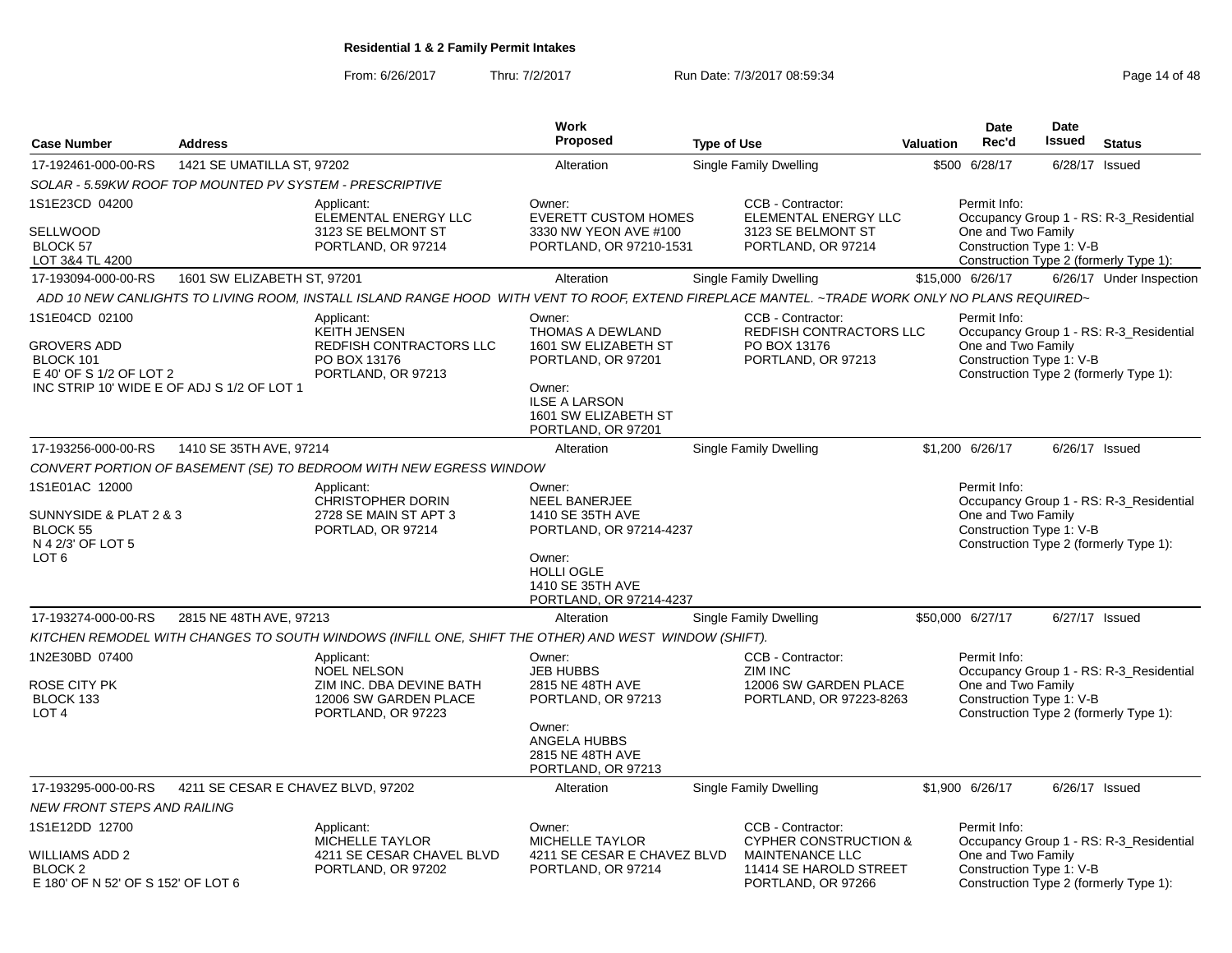From: 6/26/2017

Thru: 7/2/2017 **Run Date: 7/3/2017 08:59:34** Page 14 of 48

| <b>Case Number</b>                                                                                                         | <b>Address</b>                     |                                                                                                                                                | Work<br>Proposed                                                                                                                                                | <b>Type of Use</b>                |                                                                                                     | <b>Valuation</b> | <b>Date</b><br>Rec'd                                           | Date<br>Issued   | <b>Status</b>                                                                     |
|----------------------------------------------------------------------------------------------------------------------------|------------------------------------|------------------------------------------------------------------------------------------------------------------------------------------------|-----------------------------------------------------------------------------------------------------------------------------------------------------------------|-----------------------------------|-----------------------------------------------------------------------------------------------------|------------------|----------------------------------------------------------------|------------------|-----------------------------------------------------------------------------------|
| 17-192461-000-00-RS                                                                                                        | 1421 SE UMATILLA ST, 97202         |                                                                                                                                                | Alteration                                                                                                                                                      | Single Family Dwelling            |                                                                                                     |                  | \$500 6/28/17                                                  | $6/28/17$ Issued |                                                                                   |
| SOLAR - 5.59KW ROOF TOP MOUNTED PV SYSTEM - PRESCRIPTIVE                                                                   |                                    |                                                                                                                                                |                                                                                                                                                                 |                                   |                                                                                                     |                  |                                                                |                  |                                                                                   |
| 1S1E23CD 04200<br><b>SELLWOOD</b><br>BLOCK 57<br>LOT 3&4 TL 4200                                                           |                                    | Applicant:<br>ELEMENTAL ENERGY LLC<br>3123 SE BELMONT ST<br>PORTLAND, OR 97214                                                                 | Owner:<br><b>EVERETT CUSTOM HOMES</b><br>3330 NW YEON AVE #100<br>PORTLAND, OR 97210-1531                                                                       | CCB - Contractor:                 | ELEMENTAL ENERGY LLC<br>3123 SE BELMONT ST<br>PORTLAND, OR 97214                                    |                  | Permit Info:<br>One and Two Family<br>Construction Type 1: V-B |                  | Occupancy Group 1 - RS: R-3_Residential<br>Construction Type 2 (formerly Type 1): |
| 17-193094-000-00-RS                                                                                                        | 1601 SW ELIZABETH ST, 97201        |                                                                                                                                                | Alteration                                                                                                                                                      | Single Family Dwelling            |                                                                                                     |                  | \$15,000 6/26/17                                               |                  | 6/26/17 Under Inspection                                                          |
|                                                                                                                            |                                    | ADD 10 NEW CANLIGHTS TO LIVING ROOM, INSTALL ISLAND RANGE HOOD WITH VENT TO ROOF, EXTEND FIREPLACE MANTEL. ~TRADE WORK ONLY NO PLANS REQUIRED~ |                                                                                                                                                                 |                                   |                                                                                                     |                  |                                                                |                  |                                                                                   |
| 1S1E04CD 02100<br><b>GROVERS ADD</b><br>BLOCK 101<br>E 40' OF S 1/2 OF LOT 2<br>INC STRIP 10' WIDE E OF ADJ S 1/2 OF LOT 1 |                                    | Applicant:<br><b>KEITH JENSEN</b><br>REDFISH CONTRACTORS LLC<br>PO BOX 13176<br>PORTLAND, OR 97213                                             | Owner:<br><b>THOMAS A DEWLAND</b><br>1601 SW ELIZABETH ST<br>PORTLAND, OR 97201<br>Owner:<br><b>ILSE A LARSON</b><br>1601 SW ELIZABETH ST<br>PORTLAND, OR 97201 | CCB - Contractor:<br>PO BOX 13176 | REDFISH CONTRACTORS LLC<br>PORTLAND, OR 97213                                                       |                  | Permit Info:<br>One and Two Family<br>Construction Type 1: V-B |                  | Occupancy Group 1 - RS: R-3 Residential<br>Construction Type 2 (formerly Type 1): |
| 17-193256-000-00-RS                                                                                                        | 1410 SE 35TH AVE, 97214            |                                                                                                                                                | Alteration                                                                                                                                                      | Single Family Dwelling            |                                                                                                     |                  | \$1,200 6/26/17                                                |                  | 6/26/17 Issued                                                                    |
|                                                                                                                            |                                    | CONVERT PORTION OF BASEMENT (SE) TO BEDROOM WITH NEW EGRESS WINDOW                                                                             |                                                                                                                                                                 |                                   |                                                                                                     |                  |                                                                |                  |                                                                                   |
| 1S1E01AC 12000<br>SUNNYSIDE & PLAT 2 & 3<br>BLOCK 55<br>N 4 2/3' OF LOT 5<br>LOT <sub>6</sub>                              |                                    | Applicant:<br><b>CHRISTOPHER DORIN</b><br>2728 SE MAIN ST APT 3<br>PORTLAD, OR 97214                                                           | Owner:<br><b>NEEL BANERJEE</b><br>1410 SE 35TH AVE<br>PORTLAND, OR 97214-4237<br>Owner:<br><b>HOLLI OGLE</b><br>1410 SE 35TH AVE<br>PORTLAND, OR 97214-4237     |                                   |                                                                                                     |                  | Permit Info:<br>One and Two Family<br>Construction Type 1: V-B |                  | Occupancy Group 1 - RS: R-3_Residential<br>Construction Type 2 (formerly Type 1): |
| 17-193274-000-00-RS                                                                                                        | 2815 NE 48TH AVE, 97213            |                                                                                                                                                | Alteration                                                                                                                                                      | Single Family Dwelling            |                                                                                                     |                  | \$50,000 6/27/17                                               | 6/27/17 Issued   |                                                                                   |
|                                                                                                                            |                                    | KITCHEN REMODEL WITH CHANGES TO SOUTH WINDOWS (INFILL ONE, SHIFT THE OTHER) AND WEST WINDOW (SHIFT).                                           |                                                                                                                                                                 |                                   |                                                                                                     |                  |                                                                |                  |                                                                                   |
| 1N2E30BD 07400<br>ROSE CITY PK<br>BLOCK 133<br>LOT <sub>4</sub>                                                            |                                    | Applicant:<br><b>NOEL NELSON</b><br>ZIM INC. DBA DEVINE BATH<br>12006 SW GARDEN PLACE<br>PORTLAND, OR 97223                                    | Owner:<br><b>JEB HUBBS</b><br>2815 NE 48TH AVE<br>PORTLAND, OR 97213<br>Owner:<br>ANGELA HUBBS<br>2815 NE 48TH AVE<br>PORTLAND, OR 97213                        | CCB - Contractor:<br>ZIM INC      | 12006 SW GARDEN PLACE<br>PORTLAND, OR 97223-8263                                                    |                  | Permit Info:<br>One and Two Family<br>Construction Type 1: V-B |                  | Occupancy Group 1 - RS: R-3_Residential<br>Construction Type 2 (formerly Type 1): |
| 17-193295-000-00-RS                                                                                                        | 4211 SE CESAR E CHAVEZ BLVD, 97202 |                                                                                                                                                | Alteration                                                                                                                                                      | Single Family Dwelling            |                                                                                                     |                  | \$1,900 6/26/17                                                |                  | 6/26/17 Issued                                                                    |
| <b>NEW FRONT STEPS AND RAILING</b>                                                                                         |                                    |                                                                                                                                                |                                                                                                                                                                 |                                   |                                                                                                     |                  |                                                                |                  |                                                                                   |
| 1S1E12DD 12700<br><b>WILLIAMS ADD 2</b><br>BLOCK 2<br>E 180' OF N 52' OF S 152' OF LOT 6                                   |                                    | Applicant:<br><b>MICHELLE TAYLOR</b><br>4211 SE CESAR CHAVEL BLVD<br>PORTLAND, OR 97202                                                        | Owner:<br><b>MICHELLE TAYLOR</b><br>4211 SE CESAR E CHAVEZ BLVD<br>PORTLAND, OR 97214                                                                           | CCB - Contractor:                 | <b>CYPHER CONSTRUCTION &amp;</b><br>MAINTENANCE LLC<br>11414 SE HAROLD STREET<br>PORTLAND, OR 97266 |                  | Permit Info:<br>One and Two Family<br>Construction Type 1: V-B |                  | Occupancy Group 1 - RS: R-3_Residential<br>Construction Type 2 (formerly Type 1): |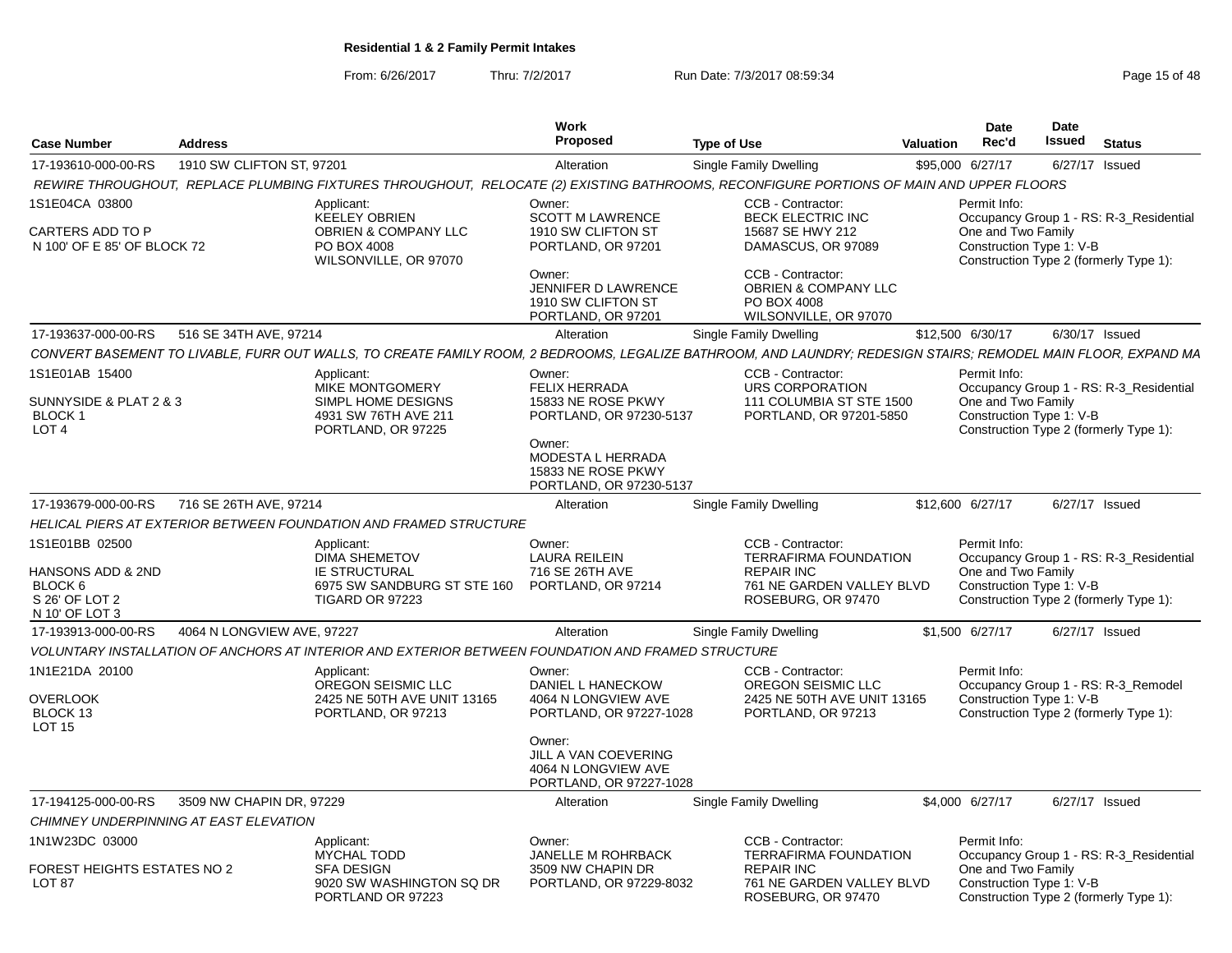From: 6/26/2017Thru: 7/2/2017 **Run Date: 7/3/2017 08:59:34** Page 15 of 48

|                                                                                               |                            |                                                                                                                                                                | <b>Work</b>                                                                                                                                                            |                                                                                                                                                                | Date                               | <b>Date</b>                                                                                                   |
|-----------------------------------------------------------------------------------------------|----------------------------|----------------------------------------------------------------------------------------------------------------------------------------------------------------|------------------------------------------------------------------------------------------------------------------------------------------------------------------------|----------------------------------------------------------------------------------------------------------------------------------------------------------------|------------------------------------|---------------------------------------------------------------------------------------------------------------|
| <b>Case Number</b>                                                                            | <b>Address</b>             |                                                                                                                                                                | Proposed                                                                                                                                                               | <b>Type of Use</b>                                                                                                                                             | Rec'd<br>Valuation                 | Issued<br>Status                                                                                              |
| 17-193610-000-00-RS                                                                           | 1910 SW CLIFTON ST, 97201  |                                                                                                                                                                | Alteration                                                                                                                                                             | Single Family Dwelling                                                                                                                                         | \$95,000 6/27/17                   | 6/27/17 Issued                                                                                                |
|                                                                                               |                            | REWIRE THROUGHOUT, REPLACE PLUMBING FIXTURES THROUGHOUT, RELOCATE (2) EXISTING BATHROOMS, RECONFIGURE PORTIONS OF MAIN AND UPPER FLOORS                        |                                                                                                                                                                        |                                                                                                                                                                |                                    |                                                                                                               |
| 1S1E04CA 03800<br>CARTERS ADD TO P<br>N 100' OF E 85' OF BLOCK 72                             |                            | Applicant:<br>KEELEY OBRIEN<br><b>OBRIEN &amp; COMPANY LLC</b><br>PO BOX 4008<br>WILSONVILLE, OR 97070                                                         | Owner:<br><b>SCOTT M LAWRENCE</b><br>1910 SW CLIFTON ST<br>PORTLAND, OR 97201<br>Owner:<br><b>JENNIFER D LAWRENCE</b><br>1910 SW CLIFTON ST                            | CCB - Contractor:<br><b>BECK ELECTRIC INC</b><br>15687 SE HWY 212<br>DAMASCUS, OR 97089<br>CCB - Contractor:<br><b>OBRIEN &amp; COMPANY LLC</b><br>PO BOX 4008 | Permit Info:<br>One and Two Family | Occupancy Group 1 - RS: R-3 Residential<br>Construction Type 1: V-B<br>Construction Type 2 (formerly Type 1): |
|                                                                                               |                            |                                                                                                                                                                | PORTLAND, OR 97201                                                                                                                                                     | WILSONVILLE, OR 97070                                                                                                                                          |                                    |                                                                                                               |
| 17-193637-000-00-RS 516 SE 34TH AVE, 97214                                                    |                            |                                                                                                                                                                | Alteration                                                                                                                                                             | <b>Single Family Dwelling</b>                                                                                                                                  | \$12,500 6/30/17                   | 6/30/17 Issued                                                                                                |
|                                                                                               |                            | CONVERT BASEMENT TO LIVABLE, FURR OUT WALLS, TO CREATE FAMILY ROOM, 2 BEDROOMS, LEGALIZE BATHROOM, AND LAUNDRY; REDESIGN STAIRS; REMODEL MAIN FLOOR, EXPAND MA |                                                                                                                                                                        |                                                                                                                                                                |                                    |                                                                                                               |
| 1S1E01AB 15400<br>SUNNYSIDE & PLAT 2 & 3<br><b>BLOCK1</b><br>LOT <sub>4</sub>                 |                            | Applicant:<br>MIKE MONTGOMERY<br><b>SIMPL HOME DESIGNS</b><br>4931 SW 76TH AVE 211<br>PORTLAND, OR 97225                                                       | Owner:<br><b>FELIX HERRADA</b><br>15833 NE ROSE PKWY<br>PORTLAND, OR 97230-5137<br>Owner:<br><b>MODESTA L HERRADA</b><br>15833 NE ROSE PKWY<br>PORTLAND, OR 97230-5137 | CCB - Contractor:<br>URS CORPORATION<br>111 COLUMBIA ST STE 1500<br>PORTLAND, OR 97201-5850                                                                    | Permit Info<br>One and Two Family  | Occupancy Group 1 - RS: R-3_Residential<br>Construction Type 1: V-B<br>Construction Type 2 (formerly Type 1): |
| 17-193679-000-00-RS 716 SE 26TH AVE, 97214                                                    |                            |                                                                                                                                                                | Alteration                                                                                                                                                             | Single Family Dwelling                                                                                                                                         | \$12,600 6/27/17                   | 6/27/17 Issued                                                                                                |
|                                                                                               |                            | HELICAL PIERS AT EXTERIOR BETWEEN FOUNDATION AND FRAMED STRUCTURE                                                                                              |                                                                                                                                                                        |                                                                                                                                                                |                                    |                                                                                                               |
| 1S1E01BB 02500<br><b>HANSONS ADD &amp; 2ND</b><br>BLOCK 6<br>S 26' OF LOT 2<br>N 10' OF LOT 3 |                            | Applicant:<br><b>DIMA SHEMETOV</b><br><b>IE STRUCTURAL</b><br>6975 SW SANDBURG ST STE 160 PORTLAND, OR 97214<br><b>TIGARD OR 97223</b>                         | Owner:<br><b>LAURA REILEIN</b><br>716 SE 26TH AVE                                                                                                                      | CCB - Contractor:<br><b>TERRAFIRMA FOUNDATION</b><br><b>REPAIR INC</b><br>761 NE GARDEN VALLEY BLVD<br>ROSEBURG, OR 97470                                      | Permit Info:<br>One and Two Family | Occupancy Group 1 - RS: R-3_Residential<br>Construction Type 1: V-B<br>Construction Type 2 (formerly Type 1): |
| 17-193913-000-00-RS                                                                           | 4064 N LONGVIEW AVE, 97227 |                                                                                                                                                                | Alteration                                                                                                                                                             | Single Family Dwelling                                                                                                                                         | \$1,500 6/27/17                    | 6/27/17 Issued                                                                                                |
|                                                                                               |                            | VOLUNTARY INSTALLATION OF ANCHORS AT INTERIOR AND EXTERIOR BETWEEN FOUNDATION AND FRAMED STRUCTURE                                                             |                                                                                                                                                                        |                                                                                                                                                                |                                    |                                                                                                               |
| 1N1E21DA 20100<br><b>OVERLOOK</b><br>BLOCK 13<br><b>LOT 15</b>                                |                            | Applicant:<br>OREGON SEISMIC LLC<br>2425 NE 50TH AVE UNIT 13165<br>PORTLAND, OR 97213                                                                          | Owner:<br>DANIEL L HANECKOW<br>4064 N LONGVIEW AVE<br>PORTLAND, OR 97227-1028<br>Owner:<br>JILL A VAN COEVERING<br>4064 N LONGVIEW AVE<br>PORTLAND, OR 97227-1028      | CCB - Contractor:<br>OREGON SEISMIC LLC<br>2425 NE 50TH AVE UNIT 13165<br>PORTLAND, OR 97213                                                                   | Permit Info:                       | Occupancy Group 1 - RS: R-3_Remodel<br>Construction Type 1: V-B<br>Construction Type 2 (formerly Type 1):     |
| 17-194125-000-00-RS 3509 NW CHAPIN DR, 97229                                                  |                            |                                                                                                                                                                | Alteration                                                                                                                                                             | <b>Single Family Dwelling</b>                                                                                                                                  | \$4,000 6/27/17                    | 6/27/17 Issued                                                                                                |
| CHIMNEY UNDERPINNING AT EAST ELEVATION                                                        |                            |                                                                                                                                                                |                                                                                                                                                                        |                                                                                                                                                                |                                    |                                                                                                               |
| 1N1W23DC 03000                                                                                |                            | Applicant:                                                                                                                                                     | Owner:                                                                                                                                                                 | CCB - Contractor:                                                                                                                                              | Permit Info:                       |                                                                                                               |
| OREST HEIGHTS ESTATES NO 2<br><b>LOT 87</b>                                                   |                            | <b>MYCHAL TODD</b><br><b>SFA DESIGN</b><br>9020 SW WASHINGTON SQ DR<br>PORTLAND OR 97223                                                                       | <b>JANELLE M ROHRBACK</b><br>3509 NW CHAPIN DR<br>PORTLAND, OR 97229-8032                                                                                              | <b>TERRAFIRMA FOUNDATION</b><br><b>REPAIR INC</b><br>761 NE GARDEN VALLEY BLVD<br>ROSEBURG. OR 97470                                                           | One and Two Family                 | Occupancy Group 1 - RS: R-3_Residential<br>Construction Type 1: V-B<br>Construction Type 2 (formerly Type 1): |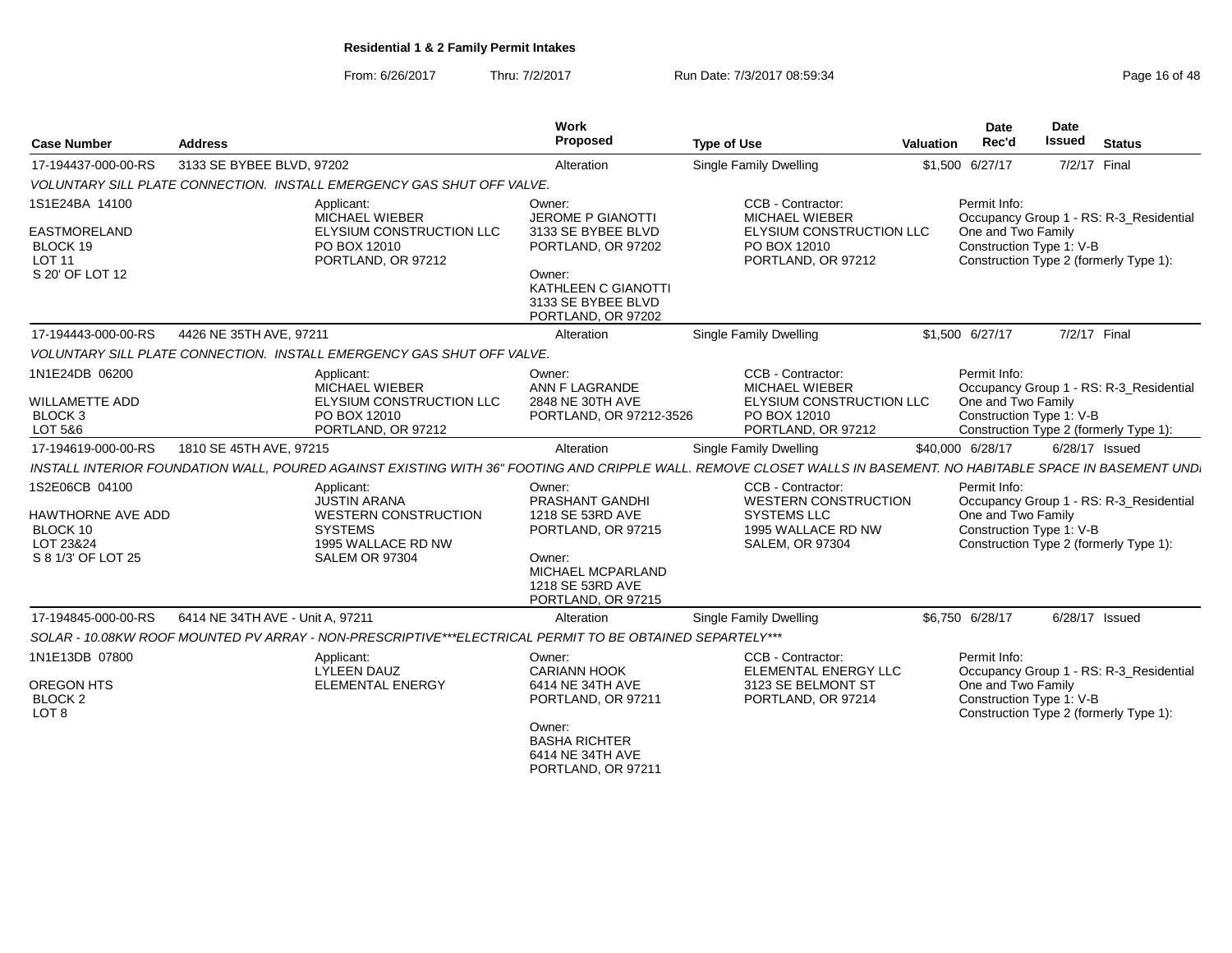From: 6/26/2017Thru: 7/2/2017 **Run Date: 7/3/2017 08:59:34** Page 16 of 48

| <b>Case Number</b>                                                                    | <b>Address</b>                                                                                                                                                   | Work<br>Proposed                                                                                                                                            | <b>Type of Use</b>                                                                                                     | <b>Valuation</b> | Date<br>Rec'd                      | <b>Date</b><br><b>Issued</b> | <b>Status</b>                                                                     |
|---------------------------------------------------------------------------------------|------------------------------------------------------------------------------------------------------------------------------------------------------------------|-------------------------------------------------------------------------------------------------------------------------------------------------------------|------------------------------------------------------------------------------------------------------------------------|------------------|------------------------------------|------------------------------|-----------------------------------------------------------------------------------|
| 17-194437-000-00-RS                                                                   | 3133 SE BYBEE BLVD, 97202                                                                                                                                        | Alteration                                                                                                                                                  | <b>Single Family Dwelling</b>                                                                                          |                  | \$1,500 6/27/17                    | 7/2/17 Final                 |                                                                                   |
|                                                                                       | VOLUNTARY SILL PLATE CONNECTION. INSTALL EMERGENCY GAS SHUT OFF VALVE.                                                                                           |                                                                                                                                                             |                                                                                                                        |                  |                                    |                              |                                                                                   |
| 1S1E24BA 14100<br><b>EASTMORELAND</b><br>BLOCK 19<br><b>LOT 11</b><br>S 20' OF LOT 12 | Applicant:<br><b>MICHAEL WIEBER</b><br>ELYSIUM CONSTRUCTION LLC<br>PO BOX 12010<br>PORTLAND, OR 97212                                                            | Owner:<br><b>JEROME P GIANOTTI</b><br>3133 SE BYBEE BLVD<br>PORTLAND, OR 97202<br>Owner:<br>KATHLEEN C GIANOTTI<br>3133 SE BYBEE BLVD<br>PORTLAND, OR 97202 | CCB - Contractor:<br><b>MICHAEL WIEBER</b><br>ELYSIUM CONSTRUCTION LLC<br>PO BOX 12010<br>PORTLAND, OR 97212           |                  | Permit Info:<br>One and Two Family | Construction Type 1: V-B     | Occupancy Group 1 - RS: R-3 Residential<br>Construction Type 2 (formerly Type 1): |
| 17-194443-000-00-RS                                                                   | 4426 NE 35TH AVE, 97211                                                                                                                                          | Alteration                                                                                                                                                  | <b>Single Family Dwelling</b>                                                                                          |                  | \$1,500 6/27/17                    | 7/2/17 Final                 |                                                                                   |
|                                                                                       | VOLUNTARY SILL PLATE CONNECTION. INSTALL EMERGENCY GAS SHUT OFF VALVE.                                                                                           |                                                                                                                                                             |                                                                                                                        |                  |                                    |                              |                                                                                   |
| 1N1E24DB 06200<br><b>WILLAMETTE ADD</b><br>BLOCK <sub>3</sub><br>LOT 5&6              | Applicant:<br><b>MICHAEL WIEBER</b><br>ELYSIUM CONSTRUCTION LLC<br>PO BOX 12010<br>PORTLAND, OR 97212                                                            | Owner:<br>ANN F LAGRANDE<br>2848 NE 30TH AVE<br>PORTLAND, OR 97212-3526                                                                                     | CCB - Contractor:<br><b>MICHAEL WIEBER</b><br>ELYSIUM CONSTRUCTION LLC<br>PO BOX 12010<br>PORTLAND, OR 97212           |                  | Permit Info:<br>One and Two Family | Construction Type 1: V-B     | Occupancy Group 1 - RS: R-3 Residential<br>Construction Type 2 (formerly Type 1): |
| 17-194619-000-00-RS                                                                   | 1810 SE 45TH AVE, 97215                                                                                                                                          | Alteration                                                                                                                                                  | Single Family Dwelling                                                                                                 |                  | \$40,000 6/28/17                   |                              | 6/28/17 Issued                                                                    |
|                                                                                       | INSTALL INTERIOR FOUNDATION WALL, POURED AGAINST EXISTING WITH 36" FOOTING AND CRIPPLE WALL. REMOVE CLOSET WALLS IN BASEMENT. NO HABITABLE SPACE IN BASEMENT UND |                                                                                                                                                             |                                                                                                                        |                  |                                    |                              |                                                                                   |
| 1S2E06CB 04100<br>HAWTHORNE AVE ADD<br>BLOCK 10<br>LOT 23&24<br>S 8 1/3' OF LOT 25    | Applicant:<br><b>JUSTIN ARANA</b><br>WESTERN CONSTRUCTION<br><b>SYSTEMS</b><br>1995 WALLACE RD NW<br>SALEM OR 97304                                              | Owner:<br>PRASHANT GANDHI<br>1218 SE 53RD AVE<br>PORTLAND, OR 97215<br>Owner:<br>MICHAEL MCPARLAND<br>1218 SE 53RD AVE<br>PORTLAND, OR 97215                | CCB - Contractor:<br><b>WESTERN CONSTRUCTION</b><br><b>SYSTEMS LLC</b><br>1995 WALLACE RD NW<br><b>SALEM, OR 97304</b> |                  | Permit Info:<br>One and Two Family | Construction Type 1: V-B     | Occupancy Group 1 - RS: R-3_Residential<br>Construction Type 2 (formerly Type 1): |
| 17-194845-000-00-RS                                                                   | 6414 NE 34TH AVE - Unit A, 97211                                                                                                                                 | Alteration                                                                                                                                                  | Single Family Dwelling                                                                                                 |                  | \$6,750 6/28/17                    |                              | 6/28/17 Issued                                                                    |
|                                                                                       | SOLAR - 10.08KW ROOF MOUNTED PV ARRAY - NON-PRESCRIPTIVE***ELECTRICAL PERMIT TO BE OBTAINED SEPARTELY***                                                         |                                                                                                                                                             |                                                                                                                        |                  |                                    |                              |                                                                                   |
| 1N1E13DB 07800<br><b>OREGON HTS</b><br><b>BLOCK 2</b><br>LOT <sub>8</sub>             | Applicant:<br><b>LYLEEN DAUZ</b><br><b>ELEMENTAL ENERGY</b>                                                                                                      | Owner:<br><b>CARIANN HOOK</b><br>6414 NE 34TH AVE<br>PORTLAND, OR 97211<br>Owner:<br><b>BASHA RICHTER</b><br>6414 NE 34TH AVE<br>PORTLAND, OR 97211         | CCB - Contractor:<br>ELEMENTAL ENERGY LLC<br>3123 SE BELMONT ST<br>PORTLAND, OR 97214                                  |                  | Permit Info:<br>One and Two Family | Construction Type 1: V-B     | Occupancy Group 1 - RS: R-3 Residential<br>Construction Type 2 (formerly Type 1): |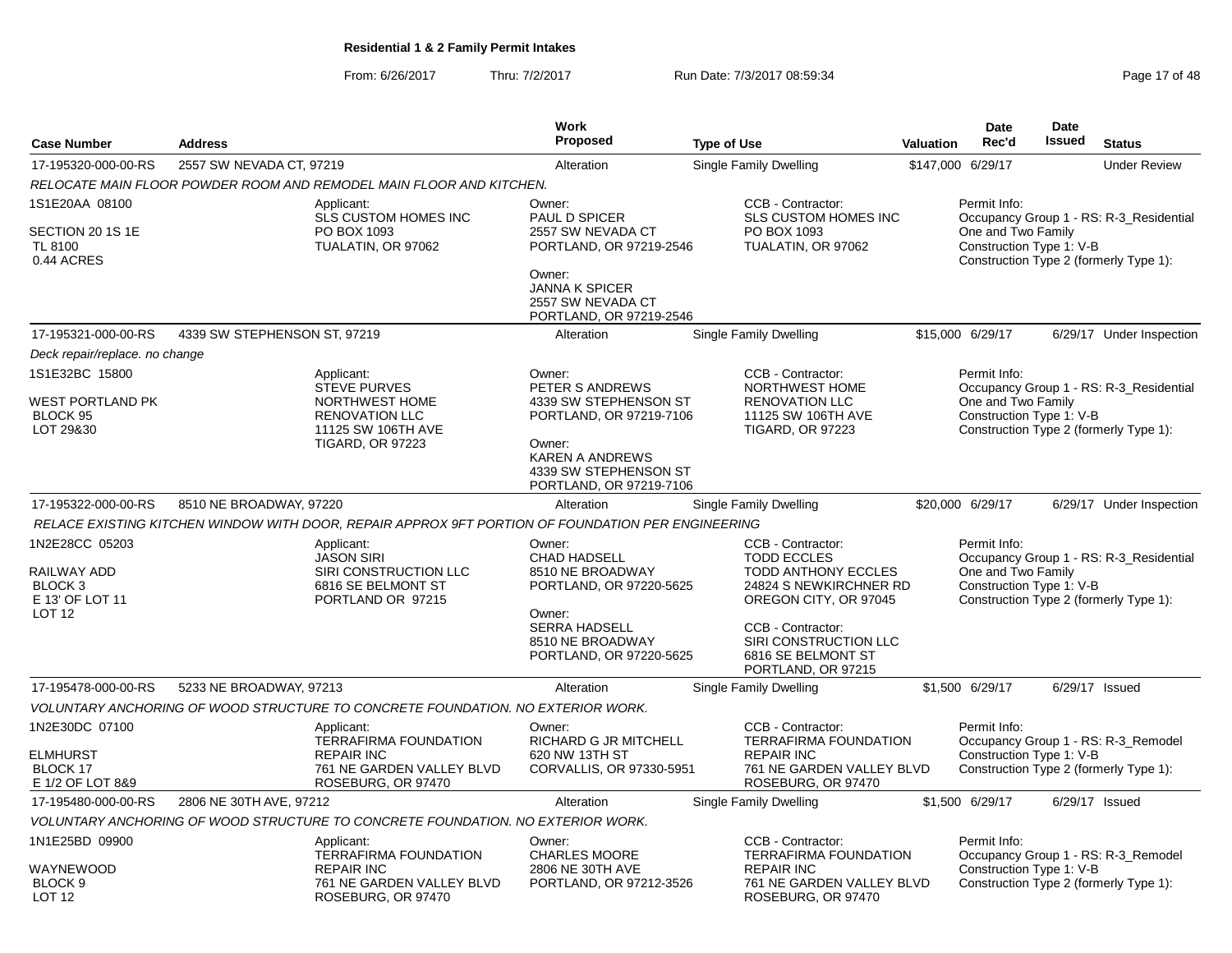From: 6/26/2017Thru: 7/2/2017 **Run Date: 7/3/2017 08:59:34** Page 17 of 48

|                                                                                             |                              |                                                                                                                        | <b>Work</b>                                                                                                                                                           |                                                                                                                                                                                                                    |           | Date                                                           | <b>Date</b> |                                                                                   |
|---------------------------------------------------------------------------------------------|------------------------------|------------------------------------------------------------------------------------------------------------------------|-----------------------------------------------------------------------------------------------------------------------------------------------------------------------|--------------------------------------------------------------------------------------------------------------------------------------------------------------------------------------------------------------------|-----------|----------------------------------------------------------------|-------------|-----------------------------------------------------------------------------------|
| <b>Case Number</b>                                                                          | <b>Address</b>               |                                                                                                                        | <b>Proposed</b>                                                                                                                                                       | <b>Type of Use</b>                                                                                                                                                                                                 | Valuation | Rec'd                                                          | Issued      | <b>Status</b>                                                                     |
| 17-195320-000-00-RS                                                                         | 2557 SW NEVADA CT, 97219     |                                                                                                                        | Alteration                                                                                                                                                            | Single Family Dwelling                                                                                                                                                                                             |           | \$147,000 6/29/17                                              |             | <b>Under Review</b>                                                               |
|                                                                                             |                              | RELOCATE MAIN FLOOR POWDER ROOM AND REMODEL MAIN FLOOR AND KITCHEN.                                                    |                                                                                                                                                                       |                                                                                                                                                                                                                    |           |                                                                |             |                                                                                   |
| 1S1E20AA 08100<br>SECTION 20 1S 1E<br>TL 8100<br>0.44 ACRES                                 |                              | Applicant:<br><b>SLS CUSTOM HOMES INC</b><br>PO BOX 1093<br>TUALATIN, OR 97062                                         | Owner:<br>PAUL D SPICER<br>2557 SW NEVADA CT<br>PORTLAND, OR 97219-2546<br>Owner:<br><b>JANNA K SPICER</b><br>2557 SW NEVADA CT<br>PORTLAND, OR 97219-2546            | CCB - Contractor:<br>SLS CUSTOM HOMES INC<br>PO BOX 1093<br>TUALATIN, OR 97062                                                                                                                                     |           | Permit Info:<br>One and Two Family<br>Construction Type 1: V-B |             | Occupancy Group 1 - RS: R-3_Residential<br>Construction Type 2 (formerly Type 1): |
| 17-195321-000-00-RS                                                                         | 4339 SW STEPHENSON ST, 97219 |                                                                                                                        | Alteration                                                                                                                                                            | <b>Single Family Dwelling</b>                                                                                                                                                                                      |           | \$15,000 6/29/17                                               |             | 6/29/17 Under Inspection                                                          |
| Deck repair/replace. no change                                                              |                              |                                                                                                                        |                                                                                                                                                                       |                                                                                                                                                                                                                    |           |                                                                |             |                                                                                   |
| 1S1E32BC 15800<br>WEST PORTLAND PK<br>BLOCK 95<br>LOT 29&30                                 |                              | Applicant:<br>STEVE PURVES<br>NORTHWEST HOME<br><b>RENOVATION LLC</b><br>11125 SW 106TH AVE<br><b>TIGARD, OR 97223</b> | Owner:<br>PETER S ANDREWS<br>4339 SW STEPHENSON ST<br>PORTLAND, OR 97219-7106<br>Owner:<br><b>KAREN A ANDREWS</b><br>4339 SW STEPHENSON ST<br>PORTLAND, OR 97219-7106 | CCB - Contractor:<br>NORTHWEST HOME<br><b>RENOVATION LLC</b><br>11125 SW 106TH AVE<br><b>TIGARD, OR 97223</b>                                                                                                      |           | Permit Info:<br>One and Two Family<br>Construction Type 1: V-B |             | Occupancy Group 1 - RS: R-3 Residential<br>Construction Type 2 (formerly Type 1): |
| 17-195322-000-00-RS                                                                         | 8510 NE BROADWAY, 97220      |                                                                                                                        | Alteration                                                                                                                                                            | Single Family Dwelling                                                                                                                                                                                             |           | \$20,000 6/29/17                                               |             | 6/29/17 Under Inspection                                                          |
|                                                                                             |                              | RELACE EXISTING KITCHEN WINDOW WITH DOOR, REPAIR APPROX 9FT PORTION OF FOUNDATION PER ENGINEERING                      |                                                                                                                                                                       |                                                                                                                                                                                                                    |           |                                                                |             |                                                                                   |
| 1N2E28CC 05203<br>RAILWAY ADD<br>BLOCK <sub>3</sub><br>E 13' OF LOT 11<br>LOT <sub>12</sub> |                              | Applicant:<br><b>JASON SIRI</b><br>SIRI CONSTRUCTION LLC<br>6816 SE BELMONT ST<br>PORTLAND OR 97215                    | Owner:<br><b>CHAD HADSELL</b><br>8510 NE BROADWAY<br>PORTLAND, OR 97220-5625<br>Owner:<br><b>SERRA HADSELL</b><br>8510 NE BROADWAY<br>PORTLAND, OR 97220-5625         | CCB - Contractor:<br><b>TODD ECCLES</b><br><b>TODD ANTHONY ECCLES</b><br>24824 S NEWKIRCHNER RD<br>OREGON CITY, OR 97045<br>CCB - Contractor:<br>SIRI CONSTRUCTION LLC<br>6816 SE BELMONT ST<br>PORTLAND, OR 97215 |           | Permit Info:<br>One and Two Family<br>Construction Type 1: V-B |             | Occupancy Group 1 - RS: R-3_Residential<br>Construction Type 2 (formerly Type 1): |
| 17-195478-000-00-RS                                                                         | 5233 NE BROADWAY, 97213      |                                                                                                                        | Alteration                                                                                                                                                            | Single Family Dwelling                                                                                                                                                                                             |           | \$1,500 6/29/17                                                |             | 6/29/17 Issued                                                                    |
|                                                                                             |                              | VOLUNTARY ANCHORING OF WOOD STRUCTURE TO CONCRETE FOUNDATION. NO EXTERIOR WORK.                                        |                                                                                                                                                                       |                                                                                                                                                                                                                    |           |                                                                |             |                                                                                   |
| 1N2E30DC 07100<br>ELMHURST<br><b>BLOCK 17</b><br>E 1/2 OF LOT 8&9                           |                              | Applicant:<br><b>TERRAFIRMA FOUNDATION</b><br><b>REPAIR INC</b><br>761 NE GARDEN VALLEY BLVD<br>ROSEBURG, OR 97470     | Owner:<br>RICHARD G JR MITCHELL<br>620 NW 13TH ST<br>CORVALLIS, OR 97330-5951                                                                                         | CCB - Contractor:<br><b>TERRAFIRMA FOUNDATION</b><br><b>REPAIR INC</b><br>761 NE GARDEN VALLEY BLVD<br>ROSEBURG, OR 97470                                                                                          |           | Permit Info:<br>Construction Type 1: V-B                       |             | Occupancy Group 1 - RS: R-3_Remodel<br>Construction Type 2 (formerly Type 1):     |
| 17-195480-000-00-RS                                                                         | 2806 NE 30TH AVE, 97212      |                                                                                                                        | Alteration                                                                                                                                                            | Single Family Dwelling                                                                                                                                                                                             |           | \$1,500 6/29/17                                                |             | 6/29/17 Issued                                                                    |
|                                                                                             |                              | VOLUNTARY ANCHORING OF WOOD STRUCTURE TO CONCRETE FOUNDATION. NO EXTERIOR WORK.                                        |                                                                                                                                                                       |                                                                                                                                                                                                                    |           |                                                                |             |                                                                                   |
| 1N1E25BD 09900<br>WAYNEWOOD<br>BLOCK <sub>9</sub><br><b>LOT 12</b>                          |                              | Applicant:<br>TERRAFIRMA FOUNDATION<br><b>REPAIR INC</b><br>761 NE GARDEN VALLEY BLVD<br>ROSEBURG, OR 97470            | Owner:<br><b>CHARLES MOORE</b><br>2806 NE 30TH AVE<br>PORTLAND, OR 97212-3526                                                                                         | CCB - Contractor:<br>TERRAFIRMA FOUNDATION<br><b>REPAIR INC</b><br>761 NE GARDEN VALLEY BLVD<br>ROSEBURG, OR 97470                                                                                                 |           | Permit Info:<br>Construction Type 1: V-B                       |             | Occupancy Group 1 - RS: R-3_Remodel<br>Construction Type 2 (formerly Type 1):     |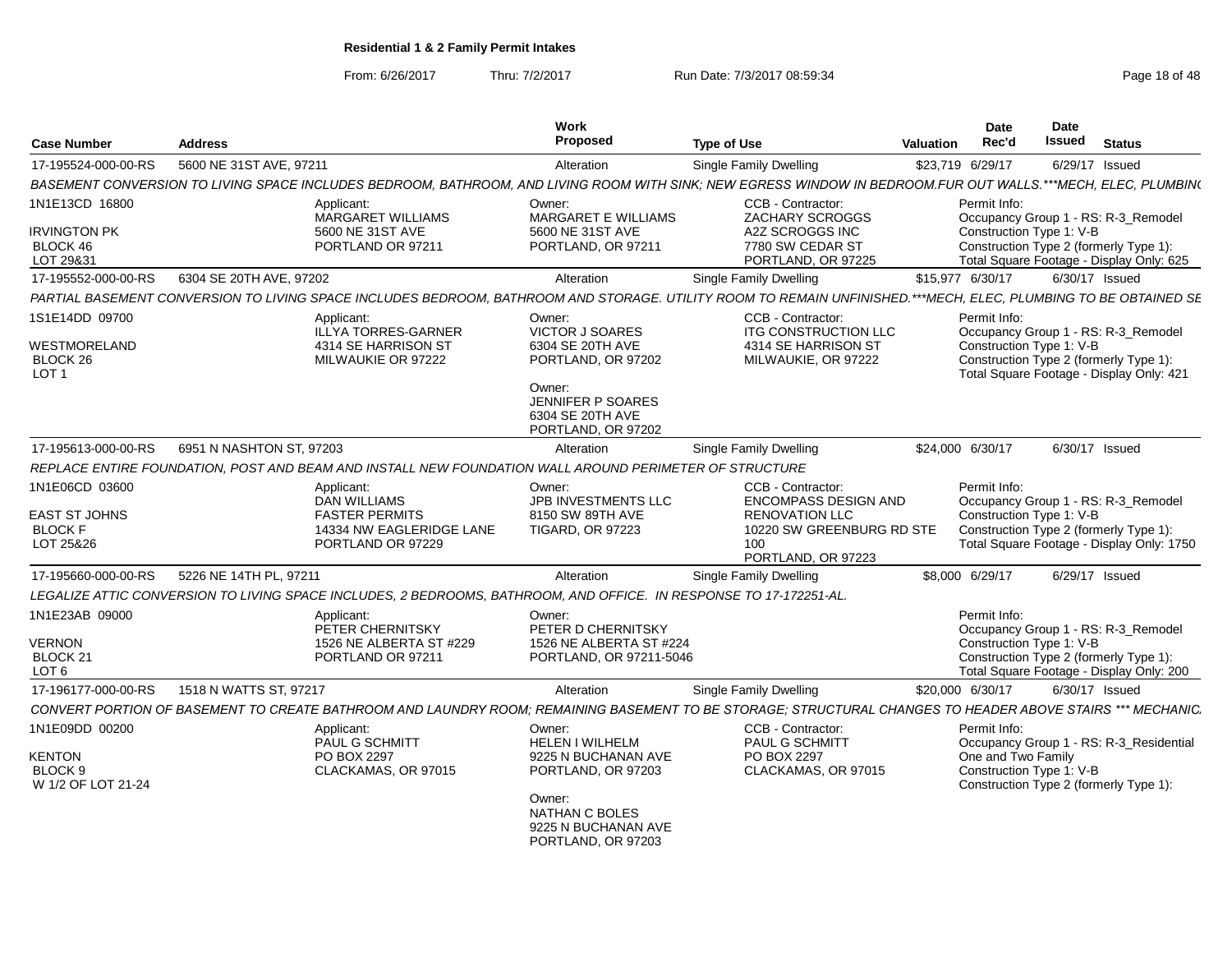From: 6/26/2017

Thru: 7/2/2017 **Run Date: 7/3/2017 08:59:34** Page 18 of 48

| <b>Case Number</b>                                                    | <b>Address</b>           |                                                                                                                    | Work<br><b>Proposed</b>                                                            | <b>Type of Use</b>                                                                                                                                              | <b>Valuation</b> | <b>Date</b><br>Rec'd                           | Date<br>Issued | <b>Status</b>                                                                                                              |
|-----------------------------------------------------------------------|--------------------------|--------------------------------------------------------------------------------------------------------------------|------------------------------------------------------------------------------------|-----------------------------------------------------------------------------------------------------------------------------------------------------------------|------------------|------------------------------------------------|----------------|----------------------------------------------------------------------------------------------------------------------------|
| 17-195524-000-00-RS                                                   | 5600 NE 31ST AVE, 97211  |                                                                                                                    | Alteration                                                                         | Single Family Dwelling                                                                                                                                          |                  | \$23,719 6/29/17                               |                | 6/29/17 Issued                                                                                                             |
|                                                                       |                          |                                                                                                                    |                                                                                    | BASEMENT CONVERSION TO LIVING SPACE INCLUDES BEDROOM. BATHROOM. AND LIVING ROOM WITH SINK: NEW EGRESS WINDOW IN BEDROOM.FUR OUT WALLS.***MECH. ELEC. PLUMBIN(   |                  |                                                |                |                                                                                                                            |
| 1N1E13CD 16800                                                        |                          | Applicant:<br><b>MARGARET WILLIAMS</b>                                                                             | Owner:<br>MARGARET E WILLIAMS                                                      | CCB - Contractor:<br>ZACHARY SCROGGS                                                                                                                            |                  | Permit Info:                                   |                | Occupancy Group 1 - RS: R-3 Remodel                                                                                        |
| <b>IRVINGTON PK</b><br>BLOCK 46<br>LOT 29&31                          |                          | 5600 NE 31ST AVE<br>PORTLAND OR 97211                                                                              | 5600 NE 31ST AVE<br>PORTLAND, OR 97211                                             | A2Z SCROGGS INC<br>7780 SW CEDAR ST<br>PORTLAND, OR 97225                                                                                                       |                  | Construction Type 1: V-B                       |                | Construction Type 2 (formerly Type 1):<br>Total Square Footage - Display Only: 625                                         |
| 17-195552-000-00-RS                                                   | 6304 SE 20TH AVE, 97202  |                                                                                                                    | Alteration                                                                         | Single Family Dwelling                                                                                                                                          |                  | \$15,977 6/30/17                               |                | 6/30/17 Issued                                                                                                             |
|                                                                       |                          |                                                                                                                    |                                                                                    | PARTIAL BASEMENT CONVERSION TO LIVING SPACE INCLUDES BEDROOM, BATHROOM AND STORAGE. UTILITY ROOM TO REMAIN UNFINISHED.***MECH, ELEC, PLUMBING TO BE OBTAINED SE |                  |                                                |                |                                                                                                                            |
| 1S1E14DD 09700<br>WESTMORELAND<br>BLOCK 26<br>LOT <sub>1</sub>        |                          | Applicant:<br><b>ILLYA TORRES-GARNER</b><br>4314 SE HARRISON ST<br>MILWAUKIE OR 97222                              | Owner:<br><b>VICTOR J SOARES</b><br>6304 SE 20TH AVE<br>PORTLAND, OR 97202         | CCB - Contractor:<br><b>ITG CONSTRUCTION LLC</b><br>4314 SE HARRISON ST<br>MILWAUKIE, OR 97222                                                                  |                  | Permit Info:<br>Construction Type 1: V-B       |                | Occupancy Group 1 - RS: R-3_Remodel<br>Construction Type 2 (formerly Type 1):<br>Total Square Footage - Display Only: 421  |
|                                                                       |                          |                                                                                                                    | Owner:<br>JENNIFER P SOARES<br>6304 SE 20TH AVE<br>PORTLAND, OR 97202              |                                                                                                                                                                 |                  |                                                |                |                                                                                                                            |
| 17-195613-000-00-RS                                                   | 6951 N NASHTON ST. 97203 |                                                                                                                    | Alteration                                                                         | Single Family Dwelling                                                                                                                                          |                  | \$24,000 6/30/17                               |                | 6/30/17 Issued                                                                                                             |
|                                                                       |                          | REPLACE ENTIRE FOUNDATION. POST AND BEAM AND INSTALL NEW FOUNDATION WALL AROUND PERIMETER OF STRUCTURE             |                                                                                    |                                                                                                                                                                 |                  |                                                |                |                                                                                                                            |
| 1N1E06CD 03600<br><b>EAST ST JOHNS</b><br><b>BLOCK F</b><br>LOT 25&26 |                          | Applicant:<br><b>DAN WILLIAMS</b><br><b>FASTER PERMITS</b><br>14334 NW EAGLERIDGE LANE<br>PORTLAND OR 97229        | Owner:<br>JPB INVESTMENTS LLC<br>8150 SW 89TH AVE<br><b>TIGARD, OR 97223</b>       | CCB - Contractor:<br><b>ENCOMPASS DESIGN AND</b><br><b>RENOVATION LLC</b><br>10220 SW GREENBURG RD STE<br>100<br>PORTLAND, OR 97223                             |                  | Permit Info:<br>Construction Type 1: V-B       |                | Occupancy Group 1 - RS: R-3_Remodel<br>Construction Type 2 (formerly Type 1):<br>Total Square Footage - Display Only: 1750 |
| 17-195660-000-00-RS                                                   | 5226 NE 14TH PL, 97211   |                                                                                                                    | Alteration                                                                         | Single Family Dwelling                                                                                                                                          |                  | \$8,000 6/29/17                                |                | 6/29/17 Issued                                                                                                             |
|                                                                       |                          | LEGALIZE ATTIC CONVERSION TO LIVING SPACE INCLUDES, 2 BEDROOMS, BATHROOM, AND OFFICE. IN RESPONSE TO 17-172251-AL. |                                                                                    |                                                                                                                                                                 |                  |                                                |                |                                                                                                                            |
| 1N1E23AB 09000<br><b>VERNON</b><br>BLOCK 21<br>LOT <sub>6</sub>       |                          | Applicant:<br>PETER CHERNITSKY<br>1526 NE ALBERTA ST #229<br>PORTLAND OR 97211                                     | Owner:<br>PETER D CHERNITSKY<br>1526 NE ALBERTA ST #224<br>PORTLAND, OR 97211-5046 |                                                                                                                                                                 |                  | Permit Info:<br>Construction Type 1: V-B       |                | Occupancy Group 1 - RS: R-3_Remodel<br>Construction Type 2 (formerly Type 1):<br>Total Square Footage - Display Only: 200  |
| 17-196177-000-00-RS                                                   | 1518 N WATTS ST, 97217   |                                                                                                                    | Alteration                                                                         | Single Family Dwelling                                                                                                                                          |                  | \$20,000 6/30/17                               |                | 6/30/17 Issued                                                                                                             |
|                                                                       |                          |                                                                                                                    |                                                                                    | CONVERT PORTION OF BASEMENT TO CREATE BATHROOM AND LAUNDRY ROOM: REMAINING BASEMENT TO BE STORAGE: STRUCTURAL CHANGES TO HEADER ABOVE STAIRS *** MECHANIC.      |                  |                                                |                |                                                                                                                            |
| 1N1E09DD 00200                                                        |                          | Applicant:                                                                                                         | Owner:                                                                             | CCB - Contractor:                                                                                                                                               |                  | Permit Info:                                   |                |                                                                                                                            |
| <b>KENTON</b><br>BLOCK <sub>9</sub><br>W 1/2 OF LOT 21-24             |                          | PAUL G SCHMITT<br>PO BOX 2297<br>CLACKAMAS, OR 97015                                                               | <b>HELEN I WILHELM</b><br>9225 N BUCHANAN AVE<br>PORTLAND, OR 97203                | <b>PAUL G SCHMITT</b><br>PO BOX 2297<br>CLACKAMAS, OR 97015                                                                                                     |                  | One and Two Family<br>Construction Type 1: V-B |                | Occupancy Group 1 - RS: R-3_Residential<br>Construction Type 2 (formerly Type 1):                                          |
|                                                                       |                          |                                                                                                                    | Owner:<br>NATHAN C BOLES<br>9225 N BUCHANAN AVE<br>PORTLAND, OR 97203              |                                                                                                                                                                 |                  |                                                |                |                                                                                                                            |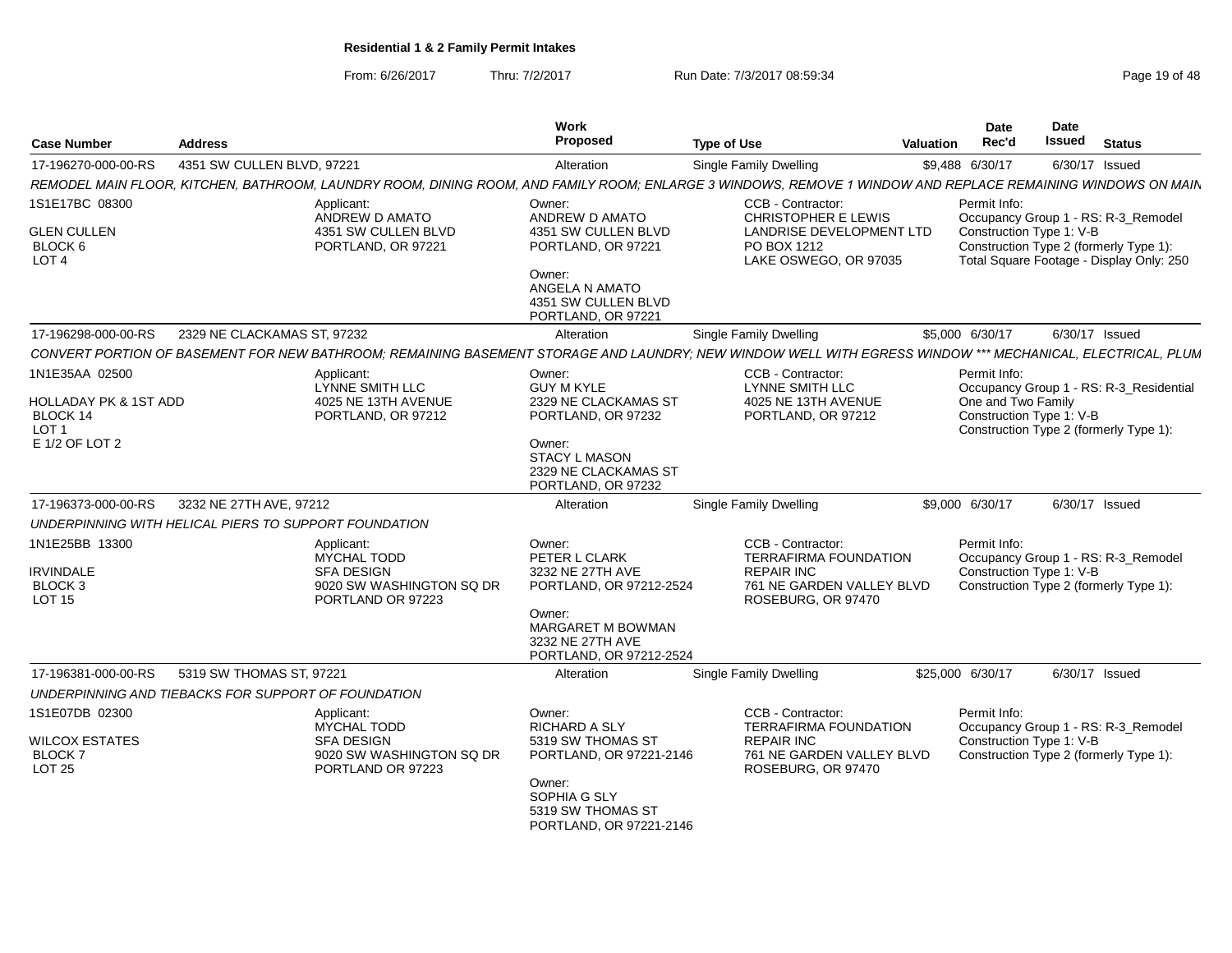From: 6/26/2017Thru: 7/2/2017 **Run Date: 7/3/2017 08:59:34** Page 19 of 48

| <b>Case Number</b>                                    | <b>Address</b>                                                                                                                                              | <b>Work</b><br>Proposed                                                      | <b>Type of Use</b>                                               | <b>Date</b><br>Rec'd<br>Valuation              | <b>Date</b><br><b>Issued</b><br><b>Status</b>                                      |
|-------------------------------------------------------|-------------------------------------------------------------------------------------------------------------------------------------------------------------|------------------------------------------------------------------------------|------------------------------------------------------------------|------------------------------------------------|------------------------------------------------------------------------------------|
| 17-196270-000-00-RS                                   | 4351 SW CULLEN BLVD, 97221                                                                                                                                  | Alteration                                                                   | <b>Single Family Dwelling</b>                                    | \$9,488 6/30/17                                | 6/30/17 Issued                                                                     |
|                                                       | REMODEL MAIN FLOOR, KITCHEN, BATHROOM, LAUNDRY ROOM, DINING ROOM, AND FAMILY ROOM; ENLARGE 3 WINDOWS, REMOVE 1 WINDOW AND REPLACE REMAINING WINDOWS ON MAIN |                                                                              |                                                                  |                                                |                                                                                    |
| 1S1E17BC 08300                                        | Applicant:<br>ANDREW D AMATO                                                                                                                                | Owner:<br>ANDREW D AMATO                                                     | CCB - Contractor:<br><b>CHRISTOPHER E LEWIS</b>                  | Permit Info:                                   | Occupancy Group 1 - RS: R-3_Remodel                                                |
| <b>GLEN CULLEN</b><br>BLOCK 6<br>LOT <sub>4</sub>     | 4351 SW CULLEN BLVD<br>PORTLAND, OR 97221                                                                                                                   | 4351 SW CULLEN BLVD<br>PORTLAND, OR 97221                                    | LANDRISE DEVELOPMENT LTD<br>PO BOX 1212<br>LAKE OSWEGO, OR 97035 | Construction Type 1: V-B                       | Construction Type 2 (formerly Type 1):<br>Total Square Footage - Display Only: 250 |
|                                                       |                                                                                                                                                             | Owner:<br>ANGELA N AMATO<br>4351 SW CULLEN BLVD<br>PORTLAND, OR 97221        |                                                                  |                                                |                                                                                    |
| 17-196298-000-00-RS                                   | 2329 NE CLACKAMAS ST, 97232                                                                                                                                 | Alteration                                                                   | Single Family Dwelling                                           | \$5,000 6/30/17                                | 6/30/17 Issued                                                                     |
|                                                       | CONVERT PORTION OF BASEMENT FOR NEW BATHROOM; REMAINING BASEMENT STORAGE AND LAUNDRY; NEW WINDOW WELL WITH EGRESS WINDOW *** MECHANICAL, ELECTRICAL, PLUM   |                                                                              |                                                                  |                                                |                                                                                    |
| 1N1E35AA 02500                                        | Applicant:<br><b>LYNNE SMITH LLC</b>                                                                                                                        | Owner:<br><b>GUY M KYLE</b>                                                  | CCB - Contractor:<br><b>LYNNE SMITH LLC</b>                      | Permit Info:                                   | Occupancy Group 1 - RS: R-3_Residential                                            |
| HOLLADAY PK & 1ST ADD<br>BLOCK 14<br>LOT <sub>1</sub> | 4025 NE 13TH AVENUE<br>PORTLAND, OR 97212                                                                                                                   | 2329 NE CLACKAMAS ST<br>PORTLAND, OR 97232                                   | 4025 NE 13TH AVENUE<br>PORTLAND, OR 97212                        | One and Two Family<br>Construction Type 1: V-B | Construction Type 2 (formerly Type 1):                                             |
| E 1/2 OF LOT 2                                        |                                                                                                                                                             | Owner:<br><b>STACY L MASON</b><br>2329 NE CLACKAMAS ST<br>PORTLAND, OR 97232 |                                                                  |                                                |                                                                                    |
| 17-196373-000-00-RS                                   | 3232 NE 27TH AVE, 97212                                                                                                                                     | Alteration                                                                   | Single Family Dwelling                                           | \$9,000 6/30/17                                | 6/30/17 Issued                                                                     |
|                                                       | UNDERPINNING WITH HELICAL PIERS TO SUPPORT FOUNDATION                                                                                                       |                                                                              |                                                                  |                                                |                                                                                    |
| 1N1E25BB 13300                                        | Applicant:                                                                                                                                                  | Owner:                                                                       | CCB - Contractor:                                                | Permit Info:                                   |                                                                                    |
|                                                       | <b>MYCHAL TODD</b>                                                                                                                                          | PETER L CLARK                                                                | <b>TERRAFIRMA FOUNDATION</b>                                     |                                                | Occupancy Group 1 - RS: R-3_Remodel                                                |
| <b>IRVINDALE</b><br>BLOCK 3                           | <b>SFA DESIGN</b><br>9020 SW WASHINGTON SQ DR                                                                                                               | 3232 NE 27TH AVE<br>PORTLAND, OR 97212-2524                                  | <b>REPAIR INC</b><br>761 NE GARDEN VALLEY BLVD                   | Construction Type 1: V-B                       | Construction Type 2 (formerly Type 1):                                             |
| <b>LOT 15</b>                                         | PORTLAND OR 97223                                                                                                                                           |                                                                              | ROSEBURG, OR 97470                                               |                                                |                                                                                    |
|                                                       |                                                                                                                                                             | Owner:<br>MARGARET M BOWMAN<br>3232 NE 27TH AVE<br>PORTLAND, OR 97212-2524   |                                                                  |                                                |                                                                                    |
| 17-196381-000-00-RS                                   | 5319 SW THOMAS ST, 97221                                                                                                                                    | Alteration                                                                   | <b>Single Family Dwelling</b>                                    | \$25,000 6/30/17                               | 6/30/17 Issued                                                                     |
|                                                       | UNDERPINNING AND TIEBACKS FOR SUPPORT OF FOUNDATION                                                                                                         |                                                                              |                                                                  |                                                |                                                                                    |
| 1S1E07DB 02300                                        | Applicant:                                                                                                                                                  | Owner:                                                                       | CCB - Contractor:                                                | Permit Info:                                   |                                                                                    |
| <b>WILCOX ESTATES</b>                                 | <b>MYCHAL TODD</b><br><b>SFA DESIGN</b>                                                                                                                     | RICHARD A SLY<br>5319 SW THOMAS ST                                           | TERRAFIRMA FOUNDATION<br><b>REPAIR INC</b>                       | Construction Type 1: V-B                       | Occupancy Group 1 - RS: R-3_Remodel                                                |
| BLOCK 7<br><b>LOT 25</b>                              | 9020 SW WASHINGTON SQ DR<br>PORTLAND OR 97223                                                                                                               | PORTLAND, OR 97221-2146                                                      | 761 NE GARDEN VALLEY BLVD<br>ROSEBURG, OR 97470                  |                                                | Construction Type 2 (formerly Type 1):                                             |
|                                                       |                                                                                                                                                             | Owner:<br>SOPHIA G SLY<br>5319 SW THOMAS ST<br>PORTLAND, OR 97221-2146       |                                                                  |                                                |                                                                                    |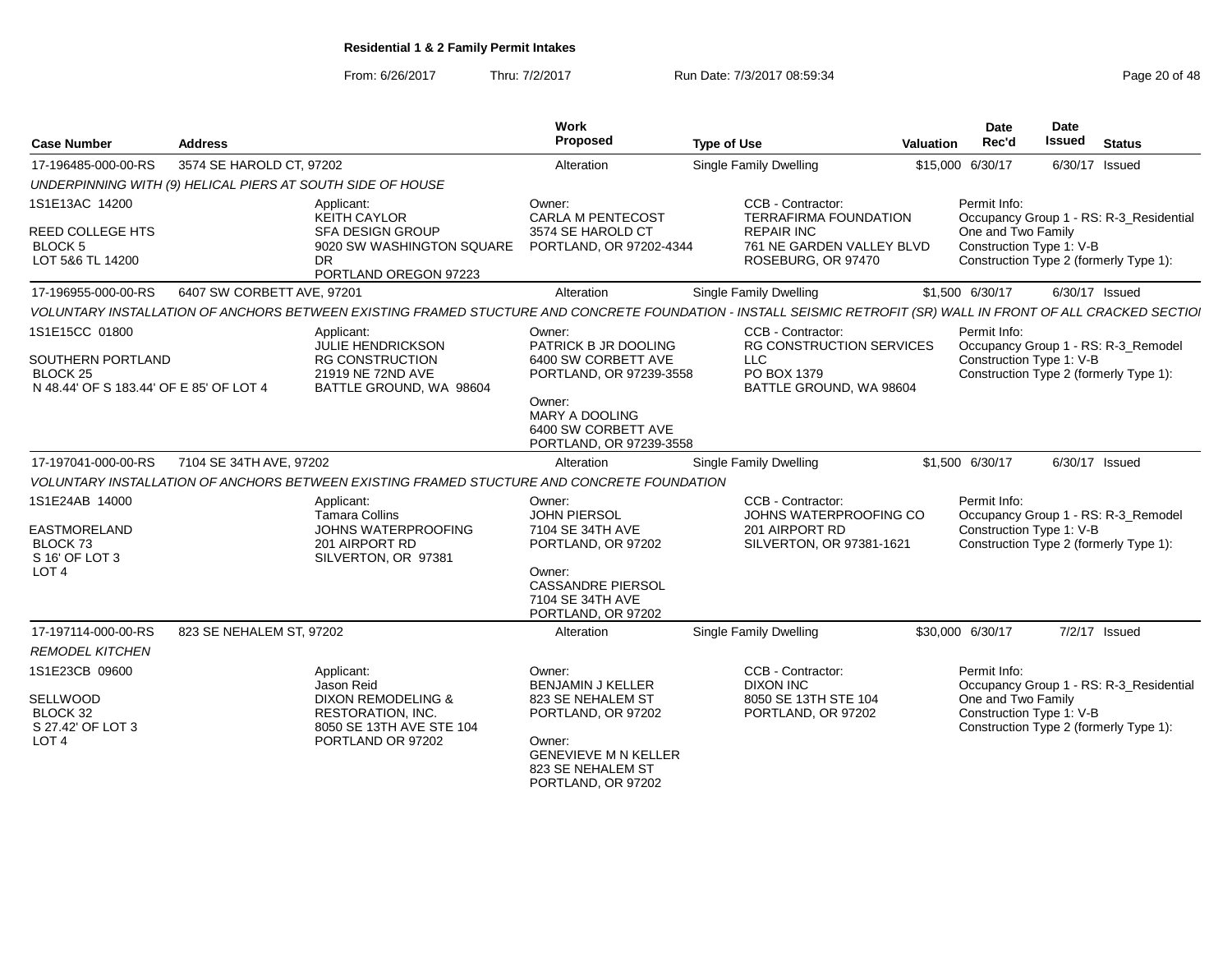From: 6/26/2017Thru: 7/2/2017 **Run Date: 7/3/2017 08:59:34** Page 20 of 48

| <b>Case Number</b>                                                                          | <b>Address</b>                                                                        | Work<br>Proposed                                                                                                                                                | <b>Type of Use</b> |                                                                                                     | <b>Valuation</b> | <b>Date</b><br>Rec'd                                           | <b>Date</b><br>Issued | <b>Status</b>                                                                 |
|---------------------------------------------------------------------------------------------|---------------------------------------------------------------------------------------|-----------------------------------------------------------------------------------------------------------------------------------------------------------------|--------------------|-----------------------------------------------------------------------------------------------------|------------------|----------------------------------------------------------------|-----------------------|-------------------------------------------------------------------------------|
| 17-196485-000-00-RS                                                                         | 3574 SE HAROLD CT, 97202                                                              | Alteration                                                                                                                                                      |                    | <b>Single Family Dwelling</b>                                                                       |                  | \$15,000 6/30/17                                               | 6/30/17 Issued        |                                                                               |
|                                                                                             | UNDERPINNING WITH (9) HELICAL PIERS AT SOUTH SIDE OF HOUSE                            |                                                                                                                                                                 |                    |                                                                                                     |                  |                                                                |                       |                                                                               |
| 1S1E13AC 14200<br><b>REED COLLEGE HTS</b><br><b>BLOCK 5</b>                                 | Applicant:<br>KEITH CAYLOR<br><b>SFA DESIGN GROUP</b>                                 | Owner:<br><b>CARLA M PENTECOST</b><br>3574 SE HAROLD CT<br>9020 SW WASHINGTON SQUARE<br>PORTLAND, OR 97202-4344                                                 |                    | CCB - Contractor:<br><b>TERRAFIRMA FOUNDATION</b><br><b>REPAIR INC</b><br>761 NE GARDEN VALLEY BLVD |                  | Permit Info:<br>One and Two Family<br>Construction Type 1: V-B |                       | Occupancy Group 1 - RS: R-3_Residential                                       |
| LOT 5&6 TL 14200                                                                            | DR                                                                                    | PORTLAND OREGON 97223                                                                                                                                           |                    | ROSEBURG, OR 97470                                                                                  |                  |                                                                |                       | Construction Type 2 (formerly Type 1):                                        |
| 17-196955-000-00-RS                                                                         | 6407 SW CORBETT AVE, 97201                                                            | Alteration                                                                                                                                                      |                    | <b>Single Family Dwelling</b>                                                                       |                  | \$1,500 6/30/17                                                | 6/30/17 Issued        |                                                                               |
|                                                                                             |                                                                                       | VOLUNTARY INSTALLATION OF ANCHORS BETWEEN EXISTING FRAMED STUCTURE AND CONCRETE FOUNDATION - INSTALL SEISMIC RETROFIT (SR) WALL IN FRONT OF ALL CRACKED SECTIOI |                    |                                                                                                     |                  |                                                                |                       |                                                                               |
| 1S1E15CC 01800<br>SOUTHERN PORTLAND<br><b>BLOCK 25</b>                                      | Applicant:<br><b>JULIE HENDRICKSON</b><br><b>RG CONSTRUCTION</b><br>21919 NE 72ND AVE | Owner:<br>PATRICK B JR DOOLING<br>6400 SW CORBETT AVE<br>PORTLAND, OR 97239-3558                                                                                |                    | CCB - Contractor:<br><b>RG CONSTRUCTION SERVICES</b><br>LLC.<br>PO BOX 1379                         |                  | Permit Info:<br>Construction Type 1: V-B                       |                       | Occupancy Group 1 - RS: R-3_Remodel<br>Construction Type 2 (formerly Type 1): |
| N 48.44' OF S 183.44' OF E 85' OF LOT 4                                                     |                                                                                       | BATTLE GROUND, WA 98604<br>Owner:<br>MARY A DOOLING<br>6400 SW CORBETT AVE<br>PORTLAND, OR 97239-3558                                                           |                    | BATTLE GROUND, WA 98604                                                                             |                  |                                                                |                       |                                                                               |
| 17-197041-000-00-RS                                                                         | 7104 SE 34TH AVE, 97202                                                               | Alteration                                                                                                                                                      |                    | Single Family Dwelling                                                                              |                  | \$1,500 6/30/17                                                | 6/30/17 Issued        |                                                                               |
|                                                                                             |                                                                                       | VOLUNTARY INSTALLATION OF ANCHORS BETWEEN EXISTING FRAMED STUCTURE AND CONCRETE FOUNDATION                                                                      |                    |                                                                                                     |                  |                                                                |                       |                                                                               |
| 1S1E24AB 14000<br>EASTMORELAND<br>BLOCK <sub>73</sub><br>S 16' OF LOT 3<br>LOT <sub>4</sub> | Applicant:<br><b>Tamara Collins</b><br>201 AIRPORT RD<br>SILVERTON, OR 97381          | Owner:<br><b>JOHN PIERSOL</b><br>JOHNS WATERPROOFING<br>7104 SE 34TH AVE<br>PORTLAND, OR 97202<br>Owner:                                                        |                    | CCB - Contractor:<br>JOHNS WATERPROOFING CO<br>201 AIRPORT RD<br>SILVERTON, OR 97381-1621           |                  | Permit Info:<br>Construction Type 1: V-B                       |                       | Occupancy Group 1 - RS: R-3_Remodel<br>Construction Type 2 (formerly Type 1): |
|                                                                                             |                                                                                       | <b>CASSANDRE PIERSOL</b><br>7104 SE 34TH AVE<br>PORTLAND, OR 97202                                                                                              |                    |                                                                                                     |                  |                                                                |                       |                                                                               |
| 17-197114-000-00-RS                                                                         | 823 SE NEHALEM ST, 97202                                                              | Alteration                                                                                                                                                      |                    | Single Family Dwelling                                                                              |                  | \$30,000 6/30/17                                               | 7/2/17 Issued         |                                                                               |
| <b>REMODEL KITCHEN</b>                                                                      |                                                                                       |                                                                                                                                                                 |                    |                                                                                                     |                  |                                                                |                       |                                                                               |
| 1S1E23CB 09600                                                                              | Applicant:<br>Jason Reid                                                              | Owner:<br><b>BENJAMIN J KELLER</b>                                                                                                                              |                    | CCB - Contractor:<br><b>DIXON INC</b>                                                               |                  | Permit Info:                                                   |                       | Occupancy Group 1 - RS: R-3_Residential                                       |
| <b>SELLWOOD</b><br>BLOCK 32<br>S 27.42' OF LOT 3<br>LOT <sub>4</sub>                        | <b>DIXON REMODELING &amp;</b><br><b>RESTORATION, INC.</b><br>PORTLAND OR 97202        | 823 SE NEHALEM ST<br>PORTLAND, OR 97202<br>8050 SE 13TH AVE STE 104<br>Owner:<br><b>GENEVIEVE M N KELLER</b><br>823 SE NEHALEM ST<br>PORTLAND, OR 97202         |                    | 8050 SE 13TH STE 104<br>PORTLAND, OR 97202                                                          |                  | One and Two Family<br>Construction Type 1: V-B                 |                       | Construction Type 2 (formerly Type 1):                                        |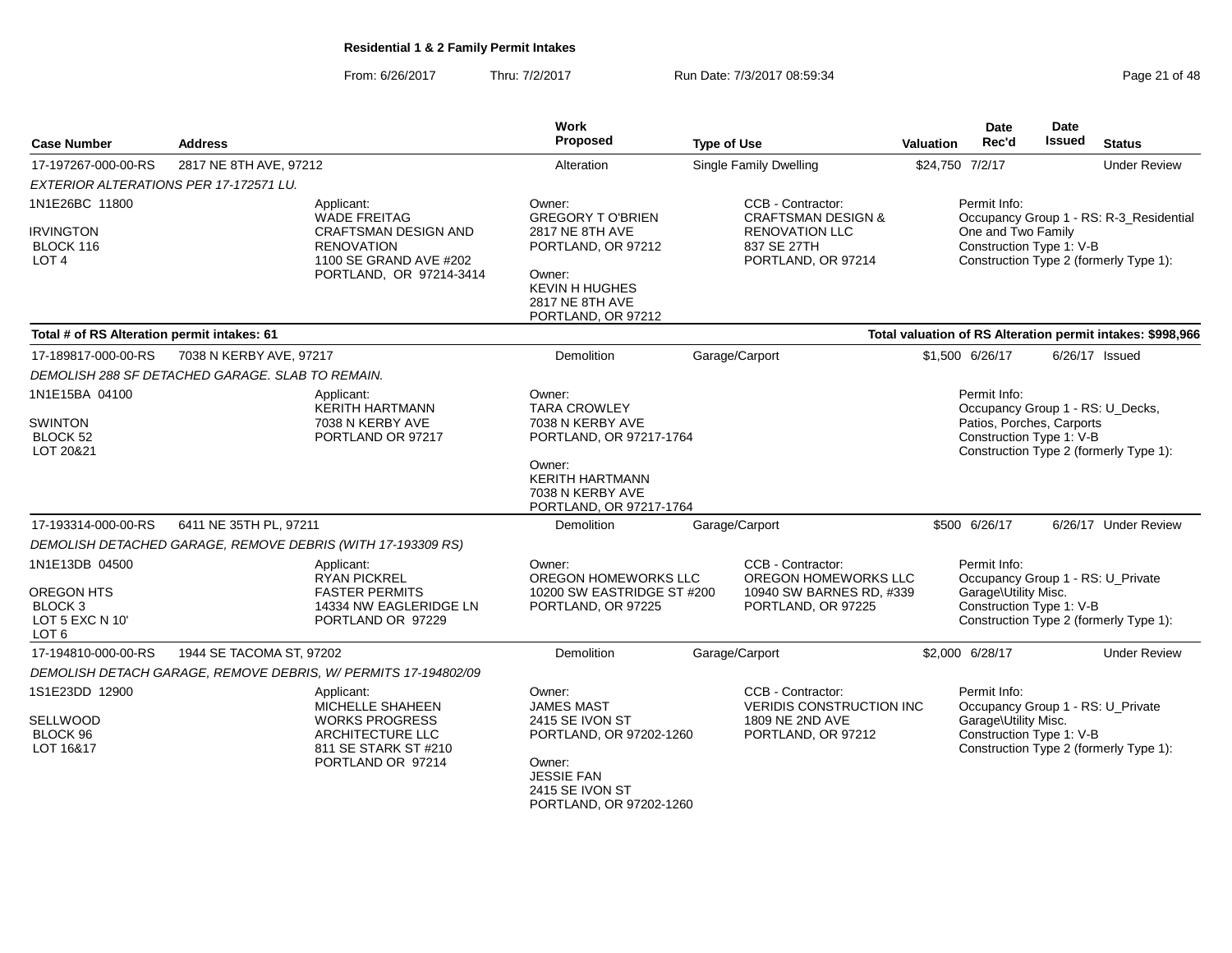From: 6/26/2017Thru: 7/2/2017 **Run Date: 7/3/2017 08:59:34** Page 21 of 48

| <b>Case Number</b>                                                                        | <b>Address</b>                                                                                                                             | Work<br>Proposed                                                                                                                                                | <b>Type of Use</b>                                                                                               | <b>Valuation</b> | <b>Date</b><br>Rec'd                                                  | Date<br><b>Issued</b> | <b>Status</b>                                                                     |
|-------------------------------------------------------------------------------------------|--------------------------------------------------------------------------------------------------------------------------------------------|-----------------------------------------------------------------------------------------------------------------------------------------------------------------|------------------------------------------------------------------------------------------------------------------|------------------|-----------------------------------------------------------------------|-----------------------|-----------------------------------------------------------------------------------|
| 17-197267-000-00-RS                                                                       | 2817 NE 8TH AVE, 97212                                                                                                                     | Alteration                                                                                                                                                      | <b>Single Family Dwelling</b>                                                                                    | \$24,750 7/2/17  |                                                                       |                       | <b>Under Review</b>                                                               |
| EXTERIOR ALTERATIONS PER 17-172571 LU.                                                    |                                                                                                                                            |                                                                                                                                                                 |                                                                                                                  |                  |                                                                       |                       |                                                                                   |
| 1N1E26BC 11800<br><b>IRVINGTON</b><br>BLOCK 116<br>LOT <sub>4</sub>                       | Applicant:<br><b>WADE FREITAG</b><br><b>CRAFTSMAN DESIGN AND</b><br><b>RENOVATION</b><br>1100 SE GRAND AVE #202<br>PORTLAND, OR 97214-3414 | Owner:<br><b>GREGORY TO'BRIEN</b><br>2817 NE 8TH AVE<br>PORTLAND, OR 97212<br>Owner:<br><b>KEVIN H HUGHES</b><br>2817 NE 8TH AVE<br>PORTLAND, OR 97212          | CCB - Contractor:<br><b>CRAFTSMAN DESIGN &amp;</b><br><b>RENOVATION LLC</b><br>837 SE 27TH<br>PORTLAND, OR 97214 |                  | Permit Info:<br>One and Two Family<br>Construction Type 1: V-B        |                       | Occupancy Group 1 - RS: R-3_Residential<br>Construction Type 2 (formerly Type 1): |
| Total # of RS Alteration permit intakes: 61                                               |                                                                                                                                            |                                                                                                                                                                 |                                                                                                                  |                  |                                                                       |                       | Total valuation of RS Alteration permit intakes: \$998,966                        |
| 17-189817-000-00-RS                                                                       | 7038 N KERBY AVE, 97217                                                                                                                    | Demolition                                                                                                                                                      | Garage/Carport                                                                                                   |                  | \$1,500 6/26/17                                                       |                       | $6/26/17$ Issued                                                                  |
|                                                                                           | DEMOLISH 288 SF DETACHED GARAGE. SLAB TO REMAIN.                                                                                           |                                                                                                                                                                 |                                                                                                                  |                  |                                                                       |                       |                                                                                   |
| 1N1E15BA 04100<br><b>SWINTON</b><br><b>BLOCK 52</b><br>LOT 20&21                          | Applicant:<br><b>KERITH HARTMANN</b><br>7038 N KERBY AVE<br>PORTLAND OR 97217                                                              | Owner:<br><b>TARA CROWLEY</b><br>7038 N KERBY AVE<br>PORTLAND, OR 97217-1764<br>Owner:<br><b>KERITH HARTMANN</b><br>7038 N KERBY AVE<br>PORTLAND, OR 97217-1764 |                                                                                                                  |                  | Permit Info:<br>Patios, Porches, Carports<br>Construction Type 1: V-B |                       | Occupancy Group 1 - RS: U_Decks,<br>Construction Type 2 (formerly Type 1):        |
| 17-193314-000-00-RS                                                                       | 6411 NE 35TH PL, 97211                                                                                                                     | <b>Demolition</b>                                                                                                                                               | Garage/Carport                                                                                                   |                  | \$500 6/26/17                                                         |                       | 6/26/17 Under Review                                                              |
|                                                                                           | DEMOLISH DETACHED GARAGE, REMOVE DEBRIS (WITH 17-193309 RS)                                                                                |                                                                                                                                                                 |                                                                                                                  |                  |                                                                       |                       |                                                                                   |
| 1N1E13DB 04500<br>OREGON HTS<br>BLOCK <sub>3</sub><br>LOT 5 EXC N 10'<br>LOT <sub>6</sub> | Applicant:<br><b>RYAN PICKREL</b><br><b>FASTER PERMITS</b><br>14334 NW EAGLERIDGE LN<br>PORTLAND OR 97229                                  | Owner:<br>OREGON HOMEWORKS LLC<br>10200 SW EASTRIDGE ST #200<br>PORTLAND, OR 97225                                                                              | CCB - Contractor:<br>OREGON HOMEWORKS LLC<br>10940 SW BARNES RD, #339<br>PORTLAND, OR 97225                      |                  | Permit Info:<br>Garage\Utility Misc.<br>Construction Type 1: V-B      |                       | Occupancy Group 1 - RS: U_Private<br>Construction Type 2 (formerly Type 1):       |
| 17-194810-000-00-RS                                                                       | 1944 SE TACOMA ST, 97202                                                                                                                   | Demolition                                                                                                                                                      | Garage/Carport                                                                                                   |                  | \$2,000 6/28/17                                                       |                       | <b>Under Review</b>                                                               |
|                                                                                           | DEMOLISH DETACH GARAGE, REMOVE DEBRIS, W/ PERMITS 17-194802/09                                                                             |                                                                                                                                                                 |                                                                                                                  |                  |                                                                       |                       |                                                                                   |
| 1S1E23DD 12900<br>SELLWOOD<br>BLOCK 96<br>LOT 16&17                                       | Applicant:<br>MICHELLE SHAHEEN<br><b>WORKS PROGRESS</b><br>ARCHITECTURE LLC<br>811 SE STARK ST #210<br>PORTLAND OR 97214                   | Owner:<br><b>JAMES MAST</b><br>2415 SE IVON ST<br>PORTLAND, OR 97202-1260<br>Owner:<br><b>JESSIE FAN</b><br>2415 SE IVON ST<br>PORTLAND, OR 97202-1260          | CCB - Contractor:<br><b>VERIDIS CONSTRUCTION INC</b><br>1809 NE 2ND AVE<br>PORTLAND, OR 97212                    |                  | Permit Info:<br>Garage\Utility Misc.<br>Construction Type 1: V-B      |                       | Occupancy Group 1 - RS: U_Private<br>Construction Type 2 (formerly Type 1):       |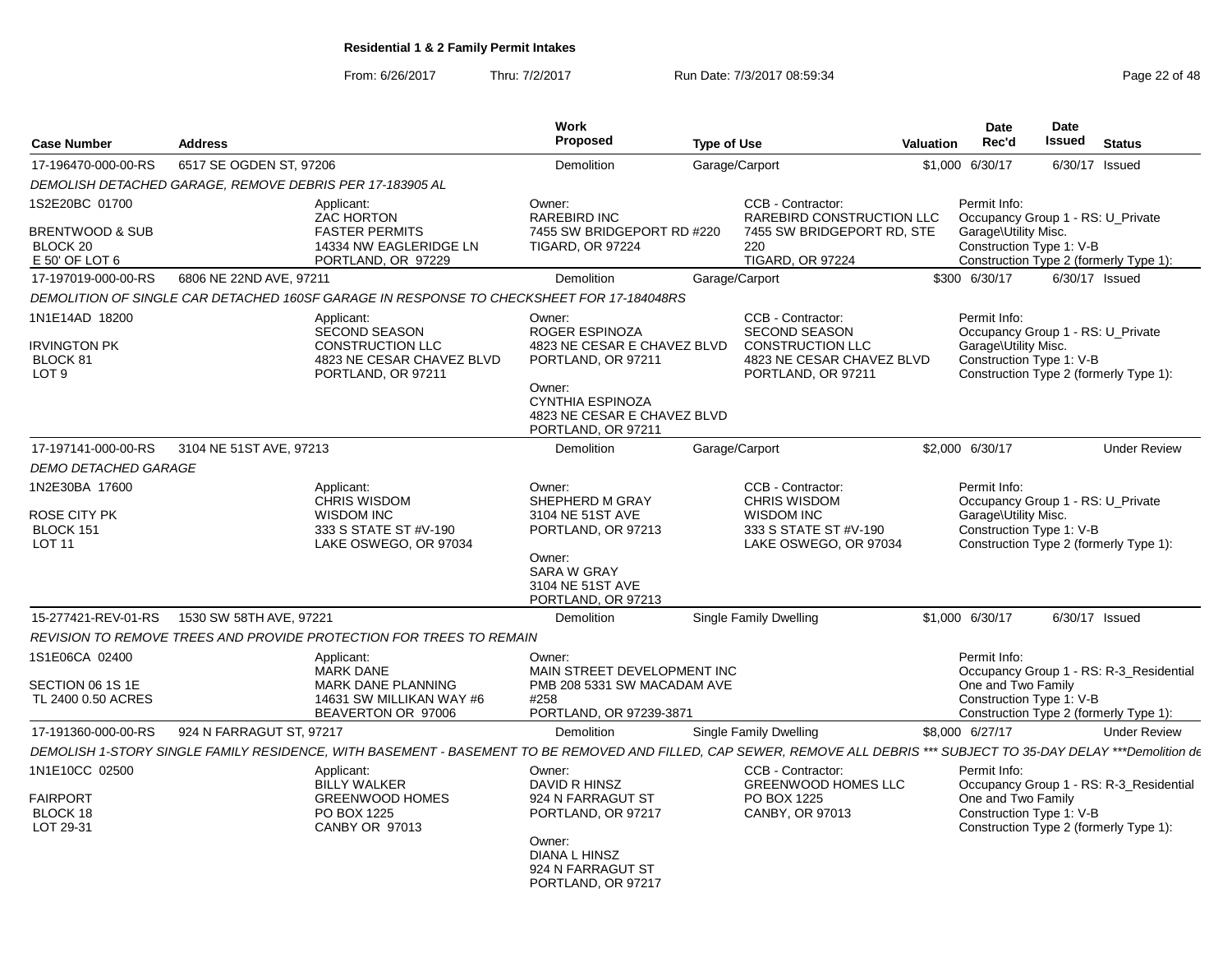From: 6/26/2017Thru: 7/2/2017 **Run Date: 7/3/2017 08:59:34** Page 22 of 48

| <b>Case Number</b>                                                               | <b>Address</b>           |                                                                                                                                                                        | <b>Work</b><br>Proposed                                                                                                                                                 | <b>Type of Use</b> |                                                                                                                         | <b>Valuation</b> | Date<br>Rec'd                                                                                         | Date<br><b>Issued</b> | <b>Status</b>                                                                     |
|----------------------------------------------------------------------------------|--------------------------|------------------------------------------------------------------------------------------------------------------------------------------------------------------------|-------------------------------------------------------------------------------------------------------------------------------------------------------------------------|--------------------|-------------------------------------------------------------------------------------------------------------------------|------------------|-------------------------------------------------------------------------------------------------------|-----------------------|-----------------------------------------------------------------------------------|
| 17-196470-000-00-RS                                                              | 6517 SE OGDEN ST, 97206  |                                                                                                                                                                        | Demolition                                                                                                                                                              |                    | Garage/Carport                                                                                                          | \$1,000          | 6/30/17                                                                                               | 6/30/17               | Issued                                                                            |
|                                                                                  |                          | DEMOLISH DETACHED GARAGE, REMOVE DEBRIS PER 17-183905 AL                                                                                                               |                                                                                                                                                                         |                    |                                                                                                                         |                  |                                                                                                       |                       |                                                                                   |
| 1S2E20BC 01700<br><b>BRENTWOOD &amp; SUB</b><br>BLOCK 20                         |                          | Applicant:<br><b>ZAC HORTON</b><br><b>FASTER PERMITS</b><br>14334 NW EAGLERIDGE LN                                                                                     | Owner:<br><b>RAREBIRD INC</b><br>7455 SW BRIDGEPORT RD #220<br><b>TIGARD, OR 97224</b>                                                                                  |                    | CCB - Contractor:<br>RAREBIRD CONSTRUCTION LLC<br>7455 SW BRIDGEPORT RD, STE<br>220                                     |                  | Permit Info:<br>Occupancy Group 1 - RS: U Private<br>Garage\Utility Misc.<br>Construction Type 1: V-B |                       |                                                                                   |
| E 50' OF LOT 6                                                                   |                          | PORTLAND, OR 97229                                                                                                                                                     |                                                                                                                                                                         |                    | <b>TIGARD, OR 97224</b>                                                                                                 |                  |                                                                                                       |                       | Construction Type 2 (formerly Type 1):                                            |
| 17-197019-000-00-RS                                                              | 6806 NE 22ND AVE, 97211  |                                                                                                                                                                        | <b>Demolition</b>                                                                                                                                                       |                    | Garage/Carport                                                                                                          |                  | \$300 6/30/17                                                                                         |                       | 6/30/17 Issued                                                                    |
|                                                                                  |                          | DEMOLITION OF SINGLE CAR DETACHED 160SF GARAGE IN RESPONSE TO CHECKSHEET FOR 17-184048RS                                                                               |                                                                                                                                                                         |                    |                                                                                                                         |                  |                                                                                                       |                       |                                                                                   |
| 1N1E14AD 18200<br><b>IRVINGTON PK</b><br>BLOCK <sub>81</sub><br>LOT <sub>9</sub> |                          | Applicant:<br><b>SECOND SEASON</b><br><b>CONSTRUCTION LLC</b><br>4823 NE CESAR CHAVEZ BLVD<br>PORTLAND, OR 97211                                                       | Owner:<br>ROGER ESPINOZA<br>4823 NE CESAR E CHAVEZ BLVD<br>PORTLAND, OR 97211<br>Owner:<br><b>CYNTHIA ESPINOZA</b><br>4823 NE CESAR E CHAVEZ BLVD<br>PORTLAND, OR 97211 |                    | CCB - Contractor:<br><b>SECOND SEASON</b><br><b>CONSTRUCTION LLC</b><br>4823 NE CESAR CHAVEZ BLVD<br>PORTLAND, OR 97211 |                  | Permit Info:<br>Occupancy Group 1 - RS: U_Private<br>Garage\Utility Misc.<br>Construction Type 1: V-B |                       | Construction Type 2 (formerly Type 1):                                            |
| 17-197141-000-00-RS                                                              | 3104 NE 51ST AVE, 97213  |                                                                                                                                                                        | Demolition                                                                                                                                                              |                    | Garage/Carport                                                                                                          |                  | \$2,000 6/30/17                                                                                       |                       | <b>Under Review</b>                                                               |
| <b>DEMO DETACHED GARAGE</b>                                                      |                          |                                                                                                                                                                        |                                                                                                                                                                         |                    |                                                                                                                         |                  |                                                                                                       |                       |                                                                                   |
| 1N2E30BA 17600<br><b>ROSE CITY PK</b><br>BLOCK 151<br><b>LOT 11</b>              |                          | Applicant:<br><b>CHRIS WISDOM</b><br>WISDOM INC<br>333 S STATE ST #V-190<br>LAKE OSWEGO, OR 97034                                                                      | Owner:<br>SHEPHERD M GRAY<br>3104 NE 51ST AVE<br>PORTLAND, OR 97213<br>Owner:<br><b>SARA W GRAY</b><br>3104 NE 51ST AVE<br>PORTLAND, OR 97213                           |                    | CCB - Contractor:<br><b>CHRIS WISDOM</b><br><b>WISDOM INC</b><br>333 S STATE ST #V-190<br>LAKE OSWEGO, OR 97034         |                  | Permit Info:<br>Occupancy Group 1 - RS: U Private<br>Garage\Utility Misc.<br>Construction Type 1: V-B |                       | Construction Type 2 (formerly Type 1):                                            |
| 15-277421-REV-01-RS                                                              | 1530 SW 58TH AVE, 97221  |                                                                                                                                                                        | Demolition                                                                                                                                                              |                    | <b>Single Family Dwelling</b>                                                                                           |                  | \$1,000 6/30/17                                                                                       |                       | 6/30/17 Issued                                                                    |
|                                                                                  |                          | REVISION TO REMOVE TREES AND PROVIDE PROTECTION FOR TREES TO REMAIN                                                                                                    |                                                                                                                                                                         |                    |                                                                                                                         |                  |                                                                                                       |                       |                                                                                   |
| 1S1E06CA 02400<br>SECTION 06 1S 1E<br>TL 2400 0.50 ACRES                         |                          | Applicant:<br><b>MARK DANE</b><br><b>MARK DANE PLANNING</b><br>14631 SW MILLIKAN WAY #6<br>BEAVERTON OR 97006                                                          | Owner:<br>MAIN STREET DEVELOPMENT INC<br>PMB 208 5331 SW MACADAM AVE<br>#258<br>PORTLAND, OR 97239-3871                                                                 |                    |                                                                                                                         |                  | Permit Info:<br>One and Two Family<br>Construction Type 1: V-B                                        |                       | Occupancy Group 1 - RS: R-3 Residential<br>Construction Type 2 (formerly Type 1): |
| 17-191360-000-00-RS                                                              | 924 N FARRAGUT ST, 97217 |                                                                                                                                                                        | Demolition                                                                                                                                                              |                    | <b>Single Family Dwelling</b>                                                                                           |                  | \$8,000 6/27/17                                                                                       |                       | <b>Under Review</b>                                                               |
|                                                                                  |                          | DEMOLISH 1-STORY SINGLE FAMILY RESIDENCE, WITH BASEMENT - BASEMENT TO BE REMOVED AND FILLED, CAP SEWER, REMOVE ALL DEBRIS *** SUBJECT TO 35-DAY DELAY ***Demolition de |                                                                                                                                                                         |                    |                                                                                                                         |                  |                                                                                                       |                       |                                                                                   |
| 1N1E10CC 02500<br><b>FAIRPORT</b><br>BLOCK 18<br>LOT 29-31                       |                          | Applicant:<br><b>BILLY WALKER</b><br><b>GREENWOOD HOMES</b><br>PO BOX 1225<br>CANBY OR 97013                                                                           | Owner:<br>DAVID R HINSZ<br>924 N FARRAGUT ST<br>PORTLAND, OR 97217<br>Owner:<br><b>DIANA L HINSZ</b><br>924 N FARRAGUT ST<br>PORTLAND, OR 97217                         |                    | CCB - Contractor:<br><b>GREENWOOD HOMES LLC</b><br>PO BOX 1225<br>CANBY, OR 97013                                       |                  | Permit Info:<br>One and Two Family<br>Construction Type 1: V-B                                        |                       | Occupancy Group 1 - RS: R-3 Residential<br>Construction Type 2 (formerly Type 1): |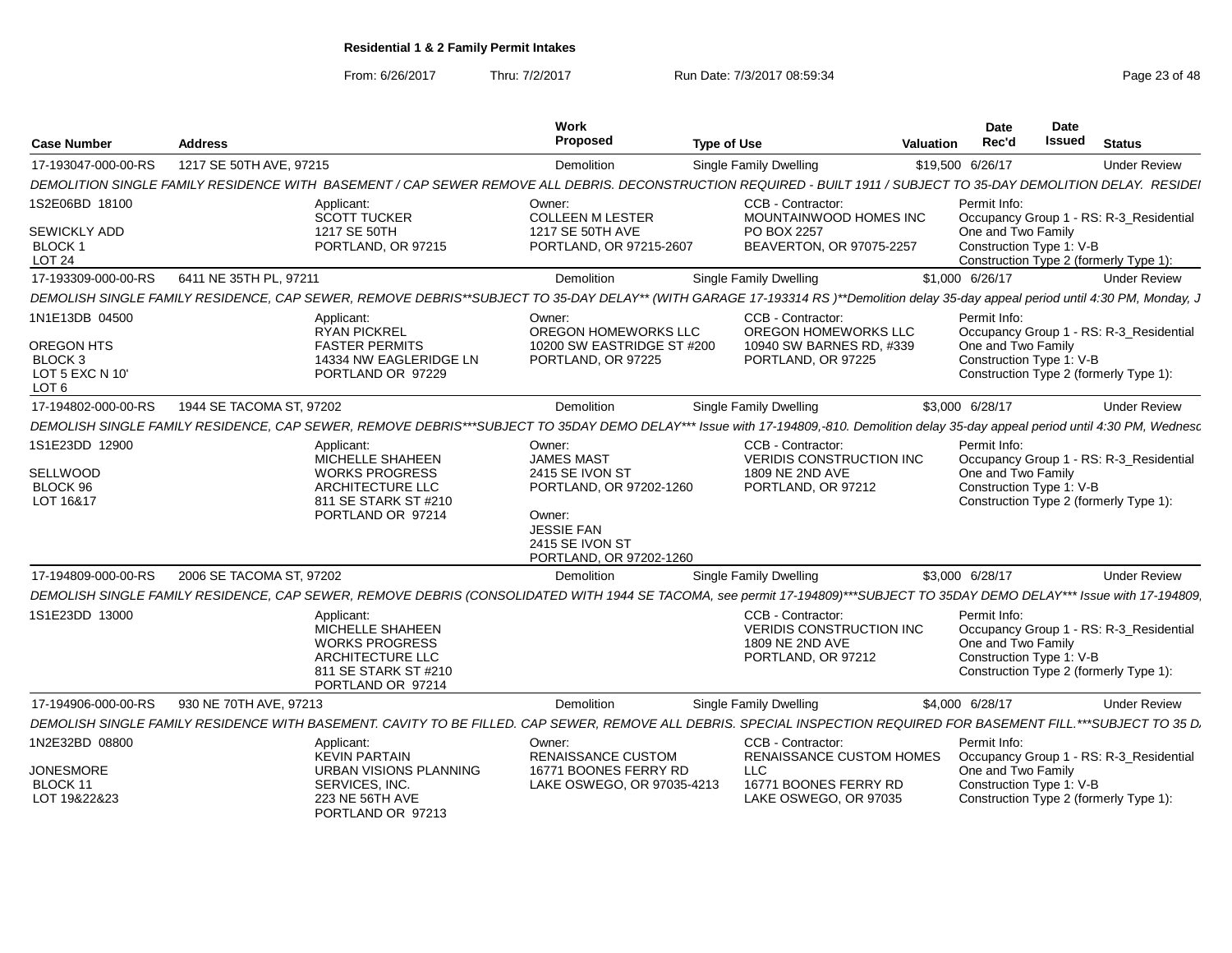From: 6/26/2017

Thru: 7/2/2017 **Run Date: 7/3/2017 08:59:34** Page 23 of 48

| <b>Case Number</b>                                                             | <b>Address</b>           |                                                                                                                                                                                     | <b>Work</b><br><b>Proposed</b>                                                                                                                         | <b>Type of Use</b> |                                                                                                               | Valuation | Date<br>Rec'd                                                  | Date<br><b>Issued</b> | <b>Status</b>                                                                     |
|--------------------------------------------------------------------------------|--------------------------|-------------------------------------------------------------------------------------------------------------------------------------------------------------------------------------|--------------------------------------------------------------------------------------------------------------------------------------------------------|--------------------|---------------------------------------------------------------------------------------------------------------|-----------|----------------------------------------------------------------|-----------------------|-----------------------------------------------------------------------------------|
| 17-193047-000-00-RS                                                            | 1217 SE 50TH AVE, 97215  |                                                                                                                                                                                     | Demolition                                                                                                                                             |                    | Single Family Dwelling                                                                                        |           | \$19,500 6/26/17                                               |                       | <b>Under Review</b>                                                               |
|                                                                                |                          | DEMOLITION SINGLE FAMILY RESIDENCE WITH BASEMENT / CAP SEWER REMOVE ALL DEBRIS. DECONSTRUCTION REQUIRED - BUILT 1911 / SUBJECT TO 35-DAY DEMOLITION DELAY. RESIDEI                  |                                                                                                                                                        |                    |                                                                                                               |           |                                                                |                       |                                                                                   |
| 1S2E06BD 18100<br>SEWICKLY ADD<br><b>BLOCK1</b><br><b>LOT 24</b>               |                          | Applicant:<br><b>SCOTT TUCKER</b><br>1217 SE 50TH<br>PORTLAND, OR 97215                                                                                                             | Owner:<br><b>COLLEEN M LESTER</b><br>1217 SE 50TH AVE<br>PORTLAND, OR 97215-2607                                                                       |                    | CCB - Contractor:<br>MOUNTAINWOOD HOMES INC<br>PO BOX 2257<br>BEAVERTON, OR 97075-2257                        |           | Permit Info:<br>One and Two Family<br>Construction Type 1: V-B |                       | Occupancy Group 1 - RS: R-3 Residential<br>Construction Type 2 (formerly Type 1): |
| 17-193309-000-00-RS                                                            | 6411 NE 35TH PL, 97211   |                                                                                                                                                                                     | <b>Demolition</b>                                                                                                                                      |                    | Single Family Dwelling                                                                                        |           | \$1,000 6/26/17                                                |                       | <b>Under Review</b>                                                               |
|                                                                                |                          | DEMOLISH SINGLE FAMILY RESIDENCE, CAP SEWER, REMOVE DEBRIS**SUBJECT TO 35-DAY DELAY** (WITH GARAGE 17-193314 RS)**Demolition delay 35-day appeal period until 4:30 PM, Monday, J    |                                                                                                                                                        |                    |                                                                                                               |           |                                                                |                       |                                                                                   |
| 1N1E13DB 04500<br>OREGON HTS<br>BLOCK 3<br>LOT 5 EXC N 10'<br>LOT <sub>6</sub> |                          | Applicant:<br><b>RYAN PICKREL</b><br><b>FASTER PERMITS</b><br>14334 NW EAGLERIDGE LN<br>PORTLAND OR 97229                                                                           | Owner:<br>OREGON HOMEWORKS LLC<br>10200 SW EASTRIDGE ST #200<br>PORTLAND, OR 97225                                                                     |                    | <b>CCB - Contractor:</b><br>OREGON HOMEWORKS LLC<br>10940 SW BARNES RD, #339<br>PORTLAND, OR 97225            |           | Permit Info:<br>One and Two Family<br>Construction Type 1: V-B |                       | Occupancy Group 1 - RS: R-3 Residential<br>Construction Type 2 (formerly Type 1): |
| 17-194802-000-00-RS                                                            | 1944 SE TACOMA ST. 97202 |                                                                                                                                                                                     | <b>Demolition</b>                                                                                                                                      |                    | Single Family Dwelling                                                                                        |           | \$3,000 6/28/17                                                |                       | <b>Under Review</b>                                                               |
|                                                                                |                          | DEMOLISH SINGLE FAMILY RESIDENCE, CAP SEWER, REMOVE DEBRIS***SUBJECT TO 35DAY DEMO DELAY*** Issue with 17-194809,-810. Demolition delay 35-day appeal period until 4:30 PM, Wednesd |                                                                                                                                                        |                    |                                                                                                               |           |                                                                |                       |                                                                                   |
| 1S1E23DD 12900<br>SELLWOOD<br>BLOCK 96<br>LOT 16&17                            |                          | Applicant:<br>MICHELLE SHAHEEN<br><b>WORKS PROGRESS</b><br>ARCHITECTURE LLC<br>811 SE STARK ST #210<br>PORTLAND OR 97214                                                            | Owner:<br><b>JAMES MAST</b><br>2415 SE IVON ST<br>PORTLAND, OR 97202-1260<br>Owner:<br><b>JESSIE FAN</b><br>2415 SE IVON ST<br>PORTLAND, OR 97202-1260 |                    | CCB - Contractor:<br>VERIDIS CONSTRUCTION INC<br>1809 NE 2ND AVE<br>PORTLAND, OR 97212                        |           | Permit Info:<br>One and Two Family<br>Construction Type 1: V-B |                       | Occupancy Group 1 - RS: R-3_Residential<br>Construction Type 2 (formerly Type 1): |
| 17-194809-000-00-RS                                                            | 2006 SE TACOMA ST, 97202 |                                                                                                                                                                                     | Demolition                                                                                                                                             |                    | <b>Single Family Dwelling</b>                                                                                 |           | \$3,000 6/28/17                                                |                       | <b>Under Review</b>                                                               |
|                                                                                |                          | DEMOLISH SINGLE FAMILY RESIDENCE, CAP SEWER, REMOVE DEBRIS (CONSOLIDATED WITH 1944 SE TACOMA, see permit 17-194809)***SUBJECT TO 35DAY DEMO DELAY*** Issue with 17-194809           |                                                                                                                                                        |                    |                                                                                                               |           |                                                                |                       |                                                                                   |
| 1S1E23DD 13000                                                                 |                          | Applicant:<br>MICHELLE SHAHEEN<br><b>WORKS PROGRESS</b><br>ARCHITECTURE LLC<br>811 SE STARK ST #210<br>PORTLAND OR 97214                                                            |                                                                                                                                                        |                    | CCB - Contractor:<br><b>VERIDIS CONSTRUCTION INC</b><br>1809 NE 2ND AVE<br>PORTLAND, OR 97212                 |           | Permit Info:<br>One and Two Family<br>Construction Type 1: V-B |                       | Occupancy Group 1 - RS: R-3 Residential<br>Construction Type 2 (formerly Type 1): |
| 17-194906-000-00-RS                                                            | 930 NE 70TH AVE, 97213   |                                                                                                                                                                                     | <b>Demolition</b>                                                                                                                                      |                    | Single Family Dwelling                                                                                        |           | \$4,000 6/28/17                                                |                       | <b>Under Review</b>                                                               |
|                                                                                |                          | DEMOLISH SINGLE FAMILY RESIDENCE WITH BASEMENT. CAVITY TO BE FILLED. CAP SEWER. REMOVE ALL DEBRIS. SPECIAL INSPECTION REQUIRED FOR BASEMENT FILL.***SUBJECT TO 35 D.                |                                                                                                                                                        |                    |                                                                                                               |           |                                                                |                       |                                                                                   |
| 1N2E32BD 08800<br><b>JONESMORE</b><br>BLOCK 11<br>LOT 19&22&23                 |                          | Applicant:<br><b>KEVIN PARTAIN</b><br><b>URBAN VISIONS PLANNING</b><br>SERVICES, INC.<br>223 NE 56TH AVE                                                                            | Owner:<br>RENAISSANCE CUSTOM<br>16771 BOONES FERRY RD<br>LAKE OSWEGO, OR 97035-4213                                                                    |                    | CCB - Contractor:<br>RENAISSANCE CUSTOM HOMES<br><b>LLC</b><br>16771 BOONES FERRY RD<br>LAKE OSWEGO, OR 97035 |           | Permit Info:<br>One and Two Family<br>Construction Type 1: V-B |                       | Occupancy Group 1 - RS: R-3_Residential<br>Construction Type 2 (formerly Type 1): |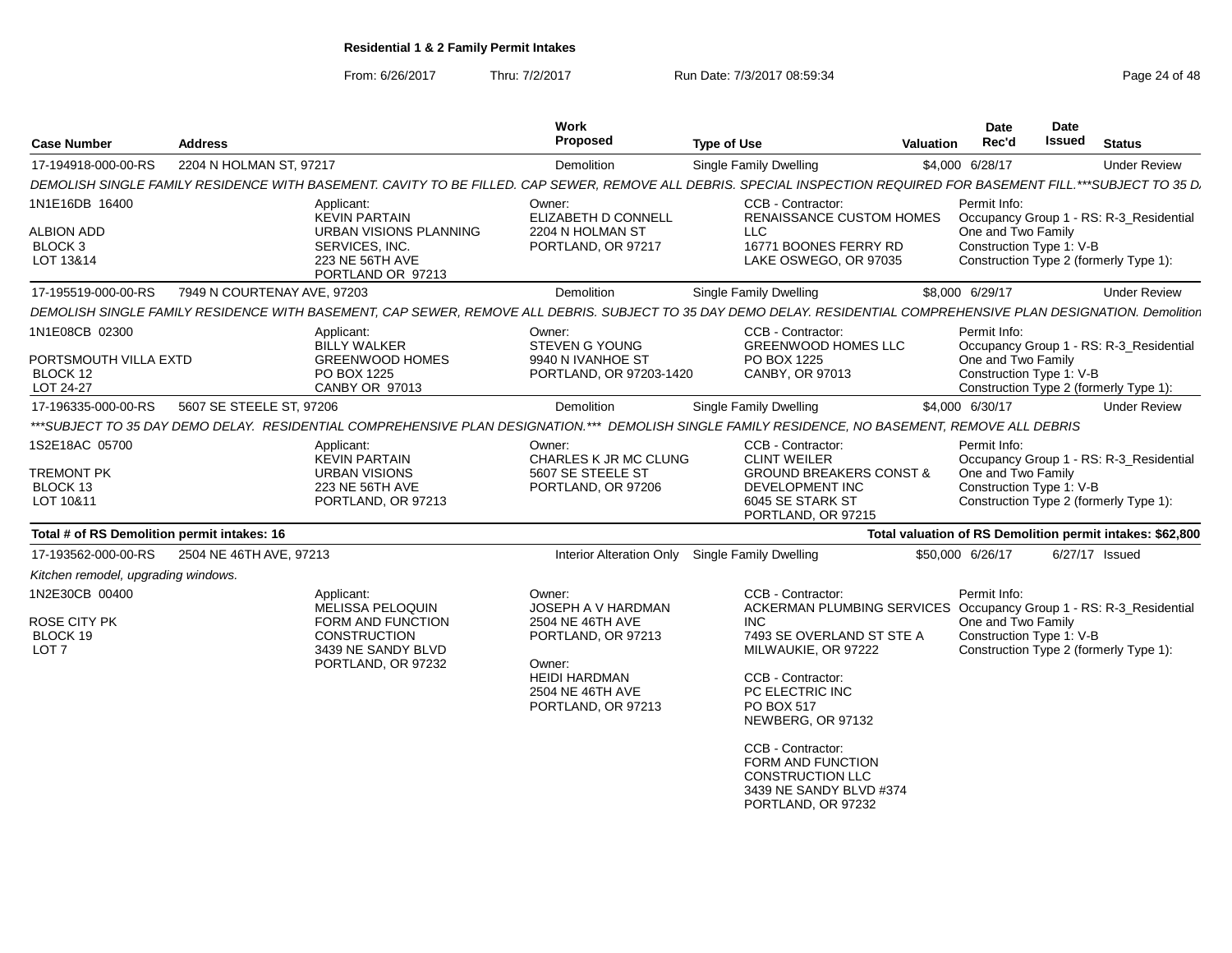From: 6/26/2017

Thru: 7/2/2017 **Run Date: 7/3/2017 08:59:34** Page 24 of 48

| <b>Case Number</b>                                                     | <b>Address</b>              |                                                                                                                        | Work<br>Proposed                                                                                                                                   | <b>Type of Use</b>                                                                                                                                                                                                                                                                                                                                         | <b>Valuation</b> | <b>Date</b><br>Rec'd                                           | Date<br>Issued | <b>Status</b>                                                                     |
|------------------------------------------------------------------------|-----------------------------|------------------------------------------------------------------------------------------------------------------------|----------------------------------------------------------------------------------------------------------------------------------------------------|------------------------------------------------------------------------------------------------------------------------------------------------------------------------------------------------------------------------------------------------------------------------------------------------------------------------------------------------------------|------------------|----------------------------------------------------------------|----------------|-----------------------------------------------------------------------------------|
| 17-194918-000-00-RS                                                    | 2204 N HOLMAN ST, 97217     |                                                                                                                        | Demolition                                                                                                                                         | Single Family Dwelling                                                                                                                                                                                                                                                                                                                                     |                  | \$4,000 6/28/17                                                |                | <b>Under Review</b>                                                               |
|                                                                        |                             |                                                                                                                        |                                                                                                                                                    | DEMOLISH SINGLE FAMILY RESIDENCE WITH BASEMENT. CAVITY TO BE FILLED. CAP SEWER, REMOVE ALL DEBRIS. SPECIAL INSPECTION REQUIRED FOR BASEMENT FILL.***SUBJECT TO 35 D.                                                                                                                                                                                       |                  |                                                                |                |                                                                                   |
| 1N1E16DB 16400<br><b>ALBION ADD</b><br>BLOCK <sub>3</sub><br>LOT 13&14 |                             | Applicant:<br><b>KEVIN PARTAIN</b><br>URBAN VISIONS PLANNING<br>SERVICES, INC.<br>223 NE 56TH AVE<br>PORTLAND OR 97213 | Owner:<br>ELIZABETH D CONNELL<br>2204 N HOLMAN ST<br>PORTLAND, OR 97217                                                                            | CCB - Contractor:<br><b>RENAISSANCE CUSTOM HOMES</b><br><b>LLC</b><br>16771 BOONES FERRY RD<br>LAKE OSWEGO, OR 97035                                                                                                                                                                                                                                       |                  | Permit Info:<br>One and Two Family<br>Construction Type 1: V-B |                | Occupancy Group 1 - RS: R-3 Residential<br>Construction Type 2 (formerly Type 1): |
| 17-195519-000-00-RS                                                    | 7949 N COURTENAY AVE, 97203 |                                                                                                                        | <b>Demolition</b>                                                                                                                                  | <b>Single Family Dwelling</b>                                                                                                                                                                                                                                                                                                                              |                  | \$8,000 6/29/17                                                |                | <b>Under Review</b>                                                               |
|                                                                        |                             |                                                                                                                        |                                                                                                                                                    | DEMOLISH SINGLE FAMILY RESIDENCE WITH BASEMENT, CAP SEWER, REMOVE ALL DEBRIS. SUBJECT TO 35 DAY DEMO DELAY. RESIDENTIAL COMPREHENSIVE PLAN DESIGNATION. Demolitior                                                                                                                                                                                         |                  |                                                                |                |                                                                                   |
| 1N1E08CB 02300<br>PORTSMOUTH VILLA EXTD<br>BLOCK 12<br>LOT 24-27       |                             | Applicant:<br><b>BILLY WALKER</b><br><b>GREENWOOD HOMES</b><br>PO BOX 1225<br>CANBY OR 97013                           | Owner:<br>STEVEN G YOUNG<br>9940 N IVANHOE ST<br>PORTLAND, OR 97203-1420                                                                           | CCB - Contractor:<br><b>GREENWOOD HOMES LLC</b><br>PO BOX 1225<br>CANBY, OR 97013                                                                                                                                                                                                                                                                          |                  | Permit Info:<br>One and Two Family<br>Construction Type 1: V-B |                | Occupancy Group 1 - RS: R-3_Residential<br>Construction Type 2 (formerly Type 1): |
| 17-196335-000-00-RS                                                    | 5607 SE STEELE ST, 97206    |                                                                                                                        | <b>Demolition</b>                                                                                                                                  | Single Family Dwelling                                                                                                                                                                                                                                                                                                                                     |                  | \$4,000 6/30/17                                                |                | <b>Under Review</b>                                                               |
|                                                                        |                             |                                                                                                                        |                                                                                                                                                    | ***SUBJECT TO 35 DAY DEMO DELAY. RESIDENTIAL COMPREHENSIVE PLAN DESIGNATION.*** DEMOLISH SINGLE FAMILY RESIDENCE. NO BASEMENT. REMOVE ALL DEBRIS                                                                                                                                                                                                           |                  |                                                                |                |                                                                                   |
| 1S2E18AC 05700<br><b>TREMONT PK</b><br>BLOCK 13<br>LOT 10&11           |                             | Applicant:<br><b>KEVIN PARTAIN</b><br><b>URBAN VISIONS</b><br>223 NE 56TH AVE<br>PORTLAND, OR 97213                    | Owner:<br>CHARLES K JR MC CLUNG<br>5607 SE STEELE ST<br>PORTLAND, OR 97206                                                                         | CCB - Contractor:<br><b>CLINT WEILER</b><br><b>GROUND BREAKERS CONST &amp;</b><br>DEVELOPMENT INC<br>6045 SE STARK ST<br>PORTLAND, OR 97215                                                                                                                                                                                                                |                  | Permit Info:<br>One and Two Family<br>Construction Type 1: V-B |                | Occupancy Group 1 - RS: R-3 Residential<br>Construction Type 2 (formerly Type 1): |
| Total # of RS Demolition permit intakes: 16                            |                             |                                                                                                                        |                                                                                                                                                    |                                                                                                                                                                                                                                                                                                                                                            |                  |                                                                |                | Total valuation of RS Demolition permit intakes: \$62,800                         |
| 17-193562-000-00-RS                                                    | 2504 NE 46TH AVE, 97213     |                                                                                                                        |                                                                                                                                                    | Interior Alteration Only Single Family Dwelling                                                                                                                                                                                                                                                                                                            |                  | \$50,000 6/26/17                                               |                | 6/27/17 Issued                                                                    |
| Kitchen remodel, upgrading windows.                                    |                             |                                                                                                                        |                                                                                                                                                    |                                                                                                                                                                                                                                                                                                                                                            |                  |                                                                |                |                                                                                   |
| 1N2E30CB 00400<br><b>ROSE CITY PK</b><br>BLOCK 19<br>LOT <sub>7</sub>  |                             | Applicant:<br>MELISSA PELOQUIN<br>FORM AND FUNCTION<br><b>CONSTRUCTION</b><br>3439 NE SANDY BLVD<br>PORTLAND, OR 97232 | Owner:<br>JOSEPH A V HARDMAN<br>2504 NE 46TH AVE<br>PORTLAND, OR 97213<br>Owner:<br><b>HEIDI HARDMAN</b><br>2504 NE 46TH AVE<br>PORTLAND, OR 97213 | CCB - Contractor:<br>ACKERMAN PLUMBING SERVICES Occupancy Group 1 - RS: R-3 Residential<br><b>INC</b><br>7493 SE OVERLAND ST STE A<br>MILWAUKIE, OR 97222<br>CCB - Contractor:<br>PC ELECTRIC INC<br>PO BOX 517<br>NEWBERG, OR 97132<br>CCB - Contractor:<br>FORM AND FUNCTION<br><b>CONSTRUCTION LLC</b><br>3439 NE SANDY BLVD #374<br>PORTLAND, OR 97232 |                  | Permit Info:<br>One and Two Family<br>Construction Type 1: V-B |                | Construction Type 2 (formerly Type 1):                                            |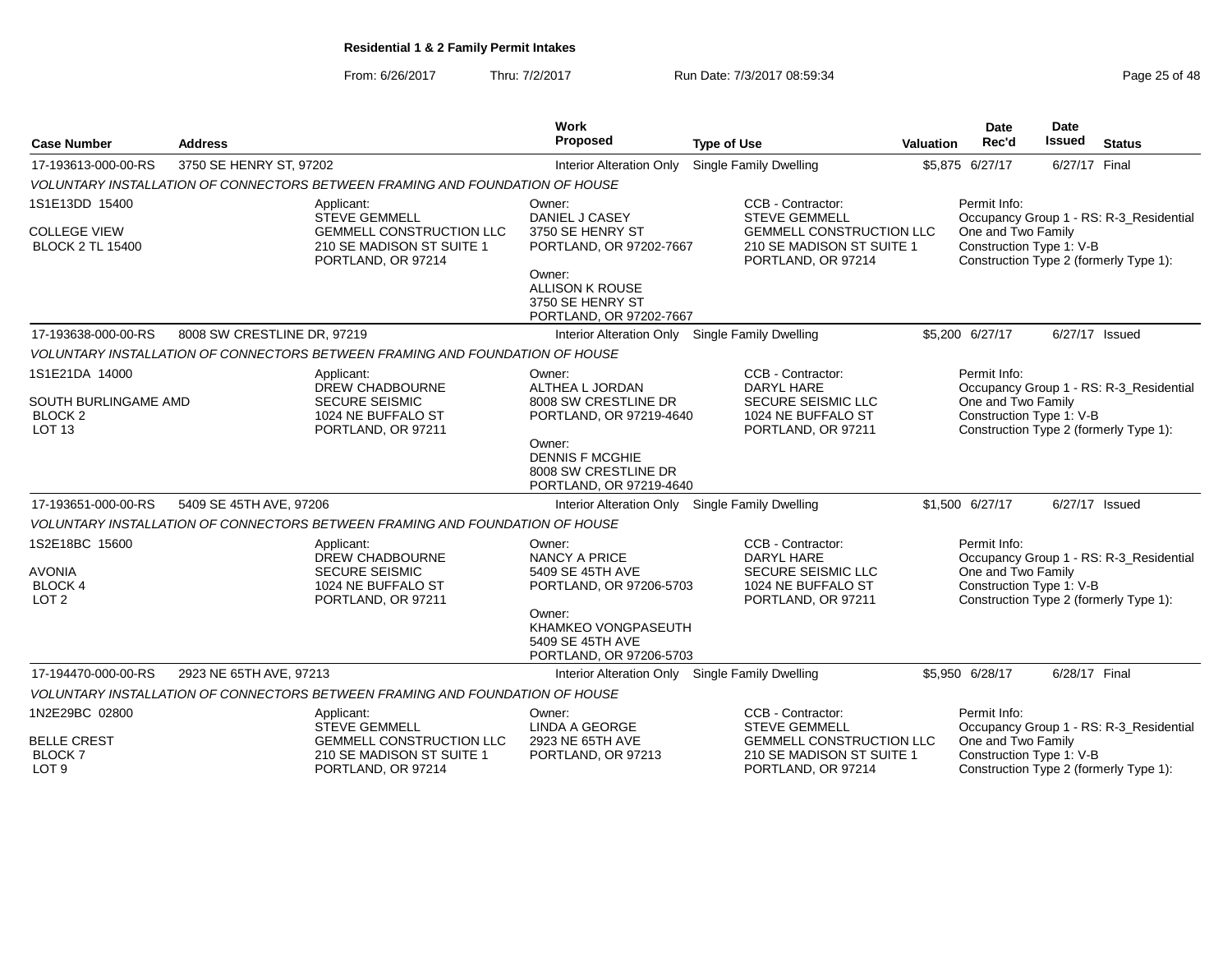From: 6/26/2017Thru: 7/2/2017 **Run Date: 7/3/2017 08:59:34** Page 25 of 48

|                                                                       |                             |                                                                                                                   | <b>Work</b><br>Proposed                                                             |                                                                                                                                 |                  | <b>Date</b>                                                    | <b>Date</b><br>Issued |                                                                                   |
|-----------------------------------------------------------------------|-----------------------------|-------------------------------------------------------------------------------------------------------------------|-------------------------------------------------------------------------------------|---------------------------------------------------------------------------------------------------------------------------------|------------------|----------------------------------------------------------------|-----------------------|-----------------------------------------------------------------------------------|
| <b>Case Number</b>                                                    | <b>Address</b>              |                                                                                                                   |                                                                                     | <b>Type of Use</b>                                                                                                              | <b>Valuation</b> | Rec'd                                                          |                       | <b>Status</b>                                                                     |
| 17-193613-000-00-RS                                                   | 3750 SE HENRY ST, 97202     |                                                                                                                   | Interior Alteration Only                                                            | Single Family Dwelling                                                                                                          |                  | \$5,875 6/27/17                                                | 6/27/17 Final         |                                                                                   |
|                                                                       |                             | VOLUNTARY INSTALLATION OF CONNECTORS BETWEEN FRAMING AND FOUNDATION OF HOUSE                                      |                                                                                     |                                                                                                                                 |                  |                                                                |                       |                                                                                   |
| 1S1E13DD 15400<br><b>COLLEGE VIEW</b><br><b>BLOCK 2 TL 15400</b>      |                             | Applicant:<br><b>STEVE GEMMELL</b><br>GEMMELL CONSTRUCTION LLC<br>210 SE MADISON ST SUITE 1<br>PORTLAND, OR 97214 | Owner:<br>DANIEL J CASEY<br>3750 SE HENRY ST<br>PORTLAND, OR 97202-7667             | CCB - Contractor:<br><b>STEVE GEMMELL</b><br><b>GEMMELL CONSTRUCTION LLC</b><br>210 SE MADISON ST SUITE 1<br>PORTLAND, OR 97214 |                  | Permit Info:<br>One and Two Family<br>Construction Type 1: V-B |                       | Occupancy Group 1 - RS: R-3 Residential<br>Construction Type 2 (formerly Type 1): |
|                                                                       |                             |                                                                                                                   | Owner:<br>ALLISON K ROUSE<br>3750 SE HENRY ST<br>PORTLAND, OR 97202-7667            |                                                                                                                                 |                  |                                                                |                       |                                                                                   |
| 17-193638-000-00-RS                                                   | 8008 SW CRESTLINE DR, 97219 |                                                                                                                   | Interior Alteration Only Single Family Dwelling                                     |                                                                                                                                 |                  | \$5,200 6/27/17                                                | 6/27/17 Issued        |                                                                                   |
|                                                                       |                             | VOLUNTARY INSTALLATION OF CONNECTORS BETWEEN FRAMING AND FOUNDATION OF HOUSE                                      |                                                                                     |                                                                                                                                 |                  |                                                                |                       |                                                                                   |
| 1S1E21DA 14000                                                        |                             | Applicant:<br><b>DREW CHADBOURNE</b>                                                                              | Owner:<br>ALTHEA L JORDAN                                                           | CCB - Contractor:<br>DARYL HARE                                                                                                 |                  | Permit Info:                                                   |                       | Occupancy Group 1 - RS: R-3_Residential                                           |
| SOUTH BURLINGAME AMD<br><b>BLOCK 2</b><br><b>LOT 13</b>               |                             | <b>SECURE SEISMIC</b><br>1024 NE BUFFALO ST<br>PORTLAND, OR 97211                                                 | 8008 SW CRESTLINE DR<br>PORTLAND, OR 97219-4640                                     | <b>SECURE SEISMIC LLC</b><br>1024 NE BUFFALO ST<br>PORTLAND, OR 97211                                                           |                  | One and Two Family<br>Construction Type 1: V-B                 |                       | Construction Type 2 (formerly Type 1):                                            |
|                                                                       |                             |                                                                                                                   | Owner:<br><b>DENNIS F MCGHIE</b><br>8008 SW CRESTLINE DR<br>PORTLAND, OR 97219-4640 |                                                                                                                                 |                  |                                                                |                       |                                                                                   |
| 17-193651-000-00-RS                                                   | 5409 SE 45TH AVE, 97206     |                                                                                                                   | <b>Interior Alteration Only</b>                                                     | <b>Single Family Dwelling</b>                                                                                                   |                  | \$1,500 6/27/17                                                | 6/27/17 Issued        |                                                                                   |
|                                                                       |                             | VOLUNTARY INSTALLATION OF CONNECTORS BETWEEN FRAMING AND FOUNDATION OF HOUSE                                      |                                                                                     |                                                                                                                                 |                  |                                                                |                       |                                                                                   |
| 1S2E18BC 15600<br><b>AVONIA</b><br><b>BLOCK 4</b><br>LOT <sub>2</sub> |                             | Applicant:<br><b>DREW CHADBOURNE</b><br><b>SECURE SEISMIC</b><br>1024 NE BUFFALO ST<br>PORTLAND, OR 97211         | Owner:<br>NANCY A PRICE<br>5409 SE 45TH AVE<br>PORTLAND, OR 97206-5703              | CCB - Contractor:<br>DARYL HARE<br><b>SECURE SEISMIC LLC</b><br>1024 NE BUFFALO ST<br>PORTLAND, OR 97211                        |                  | Permit Info:<br>One and Two Family<br>Construction Type 1: V-B |                       | Occupancy Group 1 - RS: R-3_Residential<br>Construction Type 2 (formerly Type 1): |
|                                                                       |                             |                                                                                                                   | Owner:<br>KHAMKEO VONGPASEUTH<br>5409 SE 45TH AVE<br>PORTLAND, OR 97206-5703        |                                                                                                                                 |                  |                                                                |                       |                                                                                   |
| 17-194470-000-00-RS                                                   | 2923 NE 65TH AVE, 97213     |                                                                                                                   | Interior Alteration Only Single Family Dwelling                                     |                                                                                                                                 |                  | \$5.950 6/28/17                                                | 6/28/17 Final         |                                                                                   |
|                                                                       |                             | VOLUNTARY INSTALLATION OF CONNECTORS BETWEEN FRAMING AND FOUNDATION OF HOUSE                                      |                                                                                     |                                                                                                                                 |                  |                                                                |                       |                                                                                   |
| 1N2E29BC 02800                                                        |                             | Applicant:<br><b>STEVE GEMMELL</b>                                                                                | Owner:<br><b>LINDA A GEORGE</b>                                                     | CCB - Contractor:<br><b>STEVE GEMMELL</b>                                                                                       |                  | Permit Info:                                                   |                       | Occupancy Group 1 - RS: R-3_Residential                                           |
| <b>BELLE CREST</b><br><b>BLOCK7</b><br>LOT <sub>9</sub>               |                             | <b>GEMMELL CONSTRUCTION LLC</b><br>210 SE MADISON ST SUITE 1<br>PORTLAND, OR 97214                                | 2923 NE 65TH AVE<br>PORTLAND, OR 97213                                              | <b>GEMMELL CONSTRUCTION LLC</b><br>210 SE MADISON ST SUITE 1<br>PORTLAND, OR 97214                                              |                  | One and Two Family<br>Construction Type 1: V-B                 |                       | Construction Type 2 (formerly Type 1):                                            |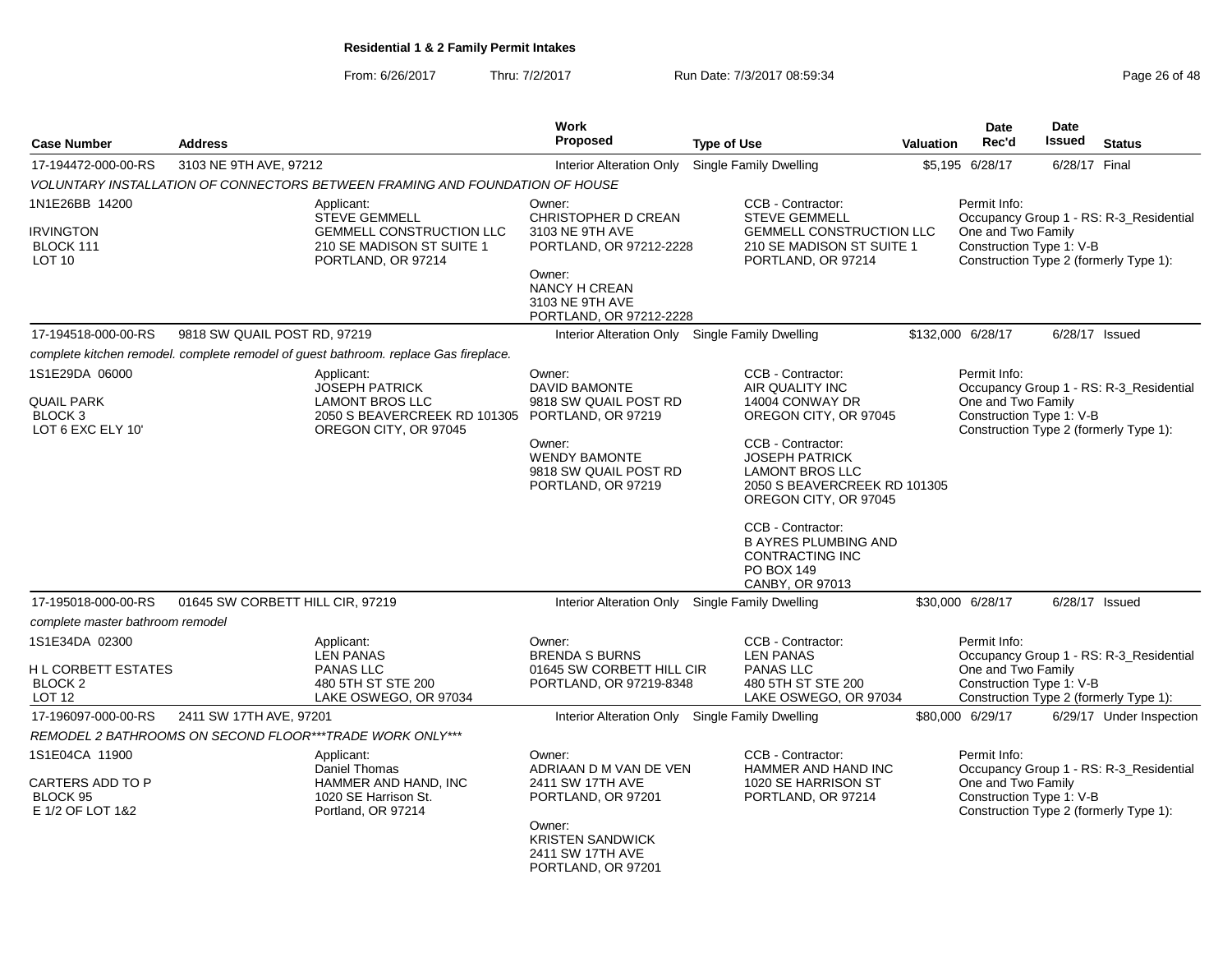From: 6/26/2017Thru: 7/2/2017 **Run Date: 7/3/2017 08:59:34** Page 26 of 48

| <b>Case Number</b>                                                               | <b>Address</b>                   |                                                                                                                        | <b>Work</b><br>Proposed                                                                                                                                        | <b>Type of Use</b>                                                                                                                                                                                                                                                                                                               | <b>Valuation</b> | Date<br>Rec'd                                                  | <b>Date</b><br>Issued | <b>Status</b>                                                                     |
|----------------------------------------------------------------------------------|----------------------------------|------------------------------------------------------------------------------------------------------------------------|----------------------------------------------------------------------------------------------------------------------------------------------------------------|----------------------------------------------------------------------------------------------------------------------------------------------------------------------------------------------------------------------------------------------------------------------------------------------------------------------------------|------------------|----------------------------------------------------------------|-----------------------|-----------------------------------------------------------------------------------|
| 17-194472-000-00-RS                                                              | 3103 NE 9TH AVE, 97212           |                                                                                                                        | <b>Interior Alteration Only</b>                                                                                                                                | Single Family Dwelling                                                                                                                                                                                                                                                                                                           |                  | \$5,195 6/28/17                                                | 6/28/17 Final         |                                                                                   |
|                                                                                  |                                  | VOLUNTARY INSTALLATION OF CONNECTORS BETWEEN FRAMING AND FOUNDATION OF HOUSE                                           |                                                                                                                                                                |                                                                                                                                                                                                                                                                                                                                  |                  |                                                                |                       |                                                                                   |
| 1N1E26BB 14200                                                                   |                                  | Applicant:                                                                                                             | Owner:                                                                                                                                                         | CCB - Contractor:                                                                                                                                                                                                                                                                                                                |                  | Permit Info:                                                   |                       |                                                                                   |
| <b>IRVINGTON</b><br>BLOCK 111<br>LOT 10                                          |                                  | <b>STEVE GEMMELL</b><br><b>GEMMELL CONSTRUCTION LLC</b><br>210 SE MADISON ST SUITE 1<br>PORTLAND, OR 97214             | <b>CHRISTOPHER D CREAN</b><br>3103 NE 9TH AVE<br>PORTLAND, OR 97212-2228<br>Owner:<br><b>NANCY H CREAN</b><br>3103 NE 9TH AVE<br>PORTLAND, OR 97212-2228       | <b>STEVE GEMMELL</b><br><b>GEMMELL CONSTRUCTION LLC</b><br>210 SE MADISON ST SUITE 1<br>PORTLAND, OR 97214                                                                                                                                                                                                                       |                  | One and Two Family<br>Construction Type 1: V-B                 |                       | Occupancy Group 1 - RS: R-3_Residential<br>Construction Type 2 (formerly Type 1): |
| 17-194518-000-00-RS                                                              | 9818 SW QUAIL POST RD, 97219     |                                                                                                                        | Interior Alteration Only Single Family Dwelling                                                                                                                |                                                                                                                                                                                                                                                                                                                                  |                  | \$132,000 6/28/17                                              |                       | 6/28/17 Issued                                                                    |
|                                                                                  |                                  | complete kitchen remodel, complete remodel of quest bathroom, replace Gas fireplace.                                   |                                                                                                                                                                |                                                                                                                                                                                                                                                                                                                                  |                  |                                                                |                       |                                                                                   |
| 1S1E29DA 06000<br><b>QUAIL PARK</b><br>BLOCK <sub>3</sub><br>LOT 6 EXC ELY 10'   |                                  | Applicant:<br><b>JOSEPH PATRICK</b><br><b>LAMONT BROS LLC</b><br>2050 S BEAVERCREEK RD 101305<br>OREGON CITY, OR 97045 | Owner:<br><b>DAVID BAMONTE</b><br>9818 SW QUAIL POST RD<br>PORTLAND, OR 97219<br>Owner:<br><b>WENDY BAMONTE</b><br>9818 SW QUAIL POST RD<br>PORTLAND, OR 97219 | CCB - Contractor:<br>AIR QUALITY INC<br>14004 CONWAY DR<br>OREGON CITY, OR 97045<br>CCB - Contractor:<br><b>JOSEPH PATRICK</b><br><b>LAMONT BROS LLC</b><br>2050 S BEAVERCREEK RD 101305<br>OREGON CITY, OR 97045<br>CCB - Contractor:<br><b>B AYRES PLUMBING AND</b><br><b>CONTRACTING INC</b><br>PO BOX 149<br>CANBY, OR 97013 |                  | Permit Info:<br>One and Two Family<br>Construction Type 1: V-B |                       | Occupancy Group 1 - RS: R-3_Residential<br>Construction Type 2 (formerly Type 1): |
| 17-195018-000-00-RS                                                              | 01645 SW CORBETT HILL CIR, 97219 |                                                                                                                        | Interior Alteration Only Single Family Dwelling                                                                                                                |                                                                                                                                                                                                                                                                                                                                  |                  | \$30,000 6/28/17                                               |                       | 6/28/17 Issued                                                                    |
| complete master bathroom remodel                                                 |                                  |                                                                                                                        |                                                                                                                                                                |                                                                                                                                                                                                                                                                                                                                  |                  |                                                                |                       |                                                                                   |
| 1S1E34DA 02300<br>H L CORBETT ESTATES<br>BLOCK <sub>2</sub><br>LOT <sub>12</sub> |                                  | Applicant:<br><b>LEN PANAS</b><br><b>PANAS LLC</b><br>480 5TH ST STE 200<br>LAKE OSWEGO, OR 97034                      | Owner:<br><b>BRENDA S BURNS</b><br>01645 SW CORBETT HILL CIR<br>PORTLAND, OR 97219-8348                                                                        | CCB - Contractor:<br><b>LEN PANAS</b><br><b>PANAS LLC</b><br>480 5TH ST STE 200<br>LAKE OSWEGO, OR 97034                                                                                                                                                                                                                         |                  | Permit Info:<br>One and Two Family<br>Construction Type 1: V-B |                       | Occupancy Group 1 - RS: R-3_Residential<br>Construction Type 2 (formerly Type 1): |
| 17-196097-000-00-RS                                                              | 2411 SW 17TH AVE, 97201          |                                                                                                                        | Interior Alteration Only Single Family Dwelling                                                                                                                |                                                                                                                                                                                                                                                                                                                                  |                  | \$80,000 6/29/17                                               |                       | 6/29/17 Under Inspection                                                          |
|                                                                                  |                                  | REMODEL 2 BATHROOMS ON SECOND FLOOR***TRADE WORK ONLY***                                                               |                                                                                                                                                                |                                                                                                                                                                                                                                                                                                                                  |                  |                                                                |                       |                                                                                   |
| 1S1E04CA 11900<br>CARTERS ADD TO P<br>BLOCK 95<br>E 1/2 OF LOT 1&2               |                                  | Applicant:<br>Daniel Thomas<br>HAMMER AND HAND, INC<br>1020 SE Harrison St.<br>Portland, OR 97214                      | Owner:<br>ADRIAAN D M VAN DE VEN<br>2411 SW 17TH AVE<br>PORTLAND, OR 97201<br>Owner:<br><b>KRISTEN SANDWICK</b><br>2411 SW 17TH AVE<br>PORTLAND, OR 97201      | CCB - Contractor:<br>HAMMER AND HAND INC<br>1020 SE HARRISON ST<br>PORTLAND, OR 97214                                                                                                                                                                                                                                            |                  | Permit Info:<br>One and Two Family<br>Construction Type 1: V-B |                       | Occupancy Group 1 - RS: R-3_Residential<br>Construction Type 2 (formerly Type 1): |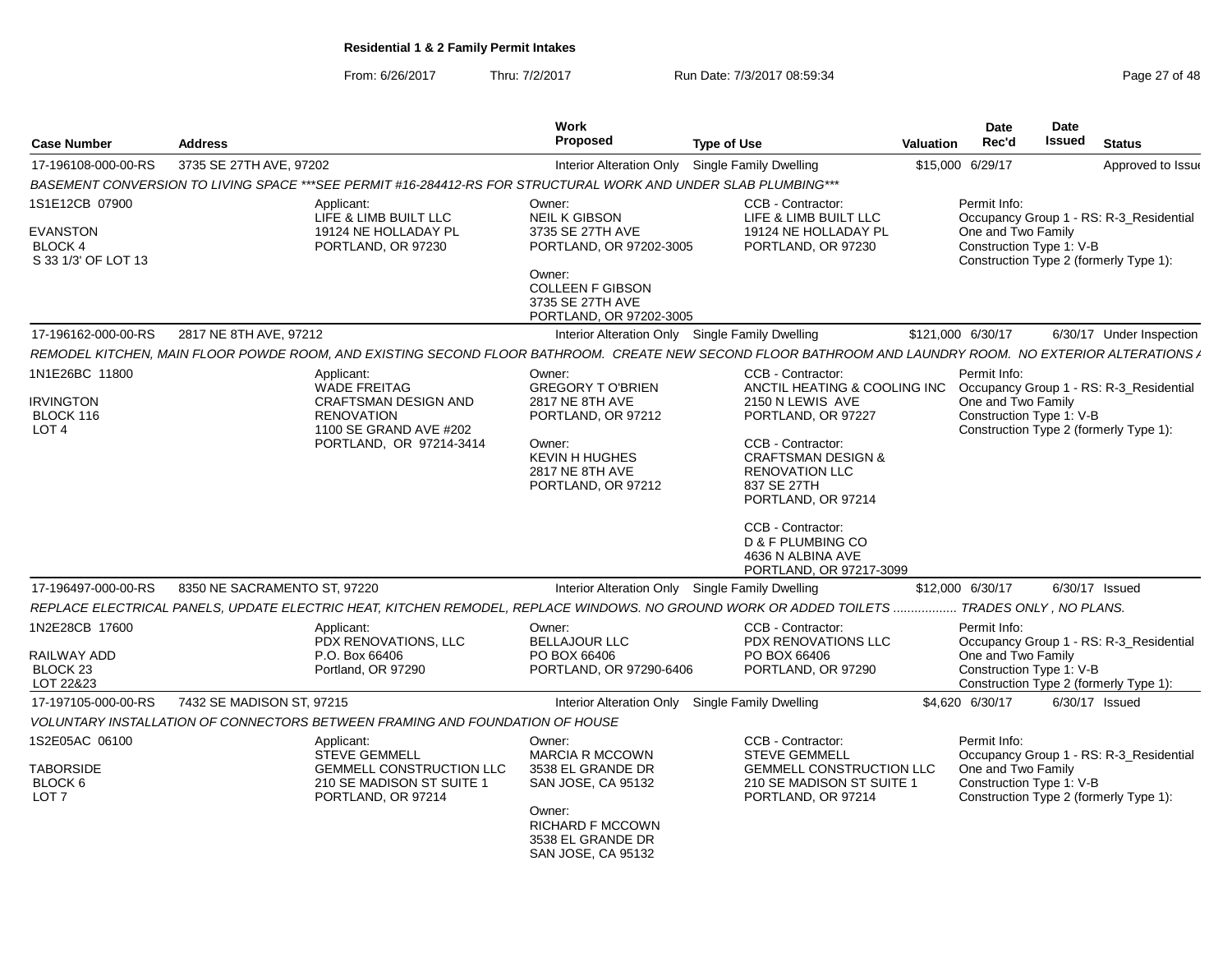From: 6/26/2017Thru: 7/2/2017 **Run Date: 7/3/2017 08:59:34** Page 27 of 48

| <b>Case Number</b>                                     | <b>Address</b>               |                                                                                                                                                          | <b>Work</b><br>Proposed                                                                                                         | <b>Type of Use</b>                                                                                                                                                                                                                                   | Valuation | <b>Date</b><br>Rec'd                                           | Date<br><b>Issued</b> | <b>Status</b>                                                                     |
|--------------------------------------------------------|------------------------------|----------------------------------------------------------------------------------------------------------------------------------------------------------|---------------------------------------------------------------------------------------------------------------------------------|------------------------------------------------------------------------------------------------------------------------------------------------------------------------------------------------------------------------------------------------------|-----------|----------------------------------------------------------------|-----------------------|-----------------------------------------------------------------------------------|
| 17-196108-000-00-RS                                    | 3735 SE 27TH AVE, 97202      |                                                                                                                                                          | <b>Interior Alteration Only</b>                                                                                                 | <b>Single Family Dwelling</b>                                                                                                                                                                                                                        |           | \$15,000 6/29/17                                               |                       | Approved to Issue                                                                 |
|                                                        |                              | BASEMENT CONVERSION TO LIVING SPACE ***SEE PERMIT #16-284412-RS FOR STRUCTURAL WORK AND UNDER SLAB PLUMBING ***                                          |                                                                                                                                 |                                                                                                                                                                                                                                                      |           |                                                                |                       |                                                                                   |
| 1S1E12CB 07900                                         |                              | Applicant:<br>LIFE & LIMB BUILT LLC                                                                                                                      | Owner:<br><b>NEIL K GIBSON</b>                                                                                                  | CCB - Contractor:<br>LIFE & LIMB BUILT LLC                                                                                                                                                                                                           |           | Permit Info:                                                   |                       | Occupancy Group 1 - RS: R-3_Residential                                           |
| EVANSTON<br>BLOCK 4<br>S 33 1/3' OF LOT 13             |                              | 19124 NE HOLLADAY PL<br>PORTLAND, OR 97230                                                                                                               | 3735 SE 27TH AVE<br>PORTLAND, OR 97202-3005<br>Owner:                                                                           | 19124 NE HOLLADAY PL<br>PORTLAND, OR 97230                                                                                                                                                                                                           |           | One and Two Family<br>Construction Type 1: V-B                 |                       | Construction Type 2 (formerly Type 1):                                            |
|                                                        |                              |                                                                                                                                                          | <b>COLLEEN F GIBSON</b><br>3735 SE 27TH AVE<br>PORTLAND, OR 97202-3005                                                          |                                                                                                                                                                                                                                                      |           |                                                                |                       |                                                                                   |
| 17-196162-000-00-RS                                    | 2817 NE 8TH AVE, 97212       |                                                                                                                                                          |                                                                                                                                 | Interior Alteration Only Single Family Dwelling                                                                                                                                                                                                      |           | \$121,000 6/30/17                                              |                       | 6/30/17 Under Inspection                                                          |
|                                                        |                              | REMODEL KITCHEN, MAIN FLOOR POWDE ROOM, AND EXISTING SECOND FLOOR BATHROOM. CREATE NEW SECOND FLOOR BATHROOM AND LAUNDRY ROOM. NO EXTERIOR ALTERATIONS A |                                                                                                                                 |                                                                                                                                                                                                                                                      |           |                                                                |                       |                                                                                   |
| 1N1E26BC 11800                                         |                              | Applicant:<br><b>WADE FREITAG</b>                                                                                                                        | Owner:<br><b>GREGORY TO'BRIEN</b>                                                                                               | CCB - Contractor:<br>ANCTIL HEATING & COOLING INC                                                                                                                                                                                                    |           | Permit Info:                                                   |                       | Occupancy Group 1 - RS: R-3_Residential                                           |
| <b>IRVINGTON</b><br>BLOCK 116<br>LOT <sub>4</sub>      |                              | <b>CRAFTSMAN DESIGN AND</b><br><b>RENOVATION</b><br>1100 SE GRAND AVE #202<br>PORTLAND, OR 97214-3414                                                    | <b>2817 NE 8TH AVE</b><br>PORTLAND, OR 97212<br>Owner:<br><b>KEVIN H HUGHES</b><br><b>2817 NE 8TH AVE</b><br>PORTLAND, OR 97212 | 2150 N LEWIS AVE<br>PORTLAND, OR 97227<br>CCB - Contractor:<br><b>CRAFTSMAN DESIGN &amp;</b><br><b>RENOVATION LLC</b><br>837 SE 27TH<br>PORTLAND, OR 97214<br>CCB - Contractor:<br>D & F PLUMBING CO<br>4636 N ALBINA AVE<br>PORTLAND, OR 97217-3099 |           | One and Two Family<br>Construction Type 1: V-B                 |                       | Construction Type 2 (formerly Type 1):                                            |
| 17-196497-000-00-RS                                    | 8350 NE SACRAMENTO ST, 97220 |                                                                                                                                                          |                                                                                                                                 | Interior Alteration Only Single Family Dwelling                                                                                                                                                                                                      |           | \$12,000 6/30/17                                               |                       | 6/30/17 Issued                                                                    |
|                                                        |                              | REPLACE ELECTRICAL PANELS, UPDATE ELECTRIC HEAT, KITCHEN REMODEL, REPLACE WINDOWS. NO GROUND WORK OR ADDED TOILETS  TRADES ONLY, NO PLANS.               |                                                                                                                                 |                                                                                                                                                                                                                                                      |           |                                                                |                       |                                                                                   |
| 1N2E28CB 17600<br>RAILWAY ADD<br>BLOCK 23<br>LOT 22&23 |                              | Applicant:<br>PDX RENOVATIONS, LLC<br>P.O. Box 66406<br>Portland, OR 97290                                                                               | Owner:<br><b>BELLAJOUR LLC</b><br>PO BOX 66406<br>PORTLAND, OR 97290-6406                                                       | CCB - Contractor:<br>PDX RENOVATIONS LLC<br>PO BOX 66406<br>PORTLAND, OR 97290                                                                                                                                                                       |           | Permit Info:<br>One and Two Family<br>Construction Type 1: V-B |                       | Occupancy Group 1 - RS: R-3_Residential<br>Construction Type 2 (formerly Type 1): |
| 17-197105-000-00-RS                                    | 7432 SE MADISON ST, 97215    |                                                                                                                                                          |                                                                                                                                 | Interior Alteration Only Single Family Dwelling                                                                                                                                                                                                      |           | \$4,620 6/30/17                                                |                       | 6/30/17 Issued                                                                    |
|                                                        |                              | VOLUNTARY INSTALLATION OF CONNECTORS BETWEEN FRAMING AND FOUNDATION OF HOUSE                                                                             |                                                                                                                                 |                                                                                                                                                                                                                                                      |           |                                                                |                       |                                                                                   |
| 1S2E05AC 06100                                         |                              | Applicant:<br><b>STEVE GEMMELL</b>                                                                                                                       | Owner:<br><b>MARCIA R MCCOWN</b>                                                                                                | CCB - Contractor:<br><b>STEVE GEMMELL</b>                                                                                                                                                                                                            |           | Permit Info:                                                   |                       | Occupancy Group 1 - RS: R-3_Residential                                           |
| <b>TABORSIDE</b><br>BLOCK 6<br>LOT <sub>7</sub>        |                              | <b>GEMMELL CONSTRUCTION LLC</b><br>210 SE MADISON ST SUITE 1<br>PORTLAND, OR 97214                                                                       | 3538 EL GRANDE DR<br>SAN JOSE, CA 95132<br>Owner:                                                                               | <b>GEMMELL CONSTRUCTION LLC</b><br>210 SE MADISON ST SUITE 1<br>PORTLAND, OR 97214                                                                                                                                                                   |           | One and Two Family<br>Construction Type 1: V-B                 |                       | Construction Type 2 (formerly Type 1):                                            |
|                                                        |                              |                                                                                                                                                          | <b>RICHARD F MCCOWN</b><br>3538 EL GRANDE DR<br>SAN JOSE, CA 95132                                                              |                                                                                                                                                                                                                                                      |           |                                                                |                       |                                                                                   |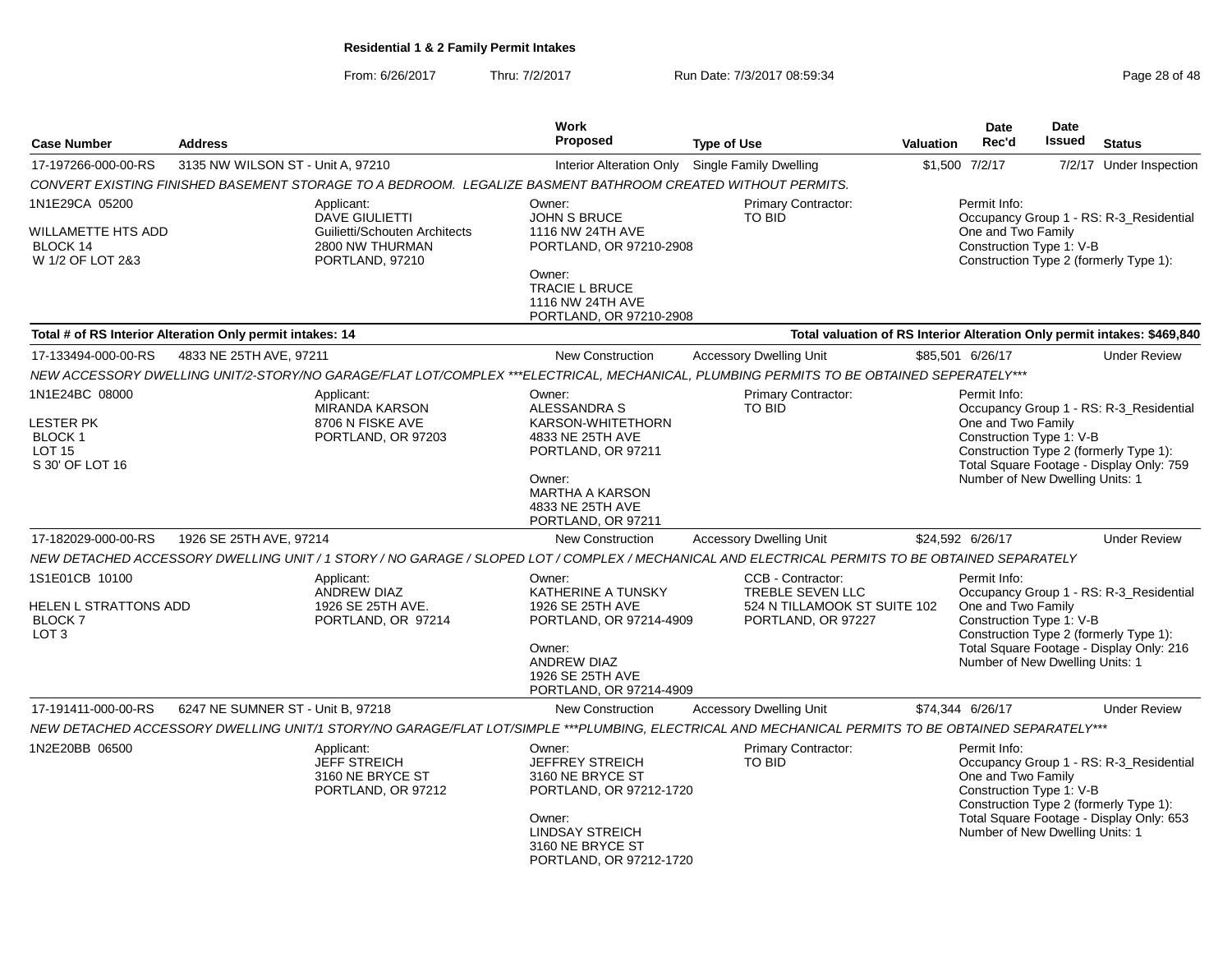From: 6/26/2017Thru: 7/2/2017 **Run Date: 7/3/2017 08:59:34** Page 28 of 48

|                                                                                   |                                   |                                                                                                                                                    | Work                                                                                                                                                                       |                                                                                                    |                  | Date                                                                                              | Date   |                                                                                                                               |
|-----------------------------------------------------------------------------------|-----------------------------------|----------------------------------------------------------------------------------------------------------------------------------------------------|----------------------------------------------------------------------------------------------------------------------------------------------------------------------------|----------------------------------------------------------------------------------------------------|------------------|---------------------------------------------------------------------------------------------------|--------|-------------------------------------------------------------------------------------------------------------------------------|
| <b>Case Number</b>                                                                | <b>Address</b>                    |                                                                                                                                                    | <b>Proposed</b>                                                                                                                                                            | <b>Type of Use</b>                                                                                 | <b>Valuation</b> | Rec'd                                                                                             | Issued | <b>Status</b>                                                                                                                 |
| 17-197266-000-00-RS                                                               | 3135 NW WILSON ST - Unit A, 97210 |                                                                                                                                                    | Interior Alteration Only Single Family Dwelling                                                                                                                            |                                                                                                    |                  | \$1,500 7/2/17                                                                                    |        | 7/2/17 Under Inspection                                                                                                       |
|                                                                                   |                                   | CONVERT EXISTING FINISHED BASEMENT STORAGE TO A BEDROOM. LEGALIZE BASMENT BATHROOM CREATED WITHOUT PERMITS.                                        |                                                                                                                                                                            |                                                                                                    |                  |                                                                                                   |        |                                                                                                                               |
| 1N1E29CA 05200<br>WILLAMETTE HTS ADD<br>BLOCK 14<br>W 1/2 OF LOT 2&3              |                                   | Applicant:<br><b>DAVE GIULIETTI</b><br>Guilietti/Schouten Architects<br>2800 NW THURMAN<br>PORTLAND, 97210                                         | Owner:<br><b>JOHN S BRUCE</b><br>1116 NW 24TH AVE<br>PORTLAND, OR 97210-2908<br>Owner:                                                                                     | Primary Contractor:<br>TO BID                                                                      |                  | Permit Info:<br>One and Two Family<br>Construction Type 1: V-B                                    |        | Occupancy Group 1 - RS: R-3 Residential<br>Construction Type 2 (formerly Type 1):                                             |
|                                                                                   |                                   |                                                                                                                                                    | <b>TRACIE L BRUCE</b><br>1116 NW 24TH AVE<br>PORTLAND, OR 97210-2908                                                                                                       |                                                                                                    |                  |                                                                                                   |        |                                                                                                                               |
| Total # of RS Interior Alteration Only permit intakes: 14                         |                                   |                                                                                                                                                    |                                                                                                                                                                            |                                                                                                    |                  |                                                                                                   |        | Total valuation of RS Interior Alteration Only permit intakes: \$469,840                                                      |
| 17-133494-000-00-RS                                                               | 4833 NE 25TH AVE, 97211           |                                                                                                                                                    | <b>New Construction</b>                                                                                                                                                    | <b>Accessory Dwelling Unit</b>                                                                     |                  | \$85,501 6/26/17                                                                                  |        | <b>Under Review</b>                                                                                                           |
|                                                                                   |                                   | NEW ACCESSORY DWELLING UNIT/2-STORY/NO GARAGE/FLAT LOT/COMPLEX ***ELECTRICAL, MECHANICAL, PLUMBING PERMITS TO BE OBTAINED SEPERATELY***            |                                                                                                                                                                            |                                                                                                    |                  |                                                                                                   |        |                                                                                                                               |
| 1N1E24BC 08000<br><b>LESTER PK</b><br>BLOCK 1<br><b>LOT 15</b><br>S 30' OF LOT 16 |                                   | Applicant:<br><b>MIRANDA KARSON</b><br>8706 N FISKE AVE<br>PORTLAND, OR 97203                                                                      | Owner:<br><b>ALESSANDRA S</b><br>KARSON-WHITETHORN<br>4833 NE 25TH AVE<br>PORTLAND, OR 97211<br>Owner:<br><b>MARTHA A KARSON</b><br>4833 NE 25TH AVE<br>PORTLAND, OR 97211 | Primary Contractor:<br>TO BID                                                                      |                  | Permit Info:<br>One and Two Family<br>Construction Type 1: V-B<br>Number of New Dwelling Units: 1 |        | Occupancy Group 1 - RS: R-3_Residential<br>Construction Type 2 (formerly Type 1):<br>Total Square Footage - Display Only: 759 |
| 17-182029-000-00-RS                                                               | 1926 SE 25TH AVE, 97214           |                                                                                                                                                    | <b>New Construction</b>                                                                                                                                                    | <b>Accessory Dwelling Unit</b>                                                                     |                  | \$24,592 6/26/17                                                                                  |        | <b>Under Review</b>                                                                                                           |
|                                                                                   |                                   | NEW DETACHED ACCESSORY DWELLING UNIT / 1 STORY / NO GARAGE / SLOPED LOT / COMPLEX / MECHANICAL AND ELECTRICAL PERMITS TO BE OBTAINED SEPARATELY    |                                                                                                                                                                            |                                                                                                    |                  |                                                                                                   |        |                                                                                                                               |
| 1S1E01CB 10100<br>HELEN L STRATTONS ADD<br><b>BLOCK 7</b><br>LOT <sub>3</sub>     |                                   | Applicant:<br><b>ANDREW DIAZ</b><br>1926 SE 25TH AVE.<br>PORTLAND, OR 97214                                                                        | Owner:<br>KATHERINE A TUNSKY<br>1926 SE 25TH AVE<br>PORTLAND, OR 97214-4909<br>Owner:<br><b>ANDREW DIAZ</b><br>1926 SE 25TH AVE<br>PORTLAND, OR 97214-4909                 | CCB - Contractor:<br><b>TREBLE SEVEN LLC</b><br>524 N TILLAMOOK ST SUITE 102<br>PORTLAND, OR 97227 |                  | Permit Info:<br>One and Two Family<br>Construction Type 1: V-B<br>Number of New Dwelling Units: 1 |        | Occupancy Group 1 - RS: R-3 Residential<br>Construction Type 2 (formerly Type 1):<br>Total Square Footage - Display Only: 216 |
| 17-191411-000-00-RS                                                               | 6247 NE SUMNER ST - Unit B, 97218 |                                                                                                                                                    | <b>New Construction</b>                                                                                                                                                    | <b>Accessory Dwelling Unit</b>                                                                     |                  | \$74,344 6/26/17                                                                                  |        | <b>Under Review</b>                                                                                                           |
|                                                                                   |                                   | NEW DETACHED ACCESSORY DWELLING UNIT/1 STORY/NO GARAGE/FLAT LOT/SIMPLE ***PLUMBING, ELECTRICAL AND MECHANICAL PERMITS TO BE OBTAINED SEPARATELY*** |                                                                                                                                                                            |                                                                                                    |                  |                                                                                                   |        |                                                                                                                               |
| 1N2E20BB 06500                                                                    |                                   | Applicant:<br><b>JEFF STREICH</b><br>3160 NE BRYCE ST<br>PORTLAND, OR 97212                                                                        | Owner:<br><b>JEFFREY STREICH</b><br>3160 NE BRYCE ST<br>PORTLAND, OR 97212-1720<br>Owner:<br><b>LINDSAY STREICH</b><br>3160 NE BRYCE ST<br>PORTLAND, OR 97212-1720         | Primary Contractor:<br><b>TO BID</b>                                                               |                  | Permit Info:<br>One and Two Family<br>Construction Type 1: V-B<br>Number of New Dwelling Units: 1 |        | Occupancy Group 1 - RS: R-3_Residential<br>Construction Type 2 (formerly Type 1):<br>Total Square Footage - Display Only: 653 |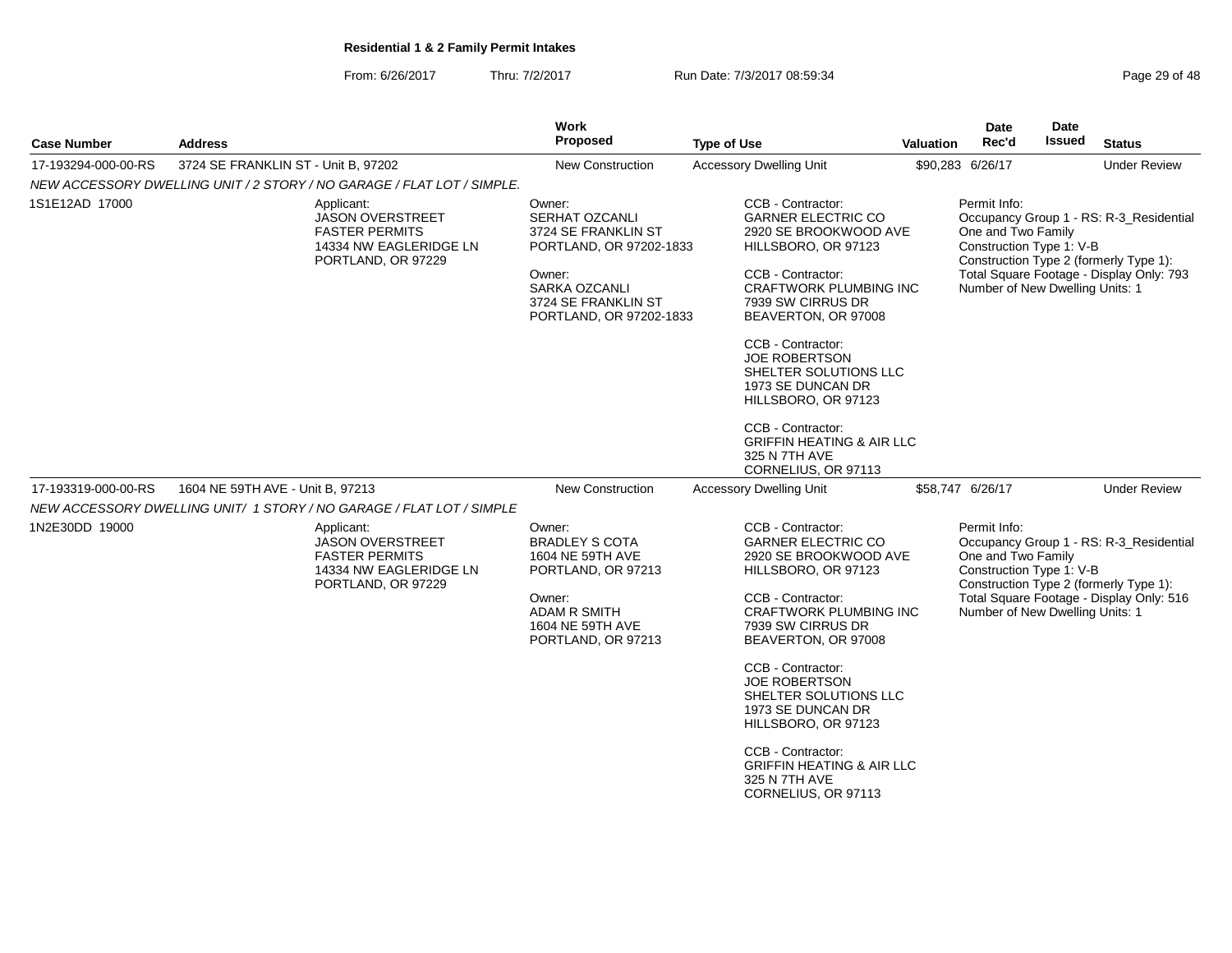From: 6/26/2017Thru: 7/2/2017 **Run Date: 7/3/2017 08:59:34** Page 2017 08:59:34

| Page 29 of 48 |  |  |  |
|---------------|--|--|--|
|---------------|--|--|--|

| <b>Case Number</b>  | <b>Address</b>                                                                                                 | Work<br><b>Proposed</b>                                                                                                                                               | <b>Type of Use</b>                                                                                                                                                                                                                                                                                                                                                                                                      | <b>Valuation</b> | <b>Date</b><br>Rec'd                                                                              | Date<br><b>Issued</b> | <b>Status</b>                                                                                                                 |
|---------------------|----------------------------------------------------------------------------------------------------------------|-----------------------------------------------------------------------------------------------------------------------------------------------------------------------|-------------------------------------------------------------------------------------------------------------------------------------------------------------------------------------------------------------------------------------------------------------------------------------------------------------------------------------------------------------------------------------------------------------------------|------------------|---------------------------------------------------------------------------------------------------|-----------------------|-------------------------------------------------------------------------------------------------------------------------------|
| 17-193294-000-00-RS | 3724 SE FRANKLIN ST - Unit B, 97202                                                                            | <b>New Construction</b>                                                                                                                                               | <b>Accessory Dwelling Unit</b>                                                                                                                                                                                                                                                                                                                                                                                          |                  | \$90,283 6/26/17                                                                                  |                       | <b>Under Review</b>                                                                                                           |
|                     | NEW ACCESSORY DWELLING UNIT / 2 STORY / NO GARAGE / FLAT LOT / SIMPLE.                                         |                                                                                                                                                                       |                                                                                                                                                                                                                                                                                                                                                                                                                         |                  |                                                                                                   |                       |                                                                                                                               |
| 1S1E12AD 17000      | Applicant:<br><b>JASON OVERSTREET</b><br><b>FASTER PERMITS</b><br>14334 NW EAGLERIDGE LN<br>PORTLAND, OR 97229 | Owner:<br><b>SERHAT OZCANLI</b><br>3724 SE FRANKLIN ST<br>PORTLAND, OR 97202-1833<br>Owner:<br><b>SARKA OZCANLI</b><br>3724 SE FRANKLIN ST<br>PORTLAND, OR 97202-1833 | CCB - Contractor:<br><b>GARNER ELECTRIC CO</b><br>2920 SE BROOKWOOD AVE<br>HILLSBORO, OR 97123<br>CCB - Contractor:<br><b>CRAFTWORK PLUMBING INC</b><br>7939 SW CIRRUS DR<br>BEAVERTON, OR 97008<br>CCB - Contractor:<br><b>JOE ROBERTSON</b><br>SHELTER SOLUTIONS LLC<br>1973 SE DUNCAN DR<br>HILLSBORO, OR 97123<br>CCB - Contractor:<br><b>GRIFFIN HEATING &amp; AIR LLC</b>                                         |                  | Permit Info:<br>One and Two Family<br>Construction Type 1: V-B<br>Number of New Dwelling Units: 1 |                       | Occupancy Group 1 - RS: R-3_Residential<br>Construction Type 2 (formerly Type 1):<br>Total Square Footage - Display Only: 793 |
| 17-193319-000-00-RS | 1604 NE 59TH AVE - Unit B, 97213                                                                               | New Construction                                                                                                                                                      | 325 N 7TH AVE<br>CORNELIUS, OR 97113<br><b>Accessory Dwelling Unit</b>                                                                                                                                                                                                                                                                                                                                                  |                  | \$58,747 6/26/17                                                                                  |                       | <b>Under Review</b>                                                                                                           |
|                     | NEW ACCESSORY DWELLING UNIT/ 1 STORY / NO GARAGE / FLAT LOT / SIMPLE                                           |                                                                                                                                                                       |                                                                                                                                                                                                                                                                                                                                                                                                                         |                  |                                                                                                   |                       |                                                                                                                               |
| 1N2E30DD 19000      | Applicant:<br><b>JASON OVERSTREET</b><br><b>FASTER PERMITS</b><br>14334 NW EAGLERIDGE LN<br>PORTLAND, OR 97229 | Owner:<br><b>BRADLEY S COTA</b><br>1604 NE 59TH AVE<br>PORTLAND, OR 97213<br>Owner:<br><b>ADAM R SMITH</b><br>1604 NE 59TH AVE<br>PORTLAND, OR 97213                  | CCB - Contractor:<br><b>GARNER ELECTRIC CO</b><br>2920 SE BROOKWOOD AVE<br>HILLSBORO, OR 97123<br>CCB - Contractor:<br><b>CRAFTWORK PLUMBING INC</b><br>7939 SW CIRRUS DR<br>BEAVERTON, OR 97008<br>CCB - Contractor:<br><b>JOE ROBERTSON</b><br>SHELTER SOLUTIONS LLC<br>1973 SE DUNCAN DR<br>HILLSBORO, OR 97123<br>CCB - Contractor:<br><b>GRIFFIN HEATING &amp; AIR LLC</b><br>325 N 7TH AVE<br>CORNELIUS, OR 97113 |                  | Permit Info:<br>One and Two Family<br>Construction Type 1: V-B<br>Number of New Dwelling Units: 1 |                       | Occupancy Group 1 - RS: R-3 Residential<br>Construction Type 2 (formerly Type 1):<br>Total Square Footage - Display Only: 516 |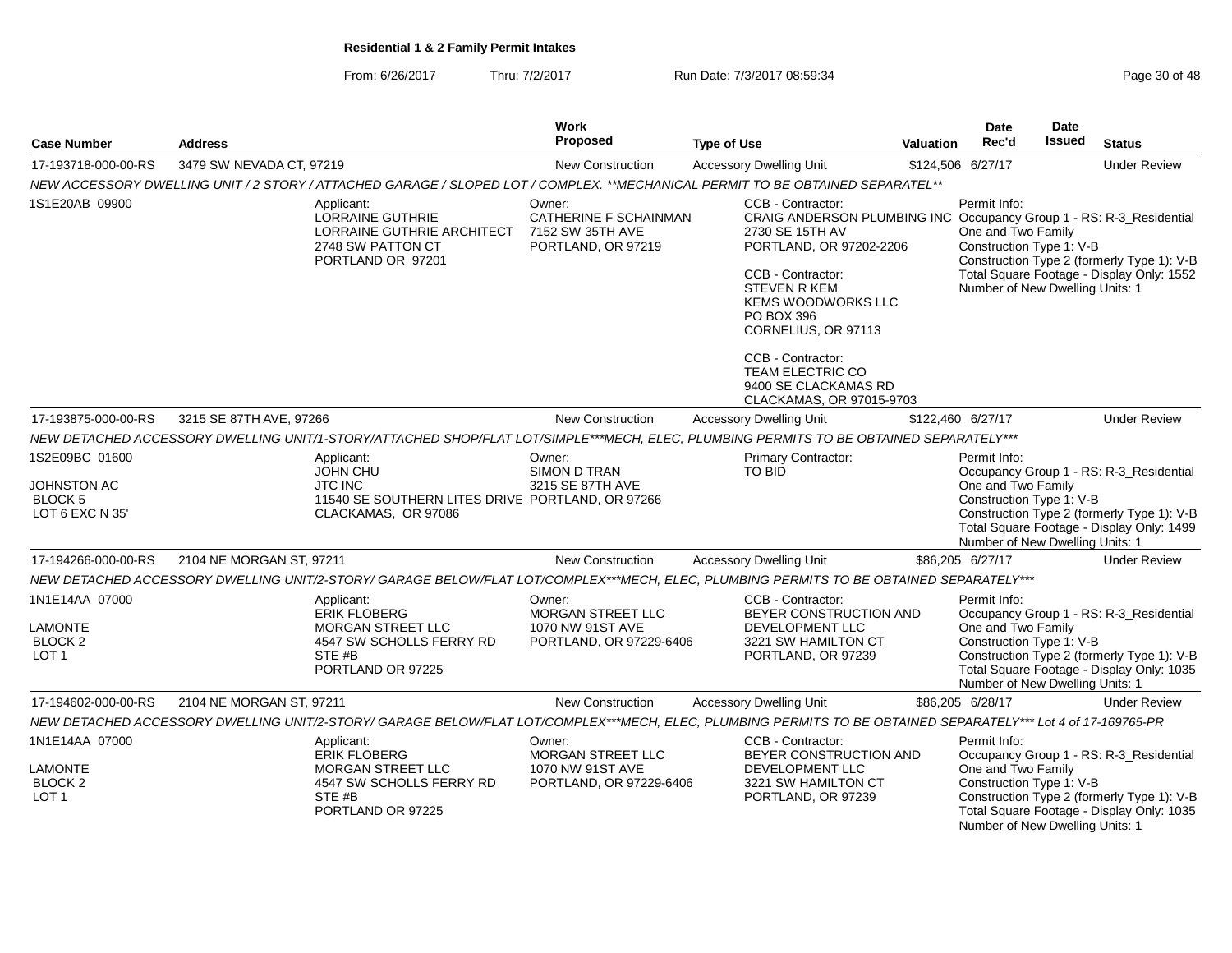From: 6/26/2017Thru: 7/2/2017 **Run Date: 7/3/2017 08:59:34** Page 30 of 48

|                                                                     |                          |                                                                                                                                                               | Work<br>Proposed                                                                  |                    |                                                                                                                                                                                                                                                                    |                  | <b>Date</b><br>Rec'd                                                                              | Date<br><b>Issued</b> |                                                                                                                                    |
|---------------------------------------------------------------------|--------------------------|---------------------------------------------------------------------------------------------------------------------------------------------------------------|-----------------------------------------------------------------------------------|--------------------|--------------------------------------------------------------------------------------------------------------------------------------------------------------------------------------------------------------------------------------------------------------------|------------------|---------------------------------------------------------------------------------------------------|-----------------------|------------------------------------------------------------------------------------------------------------------------------------|
| <b>Case Number</b>                                                  | <b>Address</b>           |                                                                                                                                                               |                                                                                   | <b>Type of Use</b> |                                                                                                                                                                                                                                                                    | <b>Valuation</b> |                                                                                                   |                       | <b>Status</b>                                                                                                                      |
| 17-193718-000-00-RS                                                 | 3479 SW NEVADA CT, 97219 |                                                                                                                                                               | <b>New Construction</b>                                                           |                    | <b>Accessory Dwelling Unit</b>                                                                                                                                                                                                                                     |                  | \$124,506 6/27/17                                                                                 |                       | <b>Under Review</b>                                                                                                                |
|                                                                     |                          | NEW ACCESSORY DWELLING UNIT / 2 STORY / ATTACHED GARAGE / SLOPED LOT / COMPLEX. **MECHANICAL PERMIT TO BE OBTAINED SEPARATEL**                                |                                                                                   |                    |                                                                                                                                                                                                                                                                    |                  |                                                                                                   |                       |                                                                                                                                    |
| 1S1E20AB 09900                                                      |                          | Applicant:<br><b>LORRAINE GUTHRIE</b><br>LORRAINE GUTHRIE ARCHITECT<br>2748 SW PATTON CT<br>PORTLAND OR 97201                                                 | Owner:<br>CATHERINE F SCHAINMAN<br>7152 SW 35TH AVE<br>PORTLAND, OR 97219         |                    | CCB - Contractor:<br>CRAIG ANDERSON PLUMBING INC Occupancy Group 1 - RS: R-3_Residential<br>2730 SE 15TH AV<br>PORTLAND, OR 97202-2206<br>CCB - Contractor:<br><b>STEVEN R KEM</b><br>KEMS WOODWORKS LLC<br>PO BOX 396<br>CORNELIUS, OR 97113<br>CCB - Contractor: |                  | Permit Info:<br>One and Two Family<br>Construction Type 1: V-B<br>Number of New Dwelling Units: 1 |                       | Construction Type 2 (formerly Type 1): V-B<br>Total Square Footage - Display Only: 1552                                            |
|                                                                     |                          |                                                                                                                                                               |                                                                                   |                    | <b>TEAM ELECTRIC CO</b><br>9400 SE CLACKAMAS RD<br>CLACKAMAS, OR 97015-9703                                                                                                                                                                                        |                  |                                                                                                   |                       |                                                                                                                                    |
| 17-193875-000-00-RS                                                 | 3215 SE 87TH AVE, 97266  |                                                                                                                                                               | New Construction                                                                  |                    | <b>Accessory Dwelling Unit</b>                                                                                                                                                                                                                                     |                  | \$122,460 6/27/17                                                                                 |                       | <b>Under Review</b>                                                                                                                |
|                                                                     |                          | NEW DETACHED ACCESSORY DWELLING UNIT/1-STORY/ATTACHED SHOP/FLAT LOT/SIMPLE***MECH, ELEC, PLUMBING PERMITS TO BE OBTAINED SEPARATELY***                        |                                                                                   |                    |                                                                                                                                                                                                                                                                    |                  |                                                                                                   |                       |                                                                                                                                    |
| 1S2E09BC 01600<br>JOHNSTON AC<br><b>BLOCK 5</b><br>LOT 6 EXC N 35'  |                          | Applicant:<br><b>JOHN CHU</b><br><b>JTC INC</b><br>11540 SE SOUTHERN LITES DRIVE PORTLAND, OR 97266<br>CLACKAMAS, OR 97086                                    | Owner:<br>SIMON D TRAN<br>3215 SE 87TH AVE                                        |                    | <b>Primary Contractor:</b><br>TO BID                                                                                                                                                                                                                               |                  | Permit Info:<br>One and Two Family<br>Construction Type 1: V-B<br>Number of New Dwelling Units: 1 |                       | Occupancy Group 1 - RS: R-3_Residential<br>Construction Type 2 (formerly Type 1): V-B<br>Total Square Footage - Display Only: 1499 |
| 17-194266-000-00-RS                                                 | 2104 NE MORGAN ST, 97211 |                                                                                                                                                               | <b>New Construction</b>                                                           |                    | <b>Accessory Dwelling Unit</b>                                                                                                                                                                                                                                     |                  | \$86,205 6/27/17                                                                                  |                       | <b>Under Review</b>                                                                                                                |
|                                                                     |                          | NEW DETACHED ACCESSORY DWELLING UNIT/2-STORY/ GARAGE BELOW/FLAT LOT/COMPLEX***MECH, ELEC, PLUMBING PERMITS TO BE OBTAINED SEPARATELY***                       |                                                                                   |                    |                                                                                                                                                                                                                                                                    |                  |                                                                                                   |                       |                                                                                                                                    |
| 1N1E14AA 07000<br>LAMONTE<br>BLOCK <sub>2</sub><br>LOT <sub>1</sub> |                          | Applicant:<br><b>ERIK FLOBERG</b><br><b>MORGAN STREET LLC</b><br>4547 SW SCHOLLS FERRY RD<br>STE #B<br>PORTLAND OR 97225                                      | Owner:<br><b>MORGAN STREET LLC</b><br>1070 NW 91ST AVE<br>PORTLAND, OR 97229-6406 |                    | CCB - Contractor:<br>BEYER CONSTRUCTION AND<br>DEVELOPMENT LLC<br>3221 SW HAMILTON CT<br>PORTLAND, OR 97239                                                                                                                                                        |                  | Permit Info:<br>One and Two Family<br>Construction Type 1: V-B<br>Number of New Dwelling Units: 1 |                       | Occupancy Group 1 - RS: R-3_Residential<br>Construction Type 2 (formerly Type 1): V-B<br>Total Square Footage - Display Only: 1035 |
| 17-194602-000-00-RS                                                 | 2104 NE MORGAN ST, 97211 |                                                                                                                                                               | New Construction                                                                  |                    | <b>Accessory Dwelling Unit</b>                                                                                                                                                                                                                                     |                  | \$86,205 6/28/17                                                                                  |                       | <b>Under Review</b>                                                                                                                |
|                                                                     |                          | NEW DETACHED ACCESSORY DWELLING UNIT/2-STORY/ GARAGE BELOW/FLAT LOT/COMPLEX***MECH, ELEC, PLUMBING PERMITS TO BE OBTAINED SEPARATELY*** Lot 4 of 17-169765-PR |                                                                                   |                    |                                                                                                                                                                                                                                                                    |                  |                                                                                                   |                       |                                                                                                                                    |
| 1N1E14AA 07000                                                      |                          | Applicant:<br><b>ERIK FLOBERG</b>                                                                                                                             | Owner:<br>MORGAN STREET LLC                                                       |                    | CCB - Contractor:<br>BEYER CONSTRUCTION AND<br>DEVELOPMENT LLC                                                                                                                                                                                                     |                  | Permit Info:<br>One and Two Family                                                                |                       | Occupancy Group 1 - RS: R-3 Residential                                                                                            |
| <b>LAMONTE</b><br><b>BLOCK 2</b><br>LOT <sub>1</sub>                |                          | MORGAN STREET LLC<br>4547 SW SCHOLLS FERRY RD<br>STE <sub>#B</sub><br>PORTLAND OR 97225                                                                       | 1070 NW 91ST AVE<br>PORTLAND, OR 97229-6406                                       |                    | 3221 SW HAMILTON CT<br>PORTLAND, OR 97239                                                                                                                                                                                                                          |                  | Construction Type 1: V-B<br>Number of New Dwelling Units: 1                                       |                       | Construction Type 2 (formerly Type 1): V-B<br>Total Square Footage - Display Only: 1035                                            |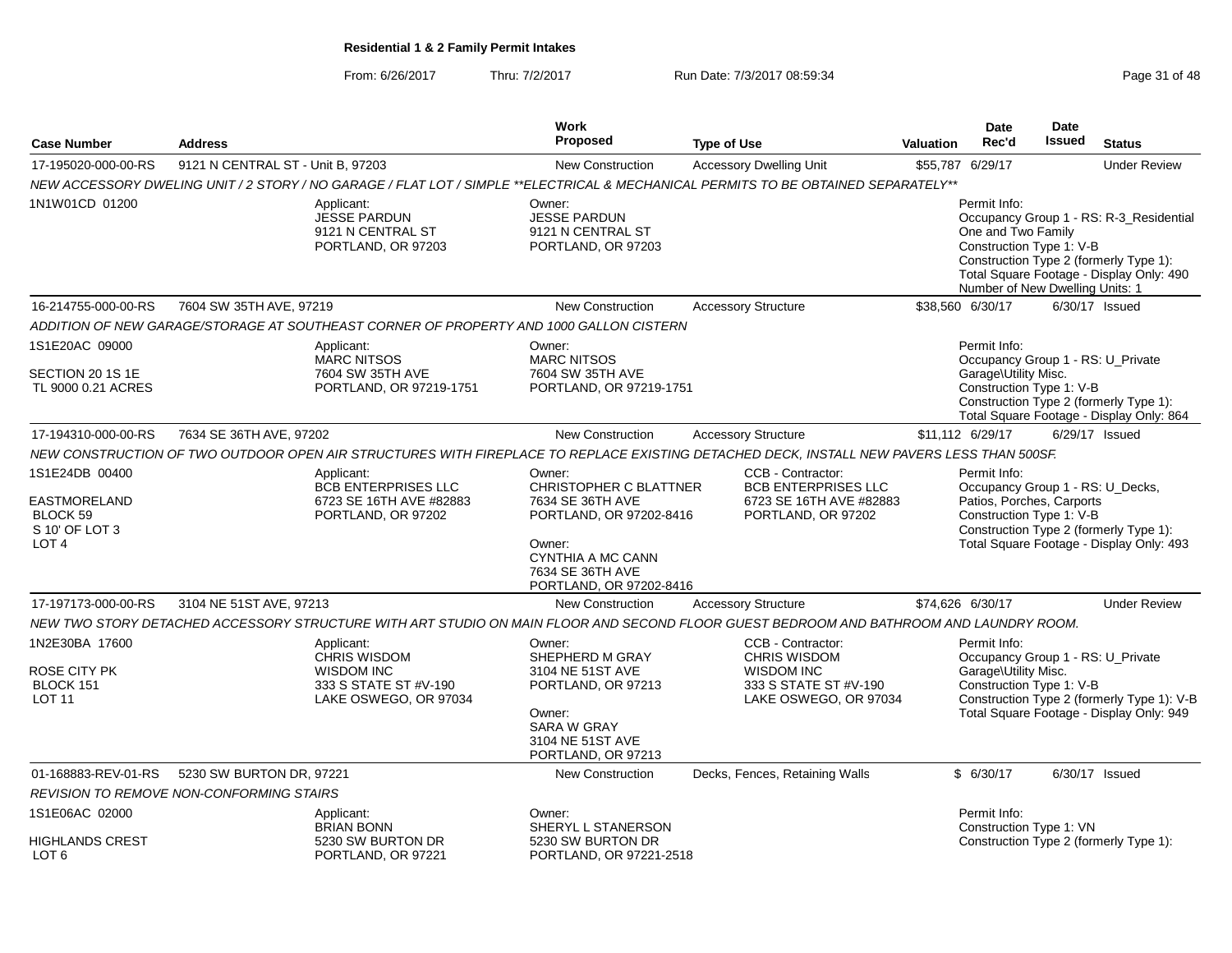From: 6/26/2017Thru: 7/2/2017 **Run Date: 7/3/2017 08:59:34** Page 31 of 48

|                                                                     |                                                 |                                                                                                          | <b>Work</b><br><b>Proposed</b>                                                                                                                             |                                                                                                                                                                |                  | <b>Date</b><br>Rec'd                                                                      | Date<br>Issued | <b>Status</b>                                                                                                               |
|---------------------------------------------------------------------|-------------------------------------------------|----------------------------------------------------------------------------------------------------------|------------------------------------------------------------------------------------------------------------------------------------------------------------|----------------------------------------------------------------------------------------------------------------------------------------------------------------|------------------|-------------------------------------------------------------------------------------------|----------------|-----------------------------------------------------------------------------------------------------------------------------|
| <b>Case Number</b>                                                  | <b>Address</b>                                  |                                                                                                          |                                                                                                                                                            | <b>Type of Use</b>                                                                                                                                             | <b>Valuation</b> |                                                                                           |                |                                                                                                                             |
| 17-195020-000-00-RS                                                 | 9121 N CENTRAL ST - Unit B, 97203               |                                                                                                          | New Construction                                                                                                                                           | <b>Accessory Dwelling Unit</b>                                                                                                                                 |                  | \$55,787 6/29/17                                                                          |                | <b>Under Review</b>                                                                                                         |
| 1N1W01CD 01200                                                      |                                                 | Applicant:<br>JESSE PARDUN<br>9121 N CENTRAL ST<br>PORTLAND, OR 97203                                    | Owner:<br><b>JESSE PARDUN</b><br>9121 N CENTRAL ST<br>PORTLAND, OR 97203                                                                                   | NEW ACCESSORY DWELING UNIT / 2 STORY / NO GARAGE / FLAT LOT / SIMPLE **ELECTRICAL & MECHANICAL PERMITS TO BE OBTAINED SEPARATELY**                             |                  | Permit Info:<br>One and Two Family<br>Construction Type 1: V-B                            |                | Occupancy Group 1 - RS: R-3 Residential<br>Construction Type 2 (formerly Type 1):                                           |
|                                                                     |                                                 |                                                                                                          |                                                                                                                                                            |                                                                                                                                                                |                  | Number of New Dwelling Units: 1                                                           |                | Total Square Footage - Display Only: 490                                                                                    |
| 16-214755-000-00-RS                                                 | 7604 SW 35TH AVE, 97219                         |                                                                                                          | <b>New Construction</b>                                                                                                                                    | <b>Accessory Structure</b>                                                                                                                                     |                  | \$38,560 6/30/17                                                                          |                | $6/30/17$ Issued                                                                                                            |
|                                                                     |                                                 | ADDITION OF NEW GARAGE/STORAGE AT SOUTHEAST CORNER OF PROPERTY AND 1000 GALLON CISTERN                   |                                                                                                                                                            |                                                                                                                                                                |                  |                                                                                           |                |                                                                                                                             |
| 1S1E20AC 09000<br>SECTION 20 1S 1E<br>TL 9000 0.21 ACRES            |                                                 | Applicant:<br><b>MARC NITSOS</b><br>7604 SW 35TH AVE<br>PORTLAND, OR 97219-1751                          | Owner:<br><b>MARC NITSOS</b><br>7604 SW 35TH AVE<br>PORTLAND, OR 97219-1751                                                                                |                                                                                                                                                                |                  | Permit Info:<br>Garage\Utility Misc.<br>Construction Type 1: V-B                          |                | Occupancy Group 1 - RS: U_Private<br>Construction Type 2 (formerly Type 1):                                                 |
| 17-194310-000-00-RS                                                 |                                                 |                                                                                                          | New Construction                                                                                                                                           |                                                                                                                                                                |                  |                                                                                           |                | Total Square Footage - Display Only: 864<br>6/29/17 Issued                                                                  |
|                                                                     | 7634 SE 36TH AVE, 97202                         |                                                                                                          |                                                                                                                                                            | <b>Accessory Structure</b>                                                                                                                                     |                  | \$11,112 6/29/17                                                                          |                |                                                                                                                             |
| 1S1E24DB 00400                                                      |                                                 | Applicant:                                                                                               | Owner:                                                                                                                                                     | NEW CONSTRUCTION OF TWO OUTDOOR OPEN AIR STRUCTURES WITH FIREPLACE TO REPLACE EXISTING DETACHED DECK, INSTALL NEW PAVERS LESS THAN 500SF.<br>CCB - Contractor: |                  | Permit Info:                                                                              |                |                                                                                                                             |
| EASTMORELAND<br>BLOCK 59<br>S 10' OF LOT 3<br>LOT <sub>4</sub>      |                                                 | <b>BCB ENTERPRISES LLC</b><br>6723 SE 16TH AVE #82883<br>PORTLAND, OR 97202                              | <b>CHRISTOPHER C BLATTNER</b><br>7634 SE 36TH AVE<br>PORTLAND, OR 97202-8416<br>Owner:<br>CYNTHIA A MC CANN<br>7634 SE 36TH AVE<br>PORTLAND, OR 97202-8416 | <b>BCB ENTERPRISES LLC</b><br>6723 SE 16TH AVE #82883<br>PORTLAND, OR 97202                                                                                    |                  | Occupancy Group 1 - RS: U_Decks,<br>Patios, Porches, Carports<br>Construction Type 1: V-B |                | Construction Type 2 (formerly Type 1):<br>Total Square Footage - Display Only: 493                                          |
| 17-197173-000-00-RS                                                 | 3104 NE 51ST AVE, 97213                         |                                                                                                          | <b>New Construction</b>                                                                                                                                    | <b>Accessory Structure</b>                                                                                                                                     |                  | \$74,626 6/30/17                                                                          |                | <b>Under Review</b>                                                                                                         |
|                                                                     |                                                 |                                                                                                          |                                                                                                                                                            | NEW TWO STORY DETACHED ACCESSORY STRUCTURE WITH ART STUDIO ON MAIN FLOOR AND SECOND FLOOR GUEST BEDROOM AND BATHROOM AND LAUNDRY ROOM.                         |                  |                                                                                           |                |                                                                                                                             |
| 1N2E30BA 17600<br><b>ROSE CITY PK</b><br>BLOCK 151<br><b>LOT 11</b> |                                                 | Applicant:<br><b>CHRIS WISDOM</b><br><b>WISDOM INC</b><br>333 S STATE ST #V-190<br>LAKE OSWEGO, OR 97034 | Owner:<br>SHEPHERD M GRAY<br>3104 NE 51ST AVE<br>PORTLAND, OR 97213<br>Owner:<br><b>SARA W GRAY</b><br>3104 NE 51ST AVE<br>PORTLAND, OR 97213              | CCB - Contractor:<br><b>CHRIS WISDOM</b><br><b>WISDOM INC</b><br>333 S STATE ST #V-190<br>LAKE OSWEGO, OR 97034                                                |                  | Permit Info:<br>Garage\Utility Misc.<br>Construction Type 1: V-B                          |                | Occupancy Group 1 - RS: U_Private<br>Construction Type 2 (formerly Type 1): V-B<br>Total Square Footage - Display Only: 949 |
| 01-168883-REV-01-RS                                                 | 5230 SW BURTON DR, 97221                        |                                                                                                          | New Construction                                                                                                                                           | Decks, Fences, Retaining Walls                                                                                                                                 |                  | \$6/30/17                                                                                 |                | 6/30/17 Issued                                                                                                              |
|                                                                     | <b>REVISION TO REMOVE NON-CONFORMING STAIRS</b> |                                                                                                          |                                                                                                                                                            |                                                                                                                                                                |                  |                                                                                           |                |                                                                                                                             |
| 1S1E06AC 02000<br><b>HIGHLANDS CREST</b><br>LOT <sub>6</sub>        |                                                 | Applicant:<br><b>BRIAN BONN</b><br>5230 SW BURTON DR<br>PORTLAND, OR 97221                               | Owner:<br>SHERYL L STANERSON<br>5230 SW BURTON DR<br>PORTLAND, OR 97221-2518                                                                               |                                                                                                                                                                |                  | Permit Info:<br>Construction Type 1: VN                                                   |                | Construction Type 2 (formerly Type 1):                                                                                      |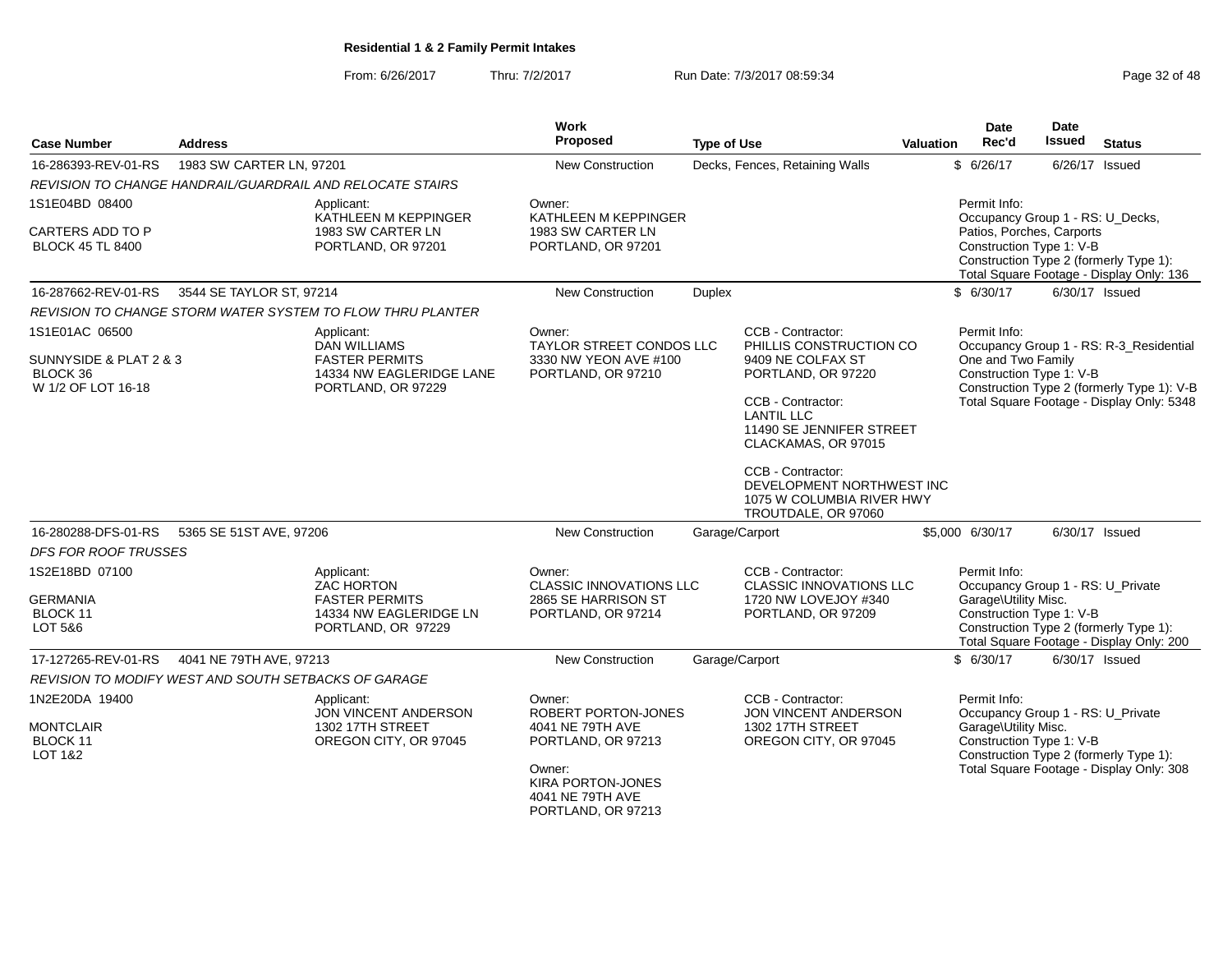From: 6/26/2017Thru: 7/2/2017 **Run Date: 7/3/2017 08:59:34** Page 32 of 48

| <b>Case Number</b>                                        | <b>Address</b>                                       |                                                                                                          | Work<br>Proposed                                                                                       | <b>Type of Use</b> |                                                                                                    | Valuation | <b>Date</b><br>Rec'd                                                                                  | Date<br><b>Issued</b> | <b>Status</b>                                                                      |
|-----------------------------------------------------------|------------------------------------------------------|----------------------------------------------------------------------------------------------------------|--------------------------------------------------------------------------------------------------------|--------------------|----------------------------------------------------------------------------------------------------|-----------|-------------------------------------------------------------------------------------------------------|-----------------------|------------------------------------------------------------------------------------|
| 16-286393-REV-01-RS                                       | 1983 SW CARTER LN, 97201                             |                                                                                                          | <b>New Construction</b>                                                                                |                    | Decks, Fences, Retaining Walls                                                                     |           | \$6/26/17                                                                                             |                       | 6/26/17 Issued                                                                     |
|                                                           |                                                      | REVISION TO CHANGE HANDRAIL/GUARDRAIL AND RELOCATE STAIRS                                                |                                                                                                        |                    |                                                                                                    |           |                                                                                                       |                       |                                                                                    |
| 1S1E04BD 08400                                            |                                                      | Applicant:<br>KATHLEEN M KEPPINGER                                                                       | Owner:<br>KATHLEEN M KEPPINGER                                                                         |                    |                                                                                                    |           | Permit Info:<br>Occupancy Group 1 - RS: U_Decks,                                                      |                       |                                                                                    |
| CARTERS ADD TO P<br><b>BLOCK 45 TL 8400</b>               |                                                      | 1983 SW CARTER LN<br>PORTLAND, OR 97201                                                                  | 1983 SW CARTER LN<br>PORTLAND, OR 97201                                                                |                    |                                                                                                    |           | Patios, Porches, Carports<br>Construction Type 1: V-B                                                 |                       | Construction Type 2 (formerly Type 1):<br>Total Square Footage - Display Only: 136 |
| 16-287662-REV-01-RS                                       | 3544 SE TAYLOR ST, 97214                             |                                                                                                          | <b>New Construction</b>                                                                                | <b>Duplex</b>      |                                                                                                    |           | \$6/30/17                                                                                             |                       | 6/30/17 Issued                                                                     |
|                                                           |                                                      | REVISION TO CHANGE STORM WATER SYSTEM TO FLOW THRU PLANTER                                               |                                                                                                        |                    |                                                                                                    |           |                                                                                                       |                       |                                                                                    |
| 1S1E01AC 06500<br>SUNNYSIDE & PLAT 2 & 3                  |                                                      | Applicant:<br><b>DAN WILLIAMS</b><br><b>FASTER PERMITS</b>                                               | Owner:<br>TAYLOR STREET CONDOS LLC<br>3330 NW YEON AVE #100                                            |                    | CCB - Contractor:<br>PHILLIS CONSTRUCTION CO<br>9409 NE COLFAX ST                                  |           | Permit Info:<br>One and Two Family                                                                    |                       | Occupancy Group 1 - RS: R-3_Residential                                            |
| BLOCK 36<br>W 1/2 OF LOT 16-18                            |                                                      | 14334 NW EAGLERIDGE LANE<br>PORTLAND, OR 97229                                                           | PORTLAND, OR 97210                                                                                     |                    | PORTLAND, OR 97220                                                                                 |           | Construction Type 1: V-B                                                                              |                       | Construction Type 2 (formerly Type 1): V-B                                         |
|                                                           |                                                      |                                                                                                          |                                                                                                        |                    | CCB - Contractor:<br><b>LANTIL LLC</b><br>11490 SE JENNIFER STREET<br>CLACKAMAS, OR 97015          |           |                                                                                                       |                       | Total Square Footage - Display Only: 5348                                          |
|                                                           |                                                      |                                                                                                          |                                                                                                        |                    | CCB - Contractor:<br>DEVELOPMENT NORTHWEST INC<br>1075 W COLUMBIA RIVER HWY<br>TROUTDALE, OR 97060 |           |                                                                                                       |                       |                                                                                    |
| 16-280288-DFS-01-RS                                       | 5365 SE 51ST AVE, 97206                              |                                                                                                          | New Construction                                                                                       |                    | Garage/Carport                                                                                     |           | \$5,000 6/30/17                                                                                       |                       | 6/30/17 Issued                                                                     |
| <b>DFS FOR ROOF TRUSSES</b>                               |                                                      |                                                                                                          |                                                                                                        |                    |                                                                                                    |           |                                                                                                       |                       |                                                                                    |
| 1S2E18BD 07100<br><b>GERMANIA</b><br>BLOCK 11<br>LOT 5&6  |                                                      | Applicant:<br><b>ZAC HORTON</b><br><b>FASTER PERMITS</b><br>14334 NW EAGLERIDGE LN<br>PORTLAND, OR 97229 | Owner:<br><b>CLASSIC INNOVATIONS LLC</b><br>2865 SE HARRISON ST<br>PORTLAND, OR 97214                  |                    | CCB - Contractor:<br><b>CLASSIC INNOVATIONS LLC</b><br>1720 NW LOVEJOY #340<br>PORTLAND, OR 97209  |           | Permit Info:<br>Occupancy Group 1 - RS: U_Private<br>Garage\Utility Misc.<br>Construction Type 1: V-B |                       | Construction Type 2 (formerly Type 1):<br>Total Square Footage - Display Only: 200 |
| 17-127265-REV-01-RS                                       | 4041 NE 79TH AVE, 97213                              |                                                                                                          | <b>New Construction</b>                                                                                |                    | Garage/Carport                                                                                     |           | \$6/30/17                                                                                             |                       | 6/30/17 Issued                                                                     |
|                                                           | REVISION TO MODIFY WEST AND SOUTH SETBACKS OF GARAGE |                                                                                                          |                                                                                                        |                    |                                                                                                    |           |                                                                                                       |                       |                                                                                    |
| 1N2E20DA 19400<br><b>MONTCLAIR</b><br>BLOCK 11<br>LOT 1&2 |                                                      | Applicant:<br>JON VINCENT ANDERSON<br>1302 17TH STREET<br>OREGON CITY, OR 97045                          | Owner:<br>ROBERT PORTON-JONES<br>4041 NE 79TH AVE<br>PORTLAND, OR 97213<br>Owner:<br>KIRA PORTON-JONES |                    | CCB - Contractor:<br>JON VINCENT ANDERSON<br>1302 17TH STREET<br>OREGON CITY, OR 97045             |           | Permit Info:<br>Occupancy Group 1 - RS: U_Private<br>Garage\Utility Misc.<br>Construction Type 1: V-B |                       | Construction Type 2 (formerly Type 1):<br>Total Square Footage - Display Only: 308 |
|                                                           |                                                      |                                                                                                          | 4041 NE 79TH AVE<br>PORTLAND, OR 97213                                                                 |                    |                                                                                                    |           |                                                                                                       |                       |                                                                                    |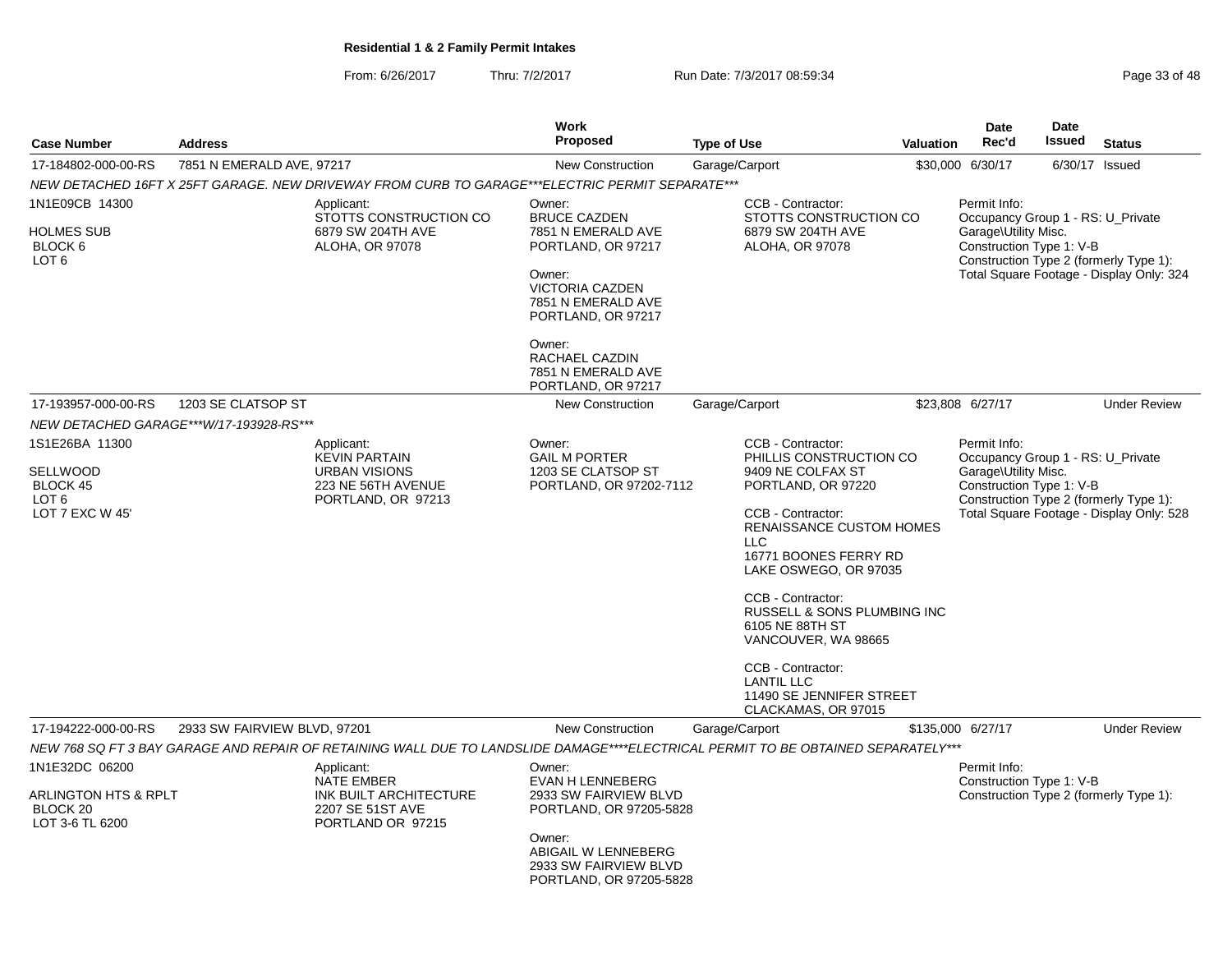From: 6/26/2017Thru: 7/2/2017 **Run Date: 7/3/2017 08:59:34** Page 33 of 48

| <b>Case Number</b>                                                               | <b>Address</b>                          |                                                                                                                                   | <b>Work</b><br><b>Proposed</b>                                                                                                                                                                              | <b>Type of Use</b>                                                                                                                                                                                                                                                                                                                                                                                   | Valuation | <b>Date</b><br>Rec'd                                                                                  | <b>Date</b><br>Issued | <b>Status</b>                                                                      |
|----------------------------------------------------------------------------------|-----------------------------------------|-----------------------------------------------------------------------------------------------------------------------------------|-------------------------------------------------------------------------------------------------------------------------------------------------------------------------------------------------------------|------------------------------------------------------------------------------------------------------------------------------------------------------------------------------------------------------------------------------------------------------------------------------------------------------------------------------------------------------------------------------------------------------|-----------|-------------------------------------------------------------------------------------------------------|-----------------------|------------------------------------------------------------------------------------|
| 17-184802-000-00-RS                                                              | 7851 N EMERALD AVE, 97217               |                                                                                                                                   | <b>New Construction</b>                                                                                                                                                                                     | Garage/Carport                                                                                                                                                                                                                                                                                                                                                                                       |           | \$30,000 6/30/17                                                                                      |                       | 6/30/17 Issued                                                                     |
|                                                                                  |                                         | NEW DETACHED 16FT X 25FT GARAGE. NEW DRIVEWAY FROM CURB TO GARAGE***ELECTRIC PERMIT SEPARATE***                                   |                                                                                                                                                                                                             |                                                                                                                                                                                                                                                                                                                                                                                                      |           |                                                                                                       |                       |                                                                                    |
| 1N1E09CB 14300<br>HOLMES SUB<br>BLOCK 6<br>LOT <sub>6</sub>                      |                                         | Applicant:<br>STOTTS CONSTRUCTION CO<br>6879 SW 204TH AVE<br>ALOHA, OR 97078                                                      | Owner:<br><b>BRUCE CAZDEN</b><br>7851 N EMERALD AVE<br>PORTLAND, OR 97217<br>Owner:<br><b>VICTORIA CAZDEN</b><br>7851 N EMERALD AVE<br>PORTLAND, OR 97217<br>Owner:<br>RACHAEL CAZDIN<br>7851 N EMERALD AVE | CCB - Contractor:<br>STOTTS CONSTRUCTION CO<br>6879 SW 204TH AVE<br>ALOHA, OR 97078                                                                                                                                                                                                                                                                                                                  |           | Permit Info:<br>Occupancy Group 1 - RS: U Private<br>Garage\Utility Misc.<br>Construction Type 1: V-B |                       | Construction Type 2 (formerly Type 1):<br>Total Square Footage - Display Only: 324 |
| 17-193957-000-00-RS                                                              | 1203 SE CLATSOP ST                      |                                                                                                                                   | PORTLAND, OR 97217<br>New Construction                                                                                                                                                                      | Garage/Carport                                                                                                                                                                                                                                                                                                                                                                                       |           | \$23,808 6/27/17                                                                                      |                       | <b>Under Review</b>                                                                |
|                                                                                  | NEW DETACHED GARAGE***W/17-193928-RS*** |                                                                                                                                   |                                                                                                                                                                                                             |                                                                                                                                                                                                                                                                                                                                                                                                      |           |                                                                                                       |                       |                                                                                    |
| 1S1E26BA 11300<br>SELLWOOD<br>BLOCK 45<br>LOT <sub>6</sub><br>LOT 7 EXC W 45'    |                                         | Applicant:<br><b>KEVIN PARTAIN</b><br><b>URBAN VISIONS</b><br>223 NE 56TH AVENUE<br>PORTLAND, OR 97213                            | Owner:<br><b>GAIL M PORTER</b><br>1203 SE CLATSOP ST<br>PORTLAND, OR 97202-7112                                                                                                                             | CCB - Contractor:<br>PHILLIS CONSTRUCTION CO<br>9409 NE COLFAX ST<br>PORTLAND, OR 97220<br>CCB - Contractor:<br><b>RENAISSANCE CUSTOM HOMES</b><br>LLC.<br>16771 BOONES FERRY RD<br>LAKE OSWEGO, OR 97035<br>CCB - Contractor:<br>RUSSELL & SONS PLUMBING INC<br>6105 NE 88TH ST<br>VANCOUVER, WA 98665<br>CCB - Contractor:<br><b>LANTIL LLC</b><br>11490 SE JENNIFER STREET<br>CLACKAMAS, OR 97015 |           | Permit Info:<br>Occupancy Group 1 - RS: U_Private<br>Garage\Utility Misc.<br>Construction Type 1: V-B |                       | Construction Type 2 (formerly Type 1):<br>Total Square Footage - Display Only: 528 |
| 17-194222-000-00-RS                                                              | 2933 SW FAIRVIEW BLVD, 97201            |                                                                                                                                   | <b>New Construction</b>                                                                                                                                                                                     | Garage/Carport                                                                                                                                                                                                                                                                                                                                                                                       |           | \$135,000 6/27/17                                                                                     |                       | <b>Under Review</b>                                                                |
|                                                                                  |                                         | NEW 768 SQ FT 3 BAY GARAGE AND REPAIR OF RETAINING WALL DUE TO LANDSLIDE DAMAGE****ELECTRICAL PERMIT TO BE OBTAINED SEPARATELY*** |                                                                                                                                                                                                             |                                                                                                                                                                                                                                                                                                                                                                                                      |           |                                                                                                       |                       |                                                                                    |
| 1N1E32DC 06200<br>ARLINGTON HTS & RPLT<br>BLOCK <sub>20</sub><br>LOT 3-6 TL 6200 |                                         | Applicant:<br><b>NATE EMBER</b><br>INK BUILT ARCHITECTURE<br>2207 SE 51ST AVE<br>PORTLAND OR 97215                                | Owner:<br><b>EVAN H LENNEBERG</b><br>2933 SW FAIRVIEW BLVD<br>PORTLAND, OR 97205-5828<br>Owner:<br>ABIGAIL W LENNEBERG<br>2933 SW FAIRVIEW BLVD<br>PORTLAND, OR 97205-5828                                  |                                                                                                                                                                                                                                                                                                                                                                                                      |           | Permit Info:<br>Construction Type 1: V-B                                                              |                       | Construction Type 2 (formerly Type 1):                                             |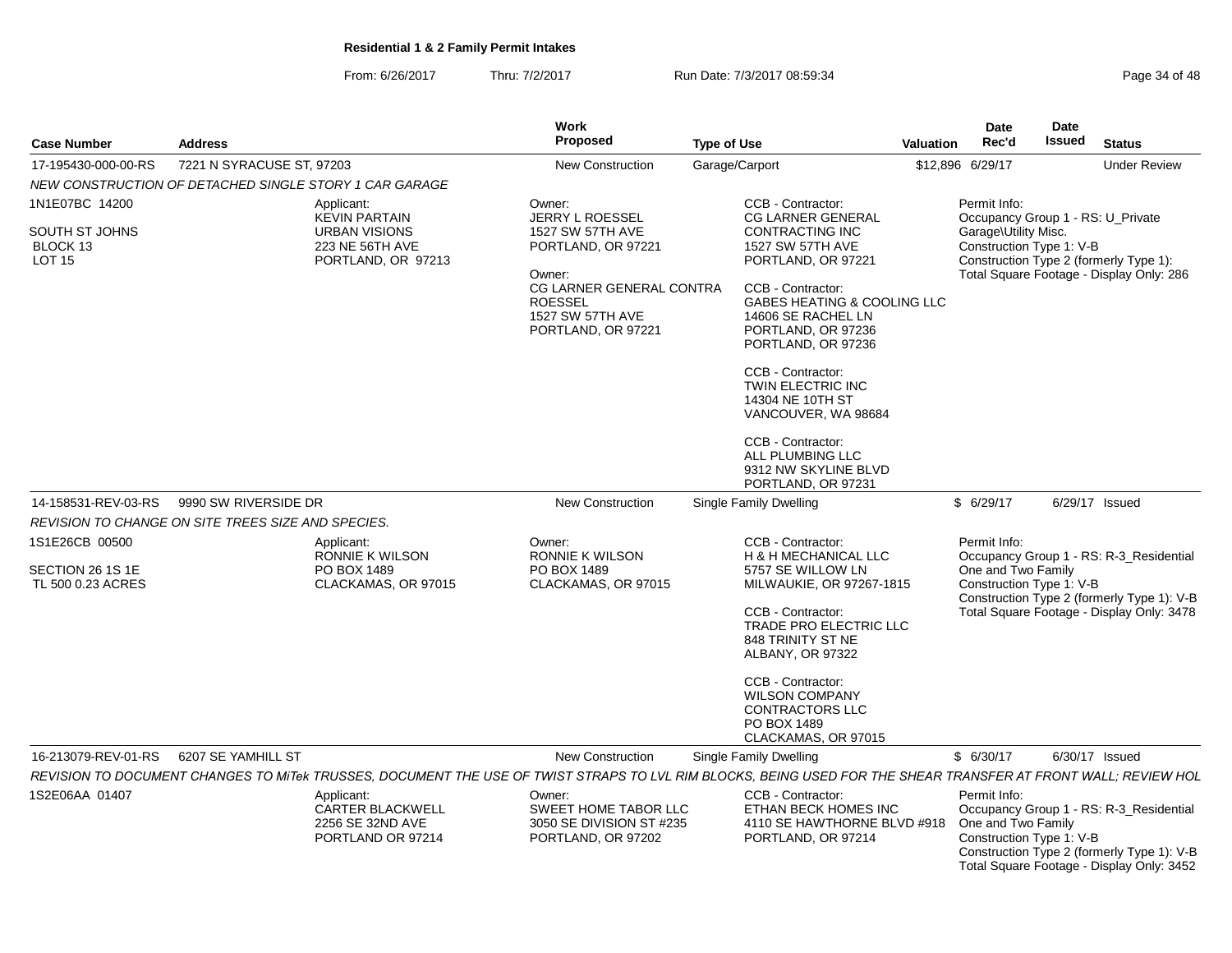From: 6/26/2017Thru: 7/2/2017 **Run Date: 7/3/2017 08:59:34** Page 34 of 48

|                                                               |                                                        |                                                                                                     | <b>Work</b>                                                                                                                                                                  |                                                                                                                                                                                                                                                                                                                                                                       |           | <b>Date</b>                          | <b>Date</b>              |                                                                                                                                    |
|---------------------------------------------------------------|--------------------------------------------------------|-----------------------------------------------------------------------------------------------------|------------------------------------------------------------------------------------------------------------------------------------------------------------------------------|-----------------------------------------------------------------------------------------------------------------------------------------------------------------------------------------------------------------------------------------------------------------------------------------------------------------------------------------------------------------------|-----------|--------------------------------------|--------------------------|------------------------------------------------------------------------------------------------------------------------------------|
| <b>Case Number</b>                                            | <b>Address</b>                                         |                                                                                                     | <b>Proposed</b>                                                                                                                                                              | <b>Type of Use</b>                                                                                                                                                                                                                                                                                                                                                    | Valuation | Rec'd                                | <b>Issued</b>            | <b>Status</b>                                                                                                                      |
| 17-195430-000-00-RS                                           | 7221 N SYRACUSE ST, 97203                              |                                                                                                     | <b>New Construction</b>                                                                                                                                                      | Garage/Carport                                                                                                                                                                                                                                                                                                                                                        |           | \$12,896 6/29/17                     |                          | <b>Under Review</b>                                                                                                                |
|                                                               | NEW CONSTRUCTION OF DETACHED SINGLE STORY 1 CAR GARAGE |                                                                                                     |                                                                                                                                                                              |                                                                                                                                                                                                                                                                                                                                                                       |           |                                      |                          |                                                                                                                                    |
| 1N1E07BC 14200<br>SOUTH ST JOHNS<br>BLOCK 13<br><b>LOT 15</b> |                                                        | Applicant:<br><b>KEVIN PARTAIN</b><br><b>URBAN VISIONS</b><br>223 NE 56TH AVE<br>PORTLAND, OR 97213 | Owner:<br>JERRY L ROESSEL<br><b>1527 SW 57TH AVE</b><br>PORTLAND, OR 97221<br>Owner:<br>CG LARNER GENERAL CONTRA<br><b>ROESSEL</b><br>1527 SW 57TH AVE<br>PORTLAND, OR 97221 | CCB - Contractor:<br><b>CG LARNER GENERAL</b><br><b>CONTRACTING INC</b><br>1527 SW 57TH AVE<br>PORTLAND, OR 97221<br>CCB - Contractor:<br>GABES HEATING & COOLING LLC<br>14606 SE RACHEL LN<br>PORTLAND, OR 97236<br>PORTLAND, OR 97236<br>CCB - Contractor:<br>TWIN ELECTRIC INC<br>14304 NE 10TH ST<br>VANCOUVER, WA 98684<br>CCB - Contractor:<br>ALL PLUMBING LLC |           | Permit Info:<br>Garage\Utility Misc. | Construction Type 1: V-B | Occupancy Group 1 - RS: U_Private<br>Construction Type 2 (formerly Type 1):<br>Total Square Footage - Display Only: 286            |
|                                                               |                                                        |                                                                                                     |                                                                                                                                                                              | 9312 NW SKYLINE BLVD                                                                                                                                                                                                                                                                                                                                                  |           |                                      |                          |                                                                                                                                    |
|                                                               |                                                        |                                                                                                     |                                                                                                                                                                              | PORTLAND, OR 97231                                                                                                                                                                                                                                                                                                                                                    |           | \$6/29/17                            |                          | 6/29/17 Issued                                                                                                                     |
| 14-158531-REV-03-RS                                           | 9990 SW RIVERSIDE DR                                   |                                                                                                     | <b>New Construction</b>                                                                                                                                                      | <b>Single Family Dwelling</b>                                                                                                                                                                                                                                                                                                                                         |           |                                      |                          |                                                                                                                                    |
| 1S1E26CB 00500                                                | REVISION TO CHANGE ON SITE TREES SIZE AND SPECIES.     |                                                                                                     | Owner:                                                                                                                                                                       | CCB - Contractor:                                                                                                                                                                                                                                                                                                                                                     |           | Permit Info:                         |                          |                                                                                                                                    |
| SECTION 26 1S 1E<br>TL 500 0.23 ACRES                         |                                                        | Applicant:<br>RONNIE K WILSON<br>PO BOX 1489<br>CLACKAMAS, OR 97015                                 | RONNIE K WILSON<br>PO BOX 1489<br>CLACKAMAS, OR 97015                                                                                                                        | H & H MECHANICAL LLC<br>5757 SE WILLOW LN<br>MILWAUKIE, OR 97267-1815<br>CCB - Contractor:<br>TRADE PRO ELECTRIC LLC<br>848 TRINITY ST NE<br>ALBANY, OR 97322<br>CCB - Contractor:<br><b>WILSON COMPANY</b><br><b>CONTRACTORS LLC</b><br>PO BOX 1489<br>CLACKAMAS, OR 97015                                                                                           |           | One and Two Family                   | Construction Type 1: V-B | Occupancy Group 1 - RS: R-3_Residential<br>Construction Type 2 (formerly Type 1): V-B<br>Total Square Footage - Display Only: 3478 |
|                                                               | 16-213079-REV-01-RS   6207 SE YAMHILL ST               |                                                                                                     | <b>New Construction</b>                                                                                                                                                      | Single Family Dwelling                                                                                                                                                                                                                                                                                                                                                |           | \$6/30/17                            |                          | 6/30/17 Issued                                                                                                                     |
|                                                               |                                                        |                                                                                                     |                                                                                                                                                                              | REVISION TO DOCUMENT CHANGES TO MITek TRUSSES, DOCUMENT THE USE OF TWIST STRAPS TO LVL RIM BLOCKS, BEING USED FOR THE SHEAR TRANSFER AT FRONT WALL; REVIEW HOL                                                                                                                                                                                                        |           |                                      |                          |                                                                                                                                    |
| 1S2E06AA 01407                                                |                                                        | Applicant:<br><b>CARTER BLACKWELL</b><br>2256 SE 32ND AVE<br>PORTLAND OR 97214                      | Owner:<br>SWEET HOME TABOR LLC<br>3050 SE DIVISION ST #235<br>PORTLAND, OR 97202                                                                                             | CCB - Contractor:<br>ETHAN BECK HOMES INC<br>4110 SE HAWTHORNE BLVD #918<br>PORTLAND, OR 97214                                                                                                                                                                                                                                                                        |           | Permit Info:<br>One and Two Family   | Construction Type 1: V-B | Occupancy Group 1 - RS: R-3_Residential<br>Construction Type 2 (formerly Type 1): V-B<br>Total Square Footage - Display Only: 3452 |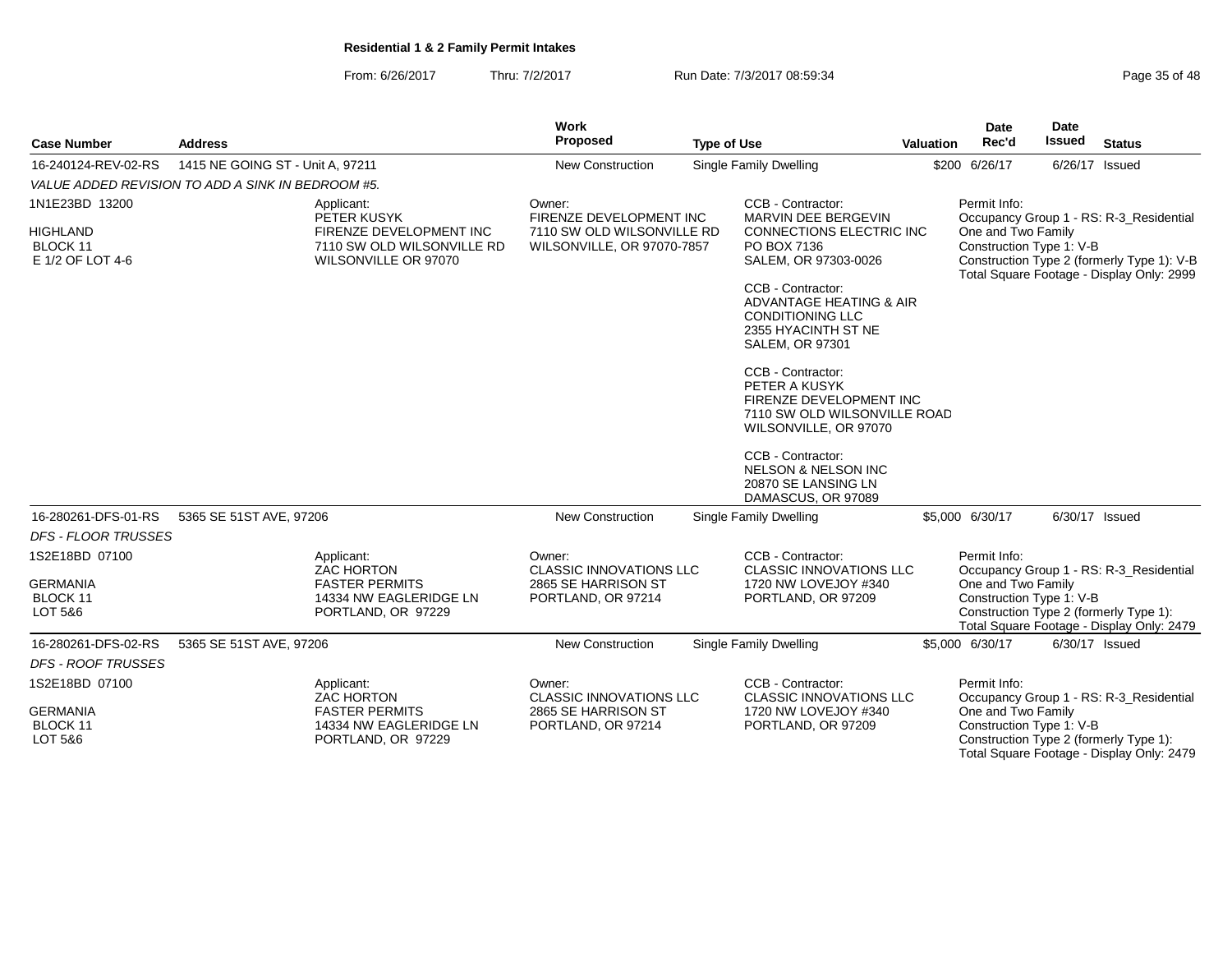From: 6/26/2017Thru: 7/2/2017 **Run Date: 7/3/2017 08:59:34** Page 35 of 48

|                                                                   |                                  |                                                                                                            | <b>Work</b>                                                                                   |                    |                                                                                                                          |           | <b>Date</b>                                                    | <b>Date</b>   |                                                                                                                                    |
|-------------------------------------------------------------------|----------------------------------|------------------------------------------------------------------------------------------------------------|-----------------------------------------------------------------------------------------------|--------------------|--------------------------------------------------------------------------------------------------------------------------|-----------|----------------------------------------------------------------|---------------|------------------------------------------------------------------------------------------------------------------------------------|
| <b>Case Number</b>                                                | <b>Address</b>                   |                                                                                                            | Proposed                                                                                      | <b>Type of Use</b> |                                                                                                                          | Valuation | Rec'd                                                          | <b>Issued</b> | <b>Status</b>                                                                                                                      |
| 16-240124-REV-02-RS                                               | 1415 NE GOING ST - Unit A, 97211 |                                                                                                            | New Construction                                                                              |                    | Single Family Dwelling                                                                                                   |           | \$200 6/26/17                                                  |               | 6/26/17 Issued                                                                                                                     |
| VALUE ADDED REVISION TO ADD A SINK IN BEDROOM #5.                 |                                  |                                                                                                            |                                                                                               |                    |                                                                                                                          |           |                                                                |               |                                                                                                                                    |
| 1N1E23BD 13200<br><b>HIGHLAND</b><br>BLOCK 11<br>E 1/2 OF LOT 4-6 |                                  | Applicant:<br>PETER KUSYK<br>FIRENZE DEVELOPMENT INC<br>7110 SW OLD WILSONVILLE RD<br>WILSONVILLE OR 97070 | Owner:<br>FIRENZE DEVELOPMENT INC<br>7110 SW OLD WILSONVILLE RD<br>WILSONVILLE, OR 97070-7857 |                    | CCB - Contractor:<br>MARVIN DEE BERGEVIN<br><b>CONNECTIONS ELECTRIC INC</b><br>PO BOX 7136<br>SALEM, OR 97303-0026       |           | Permit Info:<br>One and Two Family<br>Construction Type 1: V-B |               | Occupancy Group 1 - RS: R-3 Residential<br>Construction Type 2 (formerly Type 1): V-B<br>Total Square Footage - Display Only: 2999 |
|                                                                   |                                  |                                                                                                            |                                                                                               |                    | CCB - Contractor:<br>ADVANTAGE HEATING & AIR<br><b>CONDITIONING LLC</b><br>2355 HYACINTH ST NE<br><b>SALEM, OR 97301</b> |           |                                                                |               |                                                                                                                                    |
|                                                                   |                                  |                                                                                                            |                                                                                               |                    | CCB - Contractor:<br>PETER A KUSYK<br>FIRENZE DEVELOPMENT INC<br>7110 SW OLD WILSONVILLE ROAD<br>WILSONVILLE, OR 97070   |           |                                                                |               |                                                                                                                                    |
|                                                                   |                                  |                                                                                                            |                                                                                               |                    | CCB - Contractor:<br><b>NELSON &amp; NELSON INC</b><br>20870 SE LANSING LN<br>DAMASCUS, OR 97089                         |           |                                                                |               |                                                                                                                                    |
| 16-280261-DFS-01-RS                                               | 5365 SE 51ST AVE, 97206          |                                                                                                            | New Construction                                                                              |                    | Single Family Dwelling                                                                                                   |           | \$5,000 6/30/17                                                |               | 6/30/17 Issued                                                                                                                     |
| <b>DFS - FLOOR TRUSSES</b>                                        |                                  |                                                                                                            |                                                                                               |                    |                                                                                                                          |           |                                                                |               |                                                                                                                                    |
| 1S2E18BD 07100                                                    |                                  | Applicant:<br><b>ZAC HORTON</b>                                                                            | Owner:<br><b>CLASSIC INNOVATIONS LLC</b>                                                      |                    | CCB - Contractor:<br><b>CLASSIC INNOVATIONS LLC</b>                                                                      |           | Permit Info:                                                   |               | Occupancy Group 1 - RS: R-3_Residential                                                                                            |
| <b>GERMANIA</b><br>BLOCK 11<br>LOT 5&6                            |                                  | <b>FASTER PERMITS</b><br>14334 NW EAGLERIDGE LN<br>PORTLAND, OR 97229                                      | 2865 SE HARRISON ST<br>PORTLAND, OR 97214                                                     |                    | 1720 NW LOVEJOY #340<br>PORTLAND, OR 97209                                                                               |           | One and Two Family<br>Construction Type 1: V-B                 |               | Construction Type 2 (formerly Type 1):<br>Total Square Footage - Display Only: 2479                                                |
| 16-280261-DFS-02-RS                                               | 5365 SE 51ST AVE, 97206          |                                                                                                            | <b>New Construction</b>                                                                       |                    | Single Family Dwelling                                                                                                   |           | \$5,000 6/30/17                                                |               | 6/30/17 Issued                                                                                                                     |
| <b>DFS - ROOF TRUSSES</b>                                         |                                  |                                                                                                            |                                                                                               |                    |                                                                                                                          |           |                                                                |               |                                                                                                                                    |
| 1S2E18BD 07100                                                    |                                  | Applicant:<br><b>ZAC HORTON</b>                                                                            | Owner:<br><b>CLASSIC INNOVATIONS LLC</b>                                                      |                    | CCB - Contractor:<br><b>CLASSIC INNOVATIONS LLC</b>                                                                      |           | Permit Info:                                                   |               | Occupancy Group 1 - RS: R-3_Residential                                                                                            |
| <b>GERMANIA</b><br>BLOCK 11<br>LOT 5&6                            |                                  | <b>FASTER PERMITS</b><br>14334 NW EAGLERIDGE LN<br>PORTLAND, OR 97229                                      | 2865 SE HARRISON ST<br>PORTLAND, OR 97214                                                     |                    | 1720 NW LOVEJOY #340<br>PORTLAND, OR 97209                                                                               |           | One and Two Family<br>Construction Type 1: V-B                 |               | Construction Type 2 (formerly Type 1):<br>Total Square Footage - Display Only: 2479                                                |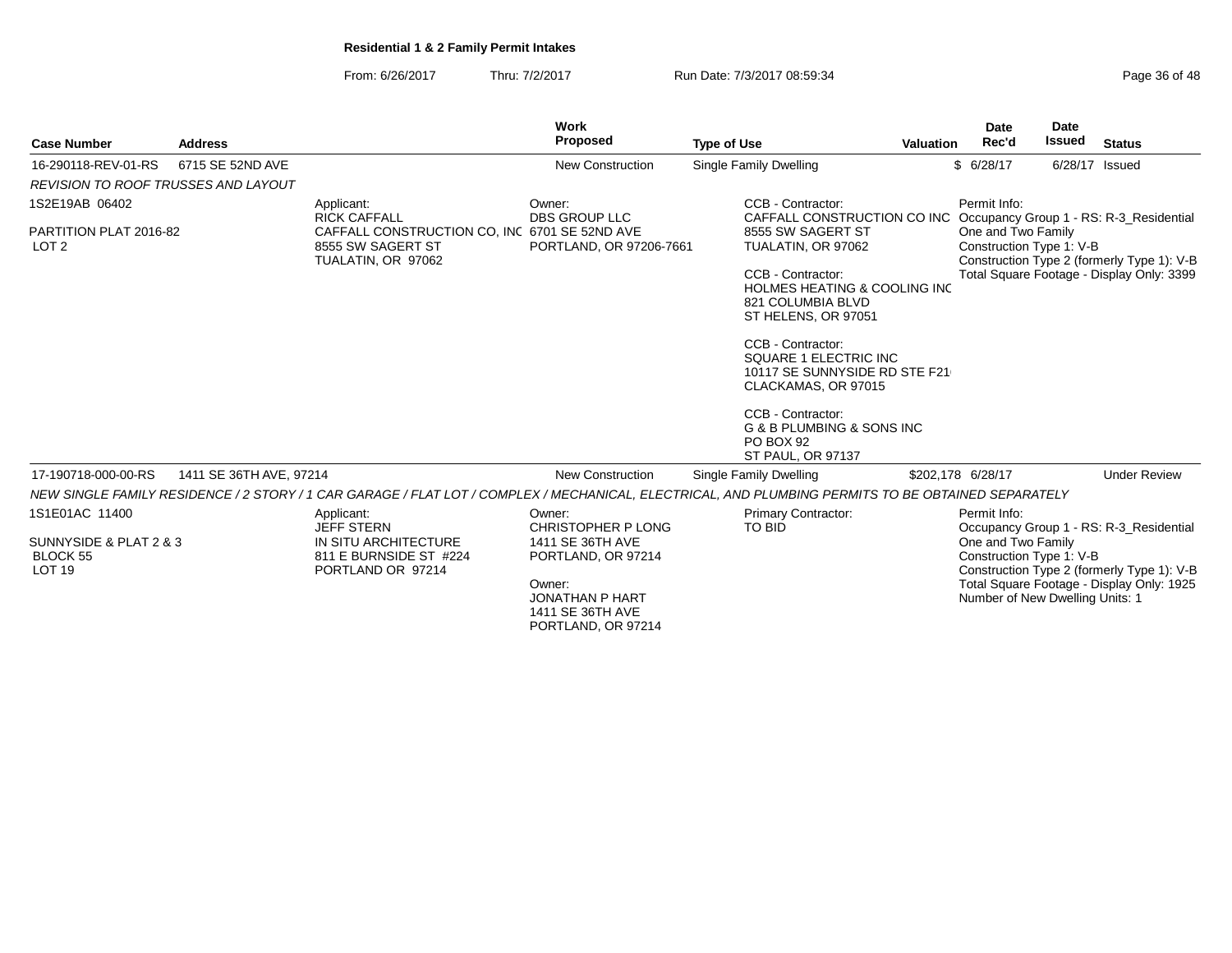From: 6/26/2017Thru: 7/2/2017 **Run Date: 7/3/2017 08:59:34** Page 36 of 48

|                                                     |                         |                                                                                                                                                    | <b>Work</b>                                                                                    |                                                                                                          |                  | <b>Date</b>                                                                       | <b>Date</b>    |                                                                                         |
|-----------------------------------------------------|-------------------------|----------------------------------------------------------------------------------------------------------------------------------------------------|------------------------------------------------------------------------------------------------|----------------------------------------------------------------------------------------------------------|------------------|-----------------------------------------------------------------------------------|----------------|-----------------------------------------------------------------------------------------|
| <b>Case Number</b>                                  | <b>Address</b>          |                                                                                                                                                    | Proposed                                                                                       | <b>Type of Use</b>                                                                                       | <b>Valuation</b> | Rec'd                                                                             | Issued         | <b>Status</b>                                                                           |
| 16-290118-REV-01-RS                                 | 6715 SE 52ND AVE        |                                                                                                                                                    | <b>New Construction</b>                                                                        | Single Family Dwelling                                                                                   |                  | \$6/28/17                                                                         | 6/28/17 Issued |                                                                                         |
| REVISION TO ROOF TRUSSES AND LAYOUT                 |                         |                                                                                                                                                    |                                                                                                |                                                                                                          |                  |                                                                                   |                |                                                                                         |
| 1S2E19AB 06402                                      |                         | Applicant:<br><b>RICK CAFFALL</b>                                                                                                                  | Owner:<br><b>DBS GROUP LLC</b>                                                                 | CCB - Contractor:<br>CAFFALL CONSTRUCTION CO INC Occupancy Group 1 - RS: R-3_Residential                 |                  | Permit Info:                                                                      |                |                                                                                         |
| PARTITION PLAT 2016-82<br>LOT <sub>2</sub>          |                         | CAFFALL CONSTRUCTION CO, INC 6701 SE 52ND AVE<br>8555 SW SAGERT ST<br>TUALATIN, OR 97062                                                           | PORTLAND, OR 97206-7661                                                                        | 8555 SW SAGERT ST<br>TUALATIN, OR 97062                                                                  |                  | One and Two Family<br>Construction Type 1: V-B                                    |                | Construction Type 2 (formerly Type 1): V-B                                              |
|                                                     |                         |                                                                                                                                                    |                                                                                                | CCB - Contractor:<br><b>HOLMES HEATING &amp; COOLING INC</b><br>821 COLUMBIA BLVD<br>ST HELENS, OR 97051 |                  |                                                                                   |                | Total Square Footage - Display Only: 3399                                               |
|                                                     |                         |                                                                                                                                                    |                                                                                                | CCB - Contractor:<br>SQUARE 1 ELECTRIC INC<br>10117 SE SUNNYSIDE RD STE F21<br>CLACKAMAS, OR 97015       |                  |                                                                                   |                |                                                                                         |
|                                                     |                         |                                                                                                                                                    |                                                                                                | CCB - Contractor:<br>G & B PLUMBING & SONS INC<br>PO BOX 92<br><b>ST PAUL, OR 97137</b>                  |                  |                                                                                   |                |                                                                                         |
| 17-190718-000-00-RS                                 | 1411 SE 36TH AVE, 97214 |                                                                                                                                                    | <b>New Construction</b>                                                                        | Single Family Dwelling                                                                                   |                  | \$202,178 6/28/17                                                                 |                | <b>Under Review</b>                                                                     |
|                                                     |                         | NEW SINGLE FAMILY RESIDENCE / 2 STORY / 1 CAR GARAGE / FLAT LOT / COMPLEX / MECHANICAL, ELECTRICAL, AND PLUMBING PERMITS TO BE OBTAINED SEPARATELY |                                                                                                |                                                                                                          |                  |                                                                                   |                |                                                                                         |
| 1S1E01AC 11400                                      |                         | Applicant:<br><b>JEFF STERN</b>                                                                                                                    | Owner:<br><b>CHRISTOPHER P LONG</b>                                                            | <b>Primary Contractor:</b><br>TO BID                                                                     |                  | Permit Info:                                                                      |                | Occupancy Group 1 - RS: R-3_Residential                                                 |
| SUNNYSIDE & PLAT 2 & 3<br>BLOCK 55<br><b>LOT 19</b> |                         | IN SITU ARCHITECTURE<br>811 E BURNSIDE ST #224<br>PORTLAND OR 97214                                                                                | 1411 SE 36TH AVE<br>PORTLAND, OR 97214<br>Owner:<br><b>JONATHAN P HART</b><br>1411 SE 36TH AVE |                                                                                                          |                  | One and Two Family<br>Construction Type 1: V-B<br>Number of New Dwelling Units: 1 |                | Construction Type 2 (formerly Type 1): V-B<br>Total Square Footage - Display Only: 1925 |
|                                                     |                         |                                                                                                                                                    | PORTLAND, OR 97214                                                                             |                                                                                                          |                  |                                                                                   |                |                                                                                         |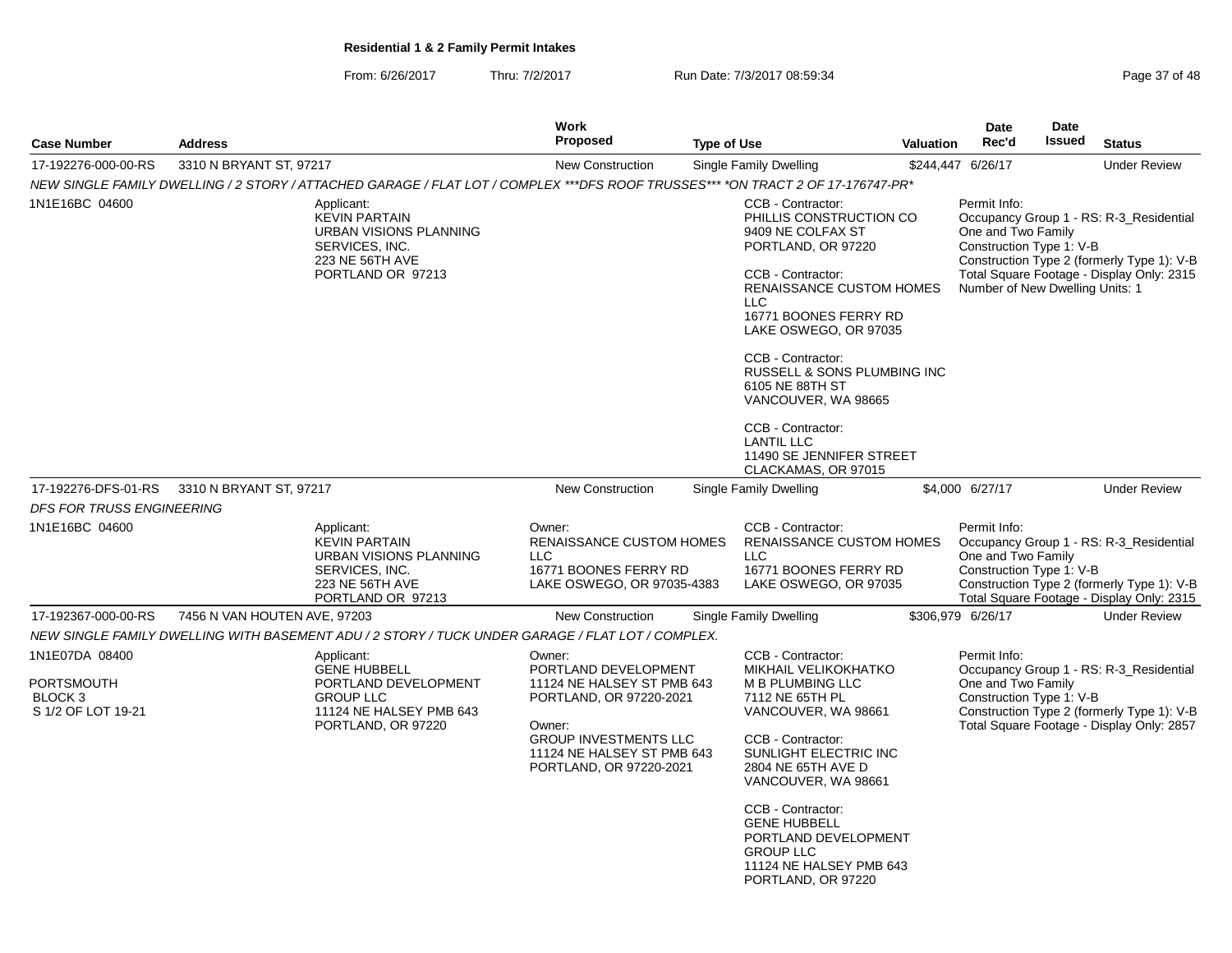From: 6/26/2017Thru: 7/2/2017 **Run Date: 7/3/2017 08:59:34** Page 37 of 48

|                                                               |                              |                                                                                                                                 | <b>Work</b>                                                                                                                                                                                |                    |                                                                                                                                                                                                                                                                                                                                                                                                            |                  | <b>Date</b>                                                                                       | <b>Date</b>   |                                                                                                                                    |
|---------------------------------------------------------------|------------------------------|---------------------------------------------------------------------------------------------------------------------------------|--------------------------------------------------------------------------------------------------------------------------------------------------------------------------------------------|--------------------|------------------------------------------------------------------------------------------------------------------------------------------------------------------------------------------------------------------------------------------------------------------------------------------------------------------------------------------------------------------------------------------------------------|------------------|---------------------------------------------------------------------------------------------------|---------------|------------------------------------------------------------------------------------------------------------------------------------|
| <b>Case Number</b>                                            | <b>Address</b>               |                                                                                                                                 | <b>Proposed</b>                                                                                                                                                                            | <b>Type of Use</b> |                                                                                                                                                                                                                                                                                                                                                                                                            | <b>Valuation</b> | Rec'd                                                                                             | <b>Issued</b> | <b>Status</b>                                                                                                                      |
| 17-192276-000-00-RS                                           | 3310 N BRYANT ST, 97217      |                                                                                                                                 | New Construction                                                                                                                                                                           |                    | Single Family Dwelling                                                                                                                                                                                                                                                                                                                                                                                     |                  | \$244,447 6/26/17                                                                                 |               | <b>Under Review</b>                                                                                                                |
|                                                               |                              | NEW SINGLE FAMILY DWELLING / 2 STORY / ATTACHED GARAGE / FLAT LOT / COMPLEX ***DFS ROOF TRUSSES*** *ON TRACT 2 OF 17-176747-PR* |                                                                                                                                                                                            |                    |                                                                                                                                                                                                                                                                                                                                                                                                            |                  |                                                                                                   |               |                                                                                                                                    |
| 1N1E16BC 04600                                                |                              | Applicant:<br><b>KEVIN PARTAIN</b><br>URBAN VISIONS PLANNING<br>SERVICES, INC.<br>223 NE 56TH AVE<br>PORTLAND OR 97213          |                                                                                                                                                                                            |                    | CCB - Contractor:<br>PHILLIS CONSTRUCTION CO<br>9409 NE COLFAX ST<br>PORTLAND, OR 97220<br>CCB - Contractor:<br><b>RENAISSANCE CUSTOM HOMES</b><br><b>LLC</b><br>16771 BOONES FERRY RD<br>LAKE OSWEGO, OR 97035<br>CCB - Contractor:<br>RUSSELL & SONS PLUMBING INC<br>6105 NE 88TH ST<br>VANCOUVER, WA 98665<br>CCB - Contractor:<br><b>LANTIL LLC</b><br>11490 SE JENNIFER STREET<br>CLACKAMAS, OR 97015 |                  | Permit Info:<br>One and Two Family<br>Construction Type 1: V-B<br>Number of New Dwelling Units: 1 |               | Occupancy Group 1 - RS: R-3_Residential<br>Construction Type 2 (formerly Type 1): V-B<br>Total Square Footage - Display Only: 2315 |
| 17-192276-DFS-01-RS                                           | 3310 N BRYANT ST, 97217      |                                                                                                                                 | <b>New Construction</b>                                                                                                                                                                    |                    | Single Family Dwelling                                                                                                                                                                                                                                                                                                                                                                                     |                  | \$4,000 6/27/17                                                                                   |               | <b>Under Review</b>                                                                                                                |
| DFS FOR TRUSS ENGINEERING                                     |                              |                                                                                                                                 |                                                                                                                                                                                            |                    |                                                                                                                                                                                                                                                                                                                                                                                                            |                  |                                                                                                   |               |                                                                                                                                    |
| 1N1E16BC 04600                                                |                              | Applicant:<br><b>KEVIN PARTAIN</b><br>URBAN VISIONS PLANNING<br>SERVICES, INC.<br>223 NE 56TH AVE<br>PORTLAND OR 97213          | Owner:<br>RENAISSANCE CUSTOM HOMES<br><b>LLC</b><br>16771 BOONES FERRY RD<br>LAKE OSWEGO, OR 97035-4383                                                                                    |                    | CCB - Contractor:<br>RENAISSANCE CUSTOM HOMES<br><b>LLC</b><br>16771 BOONES FERRY RD<br>LAKE OSWEGO, OR 97035                                                                                                                                                                                                                                                                                              |                  | Permit Info:<br>One and Two Family<br>Construction Type 1: V-B                                    |               | Occupancy Group 1 - RS: R-3_Residential<br>Construction Type 2 (formerly Type 1): V-B<br>Total Square Footage - Display Only: 2315 |
| 17-192367-000-00-RS                                           | 7456 N VAN HOUTEN AVE, 97203 |                                                                                                                                 | <b>New Construction</b>                                                                                                                                                                    |                    | Single Family Dwelling                                                                                                                                                                                                                                                                                                                                                                                     |                  | \$306,979 6/26/17                                                                                 |               | <b>Under Review</b>                                                                                                                |
|                                                               |                              | NEW SINGLE FAMILY DWELLING WITH BASEMENT ADU / 2 STORY / TUCK UNDER GARAGE / FLAT LOT / COMPLEX.                                |                                                                                                                                                                                            |                    |                                                                                                                                                                                                                                                                                                                                                                                                            |                  |                                                                                                   |               |                                                                                                                                    |
| 1N1E07DA 08400<br>PORTSMOUTH<br>BLOCK 3<br>S 1/2 OF LOT 19-21 |                              | Applicant:<br><b>GENE HUBBELL</b><br>PORTLAND DEVELOPMENT<br><b>GROUP LLC</b><br>11124 NE HALSEY PMB 643<br>PORTLAND, OR 97220  | Owner:<br>PORTLAND DEVELOPMENT<br>11124 NE HALSEY ST PMB 643<br>PORTLAND, OR 97220-2021<br>Owner:<br><b>GROUP INVESTMENTS LLC</b><br>11124 NE HALSEY ST PMB 643<br>PORTLAND, OR 97220-2021 |                    | CCB - Contractor:<br><b>MIKHAIL VELIKOKHATKO</b><br>M B PLUMBING LLC<br>7112 NE 65TH PL<br>VANCOUVER, WA 98661<br>CCB - Contractor:<br>SUNLIGHT ELECTRIC INC<br>2804 NE 65TH AVE D<br>VANCOUVER, WA 98661<br>CCB - Contractor:<br><b>GENE HUBBELL</b><br>PORTLAND DEVELOPMENT<br><b>GROUP LLC</b><br>11124 NE HALSEY PMB 643<br>PORTLAND, OR 97220                                                         |                  | Permit Info:<br>One and Two Family<br>Construction Type 1: V-B                                    |               | Occupancy Group 1 - RS: R-3_Residential<br>Construction Type 2 (formerly Type 1): V-B<br>Total Square Footage - Display Only: 2857 |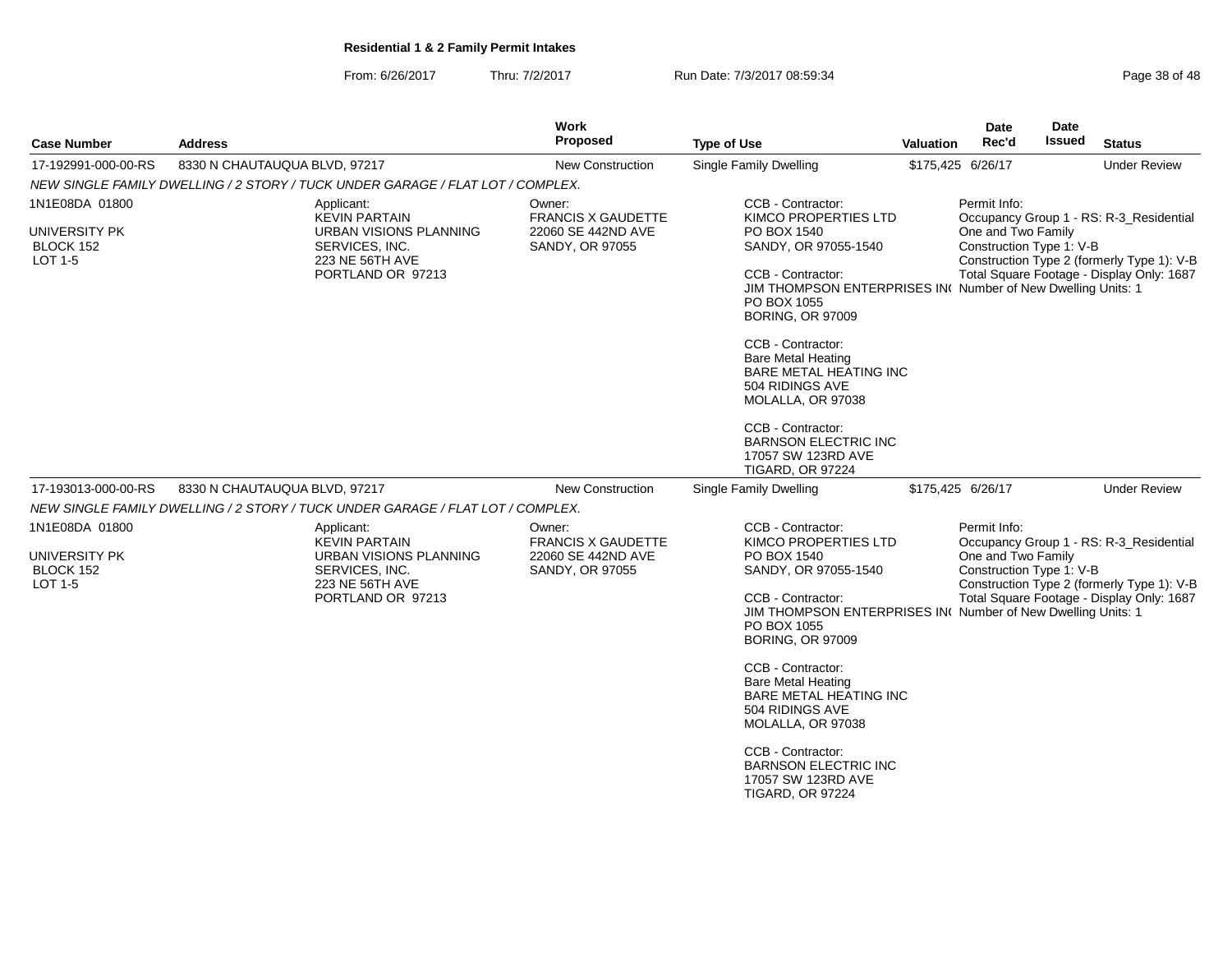From: 6/26/2017Thru: 7/2/2017 **Run Date: 7/3/2017 08:59:34** Page 38 of 48

| <b>Case Number</b>                                             | <b>Address</b>                                                                                                                | Work<br>Proposed                                                             | <b>Type of Use</b>                                                                                                                                                                                                                                                                                                                                                                                                                              | <b>Valuation</b> | Date<br>Rec'd                                                  | Date<br>Issued | <b>Status</b>                                                                                                                      |
|----------------------------------------------------------------|-------------------------------------------------------------------------------------------------------------------------------|------------------------------------------------------------------------------|-------------------------------------------------------------------------------------------------------------------------------------------------------------------------------------------------------------------------------------------------------------------------------------------------------------------------------------------------------------------------------------------------------------------------------------------------|------------------|----------------------------------------------------------------|----------------|------------------------------------------------------------------------------------------------------------------------------------|
| 17-192991-000-00-RS                                            | 8330 N CHAUTAUQUA BLVD, 97217                                                                                                 | <b>New Construction</b>                                                      | Single Family Dwelling                                                                                                                                                                                                                                                                                                                                                                                                                          |                  | \$175,425 6/26/17                                              |                | <b>Under Review</b>                                                                                                                |
|                                                                | NEW SINGLE FAMILY DWELLING / 2 STORY / TUCK UNDER GARAGE / FLAT LOT / COMPLEX.                                                |                                                                              |                                                                                                                                                                                                                                                                                                                                                                                                                                                 |                  |                                                                |                |                                                                                                                                    |
| 1N1E08DA 01800<br><b>UNIVERSITY PK</b><br>BLOCK 152<br>LOT 1-5 | Applicant:<br><b>KEVIN PARTAIN</b><br><b>URBAN VISIONS PLANNING</b><br>SERVICES, INC.<br>223 NE 56TH AVE<br>PORTLAND OR 97213 | Owner:<br><b>FRANCIS X GAUDETTE</b><br>22060 SE 442ND AVE<br>SANDY, OR 97055 | CCB - Contractor:<br>KIMCO PROPERTIES LTD<br>PO BOX 1540<br>SANDY, OR 97055-1540<br>CCB - Contractor:<br>JIM THOMPSON ENTERPRISES INC Number of New Dwelling Units: 1<br>PO BOX 1055<br><b>BORING, OR 97009</b><br>CCB - Contractor:<br><b>Bare Metal Heating</b><br><b>BARE METAL HEATING INC</b><br>504 RIDINGS AVE<br>MOLALLA, OR 97038<br>CCB - Contractor:<br><b>BARNSON ELECTRIC INC</b><br>17057 SW 123RD AVE                            |                  | Permit Info:<br>One and Two Family<br>Construction Type 1: V-B |                | Occupancy Group 1 - RS: R-3_Residential<br>Construction Type 2 (formerly Type 1): V-B<br>Total Square Footage - Display Only: 1687 |
| 17-193013-000-00-RS                                            | 8330 N CHAUTAUQUA BLVD, 97217                                                                                                 | New Construction                                                             | <b>TIGARD, OR 97224</b><br>Single Family Dwelling                                                                                                                                                                                                                                                                                                                                                                                               |                  | \$175,425 6/26/17                                              |                | <b>Under Review</b>                                                                                                                |
|                                                                | NEW SINGLE FAMILY DWELLING / 2 STORY / TUCK UNDER GARAGE / FLAT LOT / COMPLEX.                                                |                                                                              |                                                                                                                                                                                                                                                                                                                                                                                                                                                 |                  |                                                                |                |                                                                                                                                    |
| 1N1E08DA 01800<br><b>UNIVERSITY PK</b><br>BLOCK 152<br>LOT 1-5 | Applicant:<br><b>KEVIN PARTAIN</b><br>URBAN VISIONS PLANNING<br>SERVICES, INC.<br>223 NE 56TH AVE<br>PORTLAND OR 97213        | Owner:<br><b>FRANCIS X GAUDETTE</b><br>22060 SE 442ND AVE<br>SANDY, OR 97055 | CCB - Contractor:<br>KIMCO PROPERTIES LTD<br>PO BOX 1540<br>SANDY, OR 97055-1540<br>CCB - Contractor:<br>JIM THOMPSON ENTERPRISES IN( Number of New Dwelling Units: 1<br>PO BOX 1055<br><b>BORING, OR 97009</b><br>CCB - Contractor:<br><b>Bare Metal Heating</b><br><b>BARE METAL HEATING INC</b><br>504 RIDINGS AVE<br>MOLALLA, OR 97038<br>CCB - Contractor:<br><b>BARNSON ELECTRIC INC</b><br>17057 SW 123RD AVE<br><b>TIGARD, OR 97224</b> |                  | Permit Info:<br>One and Two Family<br>Construction Type 1: V-B |                | Occupancy Group 1 - RS: R-3_Residential<br>Construction Type 2 (formerly Type 1): V-B<br>Total Square Footage - Display Only: 1687 |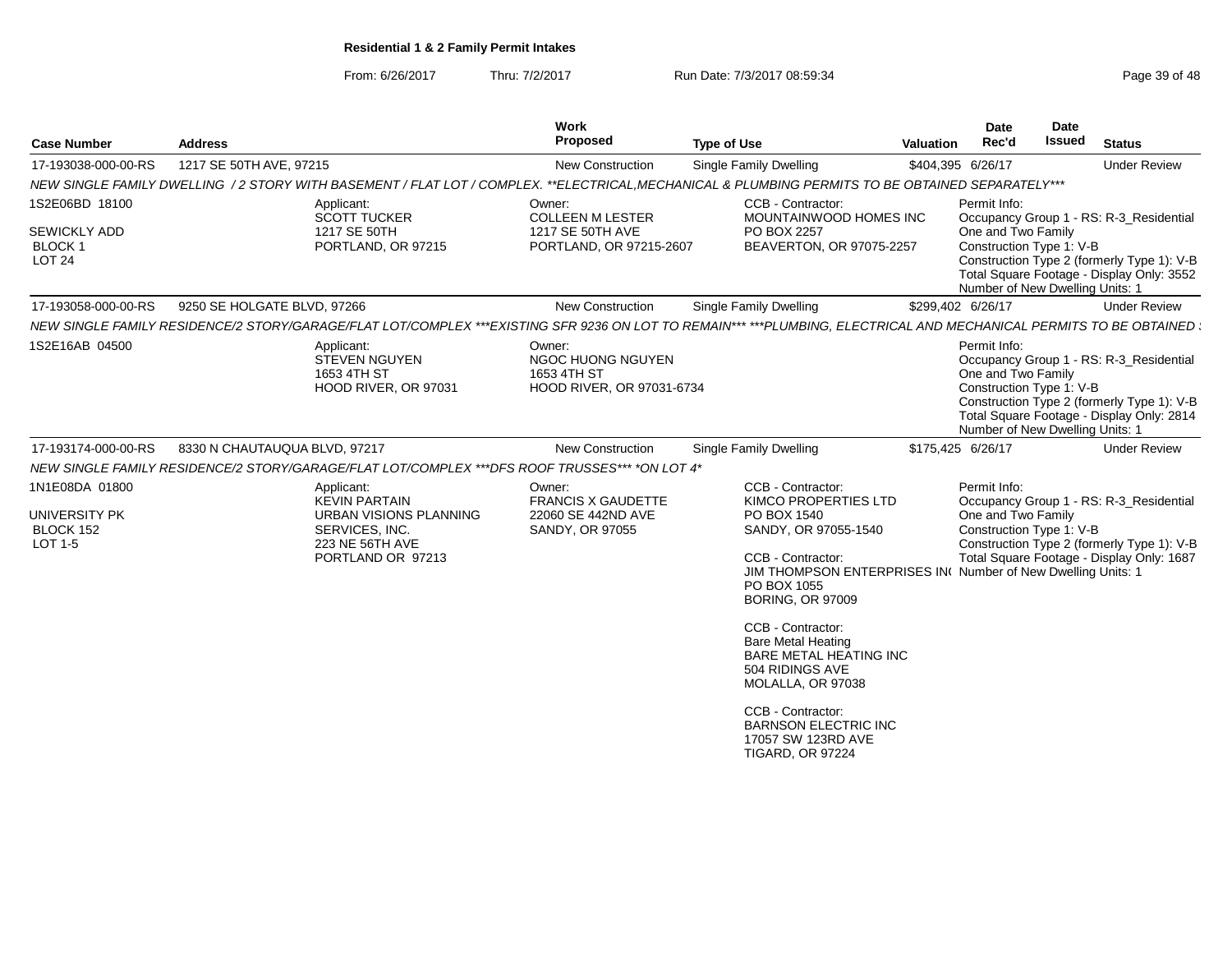From: 6/26/2017Thru: 7/2/2017 **Run Date: 7/3/2017 08:59:34** Page 39 of 48

| 1217 SE 50TH AVE, 97215<br>New Construction<br>Single Family Dwelling<br>\$404,395 6/26/17<br><b>Under Review</b><br>NEW SINGLE FAMILY DWELLING /2 STORY WITH BASEMENT / FLAT LOT / COMPLEX. **ELECTRICAL.MECHANICAL & PLUMBING PERMITS TO BE OBTAINED SEPARATELY***<br>CCB - Contractor:<br>Permit Info:<br>Applicant:<br>Owner:<br><b>SCOTT TUCKER</b><br><b>COLLEEN M LESTER</b><br>MOUNTAINWOOD HOMES INC<br>Occupancy Group 1 - RS: R-3_Residential<br>One and Two Family<br>1217 SE 50TH<br>1217 SE 50TH AVE<br>PO BOX 2257<br>Construction Type 1: V-B<br>BLOCK 1<br>PORTLAND, OR 97215-2607<br>BEAVERTON, OR 97075-2257<br>PORTLAND, OR 97215<br>Construction Type 2 (formerly Type 1): V-B<br>LOT <sub>24</sub><br>Total Square Footage - Display Only: 3552<br>Number of New Dwelling Units: 1<br><b>Single Family Dwelling</b><br>9250 SE HOLGATE BLVD, 97266<br>New Construction<br>\$299,402 6/26/17<br><b>Under Review</b><br>NEW SINGLE FAMILY RESIDENCE/2 STORY/GARAGE/FLAT LOT/COMPLEX ***EXISTING SFR 9236 ON LOT TO REMAIN*** ***PLUMBING, ELECTRICAL AND MECHANICAL PERMITS TO BE OBTAINED<br>Applicant:<br>Owner:<br>Permit Info:<br>NGOC HUONG NGUYEN<br><b>STEVEN NGUYEN</b><br>Occupancy Group 1 - RS: R-3_Residential<br>One and Two Family<br>1653 4TH ST<br>1653 4TH ST<br>Construction Type 1: V-B<br>HOOD RIVER, OR 97031<br>HOOD RIVER, OR 97031-6734<br>Construction Type 2 (formerly Type 1): V-B<br>Total Square Footage - Display Only: 2814<br>Number of New Dwelling Units: 1<br>8330 N CHAUTAUQUA BLVD, 97217<br><b>New Construction</b><br>Single Family Dwelling<br>\$175,425 6/26/17<br><b>Under Review</b><br>NEW SINGLE FAMILY RESIDENCE/2 STORY/GARAGE/FLAT LOT/COMPLEX ***DFS ROOF TRUSSES*** *ON LOT 4*<br>Permit Info:<br>CCB - Contractor:<br>Applicant:<br>Owner:<br><b>KEVIN PARTAIN</b><br><b>FRANCIS X GAUDETTE</b><br>KIMCO PROPERTIES LTD<br>Occupancy Group 1 - RS: R-3 Residential<br>One and Two Family<br>22060 SE 442ND AVE<br>PO BOX 1540<br>URBAN VISIONS PLANNING<br>Construction Type 1: V-B<br>BLOCK 152<br>SERVICES, INC.<br>SANDY, OR 97055<br>SANDY, OR 97055-1540<br>223 NE 56TH AVE<br>Construction Type 2 (formerly Type 1): V-B<br>Total Square Footage - Display Only: 1687<br>PORTLAND OR 97213<br>CCB - Contractor:<br>JIM THOMPSON ENTERPRISES IN( Number of New Dwelling Units: 1<br>PO BOX 1055<br><b>BORING, OR 97009</b><br>CCB - Contractor:<br><b>Bare Metal Heating</b><br><b>BARE METAL HEATING INC</b><br>504 RIDINGS AVE<br>MOLALLA, OR 97038<br>CCB - Contractor:<br><b>BARNSON ELECTRIC INC</b><br>17057 SW 123RD AVE | <b>Case Number</b>                         | <b>Address</b> | <b>Work</b><br>Proposed | <b>Type of Use</b> | <b>Valuation</b> | <b>Date</b><br>Rec'd | Date<br><b>Issued</b> | <b>Status</b> |
|-------------------------------------------------------------------------------------------------------------------------------------------------------------------------------------------------------------------------------------------------------------------------------------------------------------------------------------------------------------------------------------------------------------------------------------------------------------------------------------------------------------------------------------------------------------------------------------------------------------------------------------------------------------------------------------------------------------------------------------------------------------------------------------------------------------------------------------------------------------------------------------------------------------------------------------------------------------------------------------------------------------------------------------------------------------------------------------------------------------------------------------------------------------------------------------------------------------------------------------------------------------------------------------------------------------------------------------------------------------------------------------------------------------------------------------------------------------------------------------------------------------------------------------------------------------------------------------------------------------------------------------------------------------------------------------------------------------------------------------------------------------------------------------------------------------------------------------------------------------------------------------------------------------------------------------------------------------------------------------------------------------------------------------------------------------------------------------------------------------------------------------------------------------------------------------------------------------------------------------------------------------------------------------------------------------------------------------------------------------------------------------------------------------------------------------------------------------------------------------------------------------------------------------------------------------------------------------------------------------|--------------------------------------------|----------------|-------------------------|--------------------|------------------|----------------------|-----------------------|---------------|
|                                                                                                                                                                                                                                                                                                                                                                                                                                                                                                                                                                                                                                                                                                                                                                                                                                                                                                                                                                                                                                                                                                                                                                                                                                                                                                                                                                                                                                                                                                                                                                                                                                                                                                                                                                                                                                                                                                                                                                                                                                                                                                                                                                                                                                                                                                                                                                                                                                                                                                                                                                                                             | 17-193038-000-00-RS                        |                |                         |                    |                  |                      |                       |               |
|                                                                                                                                                                                                                                                                                                                                                                                                                                                                                                                                                                                                                                                                                                                                                                                                                                                                                                                                                                                                                                                                                                                                                                                                                                                                                                                                                                                                                                                                                                                                                                                                                                                                                                                                                                                                                                                                                                                                                                                                                                                                                                                                                                                                                                                                                                                                                                                                                                                                                                                                                                                                             |                                            |                |                         |                    |                  |                      |                       |               |
|                                                                                                                                                                                                                                                                                                                                                                                                                                                                                                                                                                                                                                                                                                                                                                                                                                                                                                                                                                                                                                                                                                                                                                                                                                                                                                                                                                                                                                                                                                                                                                                                                                                                                                                                                                                                                                                                                                                                                                                                                                                                                                                                                                                                                                                                                                                                                                                                                                                                                                                                                                                                             | 1S2E06BD 18100<br><b>SEWICKLY ADD</b>      |                |                         |                    |                  |                      |                       |               |
|                                                                                                                                                                                                                                                                                                                                                                                                                                                                                                                                                                                                                                                                                                                                                                                                                                                                                                                                                                                                                                                                                                                                                                                                                                                                                                                                                                                                                                                                                                                                                                                                                                                                                                                                                                                                                                                                                                                                                                                                                                                                                                                                                                                                                                                                                                                                                                                                                                                                                                                                                                                                             | 17-193058-000-00-RS                        |                |                         |                    |                  |                      |                       |               |
|                                                                                                                                                                                                                                                                                                                                                                                                                                                                                                                                                                                                                                                                                                                                                                                                                                                                                                                                                                                                                                                                                                                                                                                                                                                                                                                                                                                                                                                                                                                                                                                                                                                                                                                                                                                                                                                                                                                                                                                                                                                                                                                                                                                                                                                                                                                                                                                                                                                                                                                                                                                                             |                                            |                |                         |                    |                  |                      |                       |               |
|                                                                                                                                                                                                                                                                                                                                                                                                                                                                                                                                                                                                                                                                                                                                                                                                                                                                                                                                                                                                                                                                                                                                                                                                                                                                                                                                                                                                                                                                                                                                                                                                                                                                                                                                                                                                                                                                                                                                                                                                                                                                                                                                                                                                                                                                                                                                                                                                                                                                                                                                                                                                             | 1S2E16AB 04500                             |                |                         |                    |                  |                      |                       |               |
|                                                                                                                                                                                                                                                                                                                                                                                                                                                                                                                                                                                                                                                                                                                                                                                                                                                                                                                                                                                                                                                                                                                                                                                                                                                                                                                                                                                                                                                                                                                                                                                                                                                                                                                                                                                                                                                                                                                                                                                                                                                                                                                                                                                                                                                                                                                                                                                                                                                                                                                                                                                                             | 17-193174-000-00-RS                        |                |                         |                    |                  |                      |                       |               |
|                                                                                                                                                                                                                                                                                                                                                                                                                                                                                                                                                                                                                                                                                                                                                                                                                                                                                                                                                                                                                                                                                                                                                                                                                                                                                                                                                                                                                                                                                                                                                                                                                                                                                                                                                                                                                                                                                                                                                                                                                                                                                                                                                                                                                                                                                                                                                                                                                                                                                                                                                                                                             |                                            |                |                         |                    |                  |                      |                       |               |
|                                                                                                                                                                                                                                                                                                                                                                                                                                                                                                                                                                                                                                                                                                                                                                                                                                                                                                                                                                                                                                                                                                                                                                                                                                                                                                                                                                                                                                                                                                                                                                                                                                                                                                                                                                                                                                                                                                                                                                                                                                                                                                                                                                                                                                                                                                                                                                                                                                                                                                                                                                                                             | 1N1E08DA 01800<br>UNIVERSITY PK<br>LOT 1-5 |                |                         | TIGARD, OR 97224   |                  |                      |                       |               |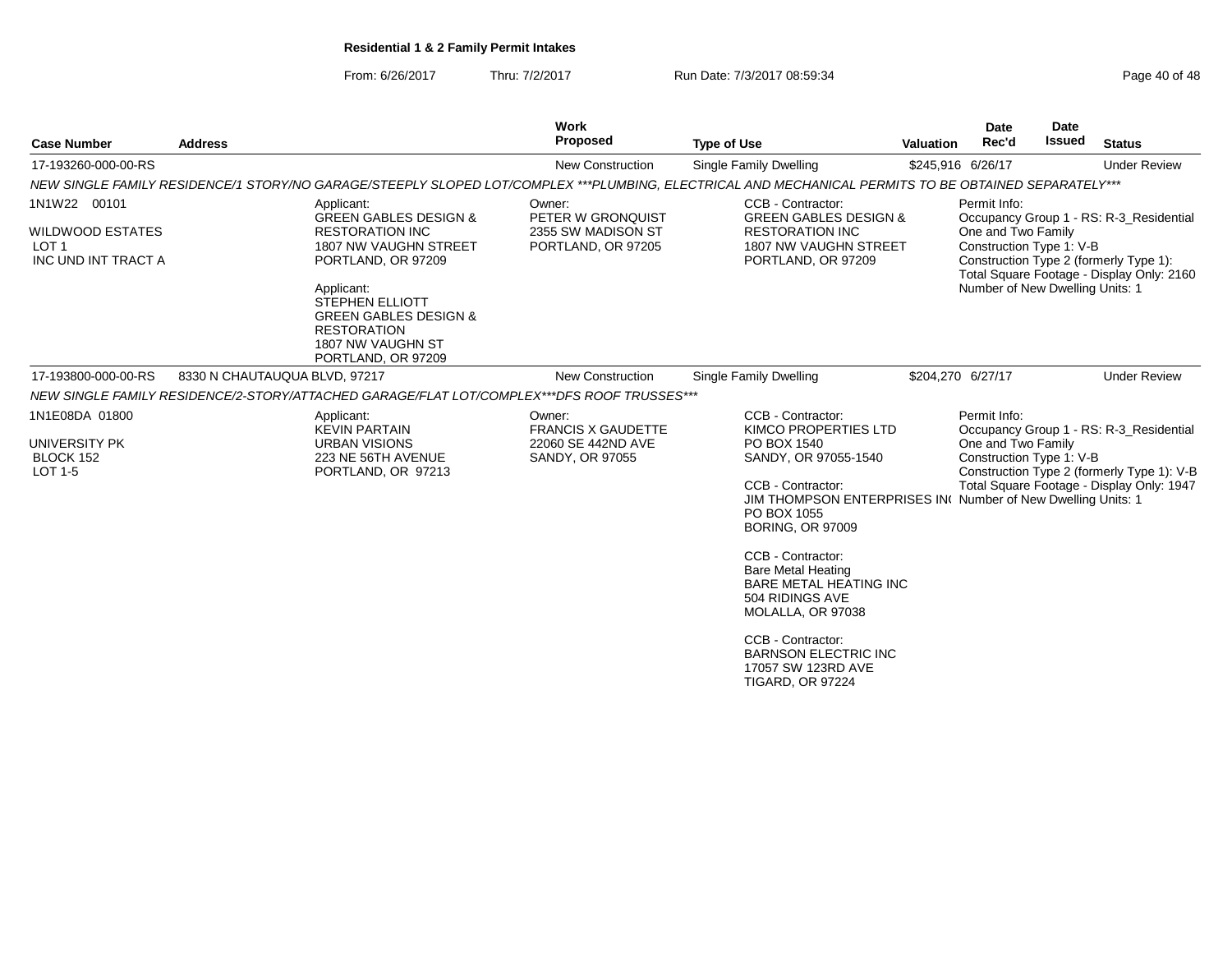From: 6/26/2017Thru: 7/2/2017 Run Date: 7/3/2017 08:59:34

|  | Page 40 of 48 |  |  |  |
|--|---------------|--|--|--|
|--|---------------|--|--|--|

| <b>Case Number</b>                                                                 | <b>Address</b>                |                                                                                                                                                                                                                                                                      | <b>Work</b><br>Proposed                                                      | <b>Type of Use</b>                                                                                                                                                                                                                                                                                                                                                                                                                             | <b>Valuation</b>  | <b>Date</b><br>Rec'd                                                                              | <b>Date</b><br><b>Issued</b> | <b>Status</b>                                                                                                                      |
|------------------------------------------------------------------------------------|-------------------------------|----------------------------------------------------------------------------------------------------------------------------------------------------------------------------------------------------------------------------------------------------------------------|------------------------------------------------------------------------------|------------------------------------------------------------------------------------------------------------------------------------------------------------------------------------------------------------------------------------------------------------------------------------------------------------------------------------------------------------------------------------------------------------------------------------------------|-------------------|---------------------------------------------------------------------------------------------------|------------------------------|------------------------------------------------------------------------------------------------------------------------------------|
| 17-193260-000-00-RS                                                                |                               |                                                                                                                                                                                                                                                                      | New Construction                                                             | <b>Single Family Dwelling</b>                                                                                                                                                                                                                                                                                                                                                                                                                  | \$245,916 6/26/17 |                                                                                                   |                              | <b>Under Review</b>                                                                                                                |
|                                                                                    |                               |                                                                                                                                                                                                                                                                      |                                                                              | NEW SINGLE FAMILY RESIDENCE/1 STORY/NO GARAGE/STEEPLY SLOPED LOT/COMPLEX ***PLUMBING, ELECTRICAL AND MECHANICAL PERMITS TO BE OBTAINED SEPARATELY***                                                                                                                                                                                                                                                                                           |                   |                                                                                                   |                              |                                                                                                                                    |
| 1N1W22 00101<br><b>WILDWOOD ESTATES</b><br>LOT <sub>1</sub><br>INC UND INT TRACT A |                               | Applicant:<br><b>GREEN GABLES DESIGN &amp;</b><br><b>RESTORATION INC</b><br>1807 NW VAUGHN STREET<br>PORTLAND, OR 97209<br>Applicant:<br><b>STEPHEN ELLIOTT</b><br><b>GREEN GABLES DESIGN &amp;</b><br><b>RESTORATION</b><br>1807 NW VAUGHN ST<br>PORTLAND, OR 97209 | Owner:<br>PETER W GRONQUIST<br>2355 SW MADISON ST<br>PORTLAND, OR 97205      | CCB - Contractor:<br><b>GREEN GABLES DESIGN &amp;</b><br><b>RESTORATION INC</b><br>1807 NW VAUGHN STREET<br>PORTLAND, OR 97209                                                                                                                                                                                                                                                                                                                 |                   | Permit Info:<br>One and Two Family<br>Construction Type 1: V-B<br>Number of New Dwelling Units: 1 |                              | Occupancy Group 1 - RS: R-3_Residential<br>Construction Type 2 (formerly Type 1):<br>Total Square Footage - Display Only: 2160     |
| 17-193800-000-00-RS                                                                | 8330 N CHAUTAUQUA BLVD, 97217 |                                                                                                                                                                                                                                                                      | <b>New Construction</b>                                                      | Single Family Dwelling                                                                                                                                                                                                                                                                                                                                                                                                                         | \$204,270 6/27/17 |                                                                                                   |                              | <b>Under Review</b>                                                                                                                |
|                                                                                    |                               | NEW SINGLE FAMILY RESIDENCE/2-STORY/ATTACHED GARAGE/FLAT LOT/COMPLEX***DFS ROOF TRUSSES***                                                                                                                                                                           |                                                                              |                                                                                                                                                                                                                                                                                                                                                                                                                                                |                   |                                                                                                   |                              |                                                                                                                                    |
| 1N1E08DA 01800<br>UNIVERSITY PK<br>BLOCK 152<br>LOT 1-5                            |                               | Applicant:<br><b>KEVIN PARTAIN</b><br><b>URBAN VISIONS</b><br>223 NE 56TH AVENUE<br>PORTLAND, OR 97213                                                                                                                                                               | Owner:<br><b>FRANCIS X GAUDETTE</b><br>22060 SE 442ND AVE<br>SANDY, OR 97055 | CCB - Contractor:<br>KIMCO PROPERTIES LTD<br>PO BOX 1540<br>SANDY, OR 97055-1540<br>CCB - Contractor:<br>JIM THOMPSON ENTERPRISES IN(Number of New Dwelling Units: 1<br>PO BOX 1055<br><b>BORING, OR 97009</b><br>CCB - Contractor:<br><b>Bare Metal Heating</b><br><b>BARE METAL HEATING INC</b><br>504 RIDINGS AVE<br>MOLALLA, OR 97038<br>CCB - Contractor:<br><b>BARNSON ELECTRIC INC</b><br>17057 SW 123RD AVE<br><b>TIGARD, OR 97224</b> |                   | Permit Info:<br>One and Two Family<br>Construction Type 1: V-B                                    |                              | Occupancy Group 1 - RS: R-3 Residential<br>Construction Type 2 (formerly Type 1): V-B<br>Total Square Footage - Display Only: 1947 |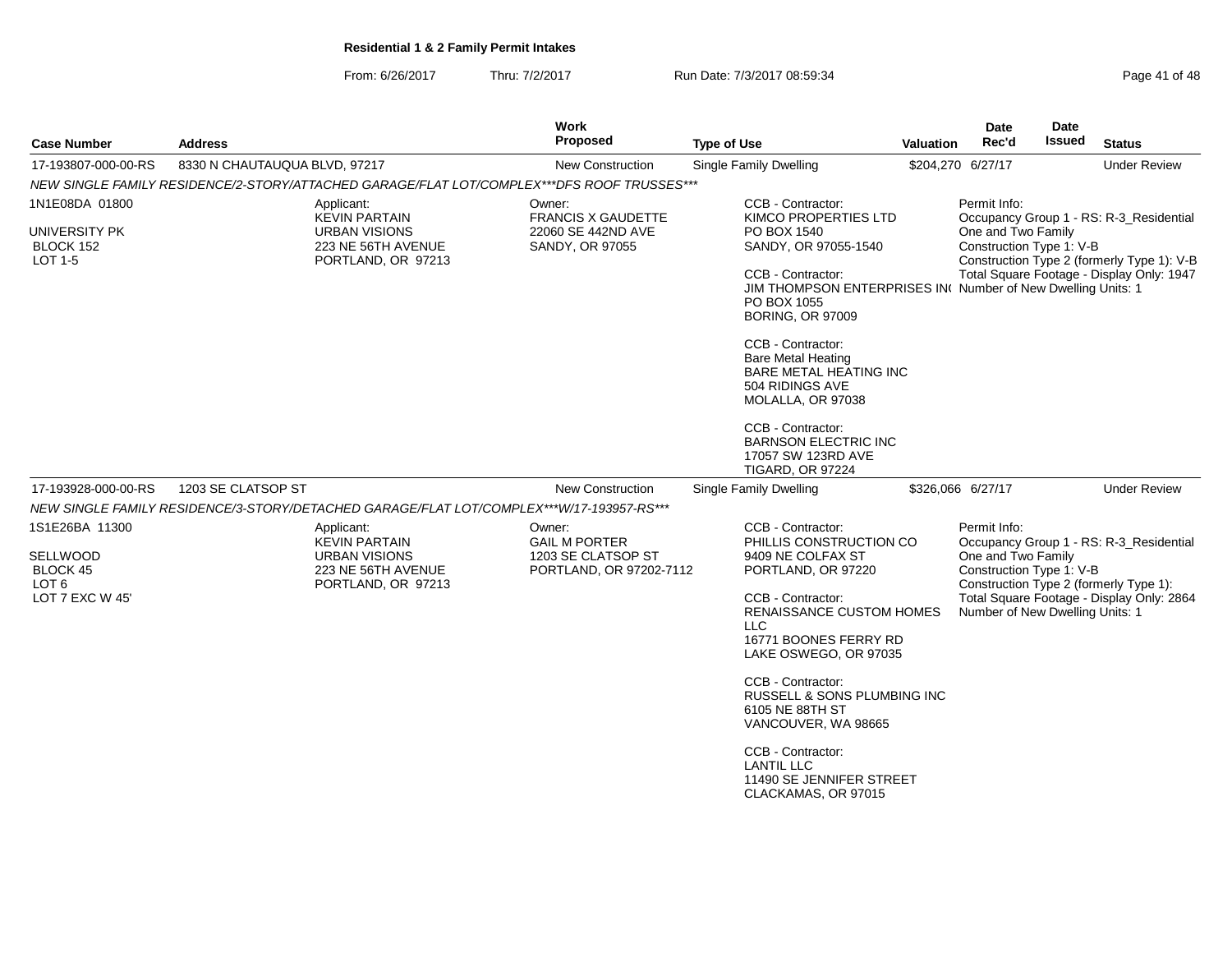From: 6/26/2017Thru: 7/2/2017 **Run Date: 7/3/2017 08:59:34** Page 41 of 48

| <b>Case Number</b>                                                            | <b>Address</b>                                                                                         | Work<br><b>Proposed</b>                                                         | <b>Type of Use</b>                                                                                                                                                                                                                                                                                                                                                                                                   | <b>Valuation</b> | Date<br>Rec'd                                                                                     | Date<br>Issued | <b>Status</b>                                                                                                                      |
|-------------------------------------------------------------------------------|--------------------------------------------------------------------------------------------------------|---------------------------------------------------------------------------------|----------------------------------------------------------------------------------------------------------------------------------------------------------------------------------------------------------------------------------------------------------------------------------------------------------------------------------------------------------------------------------------------------------------------|------------------|---------------------------------------------------------------------------------------------------|----------------|------------------------------------------------------------------------------------------------------------------------------------|
| 17-193807-000-00-RS                                                           | 8330 N CHAUTAUQUA BLVD, 97217                                                                          | <b>New Construction</b>                                                         | Single Family Dwelling                                                                                                                                                                                                                                                                                                                                                                                               |                  | \$204,270 6/27/17                                                                                 |                | <b>Under Review</b>                                                                                                                |
|                                                                               | NEW SINGLE FAMILY RESIDENCE/2-STORY/ATTACHED GARAGE/FLAT LOT/COMPLEX***DFS ROOF TRUSSES***             |                                                                                 |                                                                                                                                                                                                                                                                                                                                                                                                                      |                  |                                                                                                   |                |                                                                                                                                    |
| 1N1E08DA 01800<br>UNIVERSITY PK<br>BLOCK 152<br>LOT 1-5                       | Applicant:<br><b>KEVIN PARTAIN</b><br><b>URBAN VISIONS</b><br>223 NE 56TH AVENUE<br>PORTLAND, OR 97213 | Owner:<br><b>FRANCIS X GAUDETTE</b><br>22060 SE 442ND AVE<br>SANDY, OR 97055    | CCB - Contractor:<br><b>KIMCO PROPERTIES LTD</b><br>PO BOX 1540<br>SANDY, OR 97055-1540<br>CCB - Contractor:<br>JIM THOMPSON ENTERPRISES IN( Number of New Dwelling Units: 1<br>PO BOX 1055<br><b>BORING, OR 97009</b><br>CCB - Contractor:<br><b>Bare Metal Heating</b><br>BARE METAL HEATING INC<br>504 RIDINGS AVE<br>MOLALLA, OR 97038<br>CCB - Contractor:<br><b>BARNSON ELECTRIC INC</b><br>17057 SW 123RD AVE |                  | Permit Info:<br>One and Two Family<br>Construction Type 1: V-B                                    |                | Occupancy Group 1 - RS: R-3 Residential<br>Construction Type 2 (formerly Type 1): V-B<br>Total Square Footage - Display Only: 1947 |
| 17-193928-000-00-RS                                                           | 1203 SE CLATSOP ST                                                                                     | <b>New Construction</b>                                                         | <b>TIGARD, OR 97224</b><br>Single Family Dwelling                                                                                                                                                                                                                                                                                                                                                                    |                  | \$326,066 6/27/17                                                                                 |                | <b>Under Review</b>                                                                                                                |
|                                                                               | NEW SINGLE FAMILY RESIDENCE/3-STORY/DETACHED GARAGE/FLAT LOT/COMPLEX***W/17-193957-RS***               |                                                                                 |                                                                                                                                                                                                                                                                                                                                                                                                                      |                  |                                                                                                   |                |                                                                                                                                    |
| 1S1E26BA 11300<br>SELLWOOD<br>BLOCK 45<br>LOT <sub>6</sub><br>LOT 7 EXC W 45' | Applicant:<br><b>KEVIN PARTAIN</b><br><b>URBAN VISIONS</b><br>223 NE 56TH AVENUE<br>PORTLAND, OR 97213 | Owner:<br><b>GAIL M PORTER</b><br>1203 SE CLATSOP ST<br>PORTLAND, OR 97202-7112 | CCB - Contractor:<br>PHILLIS CONSTRUCTION CO<br>9409 NE COLFAX ST<br>PORTLAND, OR 97220<br>CCB - Contractor:<br>RENAISSANCE CUSTOM HOMES<br><b>LLC</b><br>16771 BOONES FERRY RD<br>LAKE OSWEGO, OR 97035<br>CCB - Contractor:<br>RUSSELL & SONS PLUMBING INC<br>6105 NE 88TH ST<br>VANCOUVER, WA 98665<br>CCB - Contractor:<br><b>LANTIL LLC</b><br>11490 SE JENNIFER STREET<br>CLACKAMAS, OR 97015                  |                  | Permit Info:<br>One and Two Family<br>Construction Type 1: V-B<br>Number of New Dwelling Units: 1 |                | Occupancy Group 1 - RS: R-3_Residential<br>Construction Type 2 (formerly Type 1):<br>Total Square Footage - Display Only: 2864     |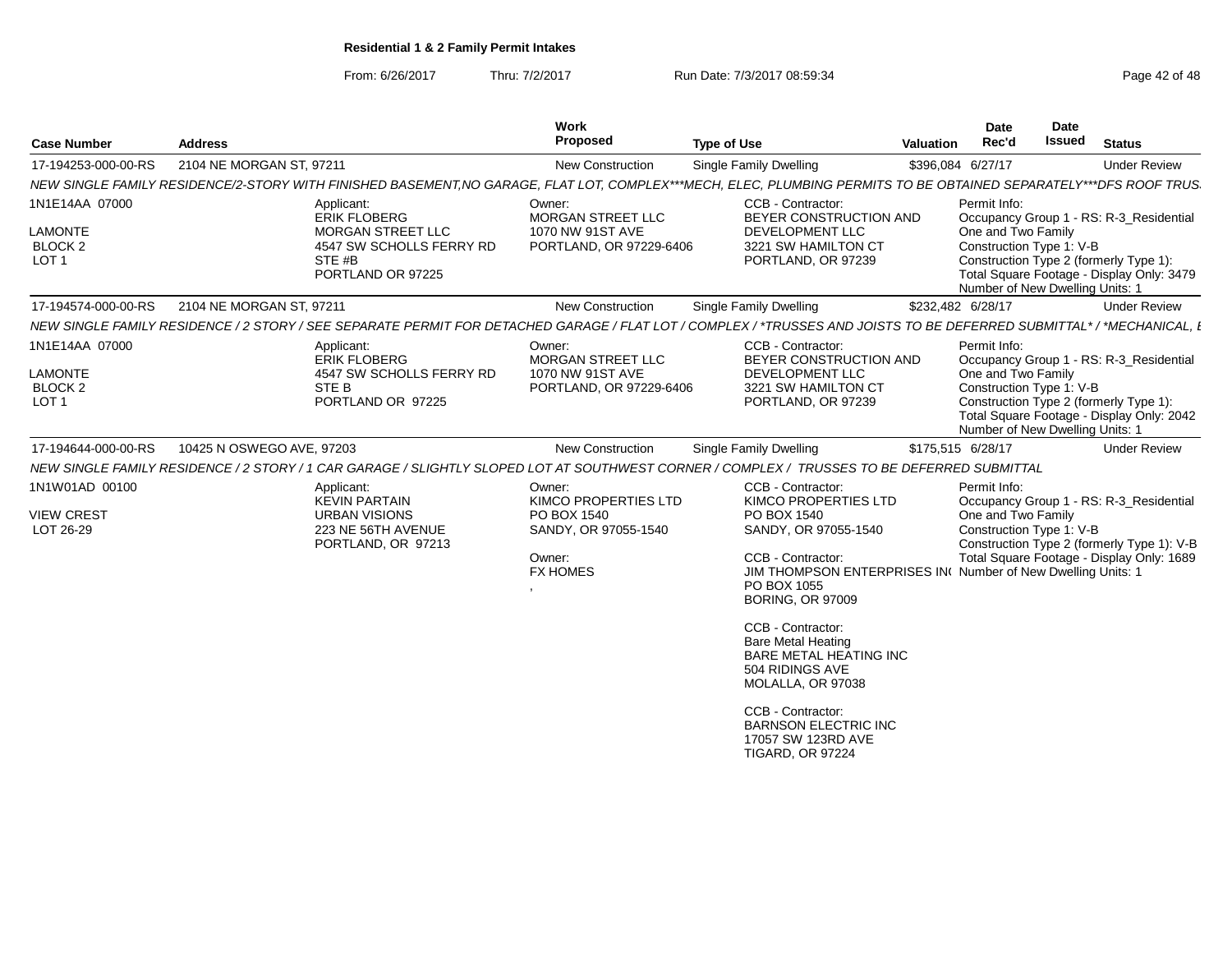From: 6/26/2017

Thru: 7/2/2017 **Run Date: 7/3/2017 08:59:34** Page 42 of 48

| <b>Case Number</b>                                                     | <b>Address</b>                                                                                                                                                        | Work<br>Proposed                                                                                   | <b>Type of Use</b>                                                                                                                                                                                                                                                                                                                                                                                                                              | <b>Valuation</b>  | <b>Date</b><br>Rec'd                                                                              | <b>Date</b><br><b>Issued</b> | <b>Status</b>                                                                                                                      |
|------------------------------------------------------------------------|-----------------------------------------------------------------------------------------------------------------------------------------------------------------------|----------------------------------------------------------------------------------------------------|-------------------------------------------------------------------------------------------------------------------------------------------------------------------------------------------------------------------------------------------------------------------------------------------------------------------------------------------------------------------------------------------------------------------------------------------------|-------------------|---------------------------------------------------------------------------------------------------|------------------------------|------------------------------------------------------------------------------------------------------------------------------------|
| 17-194253-000-00-RS                                                    | 2104 NE MORGAN ST, 97211                                                                                                                                              | <b>New Construction</b>                                                                            | Single Family Dwelling                                                                                                                                                                                                                                                                                                                                                                                                                          | \$396,084 6/27/17 |                                                                                                   |                              | <b>Under Review</b>                                                                                                                |
|                                                                        | NEW SINGLE FAMILY RESIDENCE/2-STORY WITH FINISHED BASEMENT,NO GARAGE, FLAT LOT, COMPLEX***MECH, ELEC, PLUMBING PERMITS TO BE OBTAINED SEPARATELY***DFS ROOF TRUS      |                                                                                                    |                                                                                                                                                                                                                                                                                                                                                                                                                                                 |                   |                                                                                                   |                              |                                                                                                                                    |
| 1N1E14AA 07000<br><b>LAMONTE</b><br><b>BLOCK 2</b><br>LOT <sub>1</sub> | Applicant:<br><b>ERIK FLOBERG</b><br><b>MORGAN STREET LLC</b><br>4547 SW SCHOLLS FERRY RD<br>STE #B<br>PORTLAND OR 97225                                              | Owner:<br><b>MORGAN STREET LLC</b><br>1070 NW 91ST AVE<br>PORTLAND, OR 97229-6406                  | CCB - Contractor:<br>BEYER CONSTRUCTION AND<br><b>DEVELOPMENT LLC</b><br>3221 SW HAMILTON CT<br>PORTLAND, OR 97239                                                                                                                                                                                                                                                                                                                              |                   | Permit Info:<br>One and Two Family<br>Construction Type 1: V-B<br>Number of New Dwelling Units: 1 |                              | Occupancy Group 1 - RS: R-3 Residential<br>Construction Type 2 (formerly Type 1):<br>Total Square Footage - Display Only: 3479     |
| 17-194574-000-00-RS                                                    | 2104 NE MORGAN ST, 97211                                                                                                                                              | New Construction                                                                                   | Single Family Dwelling                                                                                                                                                                                                                                                                                                                                                                                                                          | \$232,482 6/28/17 |                                                                                                   |                              | <b>Under Review</b>                                                                                                                |
|                                                                        | NEW SINGLE FAMILY RESIDENCE / 2 STORY / SEE SEPARATE PERMIT FOR DETACHED GARAGE / FLAT LOT / COMPLEX / *TRUSSES AND JOISTS TO BE DEFERRED SUBMITTAL* / *MECHANICAL, L |                                                                                                    |                                                                                                                                                                                                                                                                                                                                                                                                                                                 |                   |                                                                                                   |                              |                                                                                                                                    |
| 1N1E14AA 07000<br><b>LAMONTE</b><br>BLOCK 2<br>LOT <sub>1</sub>        | Applicant:<br><b>ERIK FLOBERG</b><br>4547 SW SCHOLLS FERRY RD<br>STE <sub>B</sub><br>PORTLAND OR 97225                                                                | Owner:<br><b>MORGAN STREET LLC</b><br>1070 NW 91ST AVE<br>PORTLAND, OR 97229-6406                  | CCB - Contractor:<br>BEYER CONSTRUCTION AND<br><b>DEVELOPMENT LLC</b><br>3221 SW HAMILTON CT<br>PORTLAND, OR 97239                                                                                                                                                                                                                                                                                                                              |                   | Permit Info:<br>One and Two Family<br>Construction Type 1: V-B<br>Number of New Dwelling Units: 1 |                              | Occupancy Group 1 - RS: R-3_Residential<br>Construction Type 2 (formerly Type 1):<br>Total Square Footage - Display Only: 2042     |
| 17-194644-000-00-RS                                                    | 10425 N OSWEGO AVE, 97203                                                                                                                                             | <b>New Construction</b>                                                                            | Single Family Dwelling                                                                                                                                                                                                                                                                                                                                                                                                                          | \$175.515 6/28/17 |                                                                                                   |                              | <b>Under Review</b>                                                                                                                |
|                                                                        | NEW SINGLE FAMILY RESIDENCE / 2 STORY / 1 CAR GARAGE / SLIGHTLY SLOPED LOT AT SOUTHWEST CORNER / COMPLEX / TRUSSES TO BE DEFERRED SUBMITTAL                           |                                                                                                    |                                                                                                                                                                                                                                                                                                                                                                                                                                                 |                   |                                                                                                   |                              |                                                                                                                                    |
| 1N1W01AD 00100<br><b>VIEW CREST</b><br>LOT 26-29                       | Applicant:<br><b>KEVIN PARTAIN</b><br><b>URBAN VISIONS</b><br>223 NE 56TH AVENUE<br>PORTLAND, OR 97213                                                                | Owner:<br>KIMCO PROPERTIES LTD<br>PO BOX 1540<br>SANDY, OR 97055-1540<br>Owner:<br><b>FX HOMES</b> | CCB - Contractor:<br>KIMCO PROPERTIES LTD<br>PO BOX 1540<br>SANDY, OR 97055-1540<br>CCB - Contractor:<br>JIM THOMPSON ENTERPRISES IN( Number of New Dwelling Units: 1<br>PO BOX 1055<br><b>BORING, OR 97009</b><br>CCB - Contractor:<br><b>Bare Metal Heating</b><br><b>BARE METAL HEATING INC</b><br>504 RIDINGS AVE<br>MOLALLA, OR 97038<br>CCB - Contractor:<br><b>BARNSON ELECTRIC INC</b><br>17057 SW 123RD AVE<br><b>TIGARD, OR 97224</b> |                   | Permit Info:<br>One and Two Family<br>Construction Type 1: V-B                                    |                              | Occupancy Group 1 - RS: R-3_Residential<br>Construction Type 2 (formerly Type 1): V-B<br>Total Square Footage - Display Only: 1689 |
|                                                                        |                                                                                                                                                                       |                                                                                                    |                                                                                                                                                                                                                                                                                                                                                                                                                                                 |                   |                                                                                                   |                              |                                                                                                                                    |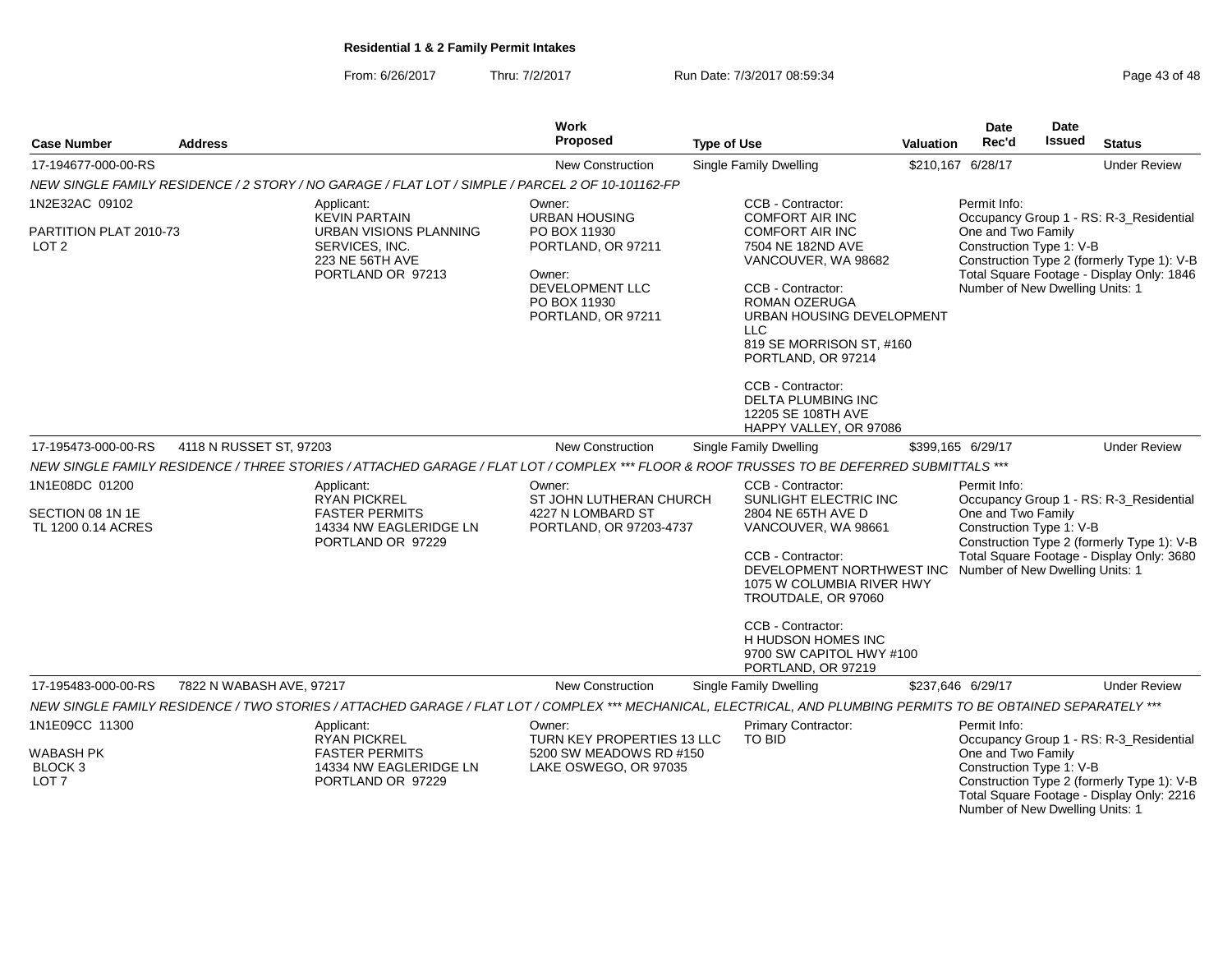From: 6/26/2017Thru: 7/2/2017 **Run Date: 7/3/2017 08:59:34** Page 43 of 48

| <b>Case Number</b>                                                              | <b>Address</b>           |                                                                                                                                                                 | Work<br>Proposed                                                                                             | <b>Type of Use</b>                                                                                                                                                                                                                                                                                                                                          | Valuation | <b>Date</b><br>Rec'd                                                                | <b>Date</b><br><b>Issued</b> | <b>Status</b>                                                                                                                                             |
|---------------------------------------------------------------------------------|--------------------------|-----------------------------------------------------------------------------------------------------------------------------------------------------------------|--------------------------------------------------------------------------------------------------------------|-------------------------------------------------------------------------------------------------------------------------------------------------------------------------------------------------------------------------------------------------------------------------------------------------------------------------------------------------------------|-----------|-------------------------------------------------------------------------------------|------------------------------|-----------------------------------------------------------------------------------------------------------------------------------------------------------|
| 17-194677-000-00-RS                                                             |                          |                                                                                                                                                                 | <b>New Construction</b>                                                                                      | Single Family Dwelling                                                                                                                                                                                                                                                                                                                                      |           | \$210,167 6/28/17                                                                   |                              | <b>Under Review</b>                                                                                                                                       |
|                                                                                 |                          | NEW SINGLE FAMILY RESIDENCE / 2 STORY / NO GARAGE / FLAT LOT / SIMPLE / PARCEL 2 OF 10-101162-FP                                                                |                                                                                                              |                                                                                                                                                                                                                                                                                                                                                             |           |                                                                                     |                              |                                                                                                                                                           |
| 1N2E32AC 09102                                                                  |                          | Applicant:<br><b>KEVIN PARTAIN</b>                                                                                                                              | Owner:<br><b>URBAN HOUSING</b>                                                                               | CCB - Contractor:<br><b>COMFORT AIR INC</b>                                                                                                                                                                                                                                                                                                                 |           | Permit Info:                                                                        |                              | Occupancy Group 1 - RS: R-3_Residential                                                                                                                   |
| PARTITION PLAT 2010-73<br>LOT <sub>2</sub>                                      |                          | <b>URBAN VISIONS PLANNING</b><br>SERVICES, INC.<br>223 NE 56TH AVE<br>PORTLAND OR 97213                                                                         | PO BOX 11930<br>PORTLAND, OR 97211<br>Owner:<br>DEVELOPMENT LLC<br>PO BOX 11930<br>PORTLAND, OR 97211        | <b>COMFORT AIR INC</b><br>7504 NE 182ND AVE<br>VANCOUVER, WA 98682<br>CCB - Contractor:<br><b>ROMAN OZERUGA</b><br>URBAN HOUSING DEVELOPMENT<br><b>LLC</b><br>819 SE MORRISON ST, #160<br>PORTLAND, OR 97214<br>CCB - Contractor:<br>DELTA PLUMBING INC<br>12205 SE 108TH AVE                                                                               |           | One and Two Family<br>Construction Type 1: V-B<br>Number of New Dwelling Units: 1   |                              | Construction Type 2 (formerly Type 1): V-B<br>Total Square Footage - Display Only: 1846                                                                   |
| 17-195473-000-00-RS                                                             | 4118 N RUSSET ST, 97203  |                                                                                                                                                                 | New Construction                                                                                             | HAPPY VALLEY, OR 97086<br><b>Single Family Dwelling</b>                                                                                                                                                                                                                                                                                                     |           | \$399,165 6/29/17                                                                   |                              | <b>Under Review</b>                                                                                                                                       |
|                                                                                 |                          | NEW SINGLE FAMILY RESIDENCE / THREE STORIES / ATTACHED GARAGE / FLAT LOT / COMPLEX *** FLOOR & ROOF TRUSSES TO BE DEFERRED SUBMITTALS ***                       |                                                                                                              |                                                                                                                                                                                                                                                                                                                                                             |           |                                                                                     |                              |                                                                                                                                                           |
| 1N1E08DC 01200<br>SECTION 08 1N 1E<br>TL 1200 0.14 ACRES<br>17-195483-000-00-RS | 7822 N WABASH AVE, 97217 | Applicant:<br><b>RYAN PICKREL</b><br><b>FASTER PERMITS</b><br>14334 NW EAGLERIDGE LN<br>PORTLAND OR 97229                                                       | Owner:<br>ST JOHN LUTHERAN CHURCH<br>4227 N LOMBARD ST<br>PORTLAND, OR 97203-4737<br><b>New Construction</b> | CCB - Contractor:<br>SUNLIGHT ELECTRIC INC<br>2804 NE 65TH AVE D<br>VANCOUVER, WA 98661<br>CCB - Contractor:<br>DEVELOPMENT NORTHWEST INC Number of New Dwelling Units: 1<br>1075 W COLUMBIA RIVER HWY<br>TROUTDALE, OR 97060<br>CCB - Contractor:<br>H HUDSON HOMES INC<br>9700 SW CAPITOL HWY #100<br>PORTLAND, OR 97219<br><b>Single Family Dwelling</b> |           | Permit Info:<br>One and Two Family<br>Construction Type 1: V-B<br>\$237,646 6/29/17 |                              | Occupancy Group 1 - RS: R-3_Residential<br>Construction Type 2 (formerly Type 1): V-B<br>Total Square Footage - Display Only: 3680<br><b>Under Review</b> |
|                                                                                 |                          | NEW SINGLE FAMILY RESIDENCE / TWO STORIES / ATTACHED GARAGE / FLAT LOT / COMPLEX *** MECHANICAL, ELECTRICAL, AND PLUMBING PERMITS TO BE OBTAINED SEPARATELY *** |                                                                                                              |                                                                                                                                                                                                                                                                                                                                                             |           |                                                                                     |                              |                                                                                                                                                           |
| 1N1E09CC 11300<br><b>WABASH PK</b><br>BLOCK <sub>3</sub><br>LOT <sub>7</sub>    |                          | Applicant:<br><b>RYAN PICKREL</b><br><b>FASTER PERMITS</b><br>14334 NW EAGLERIDGE LN<br>PORTLAND OR 97229                                                       | Owner:<br>TURN KEY PROPERTIES 13 LLC<br>5200 SW MEADOWS RD #150<br>LAKE OSWEGO, OR 97035                     | Primary Contractor:<br>TO BID                                                                                                                                                                                                                                                                                                                               |           | Permit Info:<br>One and Two Family<br>Construction Type 1: V-B                      |                              | Occupancy Group 1 - RS: R-3_Residential<br>Construction Type 2 (formerly Type 1): V-B                                                                     |
|                                                                                 |                          |                                                                                                                                                                 |                                                                                                              |                                                                                                                                                                                                                                                                                                                                                             |           | Number of New Dwelling Units: 1                                                     |                              | Total Square Footage - Display Only: 2216                                                                                                                 |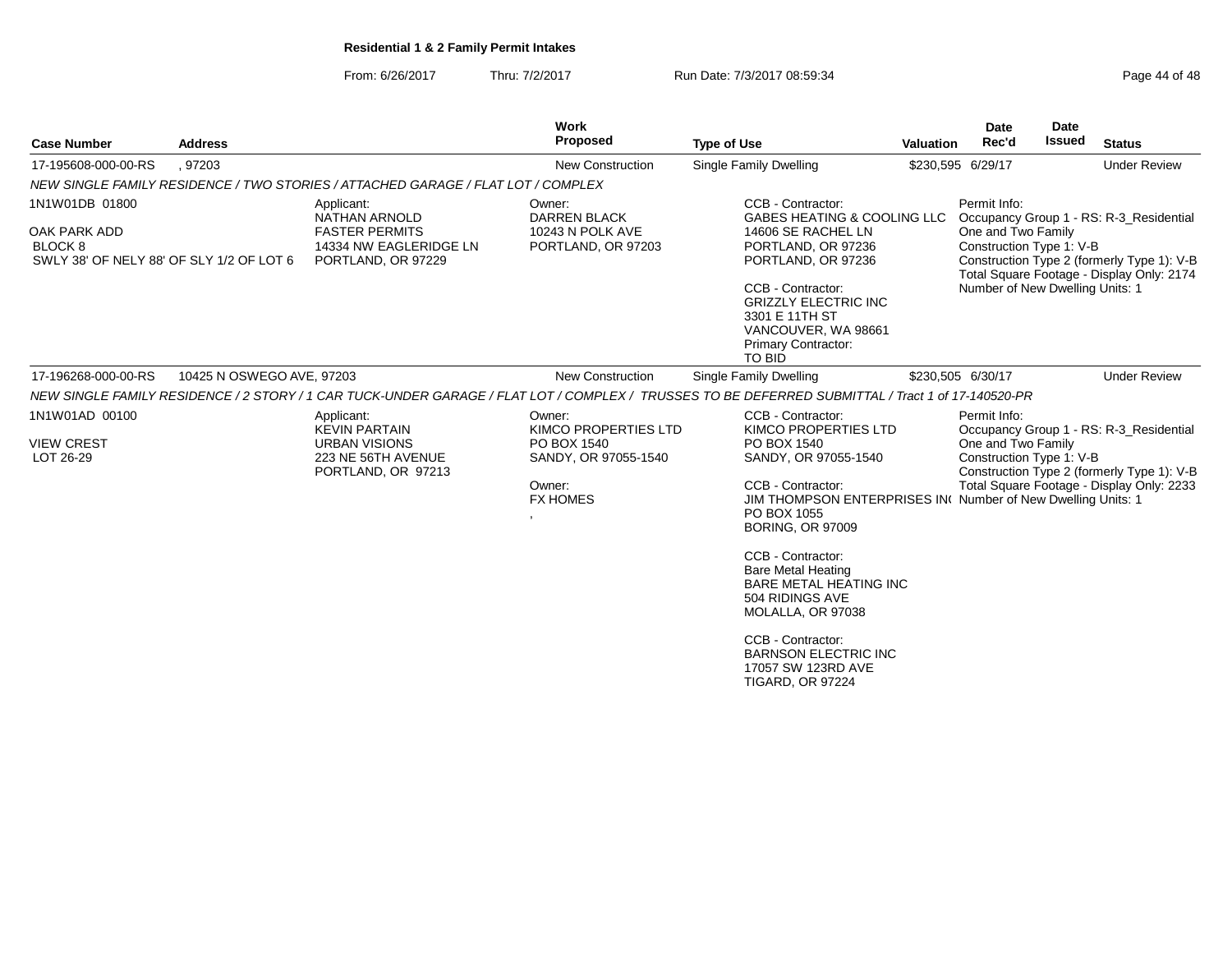From: 6/26/2017Thru: 7/2/2017 **Run Date: 7/3/2017 08:59:34** Page 44 of 48

| <b>Case Number</b>                                                                           | <b>Address</b>            |                                                                                                        | Work<br>Proposed                                                                                                     | <b>Type of Use</b>                                                                                                                                                                                                                                                                                                                                                                                                                             | <b>Valuation</b> | Date<br>Rec'd                                                                                                                                                                                                                           | Date<br><b>Issued</b> | <b>Status</b>                                                                                                                      |
|----------------------------------------------------------------------------------------------|---------------------------|--------------------------------------------------------------------------------------------------------|----------------------------------------------------------------------------------------------------------------------|------------------------------------------------------------------------------------------------------------------------------------------------------------------------------------------------------------------------------------------------------------------------------------------------------------------------------------------------------------------------------------------------------------------------------------------------|------------------|-----------------------------------------------------------------------------------------------------------------------------------------------------------------------------------------------------------------------------------------|-----------------------|------------------------------------------------------------------------------------------------------------------------------------|
| 17-195608-000-00-RS                                                                          | , 97203                   |                                                                                                        | New Construction                                                                                                     | <b>Single Family Dwelling</b>                                                                                                                                                                                                                                                                                                                                                                                                                  |                  | \$230,595 6/29/17                                                                                                                                                                                                                       |                       | <b>Under Review</b>                                                                                                                |
|                                                                                              |                           | NEW SINGLE FAMILY RESIDENCE / TWO STORIES / ATTACHED GARAGE / FLAT LOT / COMPLEX                       |                                                                                                                      |                                                                                                                                                                                                                                                                                                                                                                                                                                                |                  |                                                                                                                                                                                                                                         |                       |                                                                                                                                    |
| 1N1W01DB 01800<br>OAK PARK ADD<br><b>BLOCK 8</b><br>SWLY 38' OF NELY 88' OF SLY 1/2 OF LOT 6 |                           | Applicant:<br>NATHAN ARNOLD<br><b>FASTER PERMITS</b><br>14334 NW EAGLERIDGE LN<br>PORTLAND, OR 97229   | Owner:<br><b>DARREN BLACK</b><br>10243 N POLK AVE<br>PORTLAND, OR 97203                                              | CCB - Contractor:<br>GABES HEATING & COOLING LLC<br>14606 SE RACHEL LN<br>PORTLAND, OR 97236<br>PORTLAND, OR 97236<br>CCB - Contractor:<br><b>GRIZZLY ELECTRIC INC</b><br>3301 E 11TH ST<br>VANCOUVER, WA 98661<br><b>Primary Contractor:</b><br><b>TO BID</b>                                                                                                                                                                                 |                  | Permit Info:<br>Occupancy Group 1 - RS: R-3_Residential<br>One and Two Family<br>Construction Type 1: V-B<br>Construction Type 2 (formerly Type 1): V-B<br>Total Square Footage - Display Only: 2174<br>Number of New Dwelling Units: 1 |                       |                                                                                                                                    |
| 17-196268-000-00-RS                                                                          | 10425 N OSWEGO AVE, 97203 |                                                                                                        | New Construction                                                                                                     | Single Family Dwelling                                                                                                                                                                                                                                                                                                                                                                                                                         |                  | \$230,505 6/30/17                                                                                                                                                                                                                       |                       | <b>Under Review</b>                                                                                                                |
|                                                                                              |                           |                                                                                                        |                                                                                                                      | NEW SINGLE FAMILY RESIDENCE / 2 STORY / 1 CAR TUCK-UNDER GARAGE / FLAT LOT / COMPLEX / TRUSSES TO BE DEFERRED SUBMITTAL / Tract 1 of 17-140520-PR                                                                                                                                                                                                                                                                                              |                  |                                                                                                                                                                                                                                         |                       |                                                                                                                                    |
| 1N1W01AD 00100<br><b>VIEW CREST</b><br>LOT 26-29                                             |                           | Applicant:<br><b>KEVIN PARTAIN</b><br><b>URBAN VISIONS</b><br>223 NE 56TH AVENUE<br>PORTLAND, OR 97213 | Owner:<br>KIMCO PROPERTIES LTD<br>PO BOX 1540<br>SANDY, OR 97055-1540<br>Owner:<br><b>FX HOMES</b><br>$\overline{ }$ | CCB - Contractor:<br>KIMCO PROPERTIES LTD<br>PO BOX 1540<br>SANDY, OR 97055-1540<br>CCB - Contractor:<br>JIM THOMPSON ENTERPRISES IN(Number of New Dwelling Units: 1<br>PO BOX 1055<br><b>BORING, OR 97009</b><br>CCB - Contractor:<br><b>Bare Metal Heating</b><br><b>BARE METAL HEATING INC</b><br>504 RIDINGS AVE<br>MOLALLA, OR 97038<br>CCB - Contractor:<br><b>BARNSON ELECTRIC INC</b><br>17057 SW 123RD AVE<br><b>TIGARD, OR 97224</b> |                  | Permit Info:<br>One and Two Family<br>Construction Type 1: V-B                                                                                                                                                                          |                       | Occupancy Group 1 - RS: R-3_Residential<br>Construction Type 2 (formerly Type 1): V-B<br>Total Square Footage - Display Only: 2233 |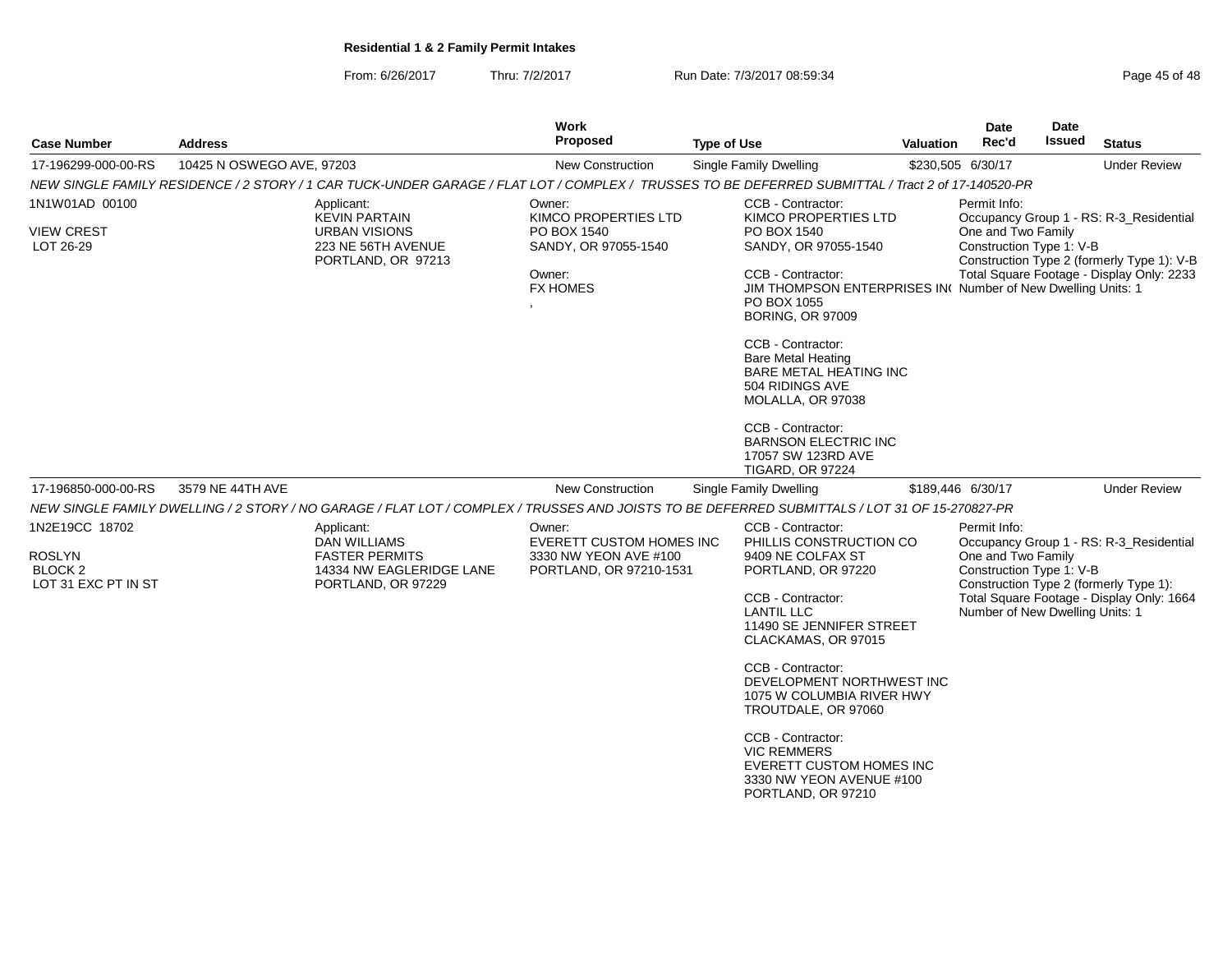From: 6/26/2017Thru: 7/2/2017 Run Date: 7/3/2017 08:59:34

| Page 45 of 48 |  |  |
|---------------|--|--|
|---------------|--|--|

| <b>Case Number</b>                                                           | <b>Address</b>            |                                                                                                              | Work<br><b>Proposed</b>                                                                | <b>Type of Use</b>                                                                                                                                | <b>Valuation</b>                                               | Date<br>Rec'd                                  | <b>Date</b><br><b>Issued</b> | <b>Status</b>                                                                     |  |
|------------------------------------------------------------------------------|---------------------------|--------------------------------------------------------------------------------------------------------------|----------------------------------------------------------------------------------------|---------------------------------------------------------------------------------------------------------------------------------------------------|----------------------------------------------------------------|------------------------------------------------|------------------------------|-----------------------------------------------------------------------------------|--|
| 17-196299-000-00-RS                                                          | 10425 N OSWEGO AVE, 97203 |                                                                                                              | New Construction                                                                       | <b>Single Family Dwelling</b>                                                                                                                     |                                                                | \$230,505 6/30/17                              |                              | <b>Under Review</b>                                                               |  |
|                                                                              |                           |                                                                                                              |                                                                                        | NEW SINGLE FAMILY RESIDENCE / 2 STORY / 1 CAR TUCK-UNDER GARAGE / FLAT LOT / COMPLEX / TRUSSES TO BE DEFERRED SUBMITTAL / Tract 2 of 17-140520-PR |                                                                |                                                |                              |                                                                                   |  |
| 1N1W01AD 00100                                                               |                           | Applicant:<br><b>KEVIN PARTAIN</b>                                                                           | Owner:<br>KIMCO PROPERTIES LTD                                                         | CCB - Contractor:<br>KIMCO PROPERTIES LTD                                                                                                         |                                                                | Permit Info:                                   |                              | Occupancy Group 1 - RS: R-3_Residential                                           |  |
| <b>VIEW CREST</b><br>LOT 26-29                                               |                           | <b>URBAN VISIONS</b><br>223 NE 56TH AVENUE<br>PORTLAND, OR 97213                                             | PO BOX 1540<br>SANDY, OR 97055-1540                                                    | PO BOX 1540<br>SANDY, OR 97055-1540                                                                                                               |                                                                | One and Two Family<br>Construction Type 1: V-B |                              | Construction Type 2 (formerly Type 1): V-B                                        |  |
|                                                                              |                           |                                                                                                              | Owner:<br><b>FX HOMES</b>                                                              | CCB - Contractor:<br>JIM THOMPSON ENTERPRISES IN(Number of New Dwelling Units: 1<br>PO BOX 1055<br><b>BORING, OR 97009</b>                        |                                                                |                                                |                              | Total Square Footage - Display Only: 2233                                         |  |
|                                                                              |                           |                                                                                                              |                                                                                        | CCB - Contractor:<br><b>Bare Metal Heating</b><br>BARE METAL HEATING INC<br>504 RIDINGS AVE<br>MOLALLA, OR 97038                                  |                                                                |                                                |                              |                                                                                   |  |
|                                                                              |                           |                                                                                                              |                                                                                        | CCB - Contractor:<br><b>BARNSON ELECTRIC INC</b><br>17057 SW 123RD AVE<br><b>TIGARD, OR 97224</b>                                                 |                                                                |                                                |                              |                                                                                   |  |
| 17-196850-000-00-RS                                                          | 3579 NE 44TH AVE          |                                                                                                              | New Construction                                                                       | Single Family Dwelling                                                                                                                            |                                                                | \$189,446 6/30/17                              |                              | <b>Under Review</b>                                                               |  |
|                                                                              |                           |                                                                                                              |                                                                                        | NEW SINGLE FAMILY DWELLING / 2 STORY / NO GARAGE / FLAT LOT / COMPLEX / TRUSSES AND JOISTS TO BE DEFERRED SUBMITTALS / LOT 31 OF 15-270827-PR     |                                                                |                                                |                              |                                                                                   |  |
| 1N2E19CC 18702<br><b>ROSLYN</b><br>BLOCK <sub>2</sub><br>LOT 31 EXC PT IN ST |                           | Applicant:<br><b>DAN WILLIAMS</b><br><b>FASTER PERMITS</b><br>14334 NW EAGLERIDGE LANE<br>PORTLAND, OR 97229 | Owner:<br>EVERETT CUSTOM HOMES INC<br>3330 NW YEON AVE #100<br>PORTLAND, OR 97210-1531 | CCB - Contractor:<br>PHILLIS CONSTRUCTION CO<br>9409 NE COLFAX ST<br>PORTLAND, OR 97220                                                           | Permit Info:<br>One and Two Family<br>Construction Type 1: V-B |                                                |                              | Occupancy Group 1 - RS: R-3 Residential<br>Construction Type 2 (formerly Type 1): |  |
|                                                                              |                           |                                                                                                              |                                                                                        | CCB - Contractor:<br><b>LANTIL LLC</b><br>11490 SE JENNIFER STREET<br>CLACKAMAS, OR 97015                                                         |                                                                | Number of New Dwelling Units: 1                |                              | Total Square Footage - Display Only: 1664                                         |  |
|                                                                              |                           |                                                                                                              |                                                                                        | CCB - Contractor:<br>DEVELOPMENT NORTHWEST INC<br>1075 W COLUMBIA RIVER HWY<br>TROUTDALE, OR 97060                                                |                                                                |                                                |                              |                                                                                   |  |
|                                                                              |                           |                                                                                                              |                                                                                        | CCB - Contractor:<br><b>VIC REMMERS</b><br><b>EVERETT CUSTOM HOMES INC</b><br>3330 NW YEON AVENUE #100<br>PORTLAND, OR 97210                      |                                                                |                                                |                              |                                                                                   |  |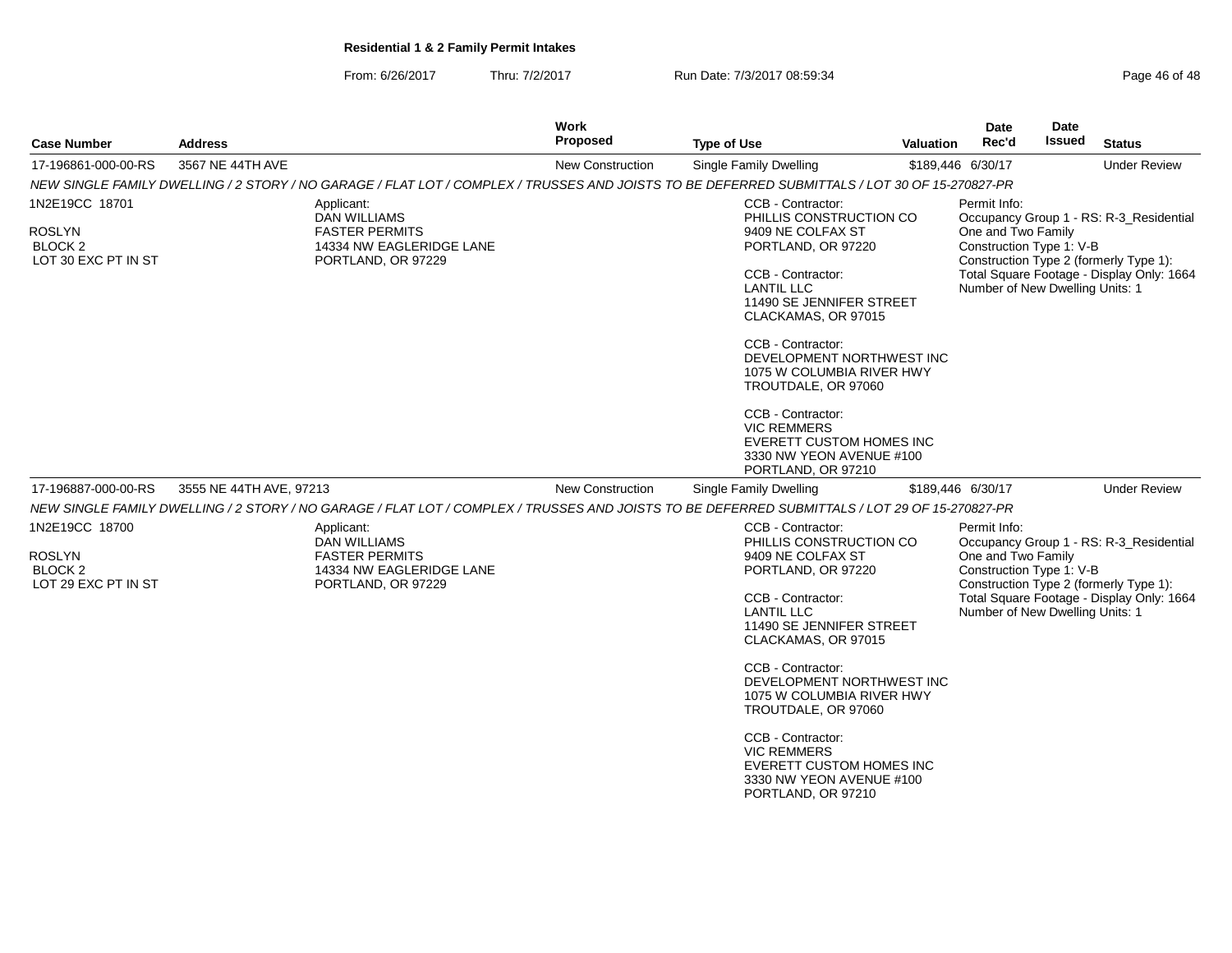From: 6/26/2017Thru: 7/2/2017 **Run Date: 7/3/2017 08:59:34** Page 46 of 48

| <b>Case Number</b>                                                           | <b>Address</b>                                                                                                                                | Work<br><b>Proposed</b> | <b>Type of Use</b>                                                                                                                                                                                                                                                                                                                            | <b>Valuation</b> | Date<br>Rec'd                                                                                     | Date<br>Issued | <b>Status</b>                                                                                                                  |
|------------------------------------------------------------------------------|-----------------------------------------------------------------------------------------------------------------------------------------------|-------------------------|-----------------------------------------------------------------------------------------------------------------------------------------------------------------------------------------------------------------------------------------------------------------------------------------------------------------------------------------------|------------------|---------------------------------------------------------------------------------------------------|----------------|--------------------------------------------------------------------------------------------------------------------------------|
| 17-196861-000-00-RS                                                          | 3567 NE 44TH AVE                                                                                                                              | New Construction        | Single Family Dwelling                                                                                                                                                                                                                                                                                                                        |                  | \$189,446 6/30/17                                                                                 |                | <b>Under Review</b>                                                                                                            |
|                                                                              | NEW SINGLE FAMILY DWELLING / 2 STORY / NO GARAGE / FLAT LOT / COMPLEX / TRUSSES AND JOISTS TO BE DEFERRED SUBMITTALS / LOT 30 OF 15-270827-PR |                         |                                                                                                                                                                                                                                                                                                                                               |                  |                                                                                                   |                |                                                                                                                                |
| 1N2E19CC 18701                                                               | Applicant:<br>DAN WILLIAMS                                                                                                                    |                         | CCB - Contractor:<br>PHILLIS CONSTRUCTION CO                                                                                                                                                                                                                                                                                                  |                  | Permit Info:                                                                                      |                | Occupancy Group 1 - RS: R-3_Residential                                                                                        |
| ROSLYN<br>BLOCK <sub>2</sub><br>LOT 30 EXC PT IN ST                          | <b>FASTER PERMITS</b><br>14334 NW EAGLERIDGE LANE<br>PORTLAND, OR 97229                                                                       |                         | 9409 NE COLFAX ST<br>PORTLAND, OR 97220<br>CCB - Contractor:<br><b>LANTIL LLC</b><br>11490 SE JENNIFER STREET<br>CLACKAMAS, OR 97015<br>CCB - Contractor:<br>DEVELOPMENT NORTHWEST INC<br>1075 W COLUMBIA RIVER HWY<br>TROUTDALE, OR 97060<br>CCB - Contractor:<br><b>VIC REMMERS</b><br>EVERETT CUSTOM HOMES INC<br>3330 NW YEON AVENUE #100 |                  | One and Two Family<br>Construction Type 1: V-B<br>Number of New Dwelling Units: 1                 |                | Construction Type 2 (formerly Type 1):<br>Total Square Footage - Display Only: 1664                                            |
|                                                                              |                                                                                                                                               |                         | PORTLAND, OR 97210                                                                                                                                                                                                                                                                                                                            |                  |                                                                                                   |                |                                                                                                                                |
| 17-196887-000-00-RS                                                          | 3555 NE 44TH AVE, 97213                                                                                                                       | New Construction        | Single Family Dwelling                                                                                                                                                                                                                                                                                                                        |                  | \$189,446 6/30/17                                                                                 |                | <b>Under Review</b>                                                                                                            |
|                                                                              | NEW SINGLE FAMILY DWELLING / 2 STORY / NO GARAGE / FLAT LOT / COMPLEX / TRUSSES AND JOISTS TO BE DEFERRED SUBMITTALS / LOT 29 OF 15-270827-PR |                         |                                                                                                                                                                                                                                                                                                                                               |                  |                                                                                                   |                |                                                                                                                                |
| 1N2E19CC 18700<br><b>ROSLYN</b><br>BLOCK <sub>2</sub><br>LOT 29 EXC PT IN ST | Applicant:<br><b>DAN WILLIAMS</b><br><b>FASTER PERMITS</b><br>14334 NW EAGLERIDGE LANE<br>PORTLAND, OR 97229                                  |                         | CCB - Contractor:<br>PHILLIS CONSTRUCTION CO<br>9409 NE COLFAX ST<br>PORTLAND, OR 97220<br>CCB - Contractor:<br><b>LANTIL LLC</b><br>11490 SE JENNIFER STREET<br>CLACKAMAS, OR 97015                                                                                                                                                          |                  | Permit Info:<br>One and Two Family<br>Construction Type 1: V-B<br>Number of New Dwelling Units: 1 |                | Occupancy Group 1 - RS: R-3 Residential<br>Construction Type 2 (formerly Type 1):<br>Total Square Footage - Display Only: 1664 |
|                                                                              |                                                                                                                                               |                         | CCB - Contractor:<br>DEVELOPMENT NORTHWEST INC<br>1075 W COLUMBIA RIVER HWY<br>TROUTDALE, OR 97060<br>CCB - Contractor:<br><b>VIC REMMERS</b><br>EVERETT CUSTOM HOMES INC<br>3330 NW YEON AVENUE #100<br>PORTLAND, OR 97210                                                                                                                   |                  |                                                                                                   |                |                                                                                                                                |
|                                                                              |                                                                                                                                               |                         |                                                                                                                                                                                                                                                                                                                                               |                  |                                                                                                   |                |                                                                                                                                |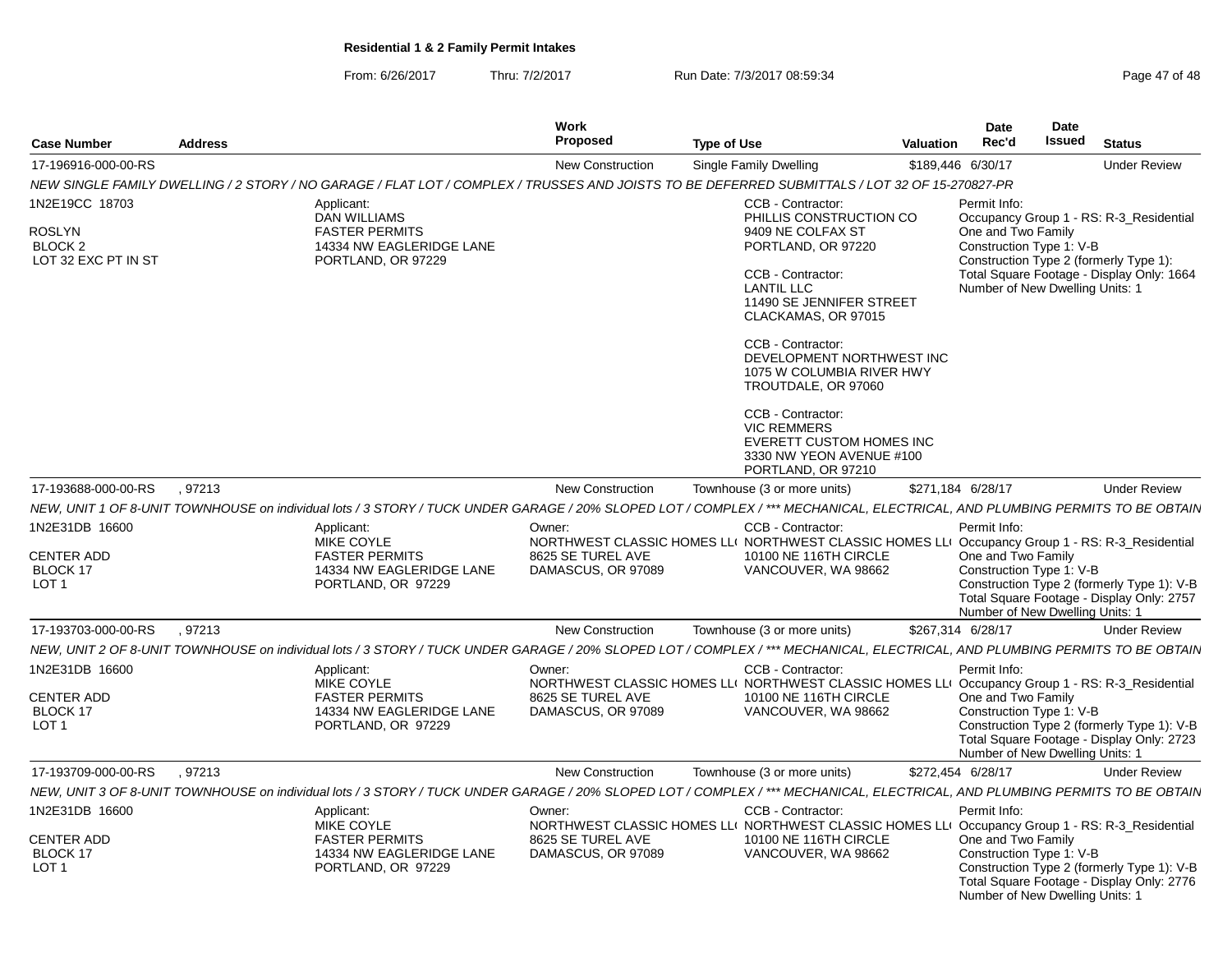From: 6/26/2017Thru: 7/2/2017 **Run Date: 7/3/2017 08:59:34** Page 47 of 48

| <b>Case Number</b>                                                           | <b>Address</b> |                                                                                                                                                                             | <b>Work</b><br><b>Proposed</b>                    | <b>Type of Use</b>                                                                                                                                                                                                                                                                                                                                                                                                  | <b>Valuation</b> | <b>Date</b><br>Rec'd                                                                              | <b>Date</b><br>Issued | <b>Status</b>                                                                                                                  |
|------------------------------------------------------------------------------|----------------|-----------------------------------------------------------------------------------------------------------------------------------------------------------------------------|---------------------------------------------------|---------------------------------------------------------------------------------------------------------------------------------------------------------------------------------------------------------------------------------------------------------------------------------------------------------------------------------------------------------------------------------------------------------------------|------------------|---------------------------------------------------------------------------------------------------|-----------------------|--------------------------------------------------------------------------------------------------------------------------------|
| 17-196916-000-00-RS                                                          |                |                                                                                                                                                                             | <b>New Construction</b>                           | Single Family Dwelling                                                                                                                                                                                                                                                                                                                                                                                              |                  | \$189,446 6/30/17                                                                                 |                       | <b>Under Review</b>                                                                                                            |
|                                                                              |                | NEW SINGLE FAMILY DWELLING / 2 STORY / NO GARAGE / FLAT LOT / COMPLEX / TRUSSES AND JOISTS TO BE DEFERRED SUBMITTALS / LOT 32 OF 15-270827-PR                               |                                                   |                                                                                                                                                                                                                                                                                                                                                                                                                     |                  |                                                                                                   |                       |                                                                                                                                |
| 1N2E19CC 18703<br><b>ROSLYN</b><br>BLOCK <sub>2</sub><br>LOT 32 EXC PT IN ST |                | Applicant:<br>DAN WILLIAMS<br><b>FASTER PERMITS</b><br>14334 NW EAGLERIDGE LANE<br>PORTLAND, OR 97229                                                                       |                                                   | CCB - Contractor:<br>PHILLIS CONSTRUCTION CO<br>9409 NE COLFAX ST<br>PORTLAND, OR 97220<br>CCB - Contractor:<br><b>LANTIL LLC</b><br>11490 SE JENNIFER STREET<br>CLACKAMAS, OR 97015<br>CCB - Contractor:<br>DEVELOPMENT NORTHWEST INC<br>1075 W COLUMBIA RIVER HWY<br>TROUTDALE, OR 97060<br>CCB - Contractor:<br><b>VIC REMMERS</b><br>EVERETT CUSTOM HOMES INC<br>3330 NW YEON AVENUE #100<br>PORTLAND, OR 97210 |                  | Permit Info:<br>One and Two Family<br>Construction Type 1: V-B<br>Number of New Dwelling Units: 1 |                       | Occupancy Group 1 - RS: R-3_Residential<br>Construction Type 2 (formerly Type 1):<br>Total Square Footage - Display Only: 1664 |
| 17-193688-000-00-RS                                                          | .97213         |                                                                                                                                                                             | <b>New Construction</b>                           | Townhouse (3 or more units)                                                                                                                                                                                                                                                                                                                                                                                         |                  | \$271,184 6/28/17                                                                                 |                       | <b>Under Review</b>                                                                                                            |
|                                                                              |                | NEW, UNIT 1 OF 8-UNIT TOWNHOUSE on individual lots / 3 STORY / TUCK UNDER GARAGE / 20% SLOPED LOT / COMPLEX / *** MECHANICAL, ELECTRICAL, AND PLUMBING PERMITS TO BE OBTAIN |                                                   |                                                                                                                                                                                                                                                                                                                                                                                                                     |                  |                                                                                                   |                       |                                                                                                                                |
| 1N2E31DB 16600<br><b>CENTER ADD</b><br>BLOCK 17<br>LOT <sub>1</sub>          |                | Applicant:<br><b>MIKE COYLE</b><br><b>FASTER PERMITS</b><br>14334 NW EAGLERIDGE LANE<br>PORTLAND, OR 97229                                                                  | Owner:<br>8625 SE TUREL AVE<br>DAMASCUS, OR 97089 | CCB - Contractor:<br>NORTHWEST CLASSIC HOMES LLI NORTHWEST CLASSIC HOMES LLI Occupancy Group 1 - RS: R-3_Residential<br>10100 NE 116TH CIRCLE<br>VANCOUVER, WA 98662                                                                                                                                                                                                                                                |                  | Permit Info:<br>One and Two Family<br>Construction Type 1: V-B<br>Number of New Dwelling Units: 1 |                       | Construction Type 2 (formerly Type 1): V-B<br>Total Square Footage - Display Only: 2757                                        |
| 17-193703-000-00-RS                                                          | .97213         |                                                                                                                                                                             | <b>New Construction</b>                           | Townhouse (3 or more units)                                                                                                                                                                                                                                                                                                                                                                                         |                  | \$267,314 6/28/17                                                                                 |                       | <b>Under Review</b>                                                                                                            |
|                                                                              |                | NEW, UNIT 2 OF 8-UNIT TOWNHOUSE on individual lots / 3 STORY / TUCK UNDER GARAGE / 20% SLOPED LOT / COMPLEX / *** MECHANICAL, ELECTRICAL, AND PLUMBING PERMITS TO BE OBTAIN |                                                   |                                                                                                                                                                                                                                                                                                                                                                                                                     |                  |                                                                                                   |                       |                                                                                                                                |
| 1N2E31DB 16600<br><b>CENTER ADD</b><br>BLOCK 17<br>LOT <sub>1</sub>          |                | Applicant:<br>MIKE COYLE<br><b>FASTER PERMITS</b><br>14334 NW EAGLERIDGE LANE<br>PORTLAND, OR 97229                                                                         | Owner:<br>8625 SE TUREL AVE<br>DAMASCUS, OR 97089 | CCB - Contractor:<br>NORTHWEST CLASSIC HOMES LLI NORTHWEST CLASSIC HOMES LLI Occupancy Group 1 - RS: R-3_Residential<br>10100 NE 116TH CIRCLE<br>VANCOUVER, WA 98662                                                                                                                                                                                                                                                |                  | Permit Info:<br>One and Two Family<br>Construction Type 1: V-B<br>Number of New Dwelling Units: 1 |                       | Construction Type 2 (formerly Type 1): V-B<br>Total Square Footage - Display Only: 2723                                        |
| 17-193709-000-00-RS                                                          | .97213         |                                                                                                                                                                             | <b>New Construction</b>                           | Townhouse (3 or more units)                                                                                                                                                                                                                                                                                                                                                                                         |                  | \$272,454 6/28/17                                                                                 |                       | <b>Under Review</b>                                                                                                            |
|                                                                              |                | NEW, UNIT 3 OF 8-UNIT TOWNHOUSE on individual lots / 3 STORY / TUCK UNDER GARAGE / 20% SLOPED LOT / COMPLEX / *** MECHANICAL, ELECTRICAL, AND PLUMBING PERMITS TO BE OBTAIN |                                                   |                                                                                                                                                                                                                                                                                                                                                                                                                     |                  |                                                                                                   |                       |                                                                                                                                |
| 1N2E31DB 16600<br><b>CENTER ADD</b><br>BLOCK 17<br>LOT <sub>1</sub>          |                | Applicant:<br>MIKE COYLE<br><b>FASTER PERMITS</b><br>14334 NW EAGLERIDGE LANE<br>PORTLAND, OR 97229                                                                         | Owner:<br>8625 SE TUREL AVE<br>DAMASCUS, OR 97089 | CCB - Contractor:<br>NORTHWEST CLASSIC HOMES LLI NORTHWEST CLASSIC HOMES LLI Occupancy Group 1 - RS: R-3_Residential<br>10100 NE 116TH CIRCLE<br>VANCOUVER, WA 98662                                                                                                                                                                                                                                                |                  | Permit Info:<br>One and Two Family<br>Construction Type 1: V-B<br>Number of New Dwelling Units: 1 |                       | Construction Type 2 (formerly Type 1): V-B<br>Total Square Footage - Display Only: 2776                                        |